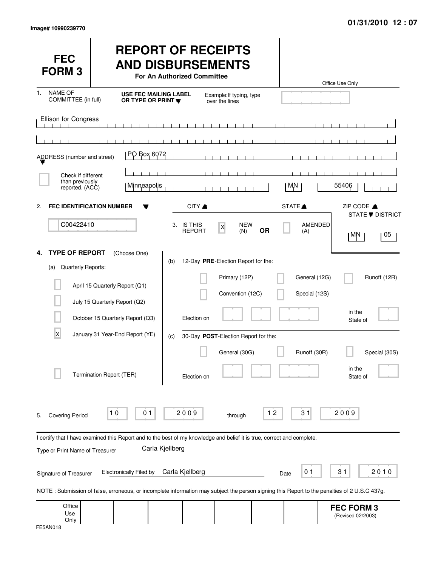| <b>FEC</b><br><b>FORM3</b>                               |                                                                                                                                              | For An Authorized Committee | <b>REPORT OF RECEIPTS</b><br><b>AND DISBURSEMENTS</b>                    |           |                                | Office Use Only                        |
|----------------------------------------------------------|----------------------------------------------------------------------------------------------------------------------------------------------|-----------------------------|--------------------------------------------------------------------------|-----------|--------------------------------|----------------------------------------|
| <b>NAME OF</b><br>$\mathbf{1}$ .<br>COMMITTEE (in full)  | <b>USE FEC MAILING LABEL</b><br>OR TYPE OR PRINT                                                                                             |                             | Example: If typing, type<br>over the lines                               |           |                                |                                        |
| Ellison for Congress                                     |                                                                                                                                              |                             |                                                                          |           |                                |                                        |
|                                                          |                                                                                                                                              |                             |                                                                          |           |                                |                                        |
| ADDRESS (number and street)                              | PO Box 6072                                                                                                                                  |                             |                                                                          |           |                                |                                        |
| Check if different                                       |                                                                                                                                              |                             |                                                                          |           |                                |                                        |
| than previously<br>reported. (ACC)                       | Minneapolis                                                                                                                                  |                             |                                                                          |           | MN                             | 55406                                  |
| $\mathbf{2}$                                             | <b>FEC IDENTIFICATION NUMBER</b>                                                                                                             | CITY A                      |                                                                          |           | <b>STATE</b>                   | ZIP CODE A<br><b>STATE ▼ DISTRICT</b>  |
| C00422410                                                |                                                                                                                                              | 3. IS THIS<br><b>REPORT</b> | <b>NEW</b><br>$\pmb{\mathsf{X}}$<br>(N)                                  | <b>OR</b> | AMENDED<br>(A)                 | ∣MN<br>05                              |
| <b>TYPE OF REPORT</b><br>4.<br>Quarterly Reports:<br>(a) | (Choose One)<br>April 15 Quarterly Report (Q1)                                                                                               | (b)                         | 12-Day PRE-Election Report for the:<br>Primary (12P)<br>Convention (12C) |           | General (12G)<br>Special (12S) | Runoff (12R)                           |
|                                                          | July 15 Quarterly Report (Q2)<br>October 15 Quarterly Report (Q3)                                                                            | Election on                 |                                                                          |           |                                | in the<br>State of                     |
| X                                                        | January 31 Year-End Report (YE)                                                                                                              | (c)                         | 30-Day POST-Election Report for the:                                     |           |                                |                                        |
|                                                          | Termination Report (TER)                                                                                                                     | Election on                 | General (30G)                                                            |           | Runoff (30R)                   | Special (30S)<br>in the<br>State of    |
| <b>Covering Period</b><br>5.                             | 10<br>0 <sub>1</sub>                                                                                                                         | 2009                        | through                                                                  | $12$      | 31                             | 2009                                   |
| Type or Print Name of Treasurer                          | I certify that I have examined this Report and to the best of my knowledge and belief it is true, correct and complete.                      | Carla Kjellberg             |                                                                          |           |                                |                                        |
| Signature of Treasurer                                   | <b>Electronically Filed by</b>                                                                                                               | Carla Kjellberg             |                                                                          | Date      | 0 <sub>1</sub>                 | 31<br>2010                             |
|                                                          | NOTE: Submission of false, erroneous, or incomplete information may subject the person signing this Report to the penalties of 2 U.S.C 437g. |                             |                                                                          |           |                                |                                        |
| Office<br>Use<br>Only                                    |                                                                                                                                              |                             |                                                                          |           |                                | <b>FEC FORM 3</b><br>(Revised 02/2003) |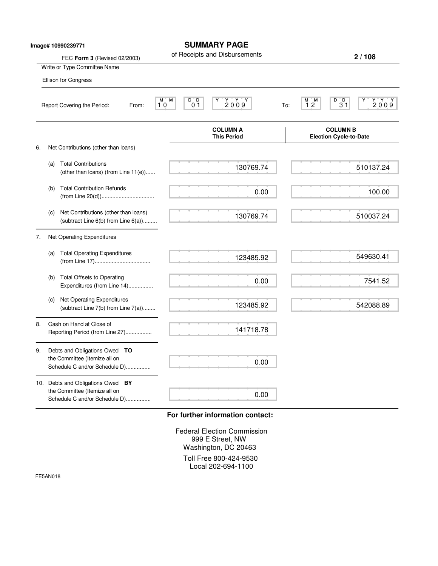| Image# 10990239771 |                                                                                  | <b>SUMMARY PAGE</b>                                                                                                                                                                                                                                                                                                                                                                               |                                                                                                                                    |
|--------------------|----------------------------------------------------------------------------------|---------------------------------------------------------------------------------------------------------------------------------------------------------------------------------------------------------------------------------------------------------------------------------------------------------------------------------------------------------------------------------------------------|------------------------------------------------------------------------------------------------------------------------------------|
|                    | FEC Form 3 (Revised 02/2003)                                                     |                                                                                                                                                                                                                                                                                                                                                                                                   | 2/108                                                                                                                              |
|                    |                                                                                  |                                                                                                                                                                                                                                                                                                                                                                                                   |                                                                                                                                    |
|                    |                                                                                  |                                                                                                                                                                                                                                                                                                                                                                                                   |                                                                                                                                    |
|                    | From:                                                                            | М<br>D D<br>2009<br>M ī<br>0 <sub>1</sub><br>To:                                                                                                                                                                                                                                                                                                                                                  | $\begin{array}{c}\nY \ Y \ Y \ 2009\n\end{array}$<br>$\begin{smallmatrix}0&0\&3\1\end{smallmatrix}$<br>М<br>'M<br>$\overline{1}$ 2 |
|                    |                                                                                  | <b>COLUMN A</b><br><b>This Period</b>                                                                                                                                                                                                                                                                                                                                                             | <b>COLUMN B</b><br><b>Election Cycle-to-Date</b>                                                                                   |
|                    |                                                                                  |                                                                                                                                                                                                                                                                                                                                                                                                   |                                                                                                                                    |
| (a)                | <b>Total Contributions</b><br>(other than loans) (from Line 11(e))               | 130769.74                                                                                                                                                                                                                                                                                                                                                                                         | 510137.24                                                                                                                          |
| (b)                | <b>Total Contribution Refunds</b>                                                | 0.00                                                                                                                                                                                                                                                                                                                                                                                              | 100.00                                                                                                                             |
| (c)                | Net Contributions (other than loans)<br>(subtract Line $6(b)$ from Line $6(a)$ ) | 130769.74                                                                                                                                                                                                                                                                                                                                                                                         | 510037.24                                                                                                                          |
|                    |                                                                                  |                                                                                                                                                                                                                                                                                                                                                                                                   |                                                                                                                                    |
| (a)                | <b>Total Operating Expenditures</b>                                              | 123485.92                                                                                                                                                                                                                                                                                                                                                                                         | 549630.41                                                                                                                          |
| (b)                | <b>Total Offsets to Operating</b><br>Expenditures (from Line 14)                 | 0.00                                                                                                                                                                                                                                                                                                                                                                                              | 7541.52                                                                                                                            |
| (c)                | Net Operating Expenditures<br>(subtract Line 7(b) from Line 7(a))                | 123485.92                                                                                                                                                                                                                                                                                                                                                                                         | 542088.89                                                                                                                          |
|                    |                                                                                  | 141718.78                                                                                                                                                                                                                                                                                                                                                                                         |                                                                                                                                    |
|                    |                                                                                  | 0.00                                                                                                                                                                                                                                                                                                                                                                                              |                                                                                                                                    |
|                    | Schedule C and/or Schedule D)                                                    | 0.00                                                                                                                                                                                                                                                                                                                                                                                              |                                                                                                                                    |
|                    |                                                                                  | Write or Type Committee Name<br>Ellison for Congress<br>Report Covering the Period:<br>Net Contributions (other than loans)<br>Net Operating Expenditures<br>Cash on Hand at Close of<br>Reporting Period (from Line 27)<br>Debts and Obligations Owed TO<br>the Committee (Itemize all on<br>Schedule C and/or Schedule D)<br>10. Debts and Obligations Owed BY<br>the Committee (Itemize all on | of Receipts and Disbursements<br>10                                                                                                |

Federal Election Commission 999 E Street, NW Washington, DC 20463 Toll Free 800-424-9530 Local 202-694-1100

FE5AN018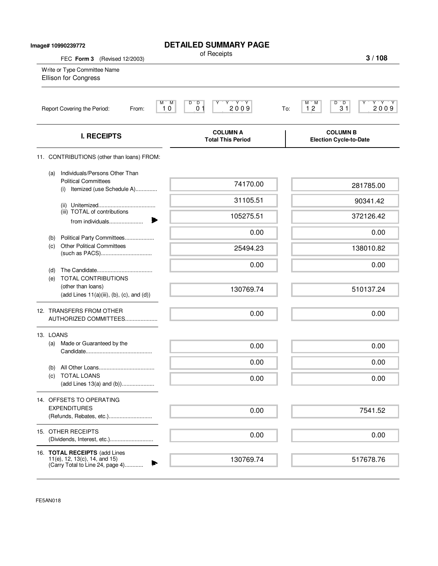| Image# 10990239772<br>FEC Form 3 (Revised 12/2003) |                                                                                                    | <b>DETAILED SUMMARY PAGE</b><br>of Receipts                                                                          | 3/108                                                     |
|----------------------------------------------------|----------------------------------------------------------------------------------------------------|----------------------------------------------------------------------------------------------------------------------|-----------------------------------------------------------|
|                                                    | Write or Type Committee Name<br>Ellison for Congress                                               |                                                                                                                      |                                                           |
|                                                    | Report Covering the Period:<br>From:                                                               | M<br>D D<br>$\begin{array}{c}\n\gamma & \gamma & \gamma \\ 2 & 0 & 0 & 9\n\end{array}$<br>M)<br>0 <sub>1</sub><br>10 | $D^{\bullet}D$<br>Y Y Y<br>M M<br>2009<br>31<br>12<br>To: |
|                                                    | <b>I. RECEIPTS</b>                                                                                 | <b>COLUMN A</b><br><b>Total This Period</b>                                                                          | <b>COLUMN B</b><br><b>Election Cycle-to-Date</b>          |
|                                                    | 11. CONTRIBUTIONS (other than loans) FROM:                                                         |                                                                                                                      |                                                           |
| (a)                                                | Individuals/Persons Other Than<br><b>Political Committees</b><br>Itemized (use Schedule A)<br>(i)  | 74170.00                                                                                                             | 281785.00                                                 |
|                                                    |                                                                                                    | 31105.51                                                                                                             | 90341.42                                                  |
|                                                    | (iii) TOTAL of contributions<br>from individuals                                                   | 105275.51                                                                                                            | 372126.42                                                 |
| (b)                                                | Political Party Committees                                                                         | 0.00                                                                                                                 | 0.00                                                      |
| (c)                                                | <b>Other Political Committees</b>                                                                  | 25494.23                                                                                                             | 138010.82                                                 |
| (d)                                                |                                                                                                    | 0.00                                                                                                                 | 0.00                                                      |
| (e)                                                | TOTAL CONTRIBUTIONS<br>(other than loans)<br>(add Lines $11(a)(iii)$ , (b), (c), and (d))          | 130769.74                                                                                                            | 510137.24                                                 |
|                                                    | 12. TRANSFERS FROM OTHER<br>AUTHORIZED COMMITTEES                                                  | 0.00                                                                                                                 | 0.00                                                      |
| 13. LOANS                                          |                                                                                                    |                                                                                                                      |                                                           |
| (a)                                                | Made or Guaranteed by the                                                                          | 0.00                                                                                                                 | 0.00                                                      |
|                                                    |                                                                                                    | 0.00                                                                                                                 | 0.00                                                      |
| (b)                                                | (c) TOTAL LOANS                                                                                    | 0.00                                                                                                                 | 0.00                                                      |
|                                                    | 14. OFFSETS TO OPERATING                                                                           |                                                                                                                      |                                                           |
|                                                    | <b>EXPENDITURES</b><br>(Refunds, Rebates, etc.)                                                    | 0.00                                                                                                                 | 7541.52                                                   |
|                                                    | 15. OTHER RECEIPTS                                                                                 | 0.00                                                                                                                 | 0.00                                                      |
|                                                    | 16. TOTAL RECEIPTS (add Lines<br>11(e), 12, 13(c), 14, and 15)<br>(Carry Total to Line 24, page 4) | 130769.74                                                                                                            | 517678.76                                                 |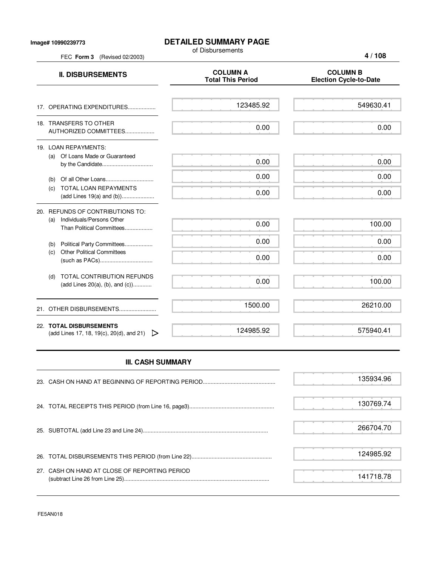FEC **Form 3** (Revised 02/2003)

## **DETAILED SUMMARY PAGE**

of Disbursements

**4 / 108**

| <b>II. DISBURSEMENTS</b>                                                                          | <b>COLUMN A</b><br><b>Total This Period</b> | <b>COLUMN B</b><br><b>Election Cycle-to-Date</b> |
|---------------------------------------------------------------------------------------------------|---------------------------------------------|--------------------------------------------------|
| 17. OPERATING EXPENDITURES                                                                        | 123485.92                                   | 549630.41                                        |
| 18. TRANSFERS TO OTHER<br>AUTHORIZED COMMITTEES                                                   | 0.00                                        | 0.00                                             |
| 19. LOAN REPAYMENTS:<br>(a) Of Loans Made or Guaranteed<br>by the Candidate                       | 0.00                                        | 0.00                                             |
| (b)<br><b>TOTAL LOAN REPAYMENTS</b><br>(C)                                                        | 0.00<br>0.00                                | 0.00<br>0.00                                     |
| 20. REFUNDS OF CONTRIBUTIONS TO:<br>Individuals/Persons Other<br>(a)<br>Than Political Committees | 0.00                                        | 100.00                                           |
| Political Party Committees<br>(b)<br><b>Other Political Committees</b><br>(c)                     | 0.00<br>0.00                                | 0.00<br>0.00                                     |
| TOTAL CONTRIBUTION REFUNDS<br>(d)<br>(add Lines 20(a), (b), and $(c)$ )                           | 0.00                                        | 100.00                                           |
|                                                                                                   | 1500.00                                     | 26210.00                                         |
| 22. TOTAL DISBURSEMENTS<br>(add Lines 17, 18, 19(c), 20(d), and 21)<br>▷                          | 124985.92                                   | 575940.41                                        |

## **III. CASH SUMMARY**

|                                               | 135934.96 |
|-----------------------------------------------|-----------|
|                                               | 130769.74 |
|                                               | 266704.70 |
|                                               | 124985.92 |
| 27. CASH ON HAND AT CLOSE OF REPORTING PERIOD | 141718.78 |

FE5AN018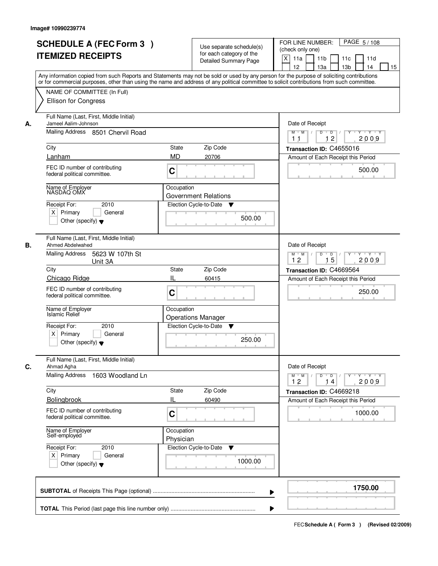|    | <b>SCHEDULE A (FEC Form 3)</b><br><b>ITEMIZED RECEIPTS</b>                                                               | Use separate schedule(s)<br>for each category of the<br>Detailed Summary Page<br>Any information copied from such Reports and Statements may not be sold or used by any person for the purpose of soliciting contributions | FOR LINE NUMBER:<br>PAGE 5/108<br>(check only one)<br>X<br>11a<br>11 <sub>b</sub><br>11c<br>11d<br>12<br>13a<br>13 <sub>b</sub><br>14<br>15 |
|----|--------------------------------------------------------------------------------------------------------------------------|----------------------------------------------------------------------------------------------------------------------------------------------------------------------------------------------------------------------------|---------------------------------------------------------------------------------------------------------------------------------------------|
|    | NAME OF COMMITTEE (In Full)<br><b>Ellison for Congress</b>                                                               | or for commercial purposes, other than using the name and address of any political committee to solicit contributions from such committee.                                                                                 |                                                                                                                                             |
| А. | Full Name (Last, First, Middle Initial)<br>Jameel Aalim-Johnson<br>Mailing Address 8501 Chervil Road                     |                                                                                                                                                                                                                            | Date of Receipt<br>$\overline{D}$<br>$Y - Y - Y$<br>$M$ $M$ /<br>$\overline{D}$<br>Y                                                        |
|    | City<br>Lanham                                                                                                           | State<br>Zip Code<br><b>MD</b><br>20706                                                                                                                                                                                    | 12<br>2009<br>11<br>Transaction ID: C4655016<br>Amount of Each Receipt this Period                                                          |
|    | FEC ID number of contributing<br>federal political committee.                                                            | C                                                                                                                                                                                                                          | 500.00                                                                                                                                      |
|    | Name of Employer<br>NASDAQ OMX<br>2010<br>Receipt For:<br>$X$ Primary<br>General<br>Other (specify) $\blacktriangledown$ | Occupation<br><b>Government Relations</b><br>Election Cycle-to-Date<br>v<br>500.00                                                                                                                                         |                                                                                                                                             |
| В. | Full Name (Last, First, Middle Initial)<br>Ahmed Abdelwahed<br><b>Mailing Address</b><br>5623 W 107th St<br>Unit 3A      |                                                                                                                                                                                                                            | Date of Receipt<br>D<br>$Y \vdash Y \vdash Y$<br>$M$ $M$ /<br>$\overline{D}$<br>15<br>12<br>2009                                            |
|    | City<br>Chicago Ridge<br>FEC ID number of contributing                                                                   | Zip Code<br>State<br>Ш<br>60415<br>C                                                                                                                                                                                       | Transaction ID: C4669564<br>Amount of Each Receipt this Period<br>250.00                                                                    |
|    | federal political committee.<br>Name of Employer<br><b>Islamic Relief</b><br>Receipt For:<br>2010                        | Occupation<br><b>Operations Manager</b><br>Election Cycle-to-Date ▼                                                                                                                                                        |                                                                                                                                             |
|    | $X$ Primary<br>General<br>Other (specify) $\blacktriangledown$                                                           | 250.00                                                                                                                                                                                                                     |                                                                                                                                             |
| C. | Full Name (Last, First, Middle Initial)<br>Ahmad Agha<br><b>Mailing Address</b><br>1603 Woodland Ln                      |                                                                                                                                                                                                                            | Date of Receipt<br>$M$ M<br>$D$ $D$ $/$<br>$\sqrt{ }$<br>$Y$ <sup>U</sup><br>$Y + Y + Y$                                                    |
|    | City<br><b>Bolingbrook</b>                                                                                               | Zip Code<br>State<br>Ш<br>60490                                                                                                                                                                                            | 2009<br>12<br>14<br>Transaction ID: C4669218<br>Amount of Each Receipt this Period                                                          |
|    | FEC ID number of contributing<br>federal political committee.                                                            | C                                                                                                                                                                                                                          | 1000.00                                                                                                                                     |
|    | Name of Employer<br>Self-employed                                                                                        | Occupation<br>Physician                                                                                                                                                                                                    |                                                                                                                                             |
|    | Receipt For:<br>2010<br>$X$ Primary<br>General<br>Other (specify) $\blacktriangledown$                                   | Election Cycle-to-Date<br>v<br>1000.00                                                                                                                                                                                     |                                                                                                                                             |
|    |                                                                                                                          | ▶                                                                                                                                                                                                                          | 1750.00                                                                                                                                     |
|    |                                                                                                                          |                                                                                                                                                                                                                            |                                                                                                                                             |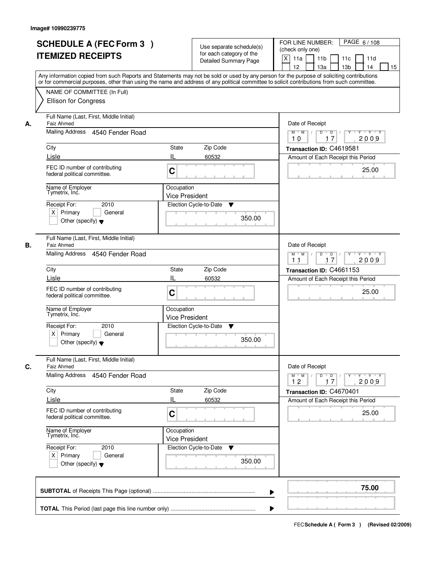|    | <b>SCHEDULE A (FEC Form 3)</b><br><b>ITEMIZED RECEIPTS</b><br>Any information copied from such Reports and Statements may not be sold or used by any person for the purpose of soliciting contributions<br>or for commercial purposes, other than using the name and address of any political committee to solicit contributions from such committee. |                                     | Use separate schedule(s)<br>for each category of the<br><b>Detailed Summary Page</b> | PAGE 6/108<br>FOR LINE NUMBER:<br>(check only one)<br>X<br>11 <sub>b</sub><br>11a<br>11 <sub>c</sub><br>11d<br>13 <sub>b</sub><br>12<br>13a<br>14<br>15 |
|----|-------------------------------------------------------------------------------------------------------------------------------------------------------------------------------------------------------------------------------------------------------------------------------------------------------------------------------------------------------|-------------------------------------|--------------------------------------------------------------------------------------|---------------------------------------------------------------------------------------------------------------------------------------------------------|
|    | NAME OF COMMITTEE (In Full)<br><b>Ellison for Congress</b>                                                                                                                                                                                                                                                                                            |                                     |                                                                                      |                                                                                                                                                         |
| А. | Full Name (Last, First, Middle Initial)<br>Faiz Ahmed<br>Mailing Address 4540 Fender Road                                                                                                                                                                                                                                                             |                                     |                                                                                      | Date of Receipt<br>$M$ $M$ /<br>$D$ $D$ $I$<br>Y 'Y 'Y<br>$Y$ <sup>U</sup><br>17<br>2009<br>10                                                          |
|    | City                                                                                                                                                                                                                                                                                                                                                  | <b>State</b>                        | Zip Code                                                                             | Transaction ID: C4619581                                                                                                                                |
|    | Lisle                                                                                                                                                                                                                                                                                                                                                 | Ш                                   | 60532                                                                                | Amount of Each Receipt this Period                                                                                                                      |
|    | FEC ID number of contributing<br>federal political committee.                                                                                                                                                                                                                                                                                         | C                                   |                                                                                      | 25.00                                                                                                                                                   |
|    | Name of Employer<br>Tymetrix, Inc.                                                                                                                                                                                                                                                                                                                    | Occupation<br><b>Vice President</b> |                                                                                      |                                                                                                                                                         |
|    | 2010<br>Receipt For:<br>$X$ Primary<br>General<br>Other (specify) $\blacktriangledown$                                                                                                                                                                                                                                                                | Election Cycle-to-Date              | ▼<br>350.00                                                                          |                                                                                                                                                         |
| В. | Full Name (Last, First, Middle Initial)<br>Faiz Ahmed                                                                                                                                                                                                                                                                                                 |                                     |                                                                                      | Date of Receipt                                                                                                                                         |
|    | Mailing Address 4540 Fender Road                                                                                                                                                                                                                                                                                                                      |                                     |                                                                                      | $Y \vdash Y \vdash Y$<br>$M$ $M$ /<br>D<br>$\Box$<br>17<br>2009<br>11                                                                                   |
|    | City                                                                                                                                                                                                                                                                                                                                                  | <b>State</b>                        | Zip Code                                                                             | Transaction ID: C4661153                                                                                                                                |
|    | Lisle                                                                                                                                                                                                                                                                                                                                                 | IL                                  | 60532                                                                                | Amount of Each Receipt this Period                                                                                                                      |
|    | FEC ID number of contributing<br>federal political committee.                                                                                                                                                                                                                                                                                         | C                                   |                                                                                      | 25.00                                                                                                                                                   |
|    | Name of Employer<br>Tymetrix, Inc.                                                                                                                                                                                                                                                                                                                    | Occupation<br><b>Vice President</b> |                                                                                      |                                                                                                                                                         |
|    | Receipt For:<br>2010<br>$X$ Primary<br>General<br>Other (specify) $\blacktriangledown$                                                                                                                                                                                                                                                                | Election Cycle-to-Date              | ▼<br>350.00                                                                          |                                                                                                                                                         |
| C. | Full Name (Last, First, Middle Initial)<br>Faiz Ahmed                                                                                                                                                                                                                                                                                                 |                                     |                                                                                      | Date of Receipt                                                                                                                                         |
|    | Mailing Address<br>4540 Fender Road                                                                                                                                                                                                                                                                                                                   |                                     |                                                                                      | $M$ $M$ $M$<br>$D$ $D$ $I$<br>Y<br>Y Y Y Y<br>12<br>17<br>2009                                                                                          |
|    | City                                                                                                                                                                                                                                                                                                                                                  | <b>State</b>                        | Zip Code                                                                             | Transaction ID: C4670401                                                                                                                                |
|    | Lisle<br>FEC ID number of contributing<br>federal political committee.                                                                                                                                                                                                                                                                                | IL<br>$\mathbf C$                   | 60532                                                                                | Amount of Each Receipt this Period<br>25.00                                                                                                             |
|    | Name of Employer<br>Tymetrix, Inc.                                                                                                                                                                                                                                                                                                                    | Occupation<br><b>Vice President</b> |                                                                                      |                                                                                                                                                         |
|    | Receipt For:<br>2010<br>$X$ Primary<br>General<br>Other (specify) $\blacktriangledown$                                                                                                                                                                                                                                                                | Election Cycle-to-Date              | v<br>350.00                                                                          |                                                                                                                                                         |
|    |                                                                                                                                                                                                                                                                                                                                                       |                                     |                                                                                      | 75.00                                                                                                                                                   |
|    |                                                                                                                                                                                                                                                                                                                                                       |                                     |                                                                                      |                                                                                                                                                         |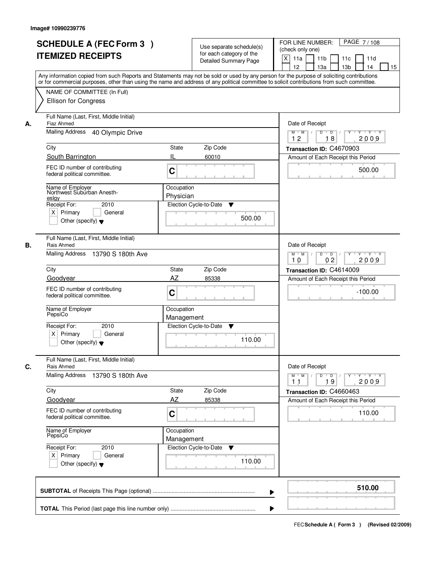| <b>SCHEDULE A (FEC Form 3)</b><br><b>ITEMIZED RECEIPTS</b>                                                                                        | Use separate schedule(s)<br>for each category of the<br><b>Detailed Summary Page</b><br>Any information copied from such Reports and Statements may not be sold or used by any person for the purpose of soliciting contributions | PAGE 7/108<br>FOR LINE NUMBER:<br>(check only one)<br>X<br>11 <sub>b</sub><br>11a<br>11 <sub>c</sub><br>11d<br>12<br>13 <sub>b</sub><br>14<br>13a<br>15 |
|---------------------------------------------------------------------------------------------------------------------------------------------------|-----------------------------------------------------------------------------------------------------------------------------------------------------------------------------------------------------------------------------------|---------------------------------------------------------------------------------------------------------------------------------------------------------|
| NAME OF COMMITTEE (In Full)<br><b>Ellison for Congress</b>                                                                                        | or for commercial purposes, other than using the name and address of any political committee to solicit contributions from such committee.                                                                                        |                                                                                                                                                         |
| Full Name (Last, First, Middle Initial)<br>Fiaz Ahmed<br>А.<br>Mailing Address<br>40 Olympic Drive                                                |                                                                                                                                                                                                                                   | Date of Receipt<br>$D$ $D$ $1$<br>Y<br>$Y - Y - Y - Y$<br>$M$ $M$ /<br>2009<br>12<br>18                                                                 |
| City                                                                                                                                              | <b>State</b><br>Zip Code                                                                                                                                                                                                          | Transaction ID: C4670903                                                                                                                                |
| South Barrington                                                                                                                                  | IL<br>60010                                                                                                                                                                                                                       | Amount of Each Receipt this Period                                                                                                                      |
| FEC ID number of contributing<br>federal political committee.                                                                                     | C                                                                                                                                                                                                                                 | 500.00                                                                                                                                                  |
| Name of Employer<br>Northwest Suburban Anesth-<br>eslay<br>Receipt For:<br>2010<br>$X$ Primary<br>General<br>Other (specify) $\blacktriangledown$ | Occupation<br>Physician<br>Election Cycle-to-Date<br>▼<br>500.00                                                                                                                                                                  |                                                                                                                                                         |
| Full Name (Last, First, Middle Initial)<br>Rais Ahmed<br>В.<br>Mailing Address<br>13790 S 180th Ave                                               |                                                                                                                                                                                                                                   | Date of Receipt<br>$M$ $M$ /<br>D<br>$\overline{D}$ /<br>Y<br>$Y + Y + Y$                                                                               |
|                                                                                                                                                   |                                                                                                                                                                                                                                   | 0 <sub>2</sub><br>2009<br>10                                                                                                                            |
| City                                                                                                                                              | Zip Code<br>State<br><b>AZ</b>                                                                                                                                                                                                    | Transaction ID: C4614009                                                                                                                                |
| Goodyear<br>FEC ID number of contributing<br>federal political committee.                                                                         | 85338<br>C                                                                                                                                                                                                                        | Amount of Each Receipt this Period<br>$-100.00$                                                                                                         |
| Name of Employer<br>PepsiCo                                                                                                                       | Occupation<br>Management                                                                                                                                                                                                          |                                                                                                                                                         |
| Receipt For:<br>2010<br>$X$ Primary<br>General<br>Other (specify) $\blacktriangledown$                                                            | Election Cycle-to-Date<br>v<br>110.00                                                                                                                                                                                             |                                                                                                                                                         |
| Full Name (Last, First, Middle Initial)<br>C.<br>Rais Ahmed                                                                                       |                                                                                                                                                                                                                                   | Date of Receipt                                                                                                                                         |
| Mailing Address<br>13790 S 180th Ave                                                                                                              |                                                                                                                                                                                                                                   | $M$ $M$ $/$<br>$D$ $D$ $I$<br>$\gamma$ $\gamma$ $\gamma$ $\gamma$ $\gamma$ $\gamma$<br>2009<br>19<br>11                                                 |
| City                                                                                                                                              | Zip Code<br>State                                                                                                                                                                                                                 | Transaction ID: C4660463                                                                                                                                |
| Goodyear<br>FEC ID number of contributing<br>federal political committee.                                                                         | AZ<br>85338<br>C                                                                                                                                                                                                                  | Amount of Each Receipt this Period<br>110.00                                                                                                            |
| Name of Employer<br>PepsiCo                                                                                                                       | Occupation<br>Management                                                                                                                                                                                                          |                                                                                                                                                         |
| Receipt For:<br>2010<br>$X$ Primary<br>General<br>Other (specify) $\blacktriangledown$                                                            | Election Cycle-to-Date ▼<br>110.00                                                                                                                                                                                                |                                                                                                                                                         |
|                                                                                                                                                   |                                                                                                                                                                                                                                   | 510.00                                                                                                                                                  |
|                                                                                                                                                   |                                                                                                                                                                                                                                   |                                                                                                                                                         |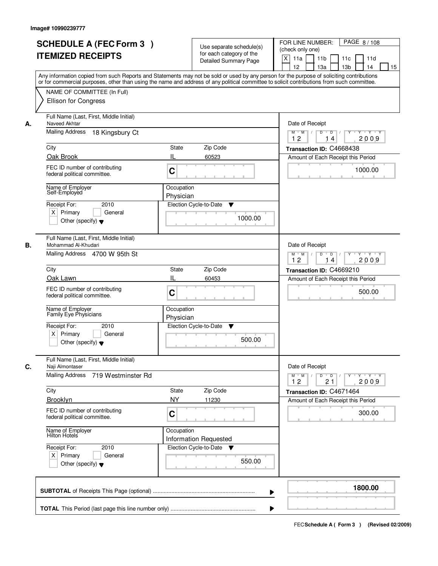| <b>SCHEDULE A (FEC Form 3)</b><br><b>ITEMIZED RECEIPTS</b>                                                  | Use separate schedule(s)<br>for each category of the<br><b>Detailed Summary Page</b><br>Any information copied from such Reports and Statements may not be sold or used by any person for the purpose of soliciting contributions | PAGE 8/108<br>FOR LINE NUMBER:<br>(check only one)<br>X<br>11 <sub>b</sub><br>11a<br>11 <sub>c</sub><br>11d<br>13 <sub>b</sub><br>12<br>13a<br>14<br>15 |
|-------------------------------------------------------------------------------------------------------------|-----------------------------------------------------------------------------------------------------------------------------------------------------------------------------------------------------------------------------------|---------------------------------------------------------------------------------------------------------------------------------------------------------|
| NAME OF COMMITTEE (In Full)<br><b>Ellison for Congress</b>                                                  | or for commercial purposes, other than using the name and address of any political committee to solicit contributions from such committee.                                                                                        |                                                                                                                                                         |
| Full Name (Last, First, Middle Initial)<br>Naveed Akhtar<br>А.<br><b>Mailing Address</b><br>18 Kingsbury Ct |                                                                                                                                                                                                                                   | Date of Receipt<br>$D$ $D$ $1$<br>Y Y Y Y<br>$M$ $M$ $/$<br>$Y$ <sup><math>\top</math></sup><br>12<br>2009<br>14                                        |
| City                                                                                                        | State<br>Zip Code                                                                                                                                                                                                                 | Transaction ID: C4668438                                                                                                                                |
| Oak Brook                                                                                                   | Ш<br>60523                                                                                                                                                                                                                        | Amount of Each Receipt this Period                                                                                                                      |
| FEC ID number of contributing<br>federal political committee.                                               | C                                                                                                                                                                                                                                 | 1000.00                                                                                                                                                 |
| Name of Employer<br>Self-Employed                                                                           | Occupation<br>Physician                                                                                                                                                                                                           |                                                                                                                                                         |
| 2010<br>Receipt For:<br>$X$ Primary<br>General<br>Other (specify) $\blacktriangledown$                      | Election Cycle-to-Date<br>▼<br>1000.00                                                                                                                                                                                            |                                                                                                                                                         |
| Full Name (Last, First, Middle Initial)<br>Mohammad Al-Khudari<br>В.<br>Mailing Address 4700 W 95th St      |                                                                                                                                                                                                                                   | Date of Receipt<br>$Y \vdash Y \vdash Y$<br>$M$ $M$<br>$\overline{D}$<br>D<br>12<br>2009<br>14                                                          |
| City                                                                                                        | Zip Code<br><b>State</b>                                                                                                                                                                                                          | Transaction ID: C4669210                                                                                                                                |
| Oak Lawn                                                                                                    | IL<br>60453                                                                                                                                                                                                                       | Amount of Each Receipt this Period                                                                                                                      |
| FEC ID number of contributing<br>federal political committee.                                               | C                                                                                                                                                                                                                                 | 500.00                                                                                                                                                  |
| Name of Employer<br>Family Eye Physicians                                                                   | Occupation<br>Physician                                                                                                                                                                                                           |                                                                                                                                                         |
| Receipt For:<br>2010<br>$X$ Primary<br>General<br>Other (specify) $\blacktriangledown$                      | Election Cycle-to-Date<br>v<br>500.00                                                                                                                                                                                             |                                                                                                                                                         |
| Full Name (Last, First, Middle Initial)<br>C.<br>Naji Almontaser                                            |                                                                                                                                                                                                                                   | Date of Receipt                                                                                                                                         |
| Mailing Address<br>719 Westminster Rd                                                                       |                                                                                                                                                                                                                                   | $M = M$<br>$D$ $D$ $I$<br>Y<br>Y Y Y Y<br>12<br>21<br>2009                                                                                              |
| City                                                                                                        | Zip Code<br><b>State</b>                                                                                                                                                                                                          | Transaction ID: C4671464                                                                                                                                |
| Brooklyn<br>FEC ID number of contributing<br>federal political committee.                                   | <b>NY</b><br>11230<br>C                                                                                                                                                                                                           | Amount of Each Receipt this Period<br>300.00                                                                                                            |
| Name of Employer<br>Hilton Hotels                                                                           | Occupation<br><b>Information Requested</b>                                                                                                                                                                                        |                                                                                                                                                         |
| Receipt For:<br>2010<br>$X$ Primary<br>General<br>Other (specify) $\blacktriangledown$                      | Election Cycle-to-Date ▼<br>550.00                                                                                                                                                                                                |                                                                                                                                                         |
|                                                                                                             |                                                                                                                                                                                                                                   |                                                                                                                                                         |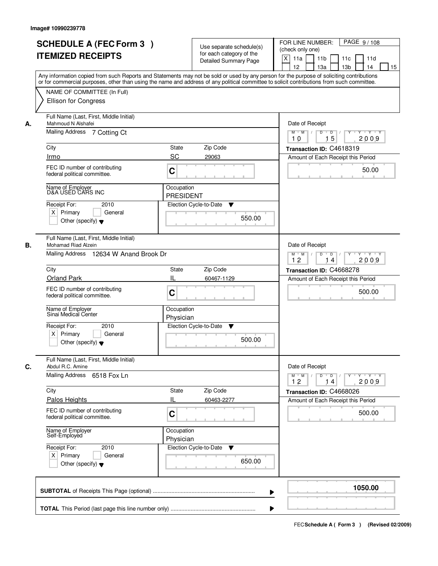|    | <b>SCHEDULE A (FEC Form 3)</b><br><b>ITEMIZED RECEIPTS</b>                                               | Use separate schedule(s)<br>for each category of the<br><b>Detailed Summary Page</b><br>Any information copied from such Reports and Statements may not be sold or used by any person for the purpose of soliciting contributions | PAGE 9/108<br>FOR LINE NUMBER:<br>(check only one)<br>X<br>11 <sub>b</sub><br>11a<br>11 <sub>c</sub><br>11d<br>12<br>13 <sub>b</sub><br>14<br>13a<br>15 |
|----|----------------------------------------------------------------------------------------------------------|-----------------------------------------------------------------------------------------------------------------------------------------------------------------------------------------------------------------------------------|---------------------------------------------------------------------------------------------------------------------------------------------------------|
|    | NAME OF COMMITTEE (In Full)<br><b>Ellison for Congress</b>                                               | or for commercial purposes, other than using the name and address of any political committee to solicit contributions from such committee.                                                                                        |                                                                                                                                                         |
| А. | Full Name (Last, First, Middle Initial)<br>Mahmoud N Alshafei<br>Mailing Address 7 Cotting Ct            |                                                                                                                                                                                                                                   | Date of Receipt<br>$M$ $M$<br>$D$ $D$ $1$<br>Y<br>$Y - Y - Y - Y$<br>15<br>2009<br>10                                                                   |
|    | City                                                                                                     | <b>State</b><br>Zip Code                                                                                                                                                                                                          | Transaction ID: C4618319                                                                                                                                |
|    | Irmo                                                                                                     | SC<br>29063                                                                                                                                                                                                                       | Amount of Each Receipt this Period                                                                                                                      |
|    | FEC ID number of contributing<br>federal political committee.                                            | C                                                                                                                                                                                                                                 | 50.00                                                                                                                                                   |
|    | Name of Employer<br>D&A USED CARS INC                                                                    | Occupation<br><b>PRESIDENT</b>                                                                                                                                                                                                    |                                                                                                                                                         |
|    | Receipt For:<br>2010<br>$X$ Primary<br>General<br>Other (specify) $\blacktriangledown$                   | Election Cycle-to-Date<br>▼<br>550.00                                                                                                                                                                                             |                                                                                                                                                         |
| В. | Full Name (Last, First, Middle Initial)<br>Mohamad Riad Alzein<br>Mailing Address 12634 W Anand Brook Dr | Date of Receipt<br>$M$ $M$ /<br>D<br>$\overline{D}$<br>$Y + Y + Y$<br>12<br>2009<br>14                                                                                                                                            |                                                                                                                                                         |
|    | City                                                                                                     | Zip Code<br>State                                                                                                                                                                                                                 | Transaction ID: C4668278                                                                                                                                |
|    | <b>Orland Park</b>                                                                                       | IL<br>60467-1129                                                                                                                                                                                                                  | Amount of Each Receipt this Period                                                                                                                      |
|    | FEC ID number of contributing<br>federal political committee.                                            | C                                                                                                                                                                                                                                 | 500.00                                                                                                                                                  |
|    | Name of Employer<br>Sinai Medical Center<br>Receipt For:<br>2010<br>$X$ Primary<br>General               | Occupation<br>Physician<br>Election Cycle-to-Date<br>▼<br>500.00                                                                                                                                                                  |                                                                                                                                                         |
|    | Other (specify) $\blacktriangledown$                                                                     |                                                                                                                                                                                                                                   |                                                                                                                                                         |
| C. | Full Name (Last, First, Middle Initial)<br>Abdul R.C. Amine                                              |                                                                                                                                                                                                                                   | Date of Receipt                                                                                                                                         |
|    | <b>Mailing Address</b><br>6518 Fox Ln                                                                    |                                                                                                                                                                                                                                   | $M$ $M$ $M$<br>$D$ $D$ $l$<br><u> EYELYELYEK</u><br>2009<br>12<br>14                                                                                    |
|    | City<br>Palos Heights                                                                                    | State<br>Zip Code<br>Ш                                                                                                                                                                                                            | Transaction ID: C4668026                                                                                                                                |
|    | FEC ID number of contributing<br>federal political committee.                                            | 60463-2277<br>C                                                                                                                                                                                                                   | Amount of Each Receipt this Period<br>500.00                                                                                                            |
|    | Name of Employer<br>Self-Employed                                                                        | Occupation<br>Physician                                                                                                                                                                                                           |                                                                                                                                                         |
|    | Receipt For:<br>2010<br>$X$ Primary<br>General<br>Other (specify) $\blacktriangledown$                   | Election Cycle-to-Date<br>▼<br>650.00                                                                                                                                                                                             |                                                                                                                                                         |
|    |                                                                                                          |                                                                                                                                                                                                                                   | 1050.00                                                                                                                                                 |
|    |                                                                                                          |                                                                                                                                                                                                                                   |                                                                                                                                                         |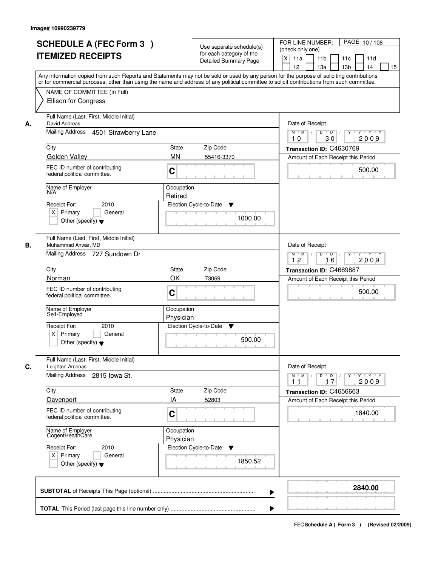|    | <b>SCHEDULE A (FEC Form 3)</b><br><b>ITEMIZED RECEIPTS</b><br>Any information copied from such Reports and Statements may not be sold or used by any person for the purpose of soliciting contributions  |                           | Use separate schedule(s)<br>for each category of the<br><b>Detailed Summary Page</b> | PAGE 10/108<br>FOR LINE NUMBER:<br>(check only one)<br>X<br>11 <sub>b</sub><br>11a<br>11c<br>11d<br>12<br>13 <sub>b</sub><br>14<br>13a<br>15                             |
|----|----------------------------------------------------------------------------------------------------------------------------------------------------------------------------------------------------------|---------------------------|--------------------------------------------------------------------------------------|--------------------------------------------------------------------------------------------------------------------------------------------------------------------------|
|    | or for commercial purposes, other than using the name and address of any political committee to solicit contributions from such committee.<br>NAME OF COMMITTEE (In Full)<br><b>Ellison for Congress</b> |                           |                                                                                      |                                                                                                                                                                          |
| А. | Full Name (Last, First, Middle Initial)<br>David Andreas<br>Mailing Address 4501 Strawberry Lane                                                                                                         |                           |                                                                                      | Date of Receipt<br>$D$ $D$ $1$<br>Y<br>$Y - Y - Y - Y$<br>$M$ $M$ /                                                                                                      |
|    |                                                                                                                                                                                                          |                           |                                                                                      | 2009<br>30<br>10                                                                                                                                                         |
|    | City<br>Golden Valley                                                                                                                                                                                    | <b>State</b><br><b>MN</b> | Zip Code<br>55416-3370                                                               | Transaction ID: C4630769                                                                                                                                                 |
|    | FEC ID number of contributing<br>federal political committee.                                                                                                                                            | C                         |                                                                                      | Amount of Each Receipt this Period<br>500.00                                                                                                                             |
|    | Name of Employer<br>N/A                                                                                                                                                                                  | Occupation<br>Retired     |                                                                                      |                                                                                                                                                                          |
|    | 2010<br>Receipt For:<br>$X$ Primary<br>General<br>Other (specify) $\blacktriangledown$                                                                                                                   | Election Cycle-to-Date    | ▼<br>1000.00                                                                         |                                                                                                                                                                          |
| В. | Full Name (Last, First, Middle Initial)<br>Muhammad Anwar, MD<br>Mailing Address 727 Sundown Dr                                                                                                          |                           |                                                                                      | Date of Receipt<br>$M$ $M$ /<br>D<br>$\overline{D}$ /<br>Y<br>Y Y Y Y<br>12<br>16<br>2009                                                                                |
|    | City                                                                                                                                                                                                     | State                     | Zip Code                                                                             | Transaction ID: C4669887                                                                                                                                                 |
|    | Norman                                                                                                                                                                                                   | OK                        | 73069                                                                                | Amount of Each Receipt this Period                                                                                                                                       |
|    | FEC ID number of contributing<br>federal political committee.                                                                                                                                            | C                         |                                                                                      | 500.00                                                                                                                                                                   |
|    | Name of Employer<br>Self-Employed                                                                                                                                                                        | Occupation<br>Physician   |                                                                                      |                                                                                                                                                                          |
|    | Receipt For:<br>2010<br>$X$ Primary<br>General<br>Other (specify) $\blacktriangledown$                                                                                                                   | Election Cycle-to-Date    | ▼<br>500.00                                                                          |                                                                                                                                                                          |
| C. | Full Name (Last, First, Middle Initial)<br>Leighton Arcenas                                                                                                                                              |                           |                                                                                      | Date of Receipt                                                                                                                                                          |
|    | Mailing Address<br>2815 lowa St.                                                                                                                                                                         |                           |                                                                                      | $D$ $D$ $/$<br>$M$ $M$<br>$\begin{array}{cccccccccc} &\mathsf{Y} &\mathsf{I} &\mathsf{Y} &\mathsf{I} &\mathsf{Y} &\mathsf{I} &\mathsf{Y}\end{array}$<br>2009<br>17<br>11 |
|    | City                                                                                                                                                                                                     | State                     | Zip Code                                                                             | Transaction ID: C4656663                                                                                                                                                 |
|    | Davenport                                                                                                                                                                                                | IA                        | 52803                                                                                | Amount of Each Receipt this Period                                                                                                                                       |
|    | FEC ID number of contributing<br>federal political committee.                                                                                                                                            | C                         |                                                                                      | 1840.00                                                                                                                                                                  |
|    | Name of Employer<br>CogentHealthCare                                                                                                                                                                     | Occupation<br>Physician   |                                                                                      |                                                                                                                                                                          |
|    | Receipt For:<br>2010<br>$X$ Primary<br>General<br>Other (specify) $\blacktriangledown$                                                                                                                   |                           | Election Cycle-to-Date<br>v<br>1850.52                                               |                                                                                                                                                                          |
|    |                                                                                                                                                                                                          |                           |                                                                                      | 2840.00                                                                                                                                                                  |
|    |                                                                                                                                                                                                          |                           |                                                                                      |                                                                                                                                                                          |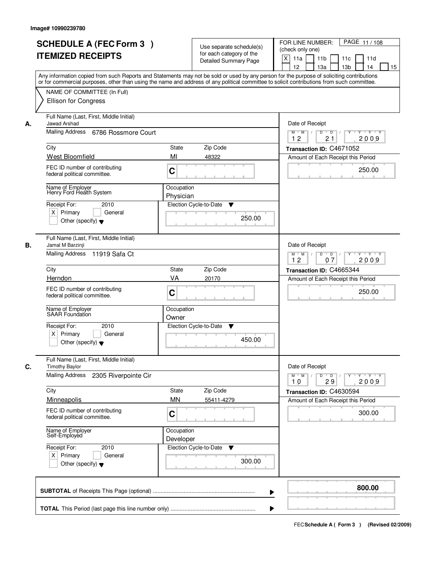| <b>SCHEDULE A (FEC Form 3)</b><br><b>ITEMIZED RECEIPTS</b>                                                                                                                                                                                                                                                                                           | Use separate schedule(s)<br>for each category of the<br><b>Detailed Summary Page</b>                                                                                                                                                                                                    | PAGE 11/108<br>FOR LINE NUMBER:<br>(check only one)<br>X<br>11a<br>11 <sub>b</sub><br>11c<br>11d<br>12<br>13a<br>13 <sub>b</sub><br>14<br>15                                   |
|------------------------------------------------------------------------------------------------------------------------------------------------------------------------------------------------------------------------------------------------------------------------------------------------------------------------------------------------------|-----------------------------------------------------------------------------------------------------------------------------------------------------------------------------------------------------------------------------------------------------------------------------------------|--------------------------------------------------------------------------------------------------------------------------------------------------------------------------------|
| NAME OF COMMITTEE (In Full)<br>Ellison for Congress                                                                                                                                                                                                                                                                                                  | Any information copied from such Reports and Statements may not be sold or used by any person for the purpose of soliciting contributions<br>or for commercial purposes, other than using the name and address of any political committee to solicit contributions from such committee. |                                                                                                                                                                                |
| Full Name (Last, First, Middle Initial)<br>Jawad Arshad<br>А.<br>Mailing Address<br>6786 Rossmore Court<br>City<br><b>West Bloomfield</b><br>FEC ID number of contributing<br>federal political committee.<br>Name of Employer<br>Henry Ford Health System<br>Receipt For:<br>2010<br>$X$ Primary<br>General<br>Other (specify) $\blacktriangledown$ | State<br>Zip Code<br>MI<br>48322<br>C<br>Occupation<br>Physician<br>Election Cycle-to-Date<br>v<br>250.00                                                                                                                                                                               | Date of Receipt<br>$Y - Y - Y$<br>$M$ $M$ /<br>D<br>$\overline{D}$<br>2009<br>12<br>21<br>Transaction ID: C4671052<br>Amount of Each Receipt this Period<br>250.00             |
| Full Name (Last, First, Middle Initial)<br>В.<br>Jamal M Barzinji<br>Mailing Address 11919 Safa Ct<br>City<br>Herndon<br>FEC ID number of contributing<br>federal political committee.<br>Name of Employer<br><b>SAAR Foundation</b><br>Receipt For:<br>2010<br>$X$ Primary<br>General<br>Other (specify) $\blacktriangledown$                       | Zip Code<br>State<br>VA<br>20170<br>C<br>Occupation<br>Owner<br>Election Cycle-to-Date<br>v<br>450.00                                                                                                                                                                                   | Date of Receipt<br>$D$ $D$ $/$<br>$M$ $M$ /<br>Y<br>$Y + Y + Y$<br>12<br>07<br>2009<br>Transaction ID: C4665344<br>Amount of Each Receipt this Period<br>250.00                |
| Full Name (Last, First, Middle Initial)<br>C.<br><b>Timothy Baylor</b><br>Mailing Address<br>2305 Riverpointe Cir<br>City<br>Minneapolis<br>FEC ID number of contributing<br>federal political committee.<br>Name of Employer<br>Self-Employed<br>Receipt For:<br>2010<br>$X$ Primary<br>General<br>Other (specify) $\blacktriangledown$             | Zip Code<br>State<br><b>MN</b><br>55411-4279<br>C<br>Occupation<br>Developer<br>Election Cycle-to-Date<br>v<br>300.00                                                                                                                                                                   | Date of Receipt<br>$M$ $M$<br>$D$ $D$ $l$<br><b>Y - Y - Y</b><br>$\top$ /<br>Y<br>2009<br>10<br>29<br>Transaction ID: C4630594<br>Amount of Each Receipt this Period<br>300.00 |
|                                                                                                                                                                                                                                                                                                                                                      | ▶                                                                                                                                                                                                                                                                                       | 800.00                                                                                                                                                                         |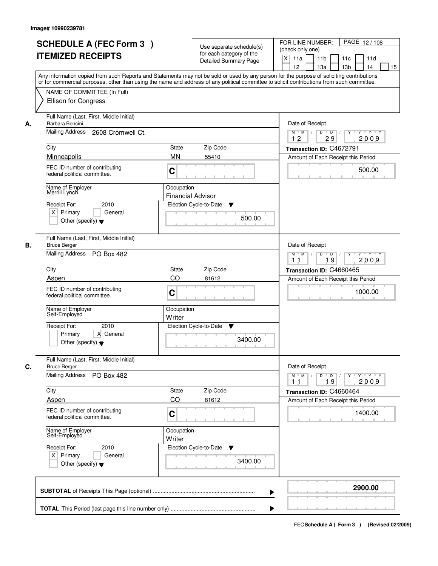|                                                                  | <b>SCHEDULE A (FEC Form 3)</b><br><b>ITEMIZED RECEIPTS</b>                      |                                                                  | Use separate schedule(s)<br>for each category of the<br><b>Detailed Summary Page</b> | PAGE 12/108<br>FOR LINE NUMBER:<br>(check only one)<br>X<br>11 <sub>b</sub><br>11a<br>11c<br>11d<br>12<br>13 <sub>b</sub><br>14<br>13a<br>15<br>Any information copied from such Reports and Statements may not be sold or used by any person for the purpose of soliciting contributions |
|------------------------------------------------------------------|---------------------------------------------------------------------------------|------------------------------------------------------------------|--------------------------------------------------------------------------------------|-------------------------------------------------------------------------------------------------------------------------------------------------------------------------------------------------------------------------------------------------------------------------------------------|
|                                                                  | NAME OF COMMITTEE (In Full)<br>Ellison for Congress                             |                                                                  |                                                                                      | or for commercial purposes, other than using the name and address of any political committee to solicit contributions from such committee.                                                                                                                                                |
| Barbara Bencini<br>А.<br>Mailing Address                         | Full Name (Last, First, Middle Initial)<br>2608 Cromwell Ct.                    |                                                                  |                                                                                      | Date of Receipt<br>$D$ $D$<br>$Y - Y - Y - Y$<br>$M$ $M$ /<br>Y                                                                                                                                                                                                                           |
| City<br>Minneapolis                                              |                                                                                 | <b>State</b><br><b>MN</b>                                        | Zip Code<br>55410                                                                    | 2009<br>12<br>29<br>Transaction ID: C4672791<br>Amount of Each Receipt this Period                                                                                                                                                                                                        |
|                                                                  | FEC ID number of contributing<br>federal political committee.                   | C                                                                |                                                                                      | 500.00                                                                                                                                                                                                                                                                                    |
| Name of Employer<br>Merrill Lynch<br>Receipt For:<br>$X$ Primary | 2010<br>General<br>Other (specify) $\blacktriangledown$                         | Occupation<br><b>Financial Advisor</b><br>Election Cycle-to-Date | ▼<br>500.00                                                                          |                                                                                                                                                                                                                                                                                           |
| В.<br><b>Bruce Berger</b>                                        | Full Name (Last, First, Middle Initial)<br>Mailing Address PO Box 482           |                                                                  |                                                                                      | Date of Receipt<br>$M$ $M$ /<br>D<br>$\overline{D}$ /<br>Y<br>Y Y Y Y<br>19<br>2009<br>11                                                                                                                                                                                                 |
| City<br>Aspen                                                    |                                                                                 | State<br>CO                                                      | Zip Code                                                                             | Transaction ID: C4660465                                                                                                                                                                                                                                                                  |
|                                                                  | FEC ID number of contributing<br>federal political committee.                   | C                                                                | 81612                                                                                | Amount of Each Receipt this Period<br>1000.00                                                                                                                                                                                                                                             |
| Name of Employer<br>Self-Employed<br>Receipt For:<br>Primary     | 2010<br>X General                                                               | Occupation<br>Writer<br>Election Cycle-to-Date                   | ▼<br>3400.00                                                                         |                                                                                                                                                                                                                                                                                           |
|                                                                  | Other (specify) $\blacktriangledown$<br>Full Name (Last, First, Middle Initial) |                                                                  |                                                                                      |                                                                                                                                                                                                                                                                                           |
| C.<br><b>Bruce Berger</b><br>Mailing Address                     | PO Box 482                                                                      |                                                                  |                                                                                      | Date of Receipt<br>$D$ $D$ $/$<br>$M$ $M$ $/$<br><b>EYELYELYELY</b><br>2009<br>19<br>11                                                                                                                                                                                                   |
| City<br>Aspen                                                    |                                                                                 | State<br>CO                                                      | Zip Code<br>81612                                                                    | Transaction ID: C4660464<br>Amount of Each Receipt this Period                                                                                                                                                                                                                            |
|                                                                  | FEC ID number of contributing<br>federal political committee.                   | C                                                                |                                                                                      | 1400.00                                                                                                                                                                                                                                                                                   |
| Name of Employer<br>Self-Employed                                |                                                                                 | Occupation<br>Writer                                             |                                                                                      |                                                                                                                                                                                                                                                                                           |
| Receipt For:<br>$X$ Primary                                      | 2010<br>General<br>Other (specify) $\blacktriangledown$                         | Election Cycle-to-Date                                           | ▼<br>3400.00                                                                         |                                                                                                                                                                                                                                                                                           |
|                                                                  |                                                                                 |                                                                  |                                                                                      | 2900.00                                                                                                                                                                                                                                                                                   |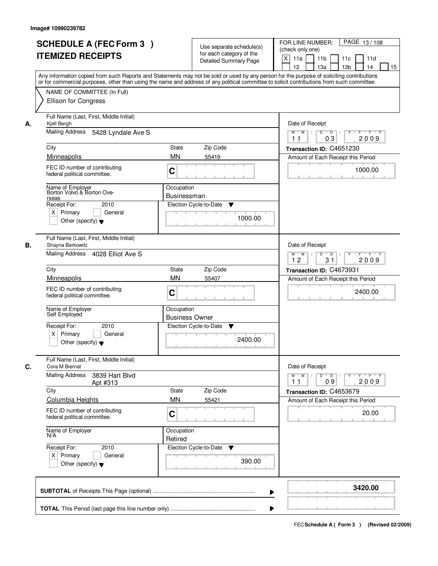|    | <b>SCHEDULE A (FEC Form 3)</b><br><b>ITEMIZED RECEIPTS</b><br>Any information copied from such Reports and Statements may not be sold or used by any person for the purpose of soliciting contributions | Use separate schedule(s)<br>for each category of the<br><b>Detailed Summary Page</b> | PAGE 13/108<br>FOR LINE NUMBER:<br>(check only one)<br>X<br>11 <sub>b</sub><br>11a<br>11c<br>11d<br>12<br>13 <sub>b</sub><br>14<br>13a<br>15 |
|----|---------------------------------------------------------------------------------------------------------------------------------------------------------------------------------------------------------|--------------------------------------------------------------------------------------|----------------------------------------------------------------------------------------------------------------------------------------------|
|    | or for commercial purposes, other than using the name and address of any political committee to solicit contributions from such committee.<br>NAME OF COMMITTEE (In Full)<br>Ellison for Congress       |                                                                                      |                                                                                                                                              |
| А. | Full Name (Last, First, Middle Initial)<br>Kjell Bergh<br>Mailing Address 5428 Lyndale Ave S                                                                                                            |                                                                                      | Date of Receipt<br>$D$ $D$ $I$<br>Y<br>$Y - Y - Y - Y$<br>$M$ $M$ /<br>2009<br>03<br>1 <sub>1</sub>                                          |
|    | City                                                                                                                                                                                                    | <b>State</b><br>Zip Code                                                             | Transaction ID: C4651230                                                                                                                     |
|    | Minneapolis                                                                                                                                                                                             | <b>MN</b><br>55419                                                                   | Amount of Each Receipt this Period                                                                                                           |
|    | FEC ID number of contributing<br>federal political committee.                                                                                                                                           | C                                                                                    | 1000.00                                                                                                                                      |
|    | Name of Employer<br>Borton Volvo & Borton Ove-<br>rseas                                                                                                                                                 | Occupation<br><b>Businessman</b>                                                     |                                                                                                                                              |
|    | Receipt For:<br>2010<br>$X$ Primary<br>General<br>Other (specify) $\blacktriangledown$                                                                                                                  | Election Cycle-to-Date<br>▼<br>1000.00                                               |                                                                                                                                              |
| В. | Full Name (Last, First, Middle Initial)<br>Shayna Berkowitz<br>Mailing Address 4028 Elliot Ave S                                                                                                        |                                                                                      | Date of Receipt<br>$M$ $M$ /<br>D<br>$\overline{D}$<br>$Y + Y + Y$<br>12<br>31<br>2009                                                       |
|    | City                                                                                                                                                                                                    | Zip Code<br>State                                                                    | Transaction ID: C4673931                                                                                                                     |
|    | Minneapolis                                                                                                                                                                                             | <b>MN</b><br>55407                                                                   | Amount of Each Receipt this Period                                                                                                           |
|    | FEC ID number of contributing<br>federal political committee.                                                                                                                                           | C                                                                                    | 2400.00                                                                                                                                      |
|    | Name of Employer<br>Self Employed<br>Receipt For:<br>2010                                                                                                                                               | Occupation<br><b>Business Owner</b><br>Election Cycle-to-Date<br>▼                   |                                                                                                                                              |
|    | $X$ Primary<br>General<br>Other (specify) $\blacktriangledown$                                                                                                                                          | 2400.00                                                                              |                                                                                                                                              |
| C. | Full Name (Last, First, Middle Initial)<br>Cora M Biernat                                                                                                                                               |                                                                                      | Date of Receipt                                                                                                                              |
|    | <b>Mailing Address</b><br>3839 Hart Blvd<br>Apt #313                                                                                                                                                    |                                                                                      | $D$ $D$ $/$<br>$M$ $M$ $/$<br>$\mathsf{Y} \dashv \neg \mathsf{Y} \dashv \neg \mathsf{Y}$<br>$Y^+$<br>2009<br>09<br>11                        |
|    | City                                                                                                                                                                                                    | Zip Code<br>State                                                                    | Transaction ID: C4653679                                                                                                                     |
|    | Columbia Heights                                                                                                                                                                                        | <b>MN</b><br>55421                                                                   | Amount of Each Receipt this Period                                                                                                           |
|    | FEC ID number of contributing<br>federal political committee.                                                                                                                                           | C                                                                                    | 20.00                                                                                                                                        |
|    | Name of Employer<br>N/A                                                                                                                                                                                 | Occupation<br>Retired                                                                |                                                                                                                                              |
|    | Receipt For:<br>2010<br>$X$ Primary<br>General<br>Other (specify) $\blacktriangledown$                                                                                                                  | Election Cycle-to-Date ▼<br>390.00                                                   |                                                                                                                                              |
|    |                                                                                                                                                                                                         |                                                                                      | 3420.00                                                                                                                                      |
|    |                                                                                                                                                                                                         |                                                                                      |                                                                                                                                              |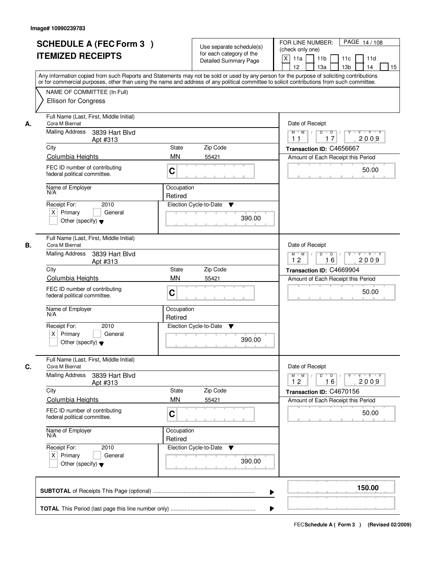|      | <b>SCHEDULE A (FEC Form 3)</b><br><b>ITEMIZED RECEIPTS</b>     | Use separate schedule(s)<br>for each category of the<br><b>Detailed Summary Page</b> | PAGE 14/108<br>FOR LINE NUMBER:<br>(check only one)<br>X<br>11a<br>11 <sub>b</sub><br>11c<br>11d                                                                                                                                                                                                                                    |
|------|----------------------------------------------------------------|--------------------------------------------------------------------------------------|-------------------------------------------------------------------------------------------------------------------------------------------------------------------------------------------------------------------------------------------------------------------------------------------------------------------------------------|
|      |                                                                |                                                                                      | 12<br>13a<br>13 <sub>b</sub><br>14<br>15<br>Any information copied from such Reports and Statements may not be sold or used by any person for the purpose of soliciting contributions<br>or for commercial purposes, other than using the name and address of any political committee to solicit contributions from such committee. |
|      | NAME OF COMMITTEE (In Full)<br><b>Ellison for Congress</b>     |                                                                                      |                                                                                                                                                                                                                                                                                                                                     |
| А.   | Full Name (Last, First, Middle Initial)<br>Cora M Biernat      |                                                                                      | Date of Receipt                                                                                                                                                                                                                                                                                                                     |
|      | Mailing Address<br>3839 Hart Blvd<br>Apt #313                  |                                                                                      | $\overline{D}$<br>Y Y Y Y<br>$M$ $M$<br>D<br>2009<br>17<br>11                                                                                                                                                                                                                                                                       |
| City |                                                                | Zip Code<br>State                                                                    | Transaction ID: C4656667                                                                                                                                                                                                                                                                                                            |
|      | Columbia Heights                                               | <b>MN</b><br>55421                                                                   | Amount of Each Receipt this Period                                                                                                                                                                                                                                                                                                  |
|      | FEC ID number of contributing<br>federal political committee.  | C                                                                                    | 50.00                                                                                                                                                                                                                                                                                                                               |
| N/A  | Name of Employer                                               | Occupation<br>Retired                                                                |                                                                                                                                                                                                                                                                                                                                     |
|      | 2010<br>Receipt For:                                           | Election Cycle-to-Date<br>▼                                                          |                                                                                                                                                                                                                                                                                                                                     |
|      | $X$ Primary<br>General<br>Other (specify) $\blacktriangledown$ | 390.00                                                                               |                                                                                                                                                                                                                                                                                                                                     |
| В.   | Full Name (Last, First, Middle Initial)<br>Cora M Biernat      |                                                                                      | Date of Receipt                                                                                                                                                                                                                                                                                                                     |
|      | <b>Mailing Address</b><br>3839 Hart Blvd<br>Apt #313           |                                                                                      | $D$ $D$ $/$<br>Y 'Y 'Y<br>$M$ $M$ /<br>$Y$ <sup>-1</sup><br>12<br>16<br>2009                                                                                                                                                                                                                                                        |
| City |                                                                | <b>State</b><br>Zip Code                                                             | Transaction ID: C4669904                                                                                                                                                                                                                                                                                                            |
|      | Columbia Heights                                               | <b>MN</b><br>55421                                                                   | Amount of Each Receipt this Period                                                                                                                                                                                                                                                                                                  |
|      | FEC ID number of contributing<br>federal political committee.  | C                                                                                    | 50.00                                                                                                                                                                                                                                                                                                                               |
| N/A  | Name of Employer                                               | Occupation<br>Retired                                                                |                                                                                                                                                                                                                                                                                                                                     |
|      | Receipt For:<br>2010                                           | Election Cycle-to-Date<br>▼                                                          |                                                                                                                                                                                                                                                                                                                                     |
|      | $X$ Primary<br>General<br>Other (specify) $\blacktriangledown$ | 390.00                                                                               |                                                                                                                                                                                                                                                                                                                                     |
| C.   | Full Name (Last, First, Middle Initial)<br>Cora M Biernat      |                                                                                      | Date of Receipt                                                                                                                                                                                                                                                                                                                     |
|      | <b>Mailing Address</b><br>3839 Hart Blvd<br>Apt #313           |                                                                                      | $M$ $M$<br>$D$ $D$ $/$<br>$Y - Y - Y$<br>$\frac{1}{2}$<br>$Y$ <sup>-1</sup><br>12<br>2009<br>16                                                                                                                                                                                                                                     |
| City | <b>Columbia Heights</b>                                        | State<br>Zip Code<br><b>MN</b><br>55421                                              | Transaction ID: C4670156<br>Amount of Each Receipt this Period                                                                                                                                                                                                                                                                      |
|      | FEC ID number of contributing<br>federal political committee.  | C                                                                                    | 50.00                                                                                                                                                                                                                                                                                                                               |
| N/A  | Name of Employer                                               | Occupation<br>Retired                                                                |                                                                                                                                                                                                                                                                                                                                     |
|      | Receipt For:<br>2010                                           | Election Cycle-to-Date<br>v                                                          |                                                                                                                                                                                                                                                                                                                                     |
|      | $X$ Primary<br>General<br>Other (specify) $\blacktriangledown$ | 390.00                                                                               |                                                                                                                                                                                                                                                                                                                                     |
|      |                                                                |                                                                                      | 150.00<br>▶                                                                                                                                                                                                                                                                                                                         |
|      |                                                                |                                                                                      |                                                                                                                                                                                                                                                                                                                                     |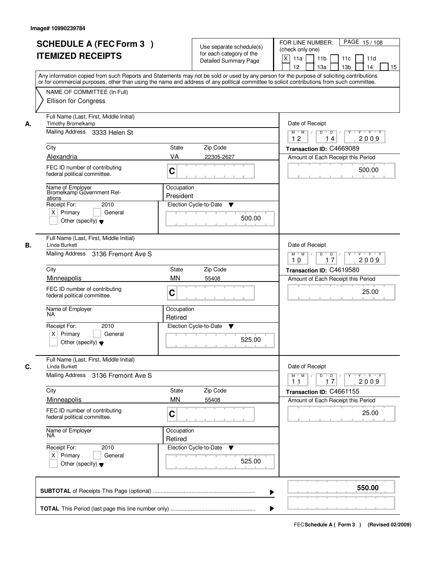|    | <b>SCHEDULE A (FEC Form 3)</b><br><b>ITEMIZED RECEIPTS</b>                                                                                                                                                                                                                              | Use separate schedule(s)<br>for each category of the | PAGE 15/108<br>FOR LINE NUMBER:<br>(check only one)                                   |
|----|-----------------------------------------------------------------------------------------------------------------------------------------------------------------------------------------------------------------------------------------------------------------------------------------|------------------------------------------------------|---------------------------------------------------------------------------------------|
|    |                                                                                                                                                                                                                                                                                         | <b>Detailed Summary Page</b>                         | X<br>11a<br>11 <sub>b</sub><br>11c<br>11d<br>12<br>13a<br>13 <sub>b</sub><br>14<br>15 |
|    | Any information copied from such Reports and Statements may not be sold or used by any person for the purpose of soliciting contributions<br>or for commercial purposes, other than using the name and address of any political committee to solicit contributions from such committee. |                                                      |                                                                                       |
|    | NAME OF COMMITTEE (In Full)<br>Ellison for Congress                                                                                                                                                                                                                                     |                                                      |                                                                                       |
| А. | Full Name (Last, First, Middle Initial)<br><b>Timothy Bromelkamp</b>                                                                                                                                                                                                                    |                                                      | Date of Receipt                                                                       |
|    | Mailing Address 3333 Helen St                                                                                                                                                                                                                                                           |                                                      | $Y - Y - Y$<br>$M$ $M$ /<br>D<br>$\overline{D}$<br>2009<br>12<br>14                   |
|    | City                                                                                                                                                                                                                                                                                    | State<br>Zip Code                                    | Transaction ID: C4669089                                                              |
|    | Alexandria                                                                                                                                                                                                                                                                              | VA<br>22305-2627                                     | Amount of Each Receipt this Period                                                    |
|    | FEC ID number of contributing<br>federal political committee.                                                                                                                                                                                                                           | C                                                    | 500.00                                                                                |
|    | Name of Employer<br>Bromelkamp Government Rel-<br>ations                                                                                                                                                                                                                                | Occupation<br>President                              |                                                                                       |
|    | 2010<br>Receipt For:                                                                                                                                                                                                                                                                    | Election Cycle-to-Date<br>▼                          |                                                                                       |
|    | $X$ Primary<br>General<br>Other (specify) $\blacktriangledown$                                                                                                                                                                                                                          | 500.00                                               |                                                                                       |
| В. | Full Name (Last, First, Middle Initial)<br>Linda Burkett                                                                                                                                                                                                                                |                                                      | Date of Receipt                                                                       |
|    | Mailing Address 3136 Fremont Ave S                                                                                                                                                                                                                                                      |                                                      | $D$ $D$ $1$<br>$M$ $M$ /<br>Y<br>$Y + Y + Y$<br>17<br>2009<br>10                      |
|    | City                                                                                                                                                                                                                                                                                    | Zip Code<br>State                                    | Transaction ID: C4619580                                                              |
|    | Minneapolis                                                                                                                                                                                                                                                                             | <b>MN</b><br>55408                                   | Amount of Each Receipt this Period                                                    |
|    | FEC ID number of contributing<br>federal political committee.                                                                                                                                                                                                                           | C                                                    | 25.00                                                                                 |
|    | Name of Employer<br>NA                                                                                                                                                                                                                                                                  | Occupation<br>Retired                                |                                                                                       |
|    | Receipt For:<br>2010                                                                                                                                                                                                                                                                    | Election Cycle-to-Date<br>v                          |                                                                                       |
|    | $X$ Primary<br>General<br>Other (specify) $\blacktriangledown$                                                                                                                                                                                                                          | 525.00                                               |                                                                                       |
| C. | Full Name (Last, First, Middle Initial)<br>Linda Burkett                                                                                                                                                                                                                                |                                                      | Date of Receipt                                                                       |
|    | Mailing Address 3136 Fremont Ave S                                                                                                                                                                                                                                                      |                                                      | $M$ $M$<br>$Y \rightarrow Y \rightarrow Y$<br>$Y$ <sup>-1</sup><br>2009<br>11<br>17   |
|    | City                                                                                                                                                                                                                                                                                    | Zip Code<br>State                                    | Transaction ID: C4661155                                                              |
|    | Minneapolis                                                                                                                                                                                                                                                                             | <b>MN</b><br>55408                                   | Amount of Each Receipt this Period                                                    |
|    | FEC ID number of contributing<br>federal political committee.                                                                                                                                                                                                                           | C                                                    | 25.00                                                                                 |
|    | Name of Employer<br>NA                                                                                                                                                                                                                                                                  | Occupation<br>Retired                                |                                                                                       |
|    | Receipt For:<br>2010                                                                                                                                                                                                                                                                    | Election Cycle-to-Date<br>v                          |                                                                                       |
|    | $X$ Primary<br>General<br>Other (specify) $\blacktriangledown$                                                                                                                                                                                                                          | 525.00                                               |                                                                                       |
|    |                                                                                                                                                                                                                                                                                         |                                                      | 550.00<br>▶                                                                           |
|    |                                                                                                                                                                                                                                                                                         |                                                      |                                                                                       |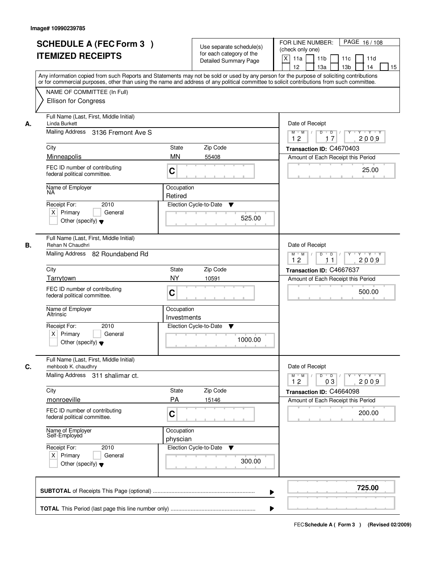|    | <b>SCHEDULE A (FEC Form 3)</b><br><b>ITEMIZED RECEIPTS</b><br>Any information copied from such Reports and Statements may not be sold or used by any person for the purpose of soliciting contributions<br>or for commercial purposes, other than using the name and address of any political committee to solicit contributions from such committee. |                           | Use separate schedule(s)<br>for each category of the<br><b>Detailed Summary Page</b> | PAGE 16/108<br>FOR LINE NUMBER:<br>(check only one)<br>X<br>11a<br>11 <sub>b</sub><br>11c<br>11d<br>12<br>13a<br>13 <sub>b</sub><br>14<br>15 |
|----|-------------------------------------------------------------------------------------------------------------------------------------------------------------------------------------------------------------------------------------------------------------------------------------------------------------------------------------------------------|---------------------------|--------------------------------------------------------------------------------------|----------------------------------------------------------------------------------------------------------------------------------------------|
|    | NAME OF COMMITTEE (In Full)<br><b>Ellison for Congress</b>                                                                                                                                                                                                                                                                                            |                           |                                                                                      |                                                                                                                                              |
| А. | Full Name (Last, First, Middle Initial)<br><b>Linda Burkett</b><br>Mailing Address 3136 Fremont Ave S                                                                                                                                                                                                                                                 |                           |                                                                                      | Date of Receipt<br>$M$ $M$<br>$D$ $D$ $/$<br>$\overline{Y}$<br>$Y + Y + Y$                                                                   |
|    | City                                                                                                                                                                                                                                                                                                                                                  | State                     | Zip Code                                                                             | 12<br>17<br>2009<br>Transaction ID: C4670403                                                                                                 |
|    | Minneapolis                                                                                                                                                                                                                                                                                                                                           | <b>MN</b><br>55408        |                                                                                      | Amount of Each Receipt this Period                                                                                                           |
|    | FEC ID number of contributing<br>federal political committee.                                                                                                                                                                                                                                                                                         | C                         |                                                                                      | 25.00                                                                                                                                        |
|    | Name of Employer<br>ΝA                                                                                                                                                                                                                                                                                                                                | Occupation<br>Retired     |                                                                                      |                                                                                                                                              |
|    | 2010<br>Receipt For:<br>$X$ Primary<br>General<br>Other (specify) $\blacktriangledown$                                                                                                                                                                                                                                                                | Election Cycle-to-Date    | ▼<br>525.00                                                                          |                                                                                                                                              |
| В. | Full Name (Last, First, Middle Initial)<br>Rehan N Chaudhri<br>Mailing Address 82 Roundabend Rd                                                                                                                                                                                                                                                       |                           |                                                                                      | Date of Receipt<br>Y Y Y Y<br>$M$ $M$ /<br>D<br>$\overline{D}$<br>Y<br>12<br>2009<br>11                                                      |
|    | City                                                                                                                                                                                                                                                                                                                                                  | State                     | Zip Code                                                                             | Transaction ID: C4667637                                                                                                                     |
|    | Tarrytown                                                                                                                                                                                                                                                                                                                                             | <b>NY</b><br>10591        |                                                                                      | Amount of Each Receipt this Period                                                                                                           |
|    | FEC ID number of contributing<br>federal political committee.                                                                                                                                                                                                                                                                                         | C                         |                                                                                      | 500.00                                                                                                                                       |
|    | Name of Employer<br>Altrinsic                                                                                                                                                                                                                                                                                                                         | Occupation<br>Investments |                                                                                      |                                                                                                                                              |
|    | Receipt For:<br>2010<br>$X$ Primary<br>General<br>Other (specify) $\blacktriangledown$                                                                                                                                                                                                                                                                | Election Cycle-to-Date    | v<br>1000.00                                                                         |                                                                                                                                              |
| C. | Full Name (Last, First, Middle Initial)<br>mehboob K. chaudhry                                                                                                                                                                                                                                                                                        |                           |                                                                                      | Date of Receipt                                                                                                                              |
|    | Mailing Address 311 shalimar ct.                                                                                                                                                                                                                                                                                                                      |                           |                                                                                      | $D$ $D$ $/$<br>$M$ $M$ $/$<br>$Y$ <sup><math>\top</math></sup><br>Y Y Y Y<br>12<br>03<br>2009                                                |
|    | City                                                                                                                                                                                                                                                                                                                                                  | State                     | Zip Code                                                                             | Transaction ID: C4664098                                                                                                                     |
|    | monroeville<br>FEC ID number of contributing<br>federal political committee.                                                                                                                                                                                                                                                                          | PA<br>15146<br>C          |                                                                                      | Amount of Each Receipt this Period<br>200.00                                                                                                 |
|    | Name of Employer<br>Self-Employed                                                                                                                                                                                                                                                                                                                     | Occupation<br>physcian    |                                                                                      |                                                                                                                                              |
|    | Receipt For:<br>2010<br>$X$ Primary<br>General<br>Other (specify) $\blacktriangledown$                                                                                                                                                                                                                                                                | Election Cycle-to-Date    | v<br>300.00                                                                          |                                                                                                                                              |
|    |                                                                                                                                                                                                                                                                                                                                                       |                           | ▶                                                                                    | 725.00                                                                                                                                       |
|    |                                                                                                                                                                                                                                                                                                                                                       |                           |                                                                                      |                                                                                                                                              |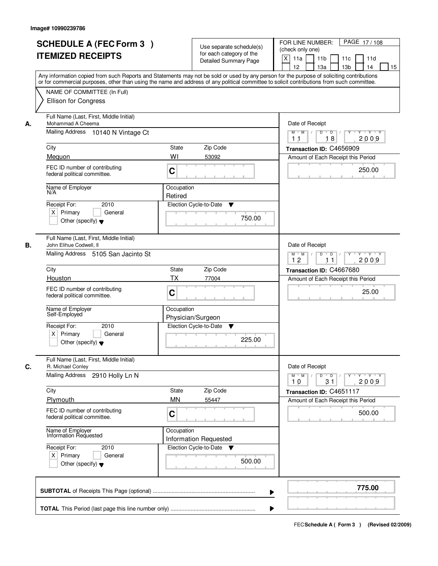| <b>SCHEDULE A (FEC Form 3)</b><br><b>ITEMIZED RECEIPTS</b>                                                      | Use separate schedule(s)<br>for each category of the<br><b>Detailed Summary Page</b><br>Any information copied from such Reports and Statements may not be sold or used by any person for the purpose of soliciting contributions | PAGE 17/108<br>FOR LINE NUMBER:<br>(check only one)<br>X<br>11 <sub>b</sub><br>11a<br>11 <sub>c</sub><br>11d<br>12<br>13 <sub>b</sub><br>14<br>13a<br>15 |
|-----------------------------------------------------------------------------------------------------------------|-----------------------------------------------------------------------------------------------------------------------------------------------------------------------------------------------------------------------------------|----------------------------------------------------------------------------------------------------------------------------------------------------------|
| NAME OF COMMITTEE (In Full)<br><b>Ellison for Congress</b>                                                      | or for commercial purposes, other than using the name and address of any political committee to solicit contributions from such committee.                                                                                        |                                                                                                                                                          |
| Full Name (Last, First, Middle Initial)<br>Mohammad A Cheema<br>А.<br>Mailing Address 10140 N Vintage Ct        |                                                                                                                                                                                                                                   | Date of Receipt<br>$M$ $M$<br>$D$ $D$ $I$<br>Y Y Y Y<br>Y<br>2009                                                                                        |
| City                                                                                                            | <b>State</b><br>Zip Code                                                                                                                                                                                                          | 18<br>11<br>Transaction ID: C4656909                                                                                                                     |
| Meguon                                                                                                          | WI<br>53092                                                                                                                                                                                                                       | Amount of Each Receipt this Period                                                                                                                       |
| FEC ID number of contributing<br>federal political committee.                                                   | C                                                                                                                                                                                                                                 | 250.00                                                                                                                                                   |
| Name of Employer<br>N/A                                                                                         | Occupation<br>Retired                                                                                                                                                                                                             |                                                                                                                                                          |
| 2010<br>Receipt For:<br>$X$ Primary<br>General<br>Other (specify) $\blacktriangledown$                          | Election Cycle-to-Date<br>▼<br>750.00                                                                                                                                                                                             |                                                                                                                                                          |
| Full Name (Last, First, Middle Initial)<br>John Elihue Codwell, II<br>В.<br>Mailing Address 5105 San Jacinto St |                                                                                                                                                                                                                                   | Date of Receipt<br>$M$ $M$ /<br>D<br>$\overline{D}$<br>$Y \vdash Y \vdash Y$<br>12<br>2009<br>11                                                         |
| City                                                                                                            | Zip Code<br><b>State</b>                                                                                                                                                                                                          | Transaction ID: C4667680                                                                                                                                 |
| Houston                                                                                                         | <b>TX</b><br>77004                                                                                                                                                                                                                | Amount of Each Receipt this Period                                                                                                                       |
| FEC ID number of contributing<br>federal political committee.                                                   | C                                                                                                                                                                                                                                 | 25.00                                                                                                                                                    |
| Name of Employer<br>Self-Employed                                                                               | Occupation<br>Physician/Surgeon                                                                                                                                                                                                   |                                                                                                                                                          |
| Receipt For:<br>2010<br>$X$ Primary<br>General<br>Other (specify) $\blacktriangledown$                          | Election Cycle-to-Date<br>▼<br>225.00                                                                                                                                                                                             |                                                                                                                                                          |
| Full Name (Last, First, Middle Initial)<br>C.<br>R. Michael Conley                                              |                                                                                                                                                                                                                                   | Date of Receipt                                                                                                                                          |
| <b>Mailing Address</b><br>2910 Holly Ln N                                                                       |                                                                                                                                                                                                                                   | $M^{\prime}$ M $\rightarrow$ M<br>$D$ $D$ $I$<br>Y 'Y 'Y 'Y<br>2009<br>10<br>31                                                                          |
| City                                                                                                            | Zip Code<br><b>State</b>                                                                                                                                                                                                          | Transaction ID: C4651117                                                                                                                                 |
| Plymouth<br>FEC ID number of contributing<br>federal political committee.                                       | <b>MN</b><br>55447<br>C                                                                                                                                                                                                           | Amount of Each Receipt this Period<br>500.00                                                                                                             |
| Name of Employer<br>Information Requested                                                                       | Occupation<br><b>Information Requested</b>                                                                                                                                                                                        |                                                                                                                                                          |
| Receipt For:<br>2010<br>$X$ Primary<br>General<br>Other (specify) $\blacktriangledown$                          | Election Cycle-to-Date ▼<br>500.00                                                                                                                                                                                                |                                                                                                                                                          |
|                                                                                                                 |                                                                                                                                                                                                                                   | 775.00                                                                                                                                                   |
|                                                                                                                 |                                                                                                                                                                                                                                   |                                                                                                                                                          |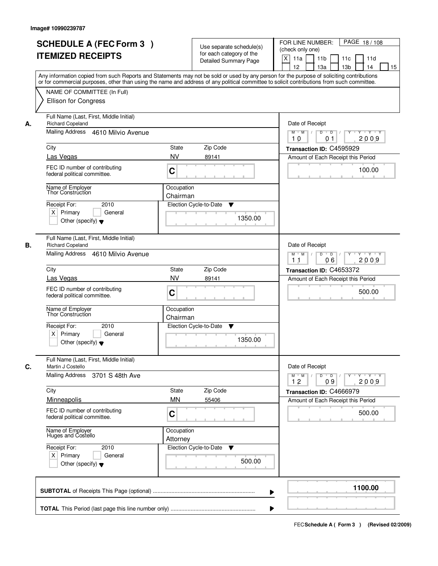|    | <b>SCHEDULE A (FEC Form 3)</b><br><b>ITEMIZED RECEIPTS</b>                                               | Use separate schedule(s)<br>for each category of the<br><b>Detailed Summary Page</b><br>Any information copied from such Reports and Statements may not be sold or used by any person for the purpose of soliciting contributions | PAGE 18/108<br>FOR LINE NUMBER:<br>(check only one)<br>X<br>11 <sub>b</sub><br>11a<br>11 <sub>c</sub><br>11d<br>12<br>13 <sub>b</sub><br>14<br>13a<br>15 |
|----|----------------------------------------------------------------------------------------------------------|-----------------------------------------------------------------------------------------------------------------------------------------------------------------------------------------------------------------------------------|----------------------------------------------------------------------------------------------------------------------------------------------------------|
|    | NAME OF COMMITTEE (In Full)<br><b>Ellison for Congress</b>                                               | or for commercial purposes, other than using the name and address of any political committee to solicit contributions from such committee.                                                                                        |                                                                                                                                                          |
| А. | Full Name (Last, First, Middle Initial)<br><b>Richard Copeland</b><br>Mailing Address 4610 Milvio Avenue |                                                                                                                                                                                                                                   | Date of Receipt<br>$M$ $M$<br>$D$ $D$ $1$<br>Y Y Y Y<br>Y                                                                                                |
|    |                                                                                                          |                                                                                                                                                                                                                                   | 2009<br>01<br>10                                                                                                                                         |
|    | City<br>Las Vegas                                                                                        | <b>State</b><br>Zip Code<br><b>NV</b><br>89141                                                                                                                                                                                    | Transaction ID: C4595929                                                                                                                                 |
|    | FEC ID number of contributing<br>federal political committee.                                            | C                                                                                                                                                                                                                                 | Amount of Each Receipt this Period<br>100.00                                                                                                             |
|    | Name of Employer<br>Thor Construction                                                                    | Occupation<br>Chairman                                                                                                                                                                                                            |                                                                                                                                                          |
|    | 2010<br>Receipt For:<br>$X$ Primary<br>General<br>Other (specify) $\blacktriangledown$                   | Election Cycle-to-Date<br>▼<br>1350.00                                                                                                                                                                                            |                                                                                                                                                          |
| В. | Full Name (Last, First, Middle Initial)<br><b>Richard Copeland</b><br>Mailing Address 4610 Milvio Avenue |                                                                                                                                                                                                                                   | Date of Receipt<br>$M$ $M$ /<br>D<br>$\overline{D}$ /<br>$Y + Y + Y$                                                                                     |
|    |                                                                                                          |                                                                                                                                                                                                                                   | 06<br>2009<br>11                                                                                                                                         |
|    | City                                                                                                     | Zip Code<br><b>State</b>                                                                                                                                                                                                          | Transaction ID: C4653372                                                                                                                                 |
|    | Las Vegas<br>FEC ID number of contributing<br>federal political committee.                               | <b>NV</b><br>89141<br>C                                                                                                                                                                                                           | Amount of Each Receipt this Period<br>500.00                                                                                                             |
|    | Name of Employer<br>Thor Construction                                                                    | Occupation<br>Chairman                                                                                                                                                                                                            |                                                                                                                                                          |
|    | Receipt For:<br>2010<br>$X$ Primary<br>General<br>Other (specify) $\blacktriangledown$                   | Election Cycle-to-Date<br>▼<br>1350.00                                                                                                                                                                                            |                                                                                                                                                          |
| C. | Full Name (Last, First, Middle Initial)<br>Martin J Costello                                             |                                                                                                                                                                                                                                   | Date of Receipt                                                                                                                                          |
|    | Mailing Address<br>3701 S 48th Ave                                                                       |                                                                                                                                                                                                                                   | $M$ $M$ <sup><math>\prime</math></sup><br>$D$ $D$ $/$<br>Y 'Y 'Y 'Y<br>2009<br>12<br>09                                                                  |
|    | City                                                                                                     | Zip Code<br><b>State</b>                                                                                                                                                                                                          | Transaction ID: C4666979                                                                                                                                 |
|    | Minneapolis<br>FEC ID number of contributing<br>federal political committee.                             | <b>MN</b><br>55406<br>C                                                                                                                                                                                                           | Amount of Each Receipt this Period<br>500.00                                                                                                             |
|    | Name of Employer<br>Huges and Costello                                                                   | Occupation<br>Attorney                                                                                                                                                                                                            |                                                                                                                                                          |
|    | Receipt For:<br>2010<br>$X$ Primary<br>General<br>Other (specify) $\blacktriangledown$                   | Election Cycle-to-Date<br>v<br>500.00                                                                                                                                                                                             |                                                                                                                                                          |
|    |                                                                                                          |                                                                                                                                                                                                                                   | 1100.00                                                                                                                                                  |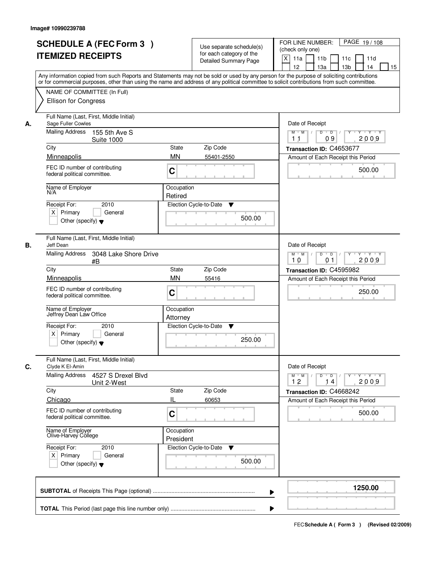| <b>SCHEDULE A (FEC Form 3)</b> |                                                                | Use separate schedule(s)<br>for each category of the | FOR LINE NUMBER:<br>PAGE 19/108<br>(check only one)                                                                                                                                                                                                                                     |
|--------------------------------|----------------------------------------------------------------|------------------------------------------------------|-----------------------------------------------------------------------------------------------------------------------------------------------------------------------------------------------------------------------------------------------------------------------------------------|
|                                | <b>ITEMIZED RECEIPTS</b>                                       | <b>Detailed Summary Page</b>                         | $\times$<br>11a<br>11 <sub>b</sub><br>11c<br>11d<br>12<br>13a<br>13 <sub>b</sub><br>14<br>15                                                                                                                                                                                            |
|                                |                                                                |                                                      | Any information copied from such Reports and Statements may not be sold or used by any person for the purpose of soliciting contributions<br>or for commercial purposes, other than using the name and address of any political committee to solicit contributions from such committee. |
|                                | NAME OF COMMITTEE (In Full)                                    |                                                      |                                                                                                                                                                                                                                                                                         |
|                                | <b>Ellison for Congress</b>                                    |                                                      |                                                                                                                                                                                                                                                                                         |
| А.                             | Full Name (Last, First, Middle Initial)<br>Sage Fuller Cowles  |                                                      | Date of Receipt                                                                                                                                                                                                                                                                         |
|                                | Mailing Address<br>155 5th Ave S<br><b>Suite 1000</b>          |                                                      | $\overline{D}$<br>$Y - Y - Y$<br>$M$ $M$ /<br>D<br>Y<br>2009<br>09<br>11                                                                                                                                                                                                                |
|                                | City                                                           | Zip Code<br><b>State</b>                             | Transaction ID: C4653677                                                                                                                                                                                                                                                                |
|                                | Minneapolis                                                    | <b>MN</b><br>55401-2550                              | Amount of Each Receipt this Period                                                                                                                                                                                                                                                      |
|                                | FEC ID number of contributing<br>federal political committee.  | $\mathbf C$                                          | 500.00                                                                                                                                                                                                                                                                                  |
|                                | Name of Employer<br>N/A                                        | Occupation                                           |                                                                                                                                                                                                                                                                                         |
|                                |                                                                | Retired                                              |                                                                                                                                                                                                                                                                                         |
|                                | 2010<br>Receipt For:<br>$X$ Primary<br>General                 | Election Cycle-to-Date<br>▼                          |                                                                                                                                                                                                                                                                                         |
|                                | Other (specify) $\blacktriangledown$                           |                                                      | 500.00                                                                                                                                                                                                                                                                                  |
| В.                             | Full Name (Last, First, Middle Initial)<br>Jeff Dean           |                                                      | Date of Receipt                                                                                                                                                                                                                                                                         |
|                                | <b>Mailing Address</b><br>3048 Lake Shore Drive<br>#B          |                                                      | D<br>$M$ $M$ /<br>$\overline{D}$<br>$Y + Y + Y$<br>Y<br>2009<br>10<br>0 <sub>1</sub>                                                                                                                                                                                                    |
|                                | City                                                           | Zip Code<br><b>State</b>                             | Transaction ID: C4595982                                                                                                                                                                                                                                                                |
|                                | Minneapolis                                                    | <b>MN</b><br>55416                                   | Amount of Each Receipt this Period                                                                                                                                                                                                                                                      |
|                                | FEC ID number of contributing<br>federal political committee.  | C                                                    | 250.00                                                                                                                                                                                                                                                                                  |
|                                | Name of Employer<br>Jeffrey Dean Law Office                    | Occupation<br>Attorney                               |                                                                                                                                                                                                                                                                                         |
|                                | Receipt For:<br>2010                                           | Election Cycle-to-Date<br>▼                          |                                                                                                                                                                                                                                                                                         |
|                                | $X$ Primary<br>General<br>Other (specify) $\blacktriangledown$ |                                                      | 250.00                                                                                                                                                                                                                                                                                  |
| C.                             | Full Name (Last, First, Middle Initial)<br>Clyde K El-Amin     |                                                      | Date of Receipt                                                                                                                                                                                                                                                                         |
|                                | Mailing Address<br>4527 S Drexel Blvd<br>Unit 2-West           |                                                      | $M = M$<br>$D$ $D$ $/$<br>$Y - Y - Y$<br>$Y$ <sup>U</sup><br>2009<br>12<br>14                                                                                                                                                                                                           |
|                                | City<br>Chicago                                                | State<br>Zip Code<br>IL                              | Transaction ID: C4668242                                                                                                                                                                                                                                                                |
|                                |                                                                | 60653                                                | Amount of Each Receipt this Period                                                                                                                                                                                                                                                      |
|                                | FEC ID number of contributing<br>federal political committee.  | C                                                    | 500.00                                                                                                                                                                                                                                                                                  |
|                                | Name of Employer<br>Olive-Harvey College                       | Occupation<br>President                              |                                                                                                                                                                                                                                                                                         |
|                                | Receipt For:<br>2010                                           | Election Cycle-to-Date<br>v                          |                                                                                                                                                                                                                                                                                         |
|                                | $X$ Primary<br>General<br>Other (specify) $\blacktriangledown$ |                                                      | 500.00                                                                                                                                                                                                                                                                                  |
|                                |                                                                |                                                      | 1250.00                                                                                                                                                                                                                                                                                 |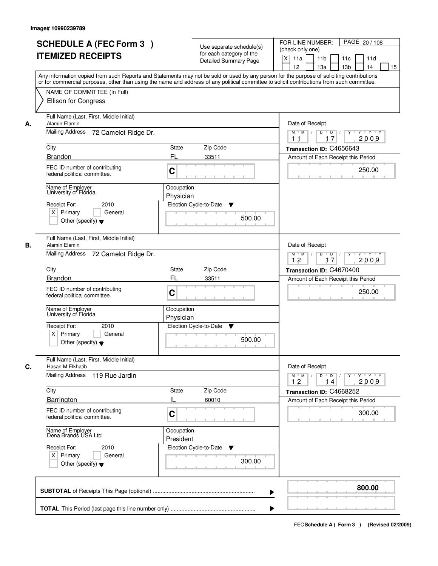|    | <b>SCHEDULE A (FEC Form 3)</b><br><b>ITEMIZED RECEIPTS</b><br>Any information copied from such Reports and Statements may not be sold or used by any person for the purpose of soliciting contributions<br>or for commercial purposes, other than using the name and address of any political committee to solicit contributions from such committee. |                         | Use separate schedule(s)<br>for each category of the<br><b>Detailed Summary Page</b> | PAGE 20 / 108<br>FOR LINE NUMBER:<br>(check only one)<br>X<br>11a<br>11 <sub>b</sub><br>11c<br>11d<br>12<br>13 <sub>b</sub><br>13a<br>14<br>15 |
|----|-------------------------------------------------------------------------------------------------------------------------------------------------------------------------------------------------------------------------------------------------------------------------------------------------------------------------------------------------------|-------------------------|--------------------------------------------------------------------------------------|------------------------------------------------------------------------------------------------------------------------------------------------|
|    | NAME OF COMMITTEE (In Full)<br><b>Ellison for Congress</b>                                                                                                                                                                                                                                                                                            |                         |                                                                                      |                                                                                                                                                |
| А. | Full Name (Last, First, Middle Initial)<br><b>Alamin Elamin</b><br>Mailing Address<br>72 Camelot Ridge Dr.                                                                                                                                                                                                                                            |                         |                                                                                      | Date of Receipt<br>$M$ $M$<br>$D$ $D$ $I$<br>$Y^+$<br>Y 'Y 'Y<br>17<br>2009<br>11                                                              |
|    | City                                                                                                                                                                                                                                                                                                                                                  | State                   | Zip Code                                                                             | Transaction ID: C4656643                                                                                                                       |
|    | <b>Brandon</b>                                                                                                                                                                                                                                                                                                                                        | FL                      | 33511                                                                                | Amount of Each Receipt this Period                                                                                                             |
|    | FEC ID number of contributing<br>federal political committee.                                                                                                                                                                                                                                                                                         | C                       |                                                                                      | 250.00                                                                                                                                         |
|    | Name of Employer<br>University of Florida                                                                                                                                                                                                                                                                                                             | Occupation<br>Physician |                                                                                      |                                                                                                                                                |
|    | 2010<br>Receipt For:<br>$X$ Primary<br>General<br>Other (specify) $\bullet$                                                                                                                                                                                                                                                                           |                         | Election Cycle-to-Date<br>▼<br>500.00                                                |                                                                                                                                                |
| В. | Full Name (Last, First, Middle Initial)<br>Alamin Elamin<br>Mailing Address 72 Camelot Ridge Dr.                                                                                                                                                                                                                                                      |                         |                                                                                      | Date of Receipt<br>$Y \vdash Y \vdash Y$<br>$M$ M<br>D<br>$\overline{\phantom{0}}$<br>12<br>17<br>2009                                         |
|    | City                                                                                                                                                                                                                                                                                                                                                  | <b>State</b>            | Zip Code                                                                             | Transaction ID: C4670400                                                                                                                       |
|    | <b>Brandon</b>                                                                                                                                                                                                                                                                                                                                        | FL                      | 33511                                                                                | Amount of Each Receipt this Period                                                                                                             |
|    | FEC ID number of contributing<br>federal political committee.                                                                                                                                                                                                                                                                                         | C                       |                                                                                      | 250.00                                                                                                                                         |
|    | Name of Employer<br>University of Florida                                                                                                                                                                                                                                                                                                             | Occupation<br>Physician |                                                                                      |                                                                                                                                                |
|    | Receipt For:<br>2010<br>$X$ Primary<br>General<br>Other (specify) $\blacktriangledown$                                                                                                                                                                                                                                                                |                         | Election Cycle-to-Date<br>v<br>500.00                                                |                                                                                                                                                |
| C. | Full Name (Last, First, Middle Initial)<br>Hasan M Elkhatib                                                                                                                                                                                                                                                                                           |                         |                                                                                      | Date of Receipt                                                                                                                                |
|    | Mailing Address<br>119 Rue Jardin                                                                                                                                                                                                                                                                                                                     |                         |                                                                                      | $D$ $D$ $l$<br>$M$ $M$ $/$<br>$Y + Y + Y$<br>Y "<br>12<br>2009<br>14                                                                           |
|    | City<br>Barrington                                                                                                                                                                                                                                                                                                                                    | State<br>IL             | Zip Code<br>60010                                                                    | Transaction ID: C4668252<br>Amount of Each Receipt this Period                                                                                 |
|    | FEC ID number of contributing<br>federal political committee.                                                                                                                                                                                                                                                                                         | C                       |                                                                                      | 300.00                                                                                                                                         |
|    | Name of Employer<br>Dena Brands USA Ltd                                                                                                                                                                                                                                                                                                               | Occupation<br>President |                                                                                      |                                                                                                                                                |
|    | Receipt For:<br>2010<br>$X$ Primary<br>General<br>Other (specify) $\blacktriangledown$                                                                                                                                                                                                                                                                |                         | Election Cycle-to-Date<br>v<br>300.00                                                |                                                                                                                                                |
|    |                                                                                                                                                                                                                                                                                                                                                       |                         | ▶                                                                                    | 800.00                                                                                                                                         |
|    |                                                                                                                                                                                                                                                                                                                                                       |                         |                                                                                      |                                                                                                                                                |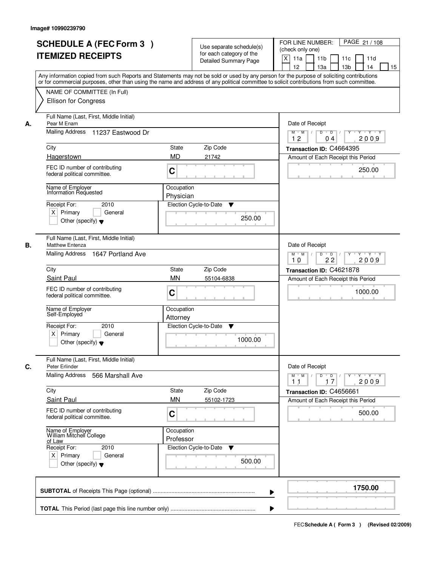| <b>SCHEDULE A (FEC Form 3)</b><br><b>ITEMIZED RECEIPTS</b>                                                                                       | Use separate schedule(s)<br>for each category of the<br><b>Detailed Summary Page</b><br>Any information copied from such Reports and Statements may not be sold or used by any person for the purpose of soliciting contributions | PAGE 21 / 108<br>FOR LINE NUMBER:<br>(check only one)<br>X<br>11 <sub>b</sub><br>11a<br>11 <sub>c</sub><br>11d<br>12<br>13 <sub>b</sub><br>14<br>13a<br>15                   |
|--------------------------------------------------------------------------------------------------------------------------------------------------|-----------------------------------------------------------------------------------------------------------------------------------------------------------------------------------------------------------------------------------|------------------------------------------------------------------------------------------------------------------------------------------------------------------------------|
| NAME OF COMMITTEE (In Full)<br>Ellison for Congress                                                                                              | or for commercial purposes, other than using the name and address of any political committee to solicit contributions from such committee.                                                                                        |                                                                                                                                                                              |
| Full Name (Last, First, Middle Initial)<br>Pear M Enam<br>А.<br>Mailing Address 11237 Eastwood Dr                                                |                                                                                                                                                                                                                                   | Date of Receipt<br>$D$ $D$ $I$<br>Y<br>$Y - Y - Y - Y$<br>$M$ $M$ /                                                                                                          |
| City                                                                                                                                             | <b>State</b><br>Zip Code                                                                                                                                                                                                          | 2009<br>12<br>04<br>Transaction ID: C4664395                                                                                                                                 |
| Hagerstown                                                                                                                                       | <b>MD</b><br>21742                                                                                                                                                                                                                | Amount of Each Receipt this Period                                                                                                                                           |
| FEC ID number of contributing<br>federal political committee.                                                                                    | C                                                                                                                                                                                                                                 | 250.00                                                                                                                                                                       |
| Name of Employer<br>Information Requested                                                                                                        | Occupation<br>Physician                                                                                                                                                                                                           |                                                                                                                                                                              |
| Receipt For:<br>2010<br>$X$ Primary<br>General<br>Other (specify) $\blacktriangledown$                                                           | Election Cycle-to-Date<br>▼<br>250.00                                                                                                                                                                                             |                                                                                                                                                                              |
| Full Name (Last, First, Middle Initial)<br>Matthew Entenza<br>В.<br>Mailing Address                                                              |                                                                                                                                                                                                                                   | Date of Receipt                                                                                                                                                              |
| 1647 Portland Ave                                                                                                                                |                                                                                                                                                                                                                                   | $M$ $M$ /<br>D<br>$\overline{D}$ /<br>Y Y Y Y<br>22<br>2009<br>10                                                                                                            |
| City                                                                                                                                             | Zip Code<br>State                                                                                                                                                                                                                 | Transaction ID: C4621878                                                                                                                                                     |
| Saint Paul                                                                                                                                       | <b>MN</b><br>55104-6838                                                                                                                                                                                                           | Amount of Each Receipt this Period                                                                                                                                           |
| FEC ID number of contributing<br>federal political committee.                                                                                    | C                                                                                                                                                                                                                                 | 1000.00                                                                                                                                                                      |
| Name of Employer<br>Self-Employed                                                                                                                | Occupation<br>Attorney                                                                                                                                                                                                            |                                                                                                                                                                              |
| Receipt For:<br>2010<br>$X$ Primary<br>General<br>Other (specify) $\blacktriangledown$                                                           | Election Cycle-to-Date<br>▼<br>1000.00                                                                                                                                                                                            |                                                                                                                                                                              |
| Full Name (Last, First, Middle Initial)<br>C.<br>Peter Erlinder                                                                                  |                                                                                                                                                                                                                                   | Date of Receipt                                                                                                                                                              |
| <b>Mailing Address</b><br>566 Marshall Ave                                                                                                       |                                                                                                                                                                                                                                   | $D$ $D$ $/$<br>$M$ $M$ $/$<br>$\begin{array}{cccccccccc} &\mathsf{Y} &\mathsf{I} &\mathsf{Y} &\mathsf{I} &\mathsf{Y} &\mathsf{I} &\mathsf{Y}\end{array}$<br>2009<br>11<br>17 |
| City                                                                                                                                             | Zip Code<br>State                                                                                                                                                                                                                 | Transaction ID: C4656661                                                                                                                                                     |
| <b>Saint Paul</b><br>FEC ID number of contributing<br>federal political committee.                                                               | <b>MN</b><br>55102-1723<br>C                                                                                                                                                                                                      | Amount of Each Receipt this Period<br>500.00                                                                                                                                 |
| Name of Employer<br>William Mitchell College<br>of Law<br>Receipt For:<br>2010<br>$X$ Primary<br>General<br>Other (specify) $\blacktriangledown$ | Occupation<br>Professor<br>Election Cycle-to-Date<br>▼<br>500.00                                                                                                                                                                  |                                                                                                                                                                              |
|                                                                                                                                                  |                                                                                                                                                                                                                                   | 1750.00                                                                                                                                                                      |
|                                                                                                                                                  |                                                                                                                                                                                                                                   |                                                                                                                                                                              |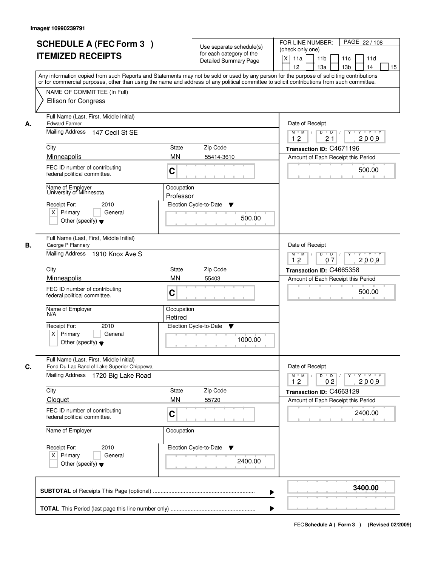|    | <b>SCHEDULE A (FEC Form 3)</b><br><b>ITEMIZED RECEIPTS</b><br>Any information copied from such Reports and Statements may not be sold or used by any person for the purpose of soliciting contributions | Use separate schedule(s)<br>for each category of the<br><b>Detailed Summary Page</b> | PAGE 22 / 108<br>FOR LINE NUMBER:<br>(check only one)<br>X<br>11 <sub>b</sub><br>11a<br>11c<br>11d<br>12<br>13 <sub>b</sub><br>14<br>13a<br>15 |
|----|---------------------------------------------------------------------------------------------------------------------------------------------------------------------------------------------------------|--------------------------------------------------------------------------------------|------------------------------------------------------------------------------------------------------------------------------------------------|
|    | or for commercial purposes, other than using the name and address of any political committee to solicit contributions from such committee.<br>NAME OF COMMITTEE (In Full)<br>Ellison for Congress       |                                                                                      |                                                                                                                                                |
| А. | Full Name (Last, First, Middle Initial)<br><b>Edward Farmer</b><br>Mailing Address 147 Cecil St SE<br>City                                                                                              | <b>State</b><br>Zip Code                                                             | Date of Receipt<br>$D$ $D$<br>Y<br>$Y - Y - Y - Y$<br>$M$ $M$ /<br>2009<br>12<br>21<br>Transaction ID: C4671196                                |
|    | Minneapolis                                                                                                                                                                                             | <b>MN</b>                                                                            |                                                                                                                                                |
|    | FEC ID number of contributing<br>federal political committee.                                                                                                                                           | 55414-3610<br>C                                                                      | Amount of Each Receipt this Period<br>500.00                                                                                                   |
|    | Name of Employer<br>University of Minnesota<br>Receipt For:<br>2010<br>$X$ Primary<br>General<br>Other (specify) $\blacktriangledown$                                                                   | Occupation<br>Professor<br>Election Cycle-to-Date<br>▼<br>500.00                     |                                                                                                                                                |
| В. | Full Name (Last, First, Middle Initial)<br>George P Flannery<br>Mailing Address 1910 Knox Ave S                                                                                                         |                                                                                      | Date of Receipt<br>$M$ $M$ /<br>D<br>$\overline{D}$<br>Y<br>Y Y Y Y<br>12<br>07<br>2009                                                        |
|    | City                                                                                                                                                                                                    | Zip Code<br>State                                                                    | Transaction ID: C4665358                                                                                                                       |
|    | Minneapolis                                                                                                                                                                                             | <b>MN</b><br>55403                                                                   | Amount of Each Receipt this Period                                                                                                             |
|    | FEC ID number of contributing<br>federal political committee.                                                                                                                                           | C                                                                                    | 500.00                                                                                                                                         |
|    | Name of Employer<br>N/A                                                                                                                                                                                 | Occupation<br>Retired                                                                |                                                                                                                                                |
|    | Receipt For:<br>2010<br>$X$ Primary<br>General<br>Other (specify) $\blacktriangledown$                                                                                                                  | Election Cycle-to-Date<br>▼<br>1000.00                                               |                                                                                                                                                |
| C. | Full Name (Last, First, Middle Initial)<br>Fond Du Lac Band of Lake Superior Chippewa<br>Mailing Address<br>1720 Big Lake Road                                                                          |                                                                                      | Date of Receipt<br>$D$ $D$ $/$<br>$M$ $M$<br>$Y^+$<br>$Y + Y + Y$<br>2009<br>12<br>0 <sub>2</sub>                                              |
|    | City                                                                                                                                                                                                    | State<br>Zip Code                                                                    | Transaction ID: C4663129                                                                                                                       |
|    | Cloquet                                                                                                                                                                                                 | <b>MN</b><br>55720                                                                   | Amount of Each Receipt this Period                                                                                                             |
|    | FEC ID number of contributing<br>federal political committee.                                                                                                                                           | C                                                                                    | 2400.00                                                                                                                                        |
|    | Name of Employer                                                                                                                                                                                        | Occupation                                                                           |                                                                                                                                                |
|    | Receipt For:<br>2010<br>$X$ Primary<br>General<br>Other (specify) $\blacktriangledown$                                                                                                                  | Election Cycle-to-Date<br>v<br>2400.00                                               |                                                                                                                                                |
|    |                                                                                                                                                                                                         |                                                                                      | 3400.00                                                                                                                                        |
|    |                                                                                                                                                                                                         |                                                                                      |                                                                                                                                                |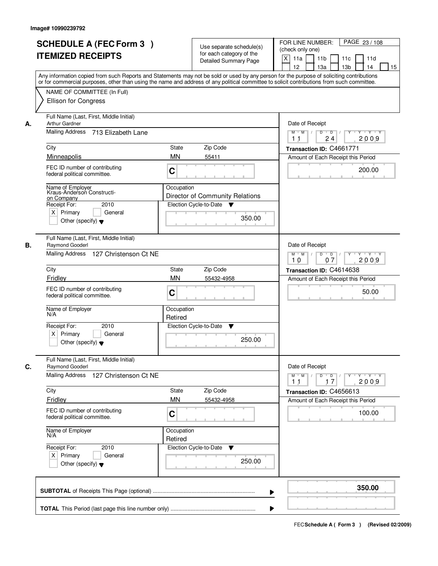|    | <b>SCHEDULE A (FEC Form 3)</b><br><b>ITEMIZED RECEIPTS</b><br>Any information copied from such Reports and Statements may not be sold or used by any person for the purpose of soliciting contributions  |                       | Use separate schedule(s)<br>for each category of the<br><b>Detailed Summary Page</b>           | PAGE 23 / 108<br>FOR LINE NUMBER:<br>(check only one)<br>X<br>11a<br>11 <sub>b</sub><br>11c<br>11d<br>12<br>13 <sub>b</sub><br>13a<br>14<br>15 |
|----|----------------------------------------------------------------------------------------------------------------------------------------------------------------------------------------------------------|-----------------------|------------------------------------------------------------------------------------------------|------------------------------------------------------------------------------------------------------------------------------------------------|
|    | or for commercial purposes, other than using the name and address of any political committee to solicit contributions from such committee.<br>NAME OF COMMITTEE (In Full)<br><b>Ellison for Congress</b> |                       |                                                                                                |                                                                                                                                                |
| А. | Full Name (Last, First, Middle Initial)<br><b>Arthur Gardner</b><br>Mailing Address 713 Elizabeth Lane<br>City                                                                                           | State                 | Zip Code                                                                                       | Date of Receipt<br>$M$ $M$<br>$D$ $D$ $1$<br>$Y$ <sup>U</sup><br>Y 'Y 'Y<br>24<br>2009<br>11<br>Transaction ID: C4661771                       |
|    | Minneapolis                                                                                                                                                                                              | <b>MN</b>             | 55411                                                                                          | Amount of Each Receipt this Period                                                                                                             |
|    | FEC ID number of contributing<br>federal political committee.                                                                                                                                            | C                     |                                                                                                | 200.00                                                                                                                                         |
|    | Name of Employer<br>Kraus-Anderson Constructi-<br>on Company<br>2010<br>Receipt For:<br>$X$ Primary<br>General<br>Other (specify) $\bullet$                                                              | Occupation            | Director of Community Relations<br>Election Cycle-to-Date<br>$\overline{\mathbf{v}}$<br>350.00 |                                                                                                                                                |
| В. | Full Name (Last, First, Middle Initial)<br>Raymond Gooderl<br>Mailing Address 127 Christenson Ct NE                                                                                                      |                       |                                                                                                | Date of Receipt<br>$M$ $M$ /<br>$Y \vdash Y \vdash Y$<br>D<br>$\Box$<br>Y<br>10<br>07<br>2009                                                  |
|    | City                                                                                                                                                                                                     | <b>State</b>          | Zip Code                                                                                       | Transaction ID: C4614638                                                                                                                       |
|    | Fridley                                                                                                                                                                                                  | <b>MN</b>             | 55432-4958                                                                                     | Amount of Each Receipt this Period                                                                                                             |
|    | FEC ID number of contributing<br>federal political committee.                                                                                                                                            | C                     |                                                                                                | 50.00                                                                                                                                          |
|    | Name of Employer<br>N/A                                                                                                                                                                                  | Occupation<br>Retired |                                                                                                |                                                                                                                                                |
|    | Receipt For:<br>2010<br>$X$ Primary<br>General<br>Other (specify) $\blacktriangledown$                                                                                                                   |                       | Election Cycle-to-Date<br>v<br>250.00                                                          |                                                                                                                                                |
| C. | Full Name (Last, First, Middle Initial)<br><b>Raymond Gooderl</b>                                                                                                                                        |                       |                                                                                                | Date of Receipt                                                                                                                                |
|    | <b>Mailing Address</b><br>127 Christenson Ct NE                                                                                                                                                          |                       |                                                                                                | $M$ $M$<br>$D$ $D$ $l$<br>$Y^+$<br>$Y + Y + Y$<br>2009<br>11<br>17                                                                             |
|    | City                                                                                                                                                                                                     | State                 | Zip Code                                                                                       | Transaction ID: C4656613                                                                                                                       |
|    | Fridley<br>FEC ID number of contributing<br>federal political committee.                                                                                                                                 | <b>MN</b><br>C        | 55432-4958                                                                                     | Amount of Each Receipt this Period<br>100.00                                                                                                   |
|    | Name of Employer<br>N/A                                                                                                                                                                                  | Occupation<br>Retired |                                                                                                |                                                                                                                                                |
|    | Receipt For:<br>2010<br>$X$ Primary<br>General<br>Other (specify) $\blacktriangledown$                                                                                                                   |                       | Election Cycle-to-Date<br>v<br>250.00                                                          |                                                                                                                                                |
|    |                                                                                                                                                                                                          |                       |                                                                                                | 350.00<br>▶                                                                                                                                    |
|    |                                                                                                                                                                                                          |                       |                                                                                                |                                                                                                                                                |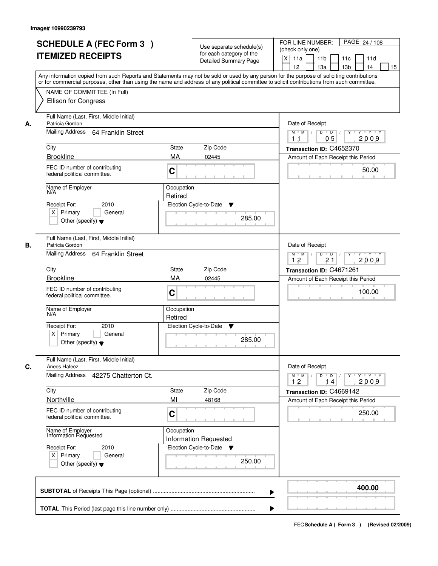| <b>SCHEDULE A (FEC Form 3)</b><br><b>ITEMIZED RECEIPTS</b>                                                        | Use separate schedule(s)<br>for each category of the<br><b>Detailed Summary Page</b><br>Any information copied from such Reports and Statements may not be sold or used by any person for the purpose of soliciting contributions | PAGE 24 / 108<br>FOR LINE NUMBER:<br>(check only one)<br>X<br>11 <sub>b</sub><br>11a<br>11c<br>11d<br>12<br>13 <sub>b</sub><br>14<br>13a<br>15 |
|-------------------------------------------------------------------------------------------------------------------|-----------------------------------------------------------------------------------------------------------------------------------------------------------------------------------------------------------------------------------|------------------------------------------------------------------------------------------------------------------------------------------------|
| NAME OF COMMITTEE (In Full)<br>Ellison for Congress                                                               | or for commercial purposes, other than using the name and address of any political committee to solicit contributions from such committee.                                                                                        |                                                                                                                                                |
| Full Name (Last, First, Middle Initial)<br>Patricia Gordon<br>А.<br>Mailing Address 64 Franklin Street            |                                                                                                                                                                                                                                   | Date of Receipt<br>$D$ $D$ $I$<br>Y<br>$Y + Y + Y$<br>$M$ $M$ /                                                                                |
| City<br><b>Brookline</b>                                                                                          | <b>State</b><br>Zip Code<br>MA<br>02445                                                                                                                                                                                           | 2009<br>05<br>1 <sub>1</sub><br>Transaction ID: C4652370<br>Amount of Each Receipt this Period                                                 |
| FEC ID number of contributing<br>federal political committee.                                                     | C                                                                                                                                                                                                                                 | 50.00                                                                                                                                          |
| Name of Employer<br>N/A<br>2010<br>Receipt For:<br>$X$ Primary<br>General<br>Other (specify) $\blacktriangledown$ | Occupation<br>Retired<br>Election Cycle-to-Date<br>▼<br>285.00                                                                                                                                                                    |                                                                                                                                                |
| Full Name (Last, First, Middle Initial)<br>Patricia Gordon<br>В.<br>Mailing Address 64 Franklin Street            |                                                                                                                                                                                                                                   | Date of Receipt<br>$M$ $M$ /<br>D<br>$\overline{\phantom{0}}$ D<br>Y<br>Y Y Y Y<br>12<br>21<br>2009                                            |
| City<br><b>Brookline</b>                                                                                          | Zip Code<br>State<br>MA<br>02445                                                                                                                                                                                                  | Transaction ID: C4671261                                                                                                                       |
| FEC ID number of contributing<br>federal political committee.                                                     | C                                                                                                                                                                                                                                 | Amount of Each Receipt this Period<br>100.00                                                                                                   |
| Name of Employer<br>N/A<br>Receipt For:<br>2010                                                                   | Occupation<br>Retired<br>Election Cycle-to-Date<br>v                                                                                                                                                                              |                                                                                                                                                |
| $X$ Primary<br>General<br>Other (specify) $\blacktriangledown$                                                    | 285.00                                                                                                                                                                                                                            |                                                                                                                                                |
| Full Name (Last, First, Middle Initial)<br>C.<br>Anees Hafeez                                                     |                                                                                                                                                                                                                                   | Date of Receipt                                                                                                                                |
| Mailing Address 42275 Chatterton Ct.                                                                              |                                                                                                                                                                                                                                   | $M$ $M$<br>$D$ $D$ $l$<br>Y Y Y Y Y<br>12<br>2009<br>14                                                                                        |
| City<br>Northville                                                                                                | Zip Code<br>State<br>MI<br>48168                                                                                                                                                                                                  | Transaction ID: C4669142<br>Amount of Each Receipt this Period                                                                                 |
| FEC ID number of contributing<br>federal political committee.                                                     | C                                                                                                                                                                                                                                 | 250.00                                                                                                                                         |
| Name of Employer<br>Information Requested                                                                         | Occupation<br><b>Information Requested</b>                                                                                                                                                                                        |                                                                                                                                                |
| Receipt For:<br>2010<br>$X$ Primary<br>General<br>Other (specify) $\blacktriangledown$                            | Election Cycle-to-Date ▼<br>250.00                                                                                                                                                                                                |                                                                                                                                                |
|                                                                                                                   |                                                                                                                                                                                                                                   | 400.00                                                                                                                                         |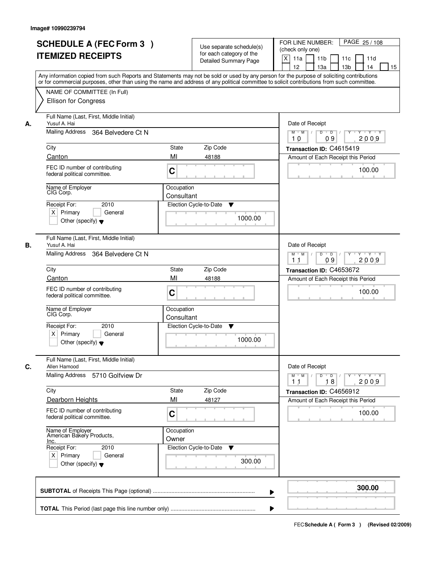|    | <b>SCHEDULE A (FEC Form 3)</b><br><b>ITEMIZED RECEIPTS</b><br>Any information copied from such Reports and Statements may not be sold or used by any person for the purpose of soliciting contributions  |                          | Use separate schedule(s)<br>for each category of the<br><b>Detailed Summary Page</b> | PAGE 25/108<br>FOR LINE NUMBER:<br>(check only one)<br>X<br>11a<br>11 <sub>b</sub><br>11 <sub>c</sub><br>11d<br>12<br>13 <sub>b</sub><br>13a<br>14<br>15 |
|----|----------------------------------------------------------------------------------------------------------------------------------------------------------------------------------------------------------|--------------------------|--------------------------------------------------------------------------------------|----------------------------------------------------------------------------------------------------------------------------------------------------------|
|    | or for commercial purposes, other than using the name and address of any political committee to solicit contributions from such committee.<br>NAME OF COMMITTEE (In Full)<br><b>Ellison for Congress</b> |                          |                                                                                      |                                                                                                                                                          |
| А. | Full Name (Last, First, Middle Initial)<br>Yusuf A. Hai<br>Mailing Address 364 Belvedere Ct N                                                                                                            |                          |                                                                                      | Date of Receipt<br>$M$ $M$ $/$<br>$D$ $D$ $1$<br>Y 'Y 'Y<br>$Y$ <sup><math>\top</math></sup><br>09<br>2009<br>10                                         |
|    | City                                                                                                                                                                                                     | <b>State</b>             | Zip Code                                                                             | Transaction ID: C4615419                                                                                                                                 |
|    | Canton                                                                                                                                                                                                   | MI                       | 48188                                                                                | Amount of Each Receipt this Period                                                                                                                       |
|    | FEC ID number of contributing<br>federal political committee.                                                                                                                                            | C                        |                                                                                      | 100.00                                                                                                                                                   |
|    | Name of Employer<br>CIG Corp.                                                                                                                                                                            | Occupation<br>Consultant |                                                                                      |                                                                                                                                                          |
|    | 2010<br>Receipt For:<br>$X$ Primary<br>General<br>Other (specify) $\blacktriangledown$                                                                                                                   |                          | Election Cycle-to-Date<br>▼<br>1000.00                                               |                                                                                                                                                          |
| В. | Full Name (Last, First, Middle Initial)<br>Yusuf A. Hai                                                                                                                                                  |                          |                                                                                      | Date of Receipt                                                                                                                                          |
|    | Mailing Address<br>364 Belvedere Ct N                                                                                                                                                                    |                          |                                                                                      | $Y \vdash Y \vdash Y$<br>$M$ $M$ /<br>D<br>$\overline{D}$<br>Y<br>1 <sub>1</sub><br>09<br>2009                                                           |
|    | City                                                                                                                                                                                                     | <b>State</b>             | Zip Code                                                                             | Transaction ID: C4653672                                                                                                                                 |
|    | Canton                                                                                                                                                                                                   | MI                       | 48188                                                                                | Amount of Each Receipt this Period                                                                                                                       |
|    | FEC ID number of contributing<br>federal political committee.                                                                                                                                            | C                        |                                                                                      | 100.00                                                                                                                                                   |
|    | Name of Employer<br>CIG Corp.                                                                                                                                                                            | Occupation<br>Consultant |                                                                                      |                                                                                                                                                          |
|    | Receipt For:<br>2010<br>$X$ Primary<br>General<br>Other (specify) $\blacktriangledown$                                                                                                                   |                          | Election Cycle-to-Date<br>▼<br>1000.00                                               |                                                                                                                                                          |
| C. | Full Name (Last, First, Middle Initial)<br>Allen Hamood                                                                                                                                                  |                          |                                                                                      | Date of Receipt                                                                                                                                          |
|    | <b>Mailing Address</b><br>5710 Golfview Dr                                                                                                                                                               |                          |                                                                                      | $M$ $M$<br>$D$ $D$ $/$<br>Y "<br>Y Y Y Y<br>18<br>2009<br>11                                                                                             |
|    | City                                                                                                                                                                                                     | <b>State</b>             | Zip Code                                                                             | Transaction ID: C4656912                                                                                                                                 |
|    | Dearborn Heights                                                                                                                                                                                         | MI                       | 48127                                                                                | Amount of Each Receipt this Period                                                                                                                       |
|    | FEC ID number of contributing<br>federal political committee.                                                                                                                                            | C                        |                                                                                      | 100.00                                                                                                                                                   |
|    | Name of Employer<br>American Bakery Products,<br>Inc.                                                                                                                                                    | Occupation<br>Owner      |                                                                                      |                                                                                                                                                          |
|    | Receipt For:<br>2010<br>$X$ Primary<br>General<br>Other (specify) $\blacktriangledown$                                                                                                                   |                          | Election Cycle-to-Date<br>v<br>300.00                                                |                                                                                                                                                          |
|    |                                                                                                                                                                                                          |                          |                                                                                      | 300.00                                                                                                                                                   |
|    |                                                                                                                                                                                                          |                          |                                                                                      |                                                                                                                                                          |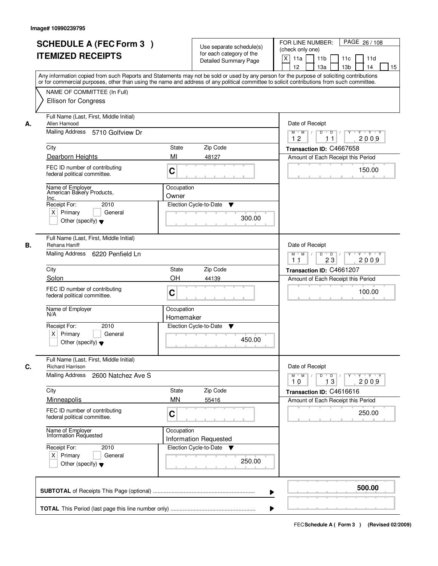|    | <b>SCHEDULE A (FEC Form 3)</b><br><b>ITEMIZED RECEIPTS</b>                                                                                                                                                                                                                              | Use separate schedule(s)<br>for each category of the             | PAGE 26/108<br>FOR LINE NUMBER:<br>(check only one)                                                |
|----|-----------------------------------------------------------------------------------------------------------------------------------------------------------------------------------------------------------------------------------------------------------------------------------------|------------------------------------------------------------------|----------------------------------------------------------------------------------------------------|
|    |                                                                                                                                                                                                                                                                                         | <b>Detailed Summary Page</b>                                     | X<br>11a<br>11 <sub>b</sub><br>11c<br>11d<br>12<br>13a<br>13 <sub>b</sub><br>14<br>15              |
|    | Any information copied from such Reports and Statements may not be sold or used by any person for the purpose of soliciting contributions<br>or for commercial purposes, other than using the name and address of any political committee to solicit contributions from such committee. |                                                                  |                                                                                                    |
|    | NAME OF COMMITTEE (In Full)<br>Ellison for Congress                                                                                                                                                                                                                                     |                                                                  |                                                                                                    |
| А. | Full Name (Last, First, Middle Initial)<br>Allen Hamood                                                                                                                                                                                                                                 |                                                                  | Date of Receipt                                                                                    |
|    | Mailing Address 5710 Golfview Dr                                                                                                                                                                                                                                                        | Y Y Y Y<br>$M$ $M$ /<br>D<br>$\overline{D}$<br>2009<br>12<br>11  |                                                                                                    |
|    | City                                                                                                                                                                                                                                                                                    | Zip Code<br>State                                                | Transaction ID: C4667658                                                                           |
|    | Dearborn Heights                                                                                                                                                                                                                                                                        | MI<br>48127                                                      | Amount of Each Receipt this Period                                                                 |
|    | FEC ID number of contributing<br>federal political committee.                                                                                                                                                                                                                           | C                                                                | 150.00                                                                                             |
|    | Name of Employer<br>American Bakery Products,<br>Inc.                                                                                                                                                                                                                                   | Occupation<br>Owner                                              |                                                                                                    |
|    | Receipt For:<br>2010                                                                                                                                                                                                                                                                    | Election Cycle-to-Date<br>▼                                      |                                                                                                    |
|    | $X$ Primary<br>General<br>Other (specify) $\blacktriangledown$                                                                                                                                                                                                                          | 300.00                                                           |                                                                                                    |
| В. | Full Name (Last, First, Middle Initial)<br>Rehana Haniff                                                                                                                                                                                                                                |                                                                  | Date of Receipt                                                                                    |
|    | Mailing Address 6220 Penfield Ln                                                                                                                                                                                                                                                        | $D$ $D$ $1$<br>$M$ $M$ /<br>Y<br>$Y + Y + Y$<br>23<br>2009<br>11 |                                                                                                    |
|    | City                                                                                                                                                                                                                                                                                    | Zip Code<br>State                                                | Transaction ID: C4661207                                                                           |
|    | Solon                                                                                                                                                                                                                                                                                   | OH<br>44139                                                      | Amount of Each Receipt this Period                                                                 |
|    | FEC ID number of contributing<br>federal political committee.                                                                                                                                                                                                                           | C                                                                | 100.00                                                                                             |
|    | Name of Employer<br>N/A                                                                                                                                                                                                                                                                 | Occupation<br>Homemaker                                          |                                                                                                    |
|    | Receipt For:<br>2010                                                                                                                                                                                                                                                                    | Election Cycle-to-Date<br>v                                      |                                                                                                    |
|    | $X$ Primary<br>General<br>Other (specify) $\blacktriangledown$                                                                                                                                                                                                                          | 450.00                                                           |                                                                                                    |
| C. | Full Name (Last, First, Middle Initial)<br><b>Richard Harrison</b>                                                                                                                                                                                                                      |                                                                  | Date of Receipt                                                                                    |
|    | Mailing Address<br>2600 Natchez Ave S                                                                                                                                                                                                                                                   |                                                                  | $M$ $M$<br>$D$ $D$ $I$<br>$Y \rightarrow Y \rightarrow Y$<br>$Y$ <sup>-1</sup><br>2009<br>10<br>13 |
|    | City                                                                                                                                                                                                                                                                                    | Zip Code<br>State                                                | Transaction ID: C4616616                                                                           |
|    | Minneapolis                                                                                                                                                                                                                                                                             | <b>MN</b><br>55416                                               | Amount of Each Receipt this Period                                                                 |
|    | FEC ID number of contributing<br>federal political committee.                                                                                                                                                                                                                           | C                                                                | 250.00                                                                                             |
|    | Name of Employer<br>Information Requested                                                                                                                                                                                                                                               | Occupation<br><b>Information Requested</b>                       |                                                                                                    |
|    | Receipt For:<br>2010                                                                                                                                                                                                                                                                    | Election Cycle-to-Date ▼                                         |                                                                                                    |
|    | $X$ Primary<br>General<br>Other (specify) $\blacktriangledown$                                                                                                                                                                                                                          | 250.00                                                           |                                                                                                    |
|    |                                                                                                                                                                                                                                                                                         |                                                                  | 500.00                                                                                             |
|    |                                                                                                                                                                                                                                                                                         |                                                                  | ▶                                                                                                  |
|    |                                                                                                                                                                                                                                                                                         |                                                                  |                                                                                                    |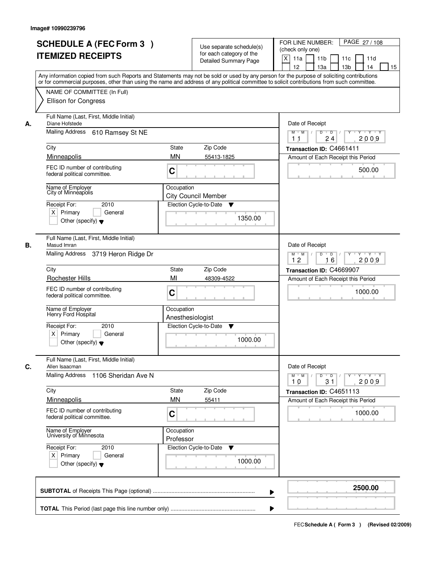|    | <b>SCHEDULE A (FEC Form 3)</b><br><b>ITEMIZED RECEIPTS</b><br>Any information copied from such Reports and Statements may not be sold or used by any person for the purpose of soliciting contributions  |                                | Use separate schedule(s)<br>for each category of the<br><b>Detailed Summary Page</b> | FOR LINE NUMBER:<br>(check only one)<br>X<br>11a<br>12 | PAGE 27/108<br>11 <sub>b</sub><br>11 <sub>c</sub><br>11d<br>13 <sub>b</sub><br>14<br>13a<br>15 |
|----|----------------------------------------------------------------------------------------------------------------------------------------------------------------------------------------------------------|--------------------------------|--------------------------------------------------------------------------------------|--------------------------------------------------------|------------------------------------------------------------------------------------------------|
|    | or for commercial purposes, other than using the name and address of any political committee to solicit contributions from such committee.<br>NAME OF COMMITTEE (In Full)<br><b>Ellison for Congress</b> |                                |                                                                                      |                                                        |                                                                                                |
| А. | Full Name (Last, First, Middle Initial)<br>Diane Hofstede<br>Mailing Address 610 Ramsey St NE                                                                                                            |                                |                                                                                      | Date of Receipt<br>$M$ $M$ /                           | $D$ $D$<br>$Y - Y - Y$<br>Y                                                                    |
|    |                                                                                                                                                                                                          |                                |                                                                                      | 11                                                     | 2009<br>24                                                                                     |
|    | City                                                                                                                                                                                                     | <b>State</b>                   | Zip Code                                                                             |                                                        | Transaction ID: C4661411                                                                       |
|    | Minneapolis                                                                                                                                                                                              | <b>MN</b>                      | 55413-1825                                                                           |                                                        | Amount of Each Receipt this Period                                                             |
|    | FEC ID number of contributing<br>federal political committee.                                                                                                                                            | C                              |                                                                                      |                                                        | 500.00                                                                                         |
|    | Name of Employer<br>City of Minneapolis                                                                                                                                                                  | Occupation                     | <b>City Council Member</b>                                                           |                                                        |                                                                                                |
|    | 2010<br>Receipt For:<br>$X$ Primary<br>General<br>Other (specify) $\blacktriangledown$                                                                                                                   |                                | Election Cycle-to-Date<br>v<br>1350.00                                               |                                                        |                                                                                                |
| В. | Full Name (Last, First, Middle Initial)<br>Masud Imran                                                                                                                                                   |                                |                                                                                      | Date of Receipt                                        |                                                                                                |
|    | Mailing Address 3719 Heron Ridge Dr                                                                                                                                                                      |                                |                                                                                      | $M$ $M$ /<br>12                                        | D<br>$\Box$<br>$Y + Y + Y$<br>16<br>2009                                                       |
|    | City                                                                                                                                                                                                     | <b>State</b>                   | Zip Code                                                                             |                                                        | Transaction ID: C4669907                                                                       |
|    | <b>Rochester Hills</b>                                                                                                                                                                                   | MI                             | 48309-4522                                                                           |                                                        | Amount of Each Receipt this Period                                                             |
|    | FEC ID number of contributing<br>federal political committee.                                                                                                                                            | C                              |                                                                                      |                                                        | 1000.00                                                                                        |
|    | Name of Employer<br>Henry Ford Hospital                                                                                                                                                                  | Occupation<br>Anesthesiologist |                                                                                      |                                                        |                                                                                                |
|    | Receipt For:<br>2010<br>$X$ Primary<br>General<br>Other (specify) $\blacktriangledown$                                                                                                                   |                                | Election Cycle-to-Date<br>▼<br>1000.00                                               |                                                        |                                                                                                |
| C. | Full Name (Last, First, Middle Initial)<br>Allen Isaacman                                                                                                                                                |                                |                                                                                      | Date of Receipt                                        |                                                                                                |
|    | <b>Mailing Address</b><br>1106 Sheridan Ave N                                                                                                                                                            |                                |                                                                                      | $M^{\prime}$ M $\rightarrow$<br>10                     | $D$ $D$ $I$<br>Y 'Y 'Y 'Y<br>2009<br>31                                                        |
|    | City                                                                                                                                                                                                     | <b>State</b>                   | Zip Code                                                                             |                                                        | Transaction ID: C4651113                                                                       |
|    | Minneapolis                                                                                                                                                                                              | <b>MN</b>                      | 55411                                                                                |                                                        | Amount of Each Receipt this Period                                                             |
|    | FEC ID number of contributing<br>federal political committee.                                                                                                                                            | C                              |                                                                                      |                                                        | 1000.00                                                                                        |
|    | Name of Employer<br>University of Minnesota                                                                                                                                                              | Occupation<br>Professor        |                                                                                      |                                                        |                                                                                                |
|    | Receipt For:<br>2010<br>$X$ Primary<br>General<br>Other (specify) $\blacktriangledown$                                                                                                                   |                                | Election Cycle-to-Date<br>▼<br>1000.00                                               |                                                        |                                                                                                |
|    |                                                                                                                                                                                                          |                                |                                                                                      |                                                        | 2500.00                                                                                        |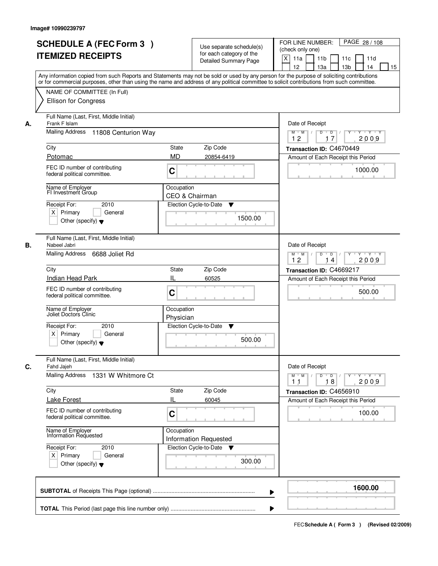|    | <b>SCHEDULE A (FEC Form 3)</b><br><b>ITEMIZED RECEIPTS</b>                                      | Use separate schedule(s)<br>for each category of the<br><b>Detailed Summary Page</b><br>Any information copied from such Reports and Statements may not be sold or used by any person for the purpose of soliciting contributions | PAGE 28 / 108<br>FOR LINE NUMBER:<br>(check only one)<br>X<br>11 <sub>b</sub><br>11a<br>11 <sub>c</sub><br>11d<br>12<br>13 <sub>b</sub><br>14<br>13a<br>15 |
|----|-------------------------------------------------------------------------------------------------|-----------------------------------------------------------------------------------------------------------------------------------------------------------------------------------------------------------------------------------|------------------------------------------------------------------------------------------------------------------------------------------------------------|
|    | NAME OF COMMITTEE (In Full)<br><b>Ellison for Congress</b>                                      | or for commercial purposes, other than using the name and address of any political committee to solicit contributions from such committee.                                                                                        |                                                                                                                                                            |
| А. | Full Name (Last, First, Middle Initial)<br>Frank F Islam<br>Mailing Address 11808 Centurion Way |                                                                                                                                                                                                                                   | Date of Receipt<br>$M$ $M$ /<br>$D$ $D$<br>Y Y Y Y<br>Y                                                                                                    |
|    |                                                                                                 | 2009<br>17<br>12                                                                                                                                                                                                                  |                                                                                                                                                            |
|    | City<br>Potomac                                                                                 | <b>State</b><br>Zip Code<br><b>MD</b><br>20854-6419                                                                                                                                                                               | Transaction ID: C4670449                                                                                                                                   |
|    | FEC ID number of contributing<br>federal political committee.                                   | C                                                                                                                                                                                                                                 | Amount of Each Receipt this Period<br>1000.00                                                                                                              |
|    | Name of Employer<br>FI Investment Group                                                         | Occupation<br>CEO & Chairman                                                                                                                                                                                                      |                                                                                                                                                            |
|    | Receipt For:<br>2010<br>$X$ Primary<br>General<br>Other (specify) $\blacktriangledown$          | Election Cycle-to-Date<br>▼<br>1500.00                                                                                                                                                                                            |                                                                                                                                                            |
| В. | Full Name (Last, First, Middle Initial)<br>Nabeel Jabri                                         |                                                                                                                                                                                                                                   | Date of Receipt                                                                                                                                            |
|    | Mailing Address<br>6688 Joliet Rd                                                               |                                                                                                                                                                                                                                   | $M$ $M$ /<br>D<br>$\overline{D}$<br>$Y \vdash Y \vdash Y$<br>12<br>2009<br>14                                                                              |
|    | City                                                                                            | Zip Code<br>State                                                                                                                                                                                                                 | Transaction ID: C4669217                                                                                                                                   |
|    | Indian Head Park                                                                                | IL<br>60525                                                                                                                                                                                                                       | Amount of Each Receipt this Period                                                                                                                         |
|    | FEC ID number of contributing<br>federal political committee.                                   | C                                                                                                                                                                                                                                 | 500.00                                                                                                                                                     |
|    | Name of Employer<br>Joliet Doctors Clinic                                                       | Occupation<br>Physician                                                                                                                                                                                                           |                                                                                                                                                            |
|    | Receipt For:<br>2010<br>$X$ Primary<br>General<br>Other (specify) $\blacktriangledown$          | Election Cycle-to-Date<br>▼<br>500.00                                                                                                                                                                                             |                                                                                                                                                            |
| C. | Full Name (Last, First, Middle Initial)<br>Fahd Jajeh                                           |                                                                                                                                                                                                                                   | Date of Receipt                                                                                                                                            |
|    | <b>Mailing Address</b><br>1331 W Whitmore Ct                                                    |                                                                                                                                                                                                                                   | $M$ $M$ $/$<br>$D$ $D$ $I$<br>Y 'Y 'Y 'Y<br>2009<br>1 <sub>1</sub><br>18                                                                                   |
|    | City                                                                                            | Zip Code<br><b>State</b>                                                                                                                                                                                                          | Transaction ID: C4656910                                                                                                                                   |
|    | <b>Lake Forest</b>                                                                              | Ш<br>60045                                                                                                                                                                                                                        | Amount of Each Receipt this Period                                                                                                                         |
|    | FEC ID number of contributing<br>federal political committee.                                   | C                                                                                                                                                                                                                                 | 100.00                                                                                                                                                     |
|    | Name of Employer<br>Information Requested                                                       | Occupation<br><b>Information Requested</b>                                                                                                                                                                                        |                                                                                                                                                            |
|    | Receipt For:<br>2010<br>$X$ Primary<br>General<br>Other (specify) $\blacktriangledown$          | Election Cycle-to-Date ▼<br>300.00                                                                                                                                                                                                |                                                                                                                                                            |
|    |                                                                                                 |                                                                                                                                                                                                                                   | 1600.00                                                                                                                                                    |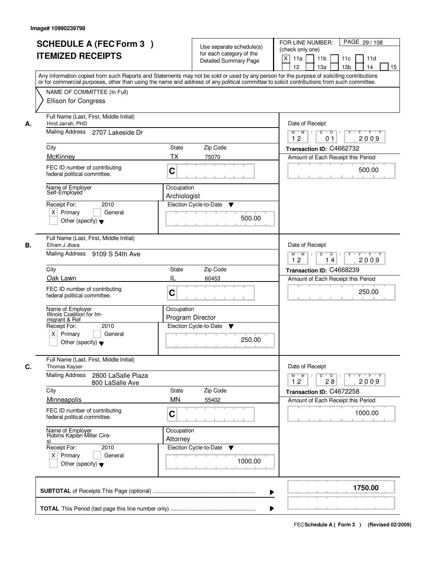|    | <b>SCHEDULE A (FEC Form 3)</b><br><b>ITEMIZED RECEIPTS</b>                                      | Use separate schedule(s)<br>for each category of the<br><b>Detailed Summary Page</b><br>Any information copied from such Reports and Statements may not be sold or used by any person for the purpose of soliciting contributions | PAGE 29 / 108<br>FOR LINE NUMBER:<br>(check only one)<br>X<br>11 <sub>b</sub><br>11a<br>11 <sub>c</sub><br>11d<br>12<br>13 <sub>b</sub><br>14<br>13a<br>15 |
|----|-------------------------------------------------------------------------------------------------|-----------------------------------------------------------------------------------------------------------------------------------------------------------------------------------------------------------------------------------|------------------------------------------------------------------------------------------------------------------------------------------------------------|
|    | NAME OF COMMITTEE (In Full)<br><b>Ellison for Congress</b>                                      | or for commercial purposes, other than using the name and address of any political committee to solicit contributions from such committee.                                                                                        |                                                                                                                                                            |
| А. | Full Name (Last, First, Middle Initial)<br>Hind Jarrah, PHD<br>Mailing Address 2707 Lakeside Dr |                                                                                                                                                                                                                                   | Date of Receipt<br>$D$ $D$<br>Y Y Y Y<br>$M$ $M$ /<br>Y                                                                                                    |
|    |                                                                                                 |                                                                                                                                                                                                                                   | 12<br>2009<br>01                                                                                                                                           |
|    | City<br>McKinney                                                                                | <b>State</b><br>Zip Code<br><b>TX</b><br>75070                                                                                                                                                                                    | Transaction ID: C4662732                                                                                                                                   |
|    | FEC ID number of contributing<br>federal political committee.                                   | C                                                                                                                                                                                                                                 | Amount of Each Receipt this Period<br>500.00                                                                                                               |
|    | Name of Employer<br>Self-Employed                                                               | Occupation<br>Archiologist                                                                                                                                                                                                        |                                                                                                                                                            |
|    | 2010<br>Receipt For:<br>$X$ Primary<br>General<br>Other (specify) $\blacktriangledown$          | Election Cycle-to-Date<br>▼<br>500.00                                                                                                                                                                                             |                                                                                                                                                            |
| В. | Full Name (Last, First, Middle Initial)<br>Elham J Jbara<br>Mailing Address 9109 S 54th Ave     |                                                                                                                                                                                                                                   | Date of Receipt<br>$M$ $M$ /<br>D<br>$\overline{D}$<br>$Y \vdash Y \vdash Y$                                                                               |
|    | City                                                                                            | Zip Code<br><b>State</b>                                                                                                                                                                                                          | 12<br>2009<br>14<br>Transaction ID: C4668239                                                                                                               |
|    | Oak Lawn                                                                                        | IL<br>60453                                                                                                                                                                                                                       | Amount of Each Receipt this Period                                                                                                                         |
|    | FEC ID number of contributing<br>federal political committee.                                   | C                                                                                                                                                                                                                                 | 250.00                                                                                                                                                     |
|    | Name of Employer<br>Illinois Coalition for Im-<br>migrant & Ref                                 | Occupation<br>Program Director                                                                                                                                                                                                    |                                                                                                                                                            |
|    | Receipt For:<br>2010<br>$X$ Primary<br>General<br>Other (specify) $\blacktriangledown$          | Election Cycle-to-Date<br>▼<br>250.00                                                                                                                                                                                             |                                                                                                                                                            |
| C. | Full Name (Last, First, Middle Initial)<br>Thomas Kayser                                        |                                                                                                                                                                                                                                   | Date of Receipt                                                                                                                                            |
|    | <b>Mailing Address</b><br>2800 LaSalle Plaza<br>800 LaSalle Ave                                 |                                                                                                                                                                                                                                   | $M$ $M$ <sup><math>\prime</math></sup><br>$D$ $D$ $/$<br>Y 'Y 'Y 'Y<br>2009<br>12<br>28                                                                    |
|    | City                                                                                            | Zip Code<br><b>State</b>                                                                                                                                                                                                          | Transaction ID: C4672258                                                                                                                                   |
|    | Minneapolis<br>FEC ID number of contributing<br>federal political committee.                    | <b>MN</b><br>55402<br>C                                                                                                                                                                                                           | Amount of Each Receipt this Period<br>1000.00                                                                                                              |
|    | Name of Employer<br>Robins Kaplan Miller Cire-<br>si                                            | Occupation<br>Attorney                                                                                                                                                                                                            |                                                                                                                                                            |
|    | Receipt For:<br>2010<br>$X$ Primary<br>General<br>Other (specify) $\blacktriangledown$          | Election Cycle-to-Date<br>v<br>1000.00                                                                                                                                                                                            |                                                                                                                                                            |
|    |                                                                                                 |                                                                                                                                                                                                                                   | 1750.00                                                                                                                                                    |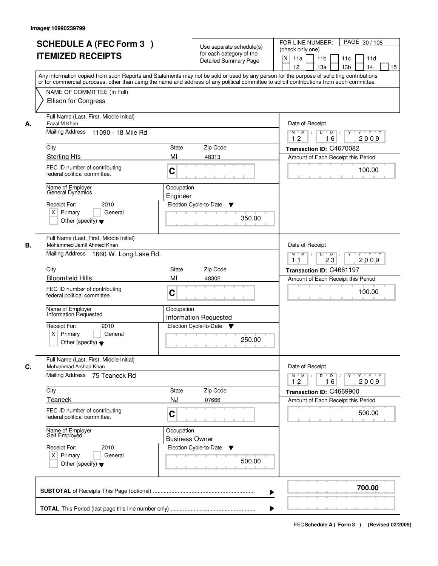|    | <b>SCHEDULE A (FEC Form 3)</b><br><b>ITEMIZED RECEIPTS</b>                                                                          | Use separate schedule(s)<br>for each category of the<br><b>Detailed Summary Page</b> | PAGE 30 / 108<br>FOR LINE NUMBER:<br>(check only one)<br>X<br>11 <sub>b</sub><br>11a<br>11 <sub>c</sub><br>11d<br>12<br>13 <sub>b</sub><br>14<br>13a<br>15<br>Any information copied from such Reports and Statements may not be sold or used by any person for the purpose of soliciting contributions |
|----|-------------------------------------------------------------------------------------------------------------------------------------|--------------------------------------------------------------------------------------|---------------------------------------------------------------------------------------------------------------------------------------------------------------------------------------------------------------------------------------------------------------------------------------------------------|
|    | NAME OF COMMITTEE (In Full)<br><b>Ellison for Congress</b>                                                                          |                                                                                      | or for commercial purposes, other than using the name and address of any political committee to solicit contributions from such committee.                                                                                                                                                              |
| А. | Full Name (Last, First, Middle Initial)<br>Fazal M Khan<br>Mailing Address 11090 - 18 Mile Rd                                       |                                                                                      | Date of Receipt<br>$M$ $M$ /<br>$D$ $D$<br>Y Y Y Y<br>Y<br>2009<br>12<br>16                                                                                                                                                                                                                             |
|    | City                                                                                                                                | <b>State</b><br>Zip Code                                                             | Transaction ID: C4670082                                                                                                                                                                                                                                                                                |
|    | <b>Sterling Hts</b>                                                                                                                 | MI<br>48313                                                                          | Amount of Each Receipt this Period                                                                                                                                                                                                                                                                      |
|    | FEC ID number of contributing<br>federal political committee.                                                                       | C                                                                                    | 100.00                                                                                                                                                                                                                                                                                                  |
|    | Name of Employer<br>General Dynamics                                                                                                | Occupation<br>Engineer                                                               |                                                                                                                                                                                                                                                                                                         |
|    | Receipt For:<br>2010<br>$X$ Primary<br>General<br>Other (specify) $\blacktriangledown$                                              | Election Cycle-to-Date<br>▼<br>350.00                                                |                                                                                                                                                                                                                                                                                                         |
| В. | Full Name (Last, First, Middle Initial)<br>Mohammed Jamil Ahmed Khan<br>Mailing Address 1660 W. Long Lake Rd.                       | Date of Receipt<br>$M$ $M$ /<br>D<br>$\overline{D}$ /<br>$Y + Y + Y$                 |                                                                                                                                                                                                                                                                                                         |
|    | City                                                                                                                                |                                                                                      | 23<br>2009<br>11                                                                                                                                                                                                                                                                                        |
|    | <b>Bloomfield Hills</b>                                                                                                             | Zip Code<br><b>State</b><br>MI<br>48302                                              | Transaction ID: C4661197                                                                                                                                                                                                                                                                                |
|    | FEC ID number of contributing<br>federal political committee.                                                                       | C                                                                                    | Amount of Each Receipt this Period<br>100.00                                                                                                                                                                                                                                                            |
|    | Name of Employer<br>Information Requested<br>Receipt For:<br>2010<br>$X$ Primary<br>General<br>Other (specify) $\blacktriangledown$ | Occupation<br>Information Requested<br>Election Cycle-to-Date<br>v<br>250.00         |                                                                                                                                                                                                                                                                                                         |
|    | Full Name (Last, First, Middle Initial)                                                                                             |                                                                                      |                                                                                                                                                                                                                                                                                                         |
| C. | Muhammad Arshad Khan<br>Mailing Address 75 Teaneck Rd                                                                               |                                                                                      | Date of Receipt<br>$M = M$<br>$D$ $D$ $I$<br>$\begin{array}{c cccccc} \mid \mathsf{Y} & \mathsf{Y} & \mathsf{Y} & \mathsf{Y} & \mathsf{Y} & \mathsf{Y} \end{array}$<br>2009<br>12<br>16                                                                                                                 |
|    | City                                                                                                                                | Zip Code<br><b>State</b>                                                             | Transaction ID: C4669900                                                                                                                                                                                                                                                                                |
|    | <b>Teaneck</b>                                                                                                                      | <b>NJ</b><br>07666                                                                   | Amount of Each Receipt this Period                                                                                                                                                                                                                                                                      |
|    | FEC ID number of contributing<br>federal political committee.                                                                       | C                                                                                    | 500.00                                                                                                                                                                                                                                                                                                  |
|    | Name of Employer<br>Self Employed                                                                                                   | Occupation<br><b>Business Owner</b>                                                  |                                                                                                                                                                                                                                                                                                         |
|    | Receipt For:<br>2010<br>$X$ Primary<br>General<br>Other (specify) $\blacktriangledown$                                              | Election Cycle-to-Date<br>▼<br>500.00                                                |                                                                                                                                                                                                                                                                                                         |
|    |                                                                                                                                     |                                                                                      | 700.00                                                                                                                                                                                                                                                                                                  |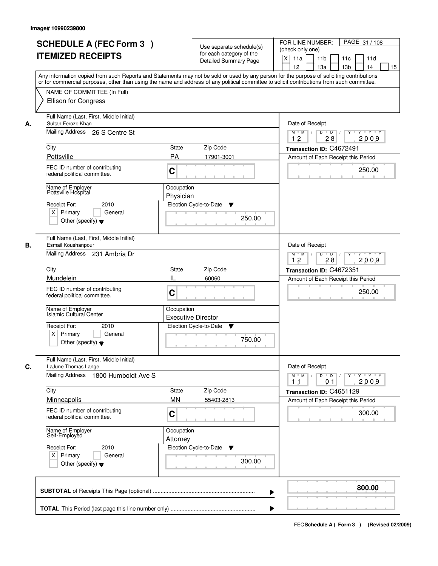|    | <b>SCHEDULE A (FEC Form 3)</b><br><b>ITEMIZED RECEIPTS</b>                                                                        | Use separate schedule(s)<br>for each category of the<br><b>Detailed Summary Page</b>                                                                                                                                                                                                    | PAGE 31 / 108<br>FOR LINE NUMBER:<br>(check only one)<br>X<br>11a<br>11 <sub>b</sub><br>11c<br>11d<br>12<br>13a<br>13 <sub>b</sub><br>14<br>15 |
|----|-----------------------------------------------------------------------------------------------------------------------------------|-----------------------------------------------------------------------------------------------------------------------------------------------------------------------------------------------------------------------------------------------------------------------------------------|------------------------------------------------------------------------------------------------------------------------------------------------|
|    | NAME OF COMMITTEE (In Full)<br>Ellison for Congress                                                                               | Any information copied from such Reports and Statements may not be sold or used by any person for the purpose of soliciting contributions<br>or for commercial purposes, other than using the name and address of any political committee to solicit contributions from such committee. |                                                                                                                                                |
| А. | Full Name (Last, First, Middle Initial)<br>Sultan Feroze Khan<br>Mailing Address 26 S Centre St                                   |                                                                                                                                                                                                                                                                                         | Date of Receipt<br>$\overline{D}$<br>$Y - Y - Y$<br>$M$ $M$ /<br>D<br>2009<br>12<br>28                                                         |
|    | City<br>Pottsville                                                                                                                | State<br>Zip Code<br><b>PA</b><br>17901-3001                                                                                                                                                                                                                                            | Transaction ID: C4672491<br>Amount of Each Receipt this Period                                                                                 |
|    | FEC ID number of contributing<br>federal political committee.                                                                     | C                                                                                                                                                                                                                                                                                       | 250.00                                                                                                                                         |
|    | Name of Employer<br>Pottsville Hospital<br>2010<br>Receipt For:<br>$X$ Primary<br>General<br>Other (specify) $\blacktriangledown$ | Occupation<br>Physician<br>Election Cycle-to-Date<br>v<br>250.00                                                                                                                                                                                                                        |                                                                                                                                                |
| В. | Full Name (Last, First, Middle Initial)<br>Esmail Koushanpour<br>Mailing Address 231 Ambria Dr                                    |                                                                                                                                                                                                                                                                                         | Date of Receipt<br>$D$ $D$ $1$<br>$M$ $M$ /<br>Y<br>$Y + Y + Y$<br>12<br>28<br>2009                                                            |
|    | City<br>Mundelein                                                                                                                 | Zip Code<br>State<br>Ш<br>60060                                                                                                                                                                                                                                                         | Transaction ID: C4672351                                                                                                                       |
|    | FEC ID number of contributing<br>federal political committee.                                                                     | C                                                                                                                                                                                                                                                                                       | Amount of Each Receipt this Period<br>250.00                                                                                                   |
|    | Name of Employer<br>Islamic Cultural Center                                                                                       | Occupation<br><b>Executive Director</b>                                                                                                                                                                                                                                                 |                                                                                                                                                |
|    | Receipt For:<br>2010<br>$X$ Primary<br>General<br>Other (specify) $\blacktriangledown$                                            | Election Cycle-to-Date<br>▼<br>750.00                                                                                                                                                                                                                                                   |                                                                                                                                                |
| C. | Full Name (Last, First, Middle Initial)<br>LaJune Thomas Lange<br>Mailing Address 1800 Humboldt Ave S                             |                                                                                                                                                                                                                                                                                         | Date of Receipt<br>$M$ $M$<br>$D$ $D$ $/$<br>$Y - Y - Y$<br>$Y^+$                                                                              |
|    | City                                                                                                                              | Zip Code<br>State                                                                                                                                                                                                                                                                       | 2009<br>11<br>01<br>Transaction ID: C4651129                                                                                                   |
|    | Minneapolis                                                                                                                       | <b>MN</b><br>55403-2813                                                                                                                                                                                                                                                                 | Amount of Each Receipt this Period                                                                                                             |
|    | FEC ID number of contributing<br>federal political committee.                                                                     | C                                                                                                                                                                                                                                                                                       | 300.00                                                                                                                                         |
|    | Name of Employer<br>Self-Employed                                                                                                 | Occupation<br>Attorney                                                                                                                                                                                                                                                                  |                                                                                                                                                |
|    | Receipt For:<br>2010<br>$X$ Primary<br>General<br>Other (specify) $\blacktriangledown$                                            | Election Cycle-to-Date<br>v<br>300.00                                                                                                                                                                                                                                                   |                                                                                                                                                |
|    |                                                                                                                                   |                                                                                                                                                                                                                                                                                         | 800.00<br>▶                                                                                                                                    |
|    |                                                                                                                                   |                                                                                                                                                                                                                                                                                         |                                                                                                                                                |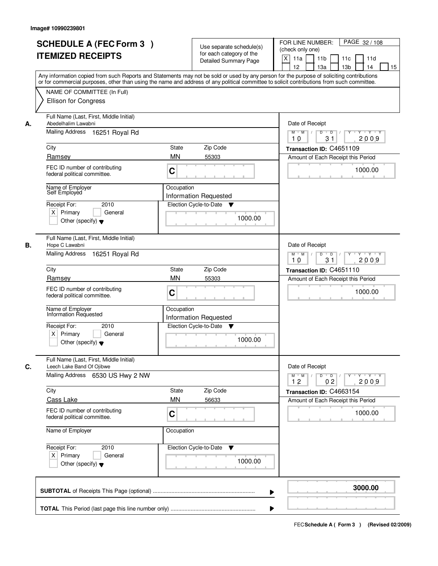|    | <b>SCHEDULE A (FEC Form 3)</b>                                                                                                                                                                                                                                                          | Use separate schedule(s)                        | PAGE 32/108<br>FOR LINE NUMBER:<br>(check only one)                                             |
|----|-----------------------------------------------------------------------------------------------------------------------------------------------------------------------------------------------------------------------------------------------------------------------------------------|-------------------------------------------------|-------------------------------------------------------------------------------------------------|
|    | <b>ITEMIZED RECEIPTS</b>                                                                                                                                                                                                                                                                | for each category of the                        | $\times$                                                                                        |
|    |                                                                                                                                                                                                                                                                                         | <b>Detailed Summary Page</b>                    | 11a<br>11 <sub>b</sub><br>11c<br>11d<br>12<br>13a<br>13 <sub>b</sub><br>14<br>15                |
|    |                                                                                                                                                                                                                                                                                         |                                                 |                                                                                                 |
|    | Any information copied from such Reports and Statements may not be sold or used by any person for the purpose of soliciting contributions<br>or for commercial purposes, other than using the name and address of any political committee to solicit contributions from such committee. |                                                 |                                                                                                 |
|    | NAME OF COMMITTEE (In Full)                                                                                                                                                                                                                                                             |                                                 |                                                                                                 |
|    | <b>Ellison for Congress</b>                                                                                                                                                                                                                                                             |                                                 |                                                                                                 |
|    |                                                                                                                                                                                                                                                                                         |                                                 |                                                                                                 |
|    | Full Name (Last, First, Middle Initial)                                                                                                                                                                                                                                                 |                                                 |                                                                                                 |
| А. | Abedelhalim Lawabni                                                                                                                                                                                                                                                                     | Date of Receipt                                 |                                                                                                 |
|    | Mailing Address 16251 Royal Rd                                                                                                                                                                                                                                                          |                                                 | $Y - Y - Y$<br>$M$ $M$ /<br>D<br>$\overline{D}$                                                 |
|    |                                                                                                                                                                                                                                                                                         |                                                 | 2009<br>31<br>10                                                                                |
|    | City                                                                                                                                                                                                                                                                                    | Zip Code<br><b>State</b>                        | Transaction ID: C4651109                                                                        |
|    | Ramsey                                                                                                                                                                                                                                                                                  | <b>MN</b><br>55303                              | Amount of Each Receipt this Period                                                              |
|    | FEC ID number of contributing                                                                                                                                                                                                                                                           |                                                 | 1000.00                                                                                         |
|    | federal political committee.                                                                                                                                                                                                                                                            | C                                               |                                                                                                 |
|    | Name of Employer                                                                                                                                                                                                                                                                        |                                                 |                                                                                                 |
|    | Self Employed                                                                                                                                                                                                                                                                           | Occupation<br><b>Information Requested</b>      |                                                                                                 |
|    | 2010<br>Receipt For:                                                                                                                                                                                                                                                                    | Election Cycle-to-Date<br>v                     |                                                                                                 |
|    | $X$ Primary<br>General                                                                                                                                                                                                                                                                  |                                                 |                                                                                                 |
|    | Other (specify) $\blacktriangledown$                                                                                                                                                                                                                                                    | 1000.00                                         |                                                                                                 |
|    |                                                                                                                                                                                                                                                                                         |                                                 |                                                                                                 |
|    | Full Name (Last, First, Middle Initial)                                                                                                                                                                                                                                                 |                                                 |                                                                                                 |
| В. | Hope C Lawabni                                                                                                                                                                                                                                                                          |                                                 | Date of Receipt                                                                                 |
|    | <b>Mailing Address</b><br>16251 Royal Rd                                                                                                                                                                                                                                                | $M$ $M$ /<br>D<br>$\overline{D}$<br>$Y + Y + Y$ |                                                                                                 |
|    |                                                                                                                                                                                                                                                                                         |                                                 | 31<br>2009<br>10                                                                                |
|    | City                                                                                                                                                                                                                                                                                    | Zip Code<br><b>State</b>                        | Transaction ID: C4651110                                                                        |
|    | Ramsey                                                                                                                                                                                                                                                                                  | <b>MN</b><br>55303                              | Amount of Each Receipt this Period                                                              |
|    | FEC ID number of contributing                                                                                                                                                                                                                                                           |                                                 | 1000.00                                                                                         |
|    | federal political committee.                                                                                                                                                                                                                                                            | C                                               |                                                                                                 |
|    |                                                                                                                                                                                                                                                                                         | Occupation                                      |                                                                                                 |
|    | Name of Employer<br>Information Requested                                                                                                                                                                                                                                               | <b>Information Requested</b>                    |                                                                                                 |
|    | Receipt For:<br>2010                                                                                                                                                                                                                                                                    | Election Cycle-to-Date<br>▼                     |                                                                                                 |
|    | $X$ Primary<br>General                                                                                                                                                                                                                                                                  |                                                 |                                                                                                 |
|    | Other (specify) $\blacktriangledown$                                                                                                                                                                                                                                                    | 1000.00                                         |                                                                                                 |
|    |                                                                                                                                                                                                                                                                                         |                                                 |                                                                                                 |
|    | Full Name (Last, First, Middle Initial)                                                                                                                                                                                                                                                 |                                                 |                                                                                                 |
| C. | Leech Lake Band Of Ojibwe                                                                                                                                                                                                                                                               |                                                 | Date of Receipt                                                                                 |
|    | Mailing Address 6530 US Hwy 2 NW                                                                                                                                                                                                                                                        |                                                 | $M = M$<br>$D$ $D$ $I$<br>$\mathsf{Y} \dashv \mathsf{Y} \dashv \mathsf{Y}$<br>$Y$ <sup>-1</sup> |
|    |                                                                                                                                                                                                                                                                                         |                                                 | 2009<br>12<br>0 <sub>2</sub>                                                                    |
|    | City                                                                                                                                                                                                                                                                                    | Zip Code<br>State                               | Transaction ID: C4663154                                                                        |
|    | Cass Lake                                                                                                                                                                                                                                                                               | <b>MN</b><br>56633                              | Amount of Each Receipt this Period                                                              |
|    | FEC ID number of contributing                                                                                                                                                                                                                                                           | C                                               | 1000.00                                                                                         |
|    | federal political committee.                                                                                                                                                                                                                                                            |                                                 |                                                                                                 |
|    | Name of Employer                                                                                                                                                                                                                                                                        | Occupation                                      |                                                                                                 |
|    |                                                                                                                                                                                                                                                                                         |                                                 |                                                                                                 |
|    | Receipt For:<br>2010                                                                                                                                                                                                                                                                    | Election Cycle-to-Date<br>v                     |                                                                                                 |
|    | $X$ Primary<br>General                                                                                                                                                                                                                                                                  |                                                 |                                                                                                 |
|    | Other (specify) $\blacktriangledown$                                                                                                                                                                                                                                                    | 1000.00                                         |                                                                                                 |
|    |                                                                                                                                                                                                                                                                                         |                                                 |                                                                                                 |
|    |                                                                                                                                                                                                                                                                                         |                                                 |                                                                                                 |
|    |                                                                                                                                                                                                                                                                                         |                                                 | 3000.00                                                                                         |
|    |                                                                                                                                                                                                                                                                                         |                                                 |                                                                                                 |
|    |                                                                                                                                                                                                                                                                                         |                                                 |                                                                                                 |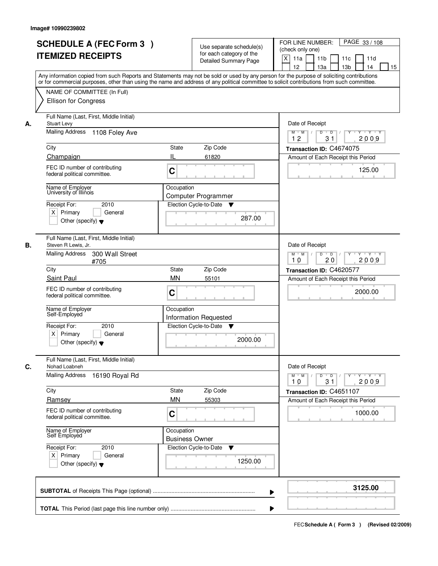|    | <b>SCHEDULE A (FEC Form 3)</b><br><b>ITEMIZED RECEIPTS</b>                                                                           | Use separate schedule(s)<br>for each category of the<br><b>Detailed Summary Page</b><br>Any information copied from such Reports and Statements may not be sold or used by any person for the purpose of soliciting contributions | PAGE 33/108<br>FOR LINE NUMBER:<br>(check only one)<br>X<br>11 <sub>b</sub><br>11a<br>11 <sub>c</sub><br>11d<br>12<br>13 <sub>b</sub><br>14<br>13a<br>15 |
|----|--------------------------------------------------------------------------------------------------------------------------------------|-----------------------------------------------------------------------------------------------------------------------------------------------------------------------------------------------------------------------------------|----------------------------------------------------------------------------------------------------------------------------------------------------------|
|    | NAME OF COMMITTEE (In Full)<br>Ellison for Congress                                                                                  | or for commercial purposes, other than using the name and address of any political committee to solicit contributions from such committee.                                                                                        |                                                                                                                                                          |
| А. | Full Name (Last, First, Middle Initial)<br><b>Stuart Levy</b><br>Mailing Address 1108 Foley Ave<br>City                              | <b>State</b><br>Zip Code                                                                                                                                                                                                          | Date of Receipt<br>$\overline{D}$<br>$Y - Y - Y - Y$<br>$M$ $M$ /<br>D<br>Y<br>12<br>31<br>2009<br>Transaction ID: C4674075                              |
|    | Champaign                                                                                                                            | IL<br>61820                                                                                                                                                                                                                       | Amount of Each Receipt this Period                                                                                                                       |
|    | FEC ID number of contributing<br>federal political committee.                                                                        | C                                                                                                                                                                                                                                 | 125.00                                                                                                                                                   |
|    | Name of Employer<br>University of Illinois<br>2010<br>Receipt For:<br>$X$ Primary<br>General<br>Other (specify) $\blacktriangledown$ | Occupation<br>Computer Programmer<br>Election Cycle-to-Date<br>v<br>287.00                                                                                                                                                        |                                                                                                                                                          |
| В. | Full Name (Last, First, Middle Initial)<br>Steven R Lewis, Jr.<br>Mailing Address<br>300 Wall Street                                 |                                                                                                                                                                                                                                   | Date of Receipt<br>$M$ $M$ /<br>D<br>$\overline{\phantom{0}}$ D<br>$Y + Y + Y$<br>20<br>2009<br>10                                                       |
|    | #705<br>City                                                                                                                         | Zip Code<br>State                                                                                                                                                                                                                 | Transaction ID: C4620577                                                                                                                                 |
|    | Saint Paul                                                                                                                           | <b>MN</b><br>55101                                                                                                                                                                                                                | Amount of Each Receipt this Period                                                                                                                       |
|    | FEC ID number of contributing<br>federal political committee.                                                                        | C                                                                                                                                                                                                                                 | 2000.00                                                                                                                                                  |
|    | Name of Employer<br>Self-Employed                                                                                                    | Occupation<br>Information Requested                                                                                                                                                                                               |                                                                                                                                                          |
|    | 2010<br>Receipt For:<br>$X$ Primary<br>General<br>Other (specify) $\blacktriangledown$                                               | Election Cycle-to-Date<br>▼<br>2000.00                                                                                                                                                                                            |                                                                                                                                                          |
| C. | Full Name (Last, First, Middle Initial)<br>Nohad Loabneh                                                                             |                                                                                                                                                                                                                                   | Date of Receipt                                                                                                                                          |
|    | <b>Mailing Address</b><br>16190 Royal Rd                                                                                             |                                                                                                                                                                                                                                   | $M$ $M$<br>$D$ $D$ $l$<br>y y y y y<br>2009<br>10<br>31                                                                                                  |
|    | City                                                                                                                                 | Zip Code<br>State                                                                                                                                                                                                                 | Transaction ID: C4651107                                                                                                                                 |
|    | Ramsey                                                                                                                               | <b>MN</b><br>55303                                                                                                                                                                                                                | Amount of Each Receipt this Period                                                                                                                       |
|    | FEC ID number of contributing<br>federal political committee.                                                                        | C                                                                                                                                                                                                                                 | 1000.00                                                                                                                                                  |
|    | Name of Employer<br>Self Employed                                                                                                    | Occupation<br><b>Business Owner</b>                                                                                                                                                                                               |                                                                                                                                                          |
|    | Receipt For:<br>2010<br>$X$ Primary<br>General<br>Other (specify) $\blacktriangledown$                                               | Election Cycle-to-Date<br>▼<br>1250.00                                                                                                                                                                                            |                                                                                                                                                          |
|    |                                                                                                                                      |                                                                                                                                                                                                                                   | 3125.00                                                                                                                                                  |
|    |                                                                                                                                      |                                                                                                                                                                                                                                   |                                                                                                                                                          |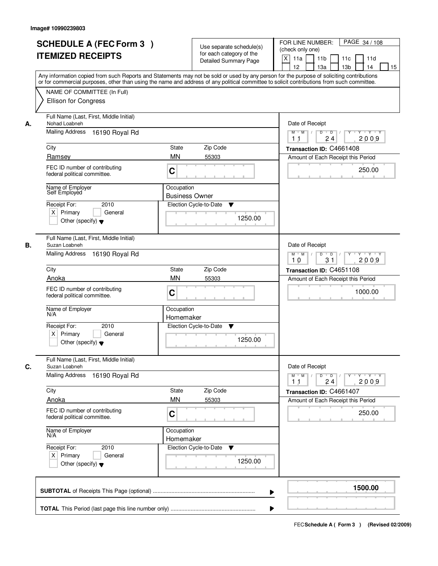|    | <b>SCHEDULE A (FEC Form 3)</b><br><b>ITEMIZED RECEIPTS</b>                                 | Use separate schedule(s)<br>for each category of the<br><b>Detailed Summary Page</b><br>Any information copied from such Reports and Statements may not be sold or used by any person for the purpose of soliciting contributions | PAGE 34 / 108<br>FOR LINE NUMBER:<br>(check only one)<br>X<br>11 <sub>b</sub><br>11a<br>11c<br>11d<br>12<br>13 <sub>b</sub><br>14<br>13a<br>15 |
|----|--------------------------------------------------------------------------------------------|-----------------------------------------------------------------------------------------------------------------------------------------------------------------------------------------------------------------------------------|------------------------------------------------------------------------------------------------------------------------------------------------|
|    | NAME OF COMMITTEE (In Full)<br>Ellison for Congress                                        | or for commercial purposes, other than using the name and address of any political committee to solicit contributions from such committee.                                                                                        |                                                                                                                                                |
| А. | Full Name (Last, First, Middle Initial)<br>Nohad Loabneh<br>Mailing Address 16190 Royal Rd |                                                                                                                                                                                                                                   | Date of Receipt<br>$D$ $D$<br>Y<br>$Y - Y - Y - Y$<br>$M$ $M$ /                                                                                |
|    | City                                                                                       | <b>State</b><br>Zip Code                                                                                                                                                                                                          | 2009<br>24<br>1 <sub>1</sub><br>Transaction ID: C4661408                                                                                       |
|    | Ramsey                                                                                     | <b>MN</b><br>55303                                                                                                                                                                                                                | Amount of Each Receipt this Period                                                                                                             |
|    | FEC ID number of contributing<br>federal political committee.                              | C                                                                                                                                                                                                                                 | 250.00                                                                                                                                         |
|    | Name of Employer<br>Self Employed                                                          | Occupation<br><b>Business Owner</b>                                                                                                                                                                                               |                                                                                                                                                |
|    | 2010<br>Receipt For:<br>$X$ Primary<br>General<br>Other (specify) $\blacktriangledown$     | Election Cycle-to-Date<br>▼<br>1250.00                                                                                                                                                                                            |                                                                                                                                                |
| В. | Full Name (Last, First, Middle Initial)<br>Suzan Loabneh                                   |                                                                                                                                                                                                                                   | Date of Receipt                                                                                                                                |
|    | <b>Mailing Address</b><br>16190 Royal Rd                                                   | $M$ $M$ /<br>D<br>$\overline{\phantom{0}}$ D<br>Y<br>$Y + Y + Y$<br>10<br>31<br>2009                                                                                                                                              |                                                                                                                                                |
|    | City                                                                                       | Zip Code<br>State                                                                                                                                                                                                                 | Transaction ID: C4651108                                                                                                                       |
|    | Anoka                                                                                      | <b>MN</b><br>55303                                                                                                                                                                                                                | Amount of Each Receipt this Period                                                                                                             |
|    | FEC ID number of contributing<br>federal political committee.                              | C                                                                                                                                                                                                                                 | 1000.00                                                                                                                                        |
|    | Name of Employer<br>N/A                                                                    | Occupation<br>Homemaker                                                                                                                                                                                                           |                                                                                                                                                |
|    | Receipt For:<br>2010<br>$X$ Primary<br>General<br>Other (specify) $\blacktriangledown$     | Election Cycle-to-Date<br>▼<br>1250.00                                                                                                                                                                                            |                                                                                                                                                |
| C. | Full Name (Last, First, Middle Initial)<br>Suzan Loabneh                                   |                                                                                                                                                                                                                                   | Date of Receipt                                                                                                                                |
|    | <b>Mailing Address</b><br>16190 Royal Rd                                                   |                                                                                                                                                                                                                                   | $M$ $M$<br>$D$ $D$ $/$<br>$Y^+$<br>$Y + Y + Y$<br>2009<br>24<br>11                                                                             |
|    | City                                                                                       | Zip Code<br>State                                                                                                                                                                                                                 | Transaction ID: C4661407                                                                                                                       |
|    | Anoka<br>FEC ID number of contributing<br>federal political committee.                     | <b>MN</b><br>55303<br>C                                                                                                                                                                                                           | Amount of Each Receipt this Period<br>250.00                                                                                                   |
|    | Name of Employer<br>N/A                                                                    | Occupation<br>Homemaker                                                                                                                                                                                                           |                                                                                                                                                |
|    | Receipt For:<br>2010<br>$X$ Primary<br>General<br>Other (specify) $\blacktriangledown$     | Election Cycle-to-Date<br>v<br>1250.00                                                                                                                                                                                            |                                                                                                                                                |
|    |                                                                                            |                                                                                                                                                                                                                                   | 1500.00                                                                                                                                        |
|    |                                                                                            |                                                                                                                                                                                                                                   |                                                                                                                                                |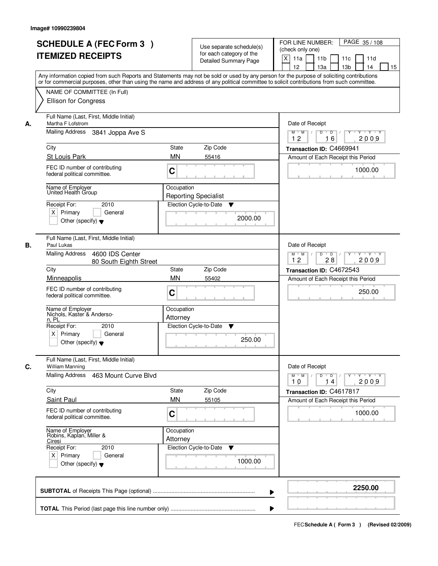|    | <b>SCHEDULE A (FEC Form 3)</b><br><b>ITEMIZED RECEIPTS</b><br>Any information copied from such Reports and Statements may not be sold or used by any person for the purpose of soliciting contributions |                        | Use separate schedule(s)<br>for each category of the<br><b>Detailed Summary Page</b> | PAGE 35/108<br>FOR LINE NUMBER:<br>(check only one)<br>X<br>11 <sub>b</sub><br>11a<br>11 <sub>c</sub><br>11d<br>12<br>13 <sub>b</sub><br>14<br>13a<br>15 |
|----|---------------------------------------------------------------------------------------------------------------------------------------------------------------------------------------------------------|------------------------|--------------------------------------------------------------------------------------|----------------------------------------------------------------------------------------------------------------------------------------------------------|
|    | or for commercial purposes, other than using the name and address of any political committee to solicit contributions from such committee.<br>NAME OF COMMITTEE (In Full)<br>Ellison for Congress       |                        |                                                                                      |                                                                                                                                                          |
| А. | Full Name (Last, First, Middle Initial)<br>Martha F Lofstrom<br>Mailing Address<br>3841 Joppa Ave S                                                                                                     |                        |                                                                                      | Date of Receipt<br>$D$ $D$ $I$<br>Y<br>$Y - Y - Y - Y$<br>$M$ $M$ /<br>2009<br>12<br>16                                                                  |
|    | City                                                                                                                                                                                                    | State                  | Zip Code                                                                             | Transaction ID: C4669941                                                                                                                                 |
|    | St Louis Park                                                                                                                                                                                           | <b>MN</b>              | 55416                                                                                | Amount of Each Receipt this Period                                                                                                                       |
|    | FEC ID number of contributing<br>federal political committee.                                                                                                                                           | C                      |                                                                                      | 1000.00                                                                                                                                                  |
|    | Name of Employer<br>United Health Group                                                                                                                                                                 | Occupation             |                                                                                      |                                                                                                                                                          |
|    | Receipt For:<br>2010<br>$X$ Primary<br>General<br>Other (specify) $\blacktriangledown$                                                                                                                  |                        | <b>Reporting Specialist</b><br>Election Cycle-to-Date<br>▼<br>2000.00                |                                                                                                                                                          |
| В. | Full Name (Last, First, Middle Initial)<br>Paul Lukas                                                                                                                                                   |                        |                                                                                      | Date of Receipt                                                                                                                                          |
|    | Mailing Address<br>4600 IDS Center<br>80 South Eighth Street                                                                                                                                            |                        |                                                                                      | $M$ $M$ /<br>D<br>$\overline{D}$ /<br>$Y + Y + Y$<br>12<br>2009<br>28                                                                                    |
|    | City                                                                                                                                                                                                    | State                  | Zip Code                                                                             | Transaction ID: C4672543                                                                                                                                 |
|    | Minneapolis<br>FEC ID number of contributing<br>federal political committee.                                                                                                                            | <b>MN</b><br>C         | 55402                                                                                | Amount of Each Receipt this Period<br>250.00                                                                                                             |
|    | Name of Employer<br>Nichols, Kaster & Anderso-<br>n. PL                                                                                                                                                 | Occupation<br>Attorney |                                                                                      |                                                                                                                                                          |
|    | Receipt For:<br>2010<br>$X$ Primary<br>General<br>Other (specify) $\blacktriangledown$                                                                                                                  |                        | Election Cycle-to-Date<br>▼<br>250.00                                                |                                                                                                                                                          |
| C. | Full Name (Last, First, Middle Initial)<br><b>William Manning</b>                                                                                                                                       |                        |                                                                                      | Date of Receipt                                                                                                                                          |
|    | Mailing Address<br>463 Mount Curve Blvd                                                                                                                                                                 |                        |                                                                                      | $M$ $M$<br>$D$ $D$ $l$<br><u> EYELYELYEK</u><br>10<br>2009<br>14                                                                                         |
|    | City                                                                                                                                                                                                    | State                  | Zip Code                                                                             | Transaction ID: C4617817                                                                                                                                 |
|    | <b>Saint Paul</b><br>FEC ID number of contributing                                                                                                                                                      | <b>MN</b>              | 55105                                                                                | Amount of Each Receipt this Period                                                                                                                       |
|    | federal political committee.                                                                                                                                                                            | C                      |                                                                                      | 1000.00                                                                                                                                                  |
|    | Name of Employer<br>Robins, Kaplan, Miller &<br>Ciresi<br>Receipt For:<br>2010<br>$X$ Primary<br>General                                                                                                | Occupation<br>Attorney | Election Cycle-to-Date<br>v                                                          |                                                                                                                                                          |
|    | Other (specify) $\blacktriangledown$                                                                                                                                                                    |                        | 1000.00                                                                              |                                                                                                                                                          |
|    |                                                                                                                                                                                                         |                        |                                                                                      | 2250.00                                                                                                                                                  |
|    |                                                                                                                                                                                                         |                        |                                                                                      |                                                                                                                                                          |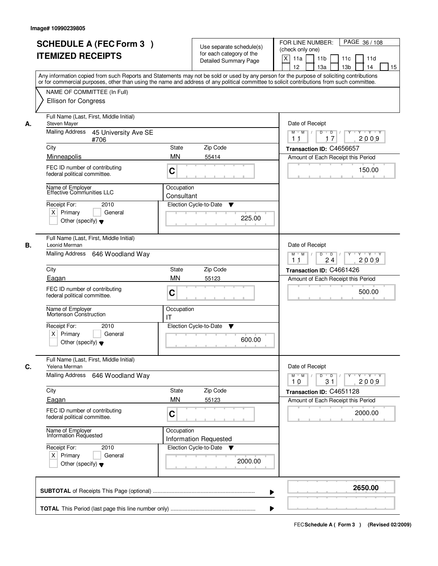|    | <b>SCHEDULE A (FEC Form 3)</b>                                                                                                                                                                                                                                                          |                    | Use separate schedule(s)     | FOR LINE NUMBER:<br>PAGE 36/108<br>(check only one)                           |  |
|----|-----------------------------------------------------------------------------------------------------------------------------------------------------------------------------------------------------------------------------------------------------------------------------------------|--------------------|------------------------------|-------------------------------------------------------------------------------|--|
|    | <b>ITEMIZED RECEIPTS</b>                                                                                                                                                                                                                                                                |                    | for each category of the     | X<br>11a<br>11 <sub>b</sub><br>11c<br>11d                                     |  |
|    |                                                                                                                                                                                                                                                                                         |                    | <b>Detailed Summary Page</b> | 12<br>13a<br>13 <sub>b</sub><br>14<br>15                                      |  |
|    |                                                                                                                                                                                                                                                                                         |                    |                              |                                                                               |  |
|    | Any information copied from such Reports and Statements may not be sold or used by any person for the purpose of soliciting contributions<br>or for commercial purposes, other than using the name and address of any political committee to solicit contributions from such committee. |                    |                              |                                                                               |  |
|    | NAME OF COMMITTEE (In Full)                                                                                                                                                                                                                                                             |                    |                              |                                                                               |  |
|    | Ellison for Congress                                                                                                                                                                                                                                                                    |                    |                              |                                                                               |  |
|    |                                                                                                                                                                                                                                                                                         |                    |                              |                                                                               |  |
|    | Full Name (Last, First, Middle Initial)                                                                                                                                                                                                                                                 |                    |                              |                                                                               |  |
| А. | Steven Mayer                                                                                                                                                                                                                                                                            |                    |                              | Date of Receipt                                                               |  |
|    | Mailing Address<br>45 University Ave SE                                                                                                                                                                                                                                                 |                    |                              | $Y - Y - Y - Y$<br>$M$ $M$ /<br>D<br>$\overline{D}$                           |  |
|    | #706                                                                                                                                                                                                                                                                                    |                    |                              | 2009<br>17<br>11                                                              |  |
|    | City                                                                                                                                                                                                                                                                                    | State              | Zip Code                     | Transaction ID: C4656657                                                      |  |
|    | Minneapolis                                                                                                                                                                                                                                                                             | <b>MN</b><br>55414 |                              | Amount of Each Receipt this Period                                            |  |
|    | FEC ID number of contributing                                                                                                                                                                                                                                                           |                    |                              | 150.00                                                                        |  |
|    | C<br>federal political committee.                                                                                                                                                                                                                                                       |                    |                              |                                                                               |  |
|    |                                                                                                                                                                                                                                                                                         |                    |                              |                                                                               |  |
|    | Occupation<br>Name of Employer<br>Effective Communities LLC<br>Consultant<br>Receipt For:<br>2010<br>Election Cycle-to-Date<br>$X$ Primary<br>General                                                                                                                                   |                    |                              |                                                                               |  |
|    |                                                                                                                                                                                                                                                                                         |                    | ▼                            |                                                                               |  |
|    |                                                                                                                                                                                                                                                                                         |                    |                              |                                                                               |  |
|    | Other (specify) $\blacktriangledown$                                                                                                                                                                                                                                                    |                    | 225.00                       |                                                                               |  |
|    |                                                                                                                                                                                                                                                                                         |                    |                              |                                                                               |  |
|    | Full Name (Last, First, Middle Initial)                                                                                                                                                                                                                                                 |                    |                              |                                                                               |  |
| В. | Leonid Merman<br><b>Mailing Address</b><br>646 Woodland Way<br>City<br>Zip Code<br>State                                                                                                                                                                                                |                    |                              | Date of Receipt                                                               |  |
|    |                                                                                                                                                                                                                                                                                         |                    |                              | D<br>$\overline{D}$ $\overline{I}$<br>$M$ $M$ /<br>Y<br>$Y + Y + Y$           |  |
|    |                                                                                                                                                                                                                                                                                         |                    |                              | 2009<br>1 <sub>1</sub><br>24                                                  |  |
|    |                                                                                                                                                                                                                                                                                         |                    |                              | Transaction ID: C4661426                                                      |  |
|    | Eagan                                                                                                                                                                                                                                                                                   | <b>MN</b>          | 55123                        | Amount of Each Receipt this Period                                            |  |
|    | FEC ID number of contributing                                                                                                                                                                                                                                                           |                    |                              |                                                                               |  |
|    | C<br>federal political committee.                                                                                                                                                                                                                                                       |                    |                              | 500.00                                                                        |  |
|    |                                                                                                                                                                                                                                                                                         |                    |                              |                                                                               |  |
|    | Name of Employer<br>Mortenson Construction                                                                                                                                                                                                                                              | Occupation         |                              |                                                                               |  |
|    |                                                                                                                                                                                                                                                                                         | IT                 |                              |                                                                               |  |
|    | Receipt For:<br>2010<br>$X$ Primary<br>General                                                                                                                                                                                                                                          |                    | Election Cycle-to-Date<br>v  |                                                                               |  |
|    | Other (specify) $\blacktriangledown$                                                                                                                                                                                                                                                    |                    | 600.00                       |                                                                               |  |
|    |                                                                                                                                                                                                                                                                                         |                    |                              |                                                                               |  |
|    |                                                                                                                                                                                                                                                                                         |                    |                              |                                                                               |  |
| C. | Full Name (Last, First, Middle Initial)<br>Yelena Merman                                                                                                                                                                                                                                |                    |                              | Date of Receipt                                                               |  |
|    | Mailing Address<br>646 Woodland Way                                                                                                                                                                                                                                                     |                    |                              | $M$ $M$<br>$D$ $D$ $/$<br>$Y - Y - Y - Y$<br>$Y$ <sup><math>\top</math></sup> |  |
|    |                                                                                                                                                                                                                                                                                         |                    |                              | 2009<br>10<br>31                                                              |  |
|    | Zip Code<br>City<br>State                                                                                                                                                                                                                                                               |                    |                              | Transaction ID: C4651128                                                      |  |
|    | Eagan                                                                                                                                                                                                                                                                                   | <b>MN</b>          | 55123                        | Amount of Each Receipt this Period                                            |  |
|    | FEC ID number of contributing                                                                                                                                                                                                                                                           |                    |                              |                                                                               |  |
|    | federal political committee.                                                                                                                                                                                                                                                            | C                  |                              | 2000.00                                                                       |  |
|    |                                                                                                                                                                                                                                                                                         |                    |                              |                                                                               |  |
|    | Name of Employer<br>Information Requested<br>Occupation<br>Receipt For:<br>2010<br>$X$ Primary<br>General                                                                                                                                                                               |                    |                              |                                                                               |  |
|    |                                                                                                                                                                                                                                                                                         |                    | <b>Information Requested</b> |                                                                               |  |
|    |                                                                                                                                                                                                                                                                                         |                    | Election Cycle-to-Date ▼     |                                                                               |  |
|    |                                                                                                                                                                                                                                                                                         |                    | 2000.00                      |                                                                               |  |
|    | Other (specify) $\blacktriangledown$                                                                                                                                                                                                                                                    |                    |                              |                                                                               |  |
|    |                                                                                                                                                                                                                                                                                         |                    |                              |                                                                               |  |
|    |                                                                                                                                                                                                                                                                                         |                    |                              | 2650.00                                                                       |  |
|    |                                                                                                                                                                                                                                                                                         | ▶                  |                              |                                                                               |  |
|    |                                                                                                                                                                                                                                                                                         |                    |                              |                                                                               |  |
|    |                                                                                                                                                                                                                                                                                         |                    |                              |                                                                               |  |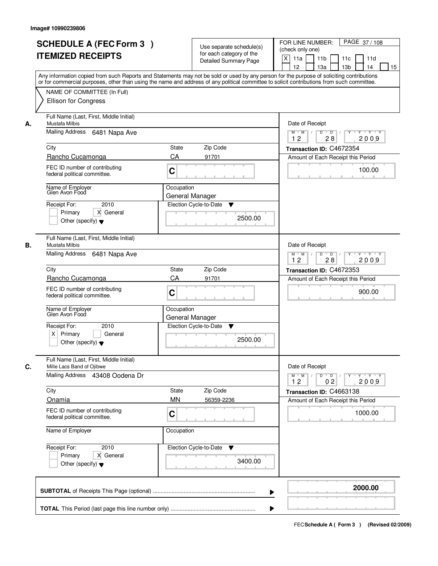|    | <b>SCHEDULE A (FEC Form 3)</b><br><b>ITEMIZED RECEIPTS</b>                                           | Use separate schedule(s)<br>for each category of the<br><b>Detailed Summary Page</b><br>Any information copied from such Reports and Statements may not be sold or used by any person for the purpose of soliciting contributions | PAGE 37/108<br>FOR LINE NUMBER:<br>(check only one)<br>X<br>11 <sub>b</sub><br>11a<br>11 <sub>c</sub><br>11d<br>12<br>13 <sub>b</sub><br>14<br>13a<br>15 |
|----|------------------------------------------------------------------------------------------------------|-----------------------------------------------------------------------------------------------------------------------------------------------------------------------------------------------------------------------------------|----------------------------------------------------------------------------------------------------------------------------------------------------------|
|    | NAME OF COMMITTEE (In Full)<br><b>Ellison for Congress</b>                                           | or for commercial purposes, other than using the name and address of any political committee to solicit contributions from such committee.                                                                                        |                                                                                                                                                          |
| А. | Full Name (Last, First, Middle Initial)<br>Mustafa Milbis<br>Mailing Address 6481 Napa Ave           |                                                                                                                                                                                                                                   | Date of Receipt<br>$D$ $D$<br>Y Y Y Y<br>$M$ $M$ /<br>Y                                                                                                  |
|    |                                                                                                      |                                                                                                                                                                                                                                   | 2009<br>12<br>28                                                                                                                                         |
|    | City                                                                                                 | <b>State</b><br>Zip Code                                                                                                                                                                                                          | Transaction ID: C4672354                                                                                                                                 |
|    | Rancho Cucamonga<br>FEC ID number of contributing<br>federal political committee.                    | CA<br>91701<br>C                                                                                                                                                                                                                  | Amount of Each Receipt this Period<br>100.00                                                                                                             |
|    | Name of Employer<br>Glen Avon Food<br>2010<br>Receipt For:                                           | Occupation<br>General Manager<br>Election Cycle-to-Date<br>▼                                                                                                                                                                      |                                                                                                                                                          |
|    | X General<br>Primary<br>Other (specify) $\blacktriangledown$                                         | 2500.00                                                                                                                                                                                                                           |                                                                                                                                                          |
| В. | Full Name (Last, First, Middle Initial)<br>Mustafa Milbis<br><b>Mailing Address</b><br>6481 Napa Ave |                                                                                                                                                                                                                                   | Date of Receipt<br>$M$ $M$ /<br>D<br>$\overline{D}$<br>$Y + Y + Y$                                                                                       |
|    |                                                                                                      |                                                                                                                                                                                                                                   | 12<br>28<br>2009                                                                                                                                         |
|    | City                                                                                                 | Zip Code<br>State                                                                                                                                                                                                                 | Transaction ID: C4672353                                                                                                                                 |
|    | Rancho Cucamonga<br>FEC ID number of contributing<br>federal political committee.                    | CA<br>91701<br>C                                                                                                                                                                                                                  | Amount of Each Receipt this Period<br>900.00                                                                                                             |
|    | Name of Employer<br>Glen Avon Food                                                                   | Occupation<br>General Manager                                                                                                                                                                                                     |                                                                                                                                                          |
|    | Receipt For:<br>2010<br>$X$ Primary<br>General<br>Other (specify) $\blacktriangledown$               | Election Cycle-to-Date<br>▼<br>2500.00                                                                                                                                                                                            |                                                                                                                                                          |
| C. | Full Name (Last, First, Middle Initial)<br>Mille Lacs Band of Ojibwe                                 |                                                                                                                                                                                                                                   | Date of Receipt                                                                                                                                          |
|    | Mailing Address 43408 Oodena Dr                                                                      |                                                                                                                                                                                                                                   | $M = M$<br>$D$ $D$ $I$<br>Y 'Y 'Y 'Y<br>2009<br>12<br>0 <sub>2</sub>                                                                                     |
|    | City                                                                                                 | Zip Code<br>State                                                                                                                                                                                                                 | Transaction ID: C4663138                                                                                                                                 |
|    | Onamia<br>FEC ID number of contributing<br>federal political committee.                              | <b>MN</b><br>56359-2236<br>C                                                                                                                                                                                                      | Amount of Each Receipt this Period<br>1000.00                                                                                                            |
|    | Name of Employer                                                                                     | Occupation                                                                                                                                                                                                                        |                                                                                                                                                          |
|    | Receipt For:<br>2010<br>Primary<br>X General<br>Other (specify) $\blacktriangledown$                 | Election Cycle-to-Date<br>v<br>3400.00                                                                                                                                                                                            |                                                                                                                                                          |
|    |                                                                                                      |                                                                                                                                                                                                                                   | 2000.00                                                                                                                                                  |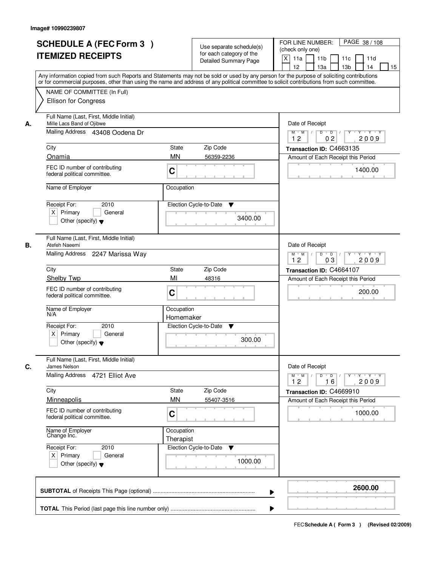| <b>SCHEDULE A (FEC Form 3)</b><br><b>ITEMIZED RECEIPTS</b>                                                    | Use separate schedule(s)<br>for each category of the<br><b>Detailed Summary Page</b><br>Any information copied from such Reports and Statements may not be sold or used by any person for the purpose of soliciting contributions | PAGE 38 / 108<br>FOR LINE NUMBER:<br>(check only one)<br>$\boldsymbol{\mathsf{X}}$<br>11a<br>11 <sub>b</sub><br>11c<br>11d<br>12<br>13 <sub>b</sub><br>14<br>13a<br>15 |
|---------------------------------------------------------------------------------------------------------------|-----------------------------------------------------------------------------------------------------------------------------------------------------------------------------------------------------------------------------------|------------------------------------------------------------------------------------------------------------------------------------------------------------------------|
| NAME OF COMMITTEE (In Full)<br><b>Ellison for Congress</b>                                                    | or for commercial purposes, other than using the name and address of any political committee to solicit contributions from such committee.                                                                                        |                                                                                                                                                                        |
| Full Name (Last, First, Middle Initial)<br>Mille Lacs Band of Ojibwe<br>А.<br>Mailing Address 43408 Oodena Dr |                                                                                                                                                                                                                                   | Date of Receipt<br>$D$ $D$ $I$<br>Y<br>$Y + Y + Y$<br>$M$ $M$ /                                                                                                        |
| City<br>Onamia                                                                                                | <b>State</b><br>Zip Code<br><b>MN</b><br>56359-2236                                                                                                                                                                               | 2009<br>12<br>02<br>Transaction ID: C4663135<br>Amount of Each Receipt this Period                                                                                     |
| FEC ID number of contributing<br>federal political committee.                                                 | C                                                                                                                                                                                                                                 | 1400.00                                                                                                                                                                |
| Name of Employer                                                                                              | Occupation                                                                                                                                                                                                                        |                                                                                                                                                                        |
| Receipt For:<br>2010<br>$X$ Primary<br>General<br>Other (specify) $\blacktriangledown$                        | Election Cycle-to-Date<br>▼<br>3400.00                                                                                                                                                                                            |                                                                                                                                                                        |
| Full Name (Last, First, Middle Initial)<br>В.<br>Atefeh Naeemi<br>Mailing Address 2247 Marissa Way            |                                                                                                                                                                                                                                   | Date of Receipt<br>$M$ $M$ /<br>D<br>$\overline{D}$<br>Y<br>Y Y Y Y<br>12<br>03<br>2009                                                                                |
| City                                                                                                          | Zip Code<br>State                                                                                                                                                                                                                 | Transaction ID: C4664107                                                                                                                                               |
| Shelby Twp<br>FEC ID number of contributing<br>federal political committee.                                   | MI<br>48316<br>C                                                                                                                                                                                                                  | Amount of Each Receipt this Period<br>200.00                                                                                                                           |
| Name of Employer<br>N/A                                                                                       | Occupation<br>Homemaker                                                                                                                                                                                                           |                                                                                                                                                                        |
| Receipt For:<br>2010<br>$X$ Primary<br>General<br>Other (specify) $\blacktriangledown$                        | Election Cycle-to-Date<br>v<br>300.00                                                                                                                                                                                             |                                                                                                                                                                        |
| Full Name (Last, First, Middle Initial)<br>C.<br>James Nelson                                                 |                                                                                                                                                                                                                                   | Date of Receipt                                                                                                                                                        |
| Mailing Address 4721 Elliot Ave                                                                               |                                                                                                                                                                                                                                   | $M$ $M$ /<br>$D$ $D$ $l$<br><b>TY TEY TEY TEY</b><br>2009<br>12<br>16                                                                                                  |
| City<br>Minneapolis                                                                                           | State<br>Zip Code<br><b>MN</b><br>55407-3516                                                                                                                                                                                      | Transaction ID: C4669910<br>Amount of Each Receipt this Period                                                                                                         |
| FEC ID number of contributing<br>federal political committee.                                                 | C                                                                                                                                                                                                                                 | 1000.00                                                                                                                                                                |
| Name of Employer<br>Change Inc.                                                                               | Occupation<br>Therapist                                                                                                                                                                                                           |                                                                                                                                                                        |
| Receipt For:<br>2010<br>$X$ Primary<br>General<br>Other (specify) $\blacktriangledown$                        | Election Cycle-to-Date<br>v<br>1000.00                                                                                                                                                                                            |                                                                                                                                                                        |
|                                                                                                               |                                                                                                                                                                                                                                   | 2600.00                                                                                                                                                                |
|                                                                                                               |                                                                                                                                                                                                                                   |                                                                                                                                                                        |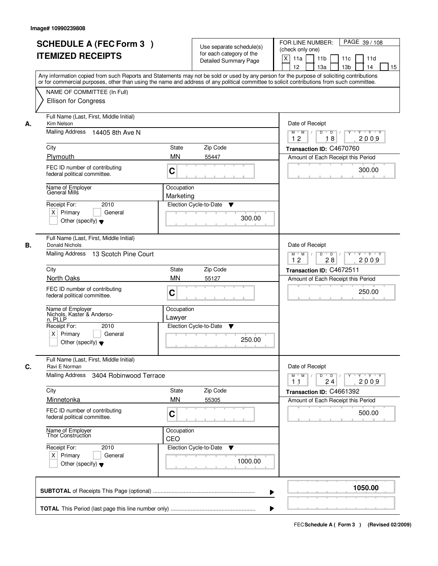|    | <b>SCHEDULE A (FEC Form 3)</b><br><b>ITEMIZED RECEIPTS</b><br>Any information copied from such Reports and Statements may not be sold or used by any person for the purpose of soliciting contributions  |                           | Use separate schedule(s)<br>for each category of the<br><b>Detailed Summary Page</b> | PAGE 39 / 108<br>FOR LINE NUMBER:<br>(check only one)<br>$\boldsymbol{\mathsf{X}}$<br>11a<br>11 <sub>b</sub><br>11c<br>11d<br>12<br>13 <sub>b</sub><br>13a<br>14<br>15 |
|----|----------------------------------------------------------------------------------------------------------------------------------------------------------------------------------------------------------|---------------------------|--------------------------------------------------------------------------------------|------------------------------------------------------------------------------------------------------------------------------------------------------------------------|
|    | or for commercial purposes, other than using the name and address of any political committee to solicit contributions from such committee.<br>NAME OF COMMITTEE (In Full)<br><b>Ellison for Congress</b> |                           |                                                                                      |                                                                                                                                                                        |
| А. | Full Name (Last, First, Middle Initial)<br>Kim Nelson<br>Mailing Address<br>14405 8th Ave N                                                                                                              |                           |                                                                                      | Date of Receipt<br>$M$ $M$<br>$D$ $D$ $/$<br>$\overline{Y}$<br>Y Y Y Y<br>12<br>18<br>2009                                                                             |
|    | City                                                                                                                                                                                                     | State                     | Zip Code                                                                             | Transaction ID: C4670760                                                                                                                                               |
|    | Plymouth                                                                                                                                                                                                 | <b>MN</b>                 | 55447                                                                                | Amount of Each Receipt this Period                                                                                                                                     |
|    | FEC ID number of contributing<br>federal political committee.                                                                                                                                            | C                         |                                                                                      | 300.00                                                                                                                                                                 |
|    | Name of Employer<br>General Mills                                                                                                                                                                        | Occupation<br>Marketing   |                                                                                      |                                                                                                                                                                        |
|    | 2010<br>Receipt For:<br>$X$ Primary<br>General<br>Other (specify) $\blacktriangledown$                                                                                                                   |                           | Election Cycle-to-Date<br>▼<br>300.00                                                |                                                                                                                                                                        |
| В. | Full Name (Last, First, Middle Initial)<br><b>Donald Nichols</b><br>Mailing Address 13 Scotch Pine Court                                                                                                 |                           |                                                                                      | Date of Receipt<br>$Y \vdash Y \vdash Y$<br>$M$ M<br>D<br>$\overline{\phantom{0}}$ D<br>Y                                                                              |
|    |                                                                                                                                                                                                          |                           |                                                                                      | 12<br>28<br>2009                                                                                                                                                       |
|    | City<br>North Oaks                                                                                                                                                                                       | <b>State</b><br><b>MN</b> | Zip Code<br>55127                                                                    | Transaction ID: C4672511<br>Amount of Each Receipt this Period                                                                                                         |
|    | FEC ID number of contributing<br>federal political committee.                                                                                                                                            | C                         |                                                                                      | 250.00                                                                                                                                                                 |
|    | Name of Employer<br>Nichols, Kaster & Anderso-<br>n, PLLP                                                                                                                                                | Occupation<br>Lawyer      |                                                                                      |                                                                                                                                                                        |
|    | Receipt For:<br>2010<br>$X$ Primary<br>General<br>Other (specify) $\blacktriangledown$                                                                                                                   |                           | Election Cycle-to-Date<br>v<br>250.00                                                |                                                                                                                                                                        |
| C. | Full Name (Last, First, Middle Initial)<br>Ravi E Norman                                                                                                                                                 |                           |                                                                                      | Date of Receipt                                                                                                                                                        |
|    | Mailing Address<br>3404 Robinwood Terrace                                                                                                                                                                |                           |                                                                                      | $D$ $D$ $I$<br>$M$ $M$ /<br>$Y + Y + Y$<br>$Y$ <sup><math>\top</math></sup><br>2009<br>11<br>24                                                                        |
|    | City                                                                                                                                                                                                     | State                     | Zip Code                                                                             | Transaction ID: C4661392                                                                                                                                               |
|    | Minnetonka<br>FEC ID number of contributing<br>federal political committee.                                                                                                                              | <b>MN</b><br>C            | 55305                                                                                | Amount of Each Receipt this Period<br>500.00                                                                                                                           |
|    | Name of Employer<br>Thor Construction                                                                                                                                                                    | Occupation<br>CEO         |                                                                                      |                                                                                                                                                                        |
|    | Receipt For:<br>2010<br>$X$ Primary<br>General<br>Other (specify) $\blacktriangledown$                                                                                                                   |                           | Election Cycle-to-Date<br>v<br>1000.00                                               |                                                                                                                                                                        |
|    |                                                                                                                                                                                                          |                           | ▶                                                                                    | 1050.00                                                                                                                                                                |
|    |                                                                                                                                                                                                          |                           |                                                                                      |                                                                                                                                                                        |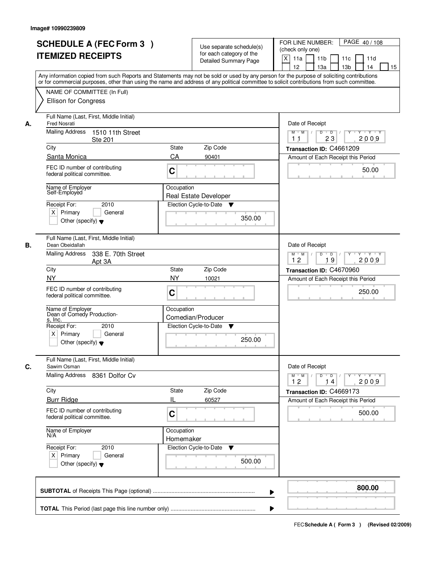|    | <b>SCHEDULE A (FEC Form 3)</b><br><b>ITEMIZED RECEIPTS</b>     | Use separate schedule(s)<br>for each category of the<br><b>Detailed Summary Page</b>                                                                                                                                                                                                    | PAGE 40/108<br>FOR LINE NUMBER:<br>(check only one)<br>X<br>11a<br>11 <sub>b</sub><br>11d<br>11c |
|----|----------------------------------------------------------------|-----------------------------------------------------------------------------------------------------------------------------------------------------------------------------------------------------------------------------------------------------------------------------------------|--------------------------------------------------------------------------------------------------|
|    | NAME OF COMMITTEE (In Full)                                    | Any information copied from such Reports and Statements may not be sold or used by any person for the purpose of soliciting contributions<br>or for commercial purposes, other than using the name and address of any political committee to solicit contributions from such committee. | 12<br>13a<br>13 <sub>b</sub><br>14<br>15                                                         |
|    | <b>Ellison for Congress</b>                                    |                                                                                                                                                                                                                                                                                         |                                                                                                  |
| А. | Full Name (Last, First, Middle Initial)<br><b>Fred Nosrati</b> |                                                                                                                                                                                                                                                                                         | Date of Receipt                                                                                  |
|    | <b>Mailing Address</b><br>1510 11th Street<br><b>Ste 201</b>   |                                                                                                                                                                                                                                                                                         | $M$ $M$ /<br>D<br>$\overline{D}$<br>$T+Y+Y$<br>Y<br>2009<br>23<br>1 <sub>1</sub>                 |
|    | City                                                           | <b>State</b><br>Zip Code                                                                                                                                                                                                                                                                | Transaction ID: C4661209                                                                         |
|    | Santa Monica<br>FEC ID number of contributing                  | CA<br>90401<br>C                                                                                                                                                                                                                                                                        | Amount of Each Receipt this Period<br>50.00                                                      |
|    | federal political committee.                                   |                                                                                                                                                                                                                                                                                         |                                                                                                  |
|    | Name of Employer<br>Self-Employed                              | Occupation<br><b>Real Estate Developer</b>                                                                                                                                                                                                                                              |                                                                                                  |
|    | Receipt For:<br>2010                                           | Election Cycle-to-Date<br>v                                                                                                                                                                                                                                                             |                                                                                                  |
|    | $X$ Primary<br>General<br>Other (specify) $\blacktriangledown$ | 350.00                                                                                                                                                                                                                                                                                  |                                                                                                  |
|    | Full Name (Last, First, Middle Initial)<br>Dean Obeidallah     |                                                                                                                                                                                                                                                                                         | Date of Receipt                                                                                  |
|    | <b>Mailing Address</b><br>338 E. 70th Street<br>Apt 3A         |                                                                                                                                                                                                                                                                                         | $M$ $M$ /<br>D<br>$T$ $Y$ $T$ $Y$<br>D<br>12<br>19<br>2009                                       |
|    | City                                                           | Zip Code<br><b>State</b>                                                                                                                                                                                                                                                                | Transaction ID: C4670960                                                                         |
|    | <b>NY</b>                                                      | <b>NY</b><br>10021                                                                                                                                                                                                                                                                      | Amount of Each Receipt this Period                                                               |
|    | FEC ID number of contributing<br>federal political committee.  | C                                                                                                                                                                                                                                                                                       | 250.00                                                                                           |
|    | Name of Employer<br>Dean of Comedy Production-<br>s, Inc.      | Occupation<br>Comedian/Producer                                                                                                                                                                                                                                                         |                                                                                                  |
|    | Receipt For:<br>2010                                           | Election Cycle-to-Date<br>v                                                                                                                                                                                                                                                             |                                                                                                  |
|    | $X$ Primary<br>General<br>Other (specify) $\blacktriangledown$ | 250.00                                                                                                                                                                                                                                                                                  |                                                                                                  |
|    | Full Name (Last, First, Middle Initial)<br>Sawim Osman         |                                                                                                                                                                                                                                                                                         | Date of Receipt                                                                                  |
|    | Mailing Address<br>8361 Dolfor Cv                              |                                                                                                                                                                                                                                                                                         | $Y - Y - Y - Y$<br>$M$ M<br>$D$ $D$ $/$<br>Y<br>2009<br>12<br>14                                 |
|    | City                                                           | Zip Code<br>State                                                                                                                                                                                                                                                                       | Transaction ID: C4669173                                                                         |
|    | <b>Burr Ridge</b>                                              | Ш<br>60527                                                                                                                                                                                                                                                                              | Amount of Each Receipt this Period                                                               |
|    | FEC ID number of contributing<br>federal political committee.  | C                                                                                                                                                                                                                                                                                       | 500.00                                                                                           |
|    | Name of Employer<br>N/A                                        | Occupation<br>Homemaker                                                                                                                                                                                                                                                                 |                                                                                                  |
|    | Receipt For:<br>2010                                           | Election Cycle-to-Date<br>▼                                                                                                                                                                                                                                                             |                                                                                                  |
|    | $X$ Primary<br>General<br>Other (specify) $\blacktriangledown$ | 500.00                                                                                                                                                                                                                                                                                  |                                                                                                  |
|    |                                                                |                                                                                                                                                                                                                                                                                         | 800.00                                                                                           |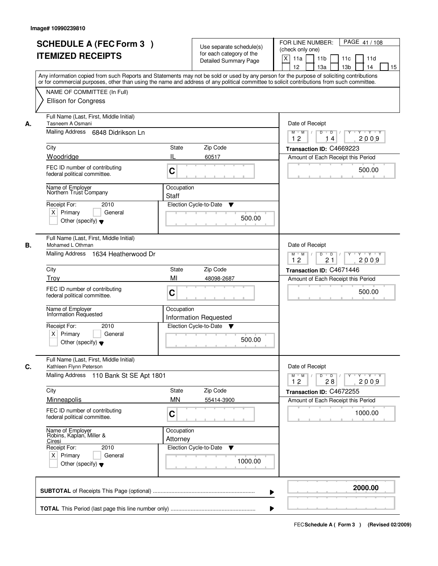| <b>SCHEDULE A (FEC Form 3)</b><br><b>ITEMIZED RECEIPTS</b>                                                                                       | Use separate schedule(s)<br>for each category of the<br><b>Detailed Summary Page</b><br>Any information copied from such Reports and Statements may not be sold or used by any person for the purpose of soliciting contributions | PAGE 41 / 108<br>FOR LINE NUMBER:<br>(check only one)<br>$\boldsymbol{\mathsf{X}}$<br>11 <sub>b</sub><br>11a<br>11 <sub>c</sub><br>11d<br>12<br>13 <sub>b</sub><br>14<br>13a<br>15 |
|--------------------------------------------------------------------------------------------------------------------------------------------------|-----------------------------------------------------------------------------------------------------------------------------------------------------------------------------------------------------------------------------------|------------------------------------------------------------------------------------------------------------------------------------------------------------------------------------|
| NAME OF COMMITTEE (In Full)<br><b>Ellison for Congress</b>                                                                                       | or for commercial purposes, other than using the name and address of any political committee to solicit contributions from such committee.                                                                                        |                                                                                                                                                                                    |
| Full Name (Last, First, Middle Initial)<br>Tasneem A Osmani<br>А.<br>Mailing Address 6848 Didrikson Ln                                           |                                                                                                                                                                                                                                   | Date of Receipt<br>$\overline{D}$ /<br>Y<br>$Y - Y - Y - Y$<br>$M$ $M$ /<br>D<br>2009<br>12<br>14                                                                                  |
| City                                                                                                                                             | <b>State</b><br>Zip Code                                                                                                                                                                                                          | Transaction ID: C4669223                                                                                                                                                           |
| Woodridge                                                                                                                                        | IL<br>60517                                                                                                                                                                                                                       | Amount of Each Receipt this Period                                                                                                                                                 |
| FEC ID number of contributing<br>federal political committee.                                                                                    | C                                                                                                                                                                                                                                 | 500.00                                                                                                                                                                             |
| Name of Employer<br>Northern Trust Company                                                                                                       | Occupation<br>Staff                                                                                                                                                                                                               |                                                                                                                                                                                    |
| Receipt For:<br>2010<br>$X$ Primary<br>General<br>Other (specify) $\blacktriangledown$                                                           | Election Cycle-to-Date<br>▼<br>500.00                                                                                                                                                                                             |                                                                                                                                                                                    |
| Full Name (Last, First, Middle Initial)<br>Mohamed L Othman<br>В.<br>Mailing Address 1634 Heatherwood Dr                                         |                                                                                                                                                                                                                                   | Date of Receipt<br>$M$ $M$ /<br>D<br>$\overline{D}$<br>$Y + Y + Y$                                                                                                                 |
| City                                                                                                                                             | Zip Code<br>State                                                                                                                                                                                                                 | 12<br>21<br>2009<br>Transaction ID: C4671446                                                                                                                                       |
| Trov                                                                                                                                             | MI<br>48098-2687                                                                                                                                                                                                                  | Amount of Each Receipt this Period                                                                                                                                                 |
| FEC ID number of contributing<br>federal political committee.                                                                                    | C                                                                                                                                                                                                                                 | 500.00                                                                                                                                                                             |
| Name of Employer<br>Information Requested                                                                                                        | Occupation<br>Information Requested                                                                                                                                                                                               |                                                                                                                                                                                    |
| Receipt For:<br>2010<br>$X$ Primary<br>General<br>Other (specify) $\blacktriangledown$                                                           | Election Cycle-to-Date<br>▼<br>500.00                                                                                                                                                                                             |                                                                                                                                                                                    |
| Full Name (Last, First, Middle Initial)<br>C.<br>Kathleen Flynn Peterson                                                                         |                                                                                                                                                                                                                                   | Date of Receipt                                                                                                                                                                    |
| Mailing Address<br>110 Bank St SE Apt 1801                                                                                                       |                                                                                                                                                                                                                                   | $M$ $M$<br>$D$ $D$ $/$<br>$Y$ <sup>U</sup><br>$Y + Y + Y$<br>2009<br>12<br>28                                                                                                      |
| City                                                                                                                                             | Zip Code<br>State                                                                                                                                                                                                                 | Transaction ID: C4672255                                                                                                                                                           |
| Minneapolis<br>FEC ID number of contributing<br>federal political committee.                                                                     | <b>MN</b><br>55414-3900<br>C                                                                                                                                                                                                      | Amount of Each Receipt this Period<br>1000.00                                                                                                                                      |
| Name of Employer<br>Robins, Kaplan, Miller &<br>Ciresi<br>Receipt For:<br>2010<br>$X$ Primary<br>General<br>Other (specify) $\blacktriangledown$ | Occupation<br>Attorney<br>Election Cycle-to-Date<br>v<br>1000.00                                                                                                                                                                  |                                                                                                                                                                                    |
|                                                                                                                                                  |                                                                                                                                                                                                                                   | 2000.00                                                                                                                                                                            |
|                                                                                                                                                  |                                                                                                                                                                                                                                   |                                                                                                                                                                                    |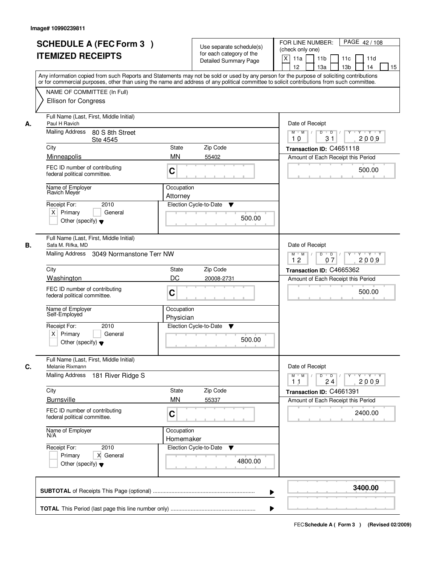| <b>SCHEDULE A (FEC Form 3)</b>                                 | Use separate schedule(s)                                                                                                                                                                                                                                                                | FOR LINE NUMBER:<br>PAGE 42/108<br>(check only one)                                            |
|----------------------------------------------------------------|-----------------------------------------------------------------------------------------------------------------------------------------------------------------------------------------------------------------------------------------------------------------------------------------|------------------------------------------------------------------------------------------------|
| <b>ITEMIZED RECEIPTS</b>                                       | for each category of the                                                                                                                                                                                                                                                                |                                                                                                |
|                                                                | <b>Detailed Summary Page</b>                                                                                                                                                                                                                                                            | $\times$<br>11a<br>11 <sub>b</sub><br>11c<br>11d<br>12<br>14                                   |
|                                                                |                                                                                                                                                                                                                                                                                         | 13a<br>13 <sub>b</sub><br>15                                                                   |
|                                                                | Any information copied from such Reports and Statements may not be sold or used by any person for the purpose of soliciting contributions<br>or for commercial purposes, other than using the name and address of any political committee to solicit contributions from such committee. |                                                                                                |
| NAME OF COMMITTEE (In Full)                                    |                                                                                                                                                                                                                                                                                         |                                                                                                |
| <b>Ellison for Congress</b>                                    |                                                                                                                                                                                                                                                                                         |                                                                                                |
|                                                                |                                                                                                                                                                                                                                                                                         |                                                                                                |
| Full Name (Last, First, Middle Initial)                        |                                                                                                                                                                                                                                                                                         |                                                                                                |
| Paul H Ravich<br>А.                                            |                                                                                                                                                                                                                                                                                         | Date of Receipt                                                                                |
| Mailing Address<br>80 S 8th Street                             |                                                                                                                                                                                                                                                                                         | $M$ $M$ /<br>$Y - Y - Y$<br>D<br>$\overline{D}$<br>Y<br>2009<br>31<br>10                       |
| Ste 4545<br>City                                               | Zip Code<br><b>State</b>                                                                                                                                                                                                                                                                |                                                                                                |
| Minneapolis                                                    | <b>MN</b>                                                                                                                                                                                                                                                                               | Transaction ID: C4651118                                                                       |
|                                                                | 55402                                                                                                                                                                                                                                                                                   | Amount of Each Receipt this Period                                                             |
| FEC ID number of contributing<br>federal political committee.  | $\mathbf C$                                                                                                                                                                                                                                                                             | 500.00                                                                                         |
|                                                                |                                                                                                                                                                                                                                                                                         |                                                                                                |
| Name of Employer                                               | Occupation                                                                                                                                                                                                                                                                              |                                                                                                |
| Ravich Meyer                                                   | Attorney                                                                                                                                                                                                                                                                                |                                                                                                |
| 2010<br>Receipt For:                                           | Election Cycle-to-Date<br>▼                                                                                                                                                                                                                                                             |                                                                                                |
| $X$ Primary<br>General                                         | 500.00                                                                                                                                                                                                                                                                                  |                                                                                                |
| Other (specify) $\blacktriangledown$                           |                                                                                                                                                                                                                                                                                         |                                                                                                |
|                                                                |                                                                                                                                                                                                                                                                                         |                                                                                                |
| Full Name (Last, First, Middle Initial)                        |                                                                                                                                                                                                                                                                                         |                                                                                                |
| В.<br>Safa M. Rifka, MD                                        |                                                                                                                                                                                                                                                                                         | Date of Receipt                                                                                |
| Mailing Address<br>3049 Normanstone Terr NW                    |                                                                                                                                                                                                                                                                                         | $M$ $M$ /<br>D<br>$\overline{D}$<br>$Y + Y + Y$<br>12<br>07<br>2009                            |
| City                                                           | Zip Code<br><b>State</b>                                                                                                                                                                                                                                                                | Transaction ID: C4665362                                                                       |
| Washington                                                     | DC<br>20008-2731                                                                                                                                                                                                                                                                        | Amount of Each Receipt this Period                                                             |
|                                                                |                                                                                                                                                                                                                                                                                         |                                                                                                |
| FEC ID number of contributing<br>federal political committee.  | C                                                                                                                                                                                                                                                                                       | 500.00                                                                                         |
|                                                                |                                                                                                                                                                                                                                                                                         |                                                                                                |
| Name of Employer<br>Self-Employed                              | Occupation                                                                                                                                                                                                                                                                              |                                                                                                |
|                                                                | Physician                                                                                                                                                                                                                                                                               |                                                                                                |
| Receipt For:<br>2010                                           | Election Cycle-to-Date<br>▼                                                                                                                                                                                                                                                             |                                                                                                |
| $X$ Primary<br>General<br>Other (specify) $\blacktriangledown$ | 500.00                                                                                                                                                                                                                                                                                  |                                                                                                |
|                                                                |                                                                                                                                                                                                                                                                                         |                                                                                                |
| Full Name (Last, First, Middle Initial)                        |                                                                                                                                                                                                                                                                                         |                                                                                                |
| C.<br>Melanie Rixmann                                          |                                                                                                                                                                                                                                                                                         | Date of Receipt                                                                                |
| <b>Mailing Address</b><br>181 River Ridge S                    |                                                                                                                                                                                                                                                                                         | $M$ $M$<br>$D$ $D$ $l$<br>$\mathsf{Y} \dashv \mathsf{Y} \dashv \mathsf{Y}$<br>$Y$ <sup>U</sup> |
|                                                                |                                                                                                                                                                                                                                                                                         | 2009<br>24<br>11                                                                               |
| City                                                           | Zip Code<br>State                                                                                                                                                                                                                                                                       | Transaction ID: C4661391                                                                       |
| Burnsville                                                     | <b>MN</b><br>55337                                                                                                                                                                                                                                                                      | Amount of Each Receipt this Period                                                             |
| FEC ID number of contributing                                  | C                                                                                                                                                                                                                                                                                       | 2400.00                                                                                        |
| federal political committee.                                   |                                                                                                                                                                                                                                                                                         |                                                                                                |
| Name of Employer                                               | Occupation                                                                                                                                                                                                                                                                              |                                                                                                |
| N/A                                                            | Homemaker                                                                                                                                                                                                                                                                               |                                                                                                |
| Receipt For:<br>2010                                           | Election Cycle-to-Date<br>v                                                                                                                                                                                                                                                             |                                                                                                |
| Primary<br>X General                                           |                                                                                                                                                                                                                                                                                         |                                                                                                |
| Other (specify) $\blacktriangledown$                           | 4800.00                                                                                                                                                                                                                                                                                 |                                                                                                |
|                                                                |                                                                                                                                                                                                                                                                                         |                                                                                                |
|                                                                |                                                                                                                                                                                                                                                                                         |                                                                                                |
|                                                                |                                                                                                                                                                                                                                                                                         | 3400.00                                                                                        |
|                                                                |                                                                                                                                                                                                                                                                                         |                                                                                                |
|                                                                |                                                                                                                                                                                                                                                                                         |                                                                                                |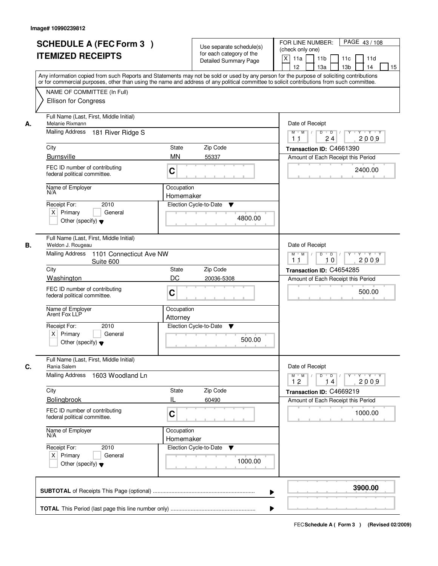| <b>State</b><br>Zip Code<br><b>MN</b><br>55337<br>C<br>Occupation<br>Homemaker<br>Election Cycle-to-Date<br>▼<br>4800.00<br>Zip Code<br>State<br>DC<br>20036-5308<br>C | or for commercial purposes, other than using the name and address of any political committee to solicit contributions from such committee.<br>Date of Receipt<br>$D$ $D$ $/$<br>Y<br>$Y - Y - Y - Y$<br>$M$ $M$ /<br>2009<br>24<br>1 <sub>1</sub><br>Transaction ID: C4661390<br>Amount of Each Receipt this Period<br>2400.00<br>Date of Receipt<br>$M$ $M$ /<br>D<br>$\overline{D}$<br>Y<br>Y Y Y Y<br>2009<br>11<br>10<br>Transaction ID: C4654285<br>Amount of Each Receipt this Period<br>500.00 |
|------------------------------------------------------------------------------------------------------------------------------------------------------------------------|-------------------------------------------------------------------------------------------------------------------------------------------------------------------------------------------------------------------------------------------------------------------------------------------------------------------------------------------------------------------------------------------------------------------------------------------------------------------------------------------------------|
|                                                                                                                                                                        |                                                                                                                                                                                                                                                                                                                                                                                                                                                                                                       |
|                                                                                                                                                                        |                                                                                                                                                                                                                                                                                                                                                                                                                                                                                                       |
|                                                                                                                                                                        |                                                                                                                                                                                                                                                                                                                                                                                                                                                                                                       |
|                                                                                                                                                                        |                                                                                                                                                                                                                                                                                                                                                                                                                                                                                                       |
|                                                                                                                                                                        |                                                                                                                                                                                                                                                                                                                                                                                                                                                                                                       |
|                                                                                                                                                                        |                                                                                                                                                                                                                                                                                                                                                                                                                                                                                                       |
|                                                                                                                                                                        |                                                                                                                                                                                                                                                                                                                                                                                                                                                                                                       |
|                                                                                                                                                                        |                                                                                                                                                                                                                                                                                                                                                                                                                                                                                                       |
|                                                                                                                                                                        |                                                                                                                                                                                                                                                                                                                                                                                                                                                                                                       |
|                                                                                                                                                                        |                                                                                                                                                                                                                                                                                                                                                                                                                                                                                                       |
|                                                                                                                                                                        |                                                                                                                                                                                                                                                                                                                                                                                                                                                                                                       |
|                                                                                                                                                                        |                                                                                                                                                                                                                                                                                                                                                                                                                                                                                                       |
| Occupation<br>Attorney                                                                                                                                                 |                                                                                                                                                                                                                                                                                                                                                                                                                                                                                                       |
| Election Cycle-to-Date<br>▼<br>500.00                                                                                                                                  |                                                                                                                                                                                                                                                                                                                                                                                                                                                                                                       |
|                                                                                                                                                                        | Date of Receipt                                                                                                                                                                                                                                                                                                                                                                                                                                                                                       |
|                                                                                                                                                                        | $M$ $M$<br>$D$ $D$ $l$<br><u> EYELYELYEK</u><br>2009<br>12<br>14                                                                                                                                                                                                                                                                                                                                                                                                                                      |
| Zip Code<br>State                                                                                                                                                      | Transaction ID: C4669219                                                                                                                                                                                                                                                                                                                                                                                                                                                                              |
|                                                                                                                                                                        | Amount of Each Receipt this Period<br>1000.00                                                                                                                                                                                                                                                                                                                                                                                                                                                         |
|                                                                                                                                                                        |                                                                                                                                                                                                                                                                                                                                                                                                                                                                                                       |
| v<br>1000.00                                                                                                                                                           |                                                                                                                                                                                                                                                                                                                                                                                                                                                                                                       |
|                                                                                                                                                                        | 3900.00                                                                                                                                                                                                                                                                                                                                                                                                                                                                                               |
|                                                                                                                                                                        | Ш<br>60490<br>C<br>Occupation<br>Homemaker<br>Election Cycle-to-Date                                                                                                                                                                                                                                                                                                                                                                                                                                  |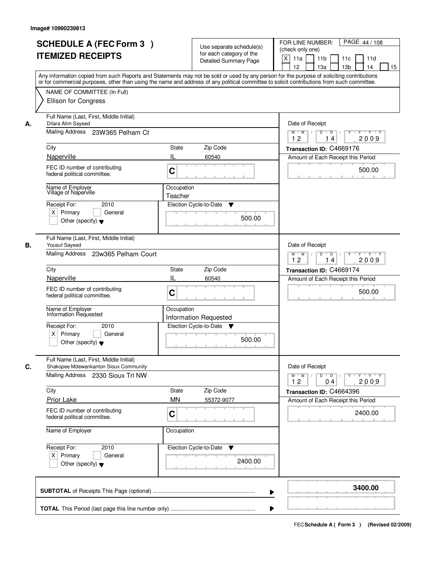|    | <b>SCHEDULE A (FEC Form 3)</b>                                                                                                             |                                                      | PAGE 44 / 108<br>FOR LINE NUMBER:                                                              |
|----|--------------------------------------------------------------------------------------------------------------------------------------------|------------------------------------------------------|------------------------------------------------------------------------------------------------|
|    | <b>ITEMIZED RECEIPTS</b>                                                                                                                   | Use separate schedule(s)<br>for each category of the | (check only one)                                                                               |
|    |                                                                                                                                            | <b>Detailed Summary Page</b>                         | $\times$<br>11a<br>11 <sub>b</sub><br>11c<br>11d                                               |
|    | Any information copied from such Reports and Statements may not be sold or used by any person for the purpose of soliciting contributions  |                                                      | 12<br>13a<br>13 <sub>b</sub><br>14<br>15                                                       |
|    | or for commercial purposes, other than using the name and address of any political committee to solicit contributions from such committee. |                                                      |                                                                                                |
|    | NAME OF COMMITTEE (In Full)                                                                                                                |                                                      |                                                                                                |
|    | <b>Ellison for Congress</b>                                                                                                                |                                                      |                                                                                                |
| А. | Full Name (Last, First, Middle Initial)<br>Dilara Alim Sayeed                                                                              |                                                      | Date of Receipt                                                                                |
|    | Mailing Address 23W365 Pelham Ct                                                                                                           |                                                      | $Y - Y - Y$<br>$M$ $M$ /<br>D<br>$\overline{D}$<br>Y                                           |
|    |                                                                                                                                            |                                                      | 2009<br>12<br>14                                                                               |
|    | City<br>Naperville                                                                                                                         | Zip Code<br><b>State</b><br>IL<br>60540              | Transaction ID: C4669176                                                                       |
|    |                                                                                                                                            |                                                      | Amount of Each Receipt this Period                                                             |
|    | FEC ID number of contributing<br>federal political committee.                                                                              | C                                                    | 500.00                                                                                         |
|    | Name of Employer<br>Village of Naperville                                                                                                  | Occupation                                           |                                                                                                |
|    |                                                                                                                                            | Teacher                                              |                                                                                                |
|    | 2010<br>Receipt For:<br>$X$ Primary<br>General                                                                                             | Election Cycle-to-Date<br>▼                          |                                                                                                |
|    | Other (specify) $\blacktriangledown$                                                                                                       | 500.00                                               |                                                                                                |
|    | Full Name (Last, First, Middle Initial)                                                                                                    |                                                      |                                                                                                |
| В. | <b>Yousuf Sayeed</b>                                                                                                                       |                                                      | Date of Receipt                                                                                |
|    | Mailing Address<br>23w365 Pelham Court                                                                                                     |                                                      | $M$ $M$ /<br>D<br>$\overline{D}$<br>$Y + Y + Y$<br>12<br>2009<br>14                            |
|    | City                                                                                                                                       | Zip Code<br><b>State</b>                             | Transaction ID: C4669174                                                                       |
|    | Naperville                                                                                                                                 | Ш<br>60540                                           | Amount of Each Receipt this Period                                                             |
|    | FEC ID number of contributing<br>federal political committee.                                                                              | C                                                    | 500.00                                                                                         |
|    | Name of Employer<br>Information Requested                                                                                                  | Occupation<br><b>Information Requested</b>           |                                                                                                |
|    | Receipt For:<br>2010                                                                                                                       | Election Cycle-to-Date<br>v                          |                                                                                                |
|    | $X$ Primary<br>General                                                                                                                     |                                                      |                                                                                                |
|    | Other (specify) $\blacktriangledown$                                                                                                       | 500.00                                               |                                                                                                |
| C. | Full Name (Last, First, Middle Initial)<br>Shakopee Mdewankanton Sioux Community                                                           |                                                      | Date of Receipt                                                                                |
|    | Mailing Address 2330 Sioux Trl NW                                                                                                          |                                                      | $M = M$<br>$D$ $D$ $I$<br>$\mathsf{Y} \dashv \mathsf{Y} \dashv \mathsf{Y}$<br>$Y$ <sup>U</sup> |
|    |                                                                                                                                            |                                                      | 2009<br>12<br>04                                                                               |
|    | City<br><b>Prior Lake</b>                                                                                                                  | Zip Code<br>State<br><b>MN</b>                       | Transaction ID: C4664396                                                                       |
|    |                                                                                                                                            | 55372-9077                                           | Amount of Each Receipt this Period                                                             |
|    | FEC ID number of contributing<br>federal political committee.                                                                              | C                                                    | 2400.00                                                                                        |
|    | Name of Employer                                                                                                                           | Occupation                                           |                                                                                                |
|    | Receipt For:<br>2010                                                                                                                       | Election Cycle-to-Date<br>v                          |                                                                                                |
|    | $X$ Primary<br>General                                                                                                                     | 2400.00                                              |                                                                                                |
|    | Other (specify) $\blacktriangledown$                                                                                                       |                                                      |                                                                                                |
|    |                                                                                                                                            |                                                      | 3400.00                                                                                        |
|    |                                                                                                                                            |                                                      |                                                                                                |
|    |                                                                                                                                            |                                                      |                                                                                                |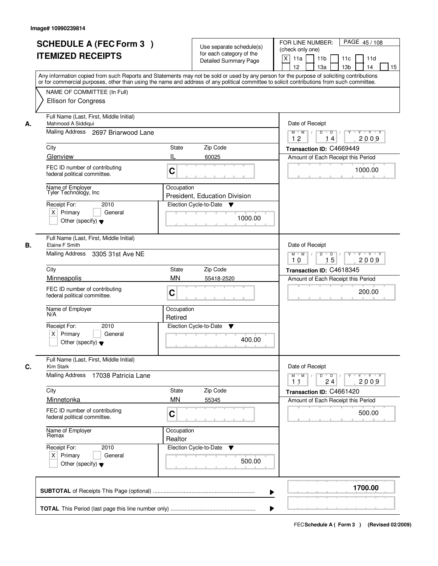|    | <b>SCHEDULE A (FEC Form 3)</b>                                                                                                                                                                                                                                                          |                                             | Use separate schedule(s)     | PAGE 45/108<br>FOR LINE NUMBER:                                                               |
|----|-----------------------------------------------------------------------------------------------------------------------------------------------------------------------------------------------------------------------------------------------------------------------------------------|---------------------------------------------|------------------------------|-----------------------------------------------------------------------------------------------|
|    | <b>ITEMIZED RECEIPTS</b>                                                                                                                                                                                                                                                                |                                             | for each category of the     | (check only one)<br>$\boldsymbol{\mathsf{X}}$<br>11a<br>11 <sub>b</sub>                       |
|    |                                                                                                                                                                                                                                                                                         |                                             | <b>Detailed Summary Page</b> | 11c<br>11d<br>12<br>13a<br>13 <sub>b</sub><br>14<br>15                                        |
|    | Any information copied from such Reports and Statements may not be sold or used by any person for the purpose of soliciting contributions<br>or for commercial purposes, other than using the name and address of any political committee to solicit contributions from such committee. |                                             |                              |                                                                                               |
|    | NAME OF COMMITTEE (In Full)                                                                                                                                                                                                                                                             |                                             |                              |                                                                                               |
|    | <b>Ellison for Congress</b>                                                                                                                                                                                                                                                             |                                             |                              |                                                                                               |
| А. | Full Name (Last, First, Middle Initial)<br>Mahmood A Siddiqui                                                                                                                                                                                                                           |                                             |                              | Date of Receipt                                                                               |
|    | Mailing Address 2697 Briarwood Lane                                                                                                                                                                                                                                                     |                                             |                              | $Y - Y - Y$<br>$M$ $M$ /<br>D<br>$\overline{D}$<br>2009<br>12<br>14                           |
|    | City                                                                                                                                                                                                                                                                                    | <b>State</b><br>Zip Code                    |                              | Transaction ID: C4669449                                                                      |
|    | Glenview                                                                                                                                                                                                                                                                                | IL<br>60025                                 |                              | Amount of Each Receipt this Period                                                            |
|    | FEC ID number of contributing<br>federal political committee.                                                                                                                                                                                                                           | C                                           |                              | 1000.00                                                                                       |
|    | Name of Employer<br>Tyler Technology, Inc.                                                                                                                                                                                                                                              | Occupation<br>President, Education Division |                              |                                                                                               |
|    | Receipt For:<br>2010                                                                                                                                                                                                                                                                    | Election Cycle-to-Date                      | v                            |                                                                                               |
|    | $X$ Primary<br>General                                                                                                                                                                                                                                                                  |                                             |                              |                                                                                               |
|    | Other (specify) $\blacktriangledown$                                                                                                                                                                                                                                                    |                                             | 1000.00                      |                                                                                               |
| В. | Full Name (Last, First, Middle Initial)<br>Elaine F Smith                                                                                                                                                                                                                               |                                             |                              | Date of Receipt                                                                               |
|    | Mailing Address<br>3305 31st Ave NE                                                                                                                                                                                                                                                     |                                             |                              | $D$ $D$ $1$<br>$M$ $M$ /<br>Y<br>$Y + Y + Y$<br>15<br>2009<br>10                              |
|    | City                                                                                                                                                                                                                                                                                    | Zip Code<br>State                           |                              | Transaction ID: C4618345                                                                      |
|    | Minneapolis                                                                                                                                                                                                                                                                             | <b>MN</b><br>55418-2520                     |                              | Amount of Each Receipt this Period                                                            |
|    | FEC ID number of contributing<br>federal political committee.                                                                                                                                                                                                                           | C                                           |                              | 200.00                                                                                        |
|    | Name of Employer<br>N/A                                                                                                                                                                                                                                                                 | Occupation<br>Retired                       |                              |                                                                                               |
|    | Receipt For:<br>2010                                                                                                                                                                                                                                                                    | Election Cycle-to-Date                      | v                            |                                                                                               |
|    | $X$ Primary<br>General<br>Other (specify) $\blacktriangledown$                                                                                                                                                                                                                          |                                             | 400.00                       |                                                                                               |
| C. | Full Name (Last, First, Middle Initial)<br>Kim Stark                                                                                                                                                                                                                                    |                                             |                              | Date of Receipt                                                                               |
|    | Mailing Address 17038 Patricia Lane                                                                                                                                                                                                                                                     |                                             |                              | $M$ $M$<br>$D$ $D$ $l$<br>$Y - Y - Y$<br>$Y$ <sup><math>\top</math></sup><br>2009<br>24<br>11 |
|    | City                                                                                                                                                                                                                                                                                    | Zip Code<br>State                           |                              | Transaction ID: C4661420                                                                      |
|    | Minnetonka                                                                                                                                                                                                                                                                              | <b>MN</b><br>55345                          |                              | Amount of Each Receipt this Period                                                            |
|    | FEC ID number of contributing<br>federal political committee.                                                                                                                                                                                                                           | C                                           |                              | 500.00                                                                                        |
|    | Name of Employer<br>Remax                                                                                                                                                                                                                                                               | Occupation<br>Realtor                       |                              |                                                                                               |
|    | Receipt For:<br>2010                                                                                                                                                                                                                                                                    | Election Cycle-to-Date                      | v                            |                                                                                               |
|    | $X$ Primary<br>General                                                                                                                                                                                                                                                                  |                                             | 500.00                       |                                                                                               |
|    | Other (specify) $\blacktriangledown$                                                                                                                                                                                                                                                    |                                             |                              |                                                                                               |
|    |                                                                                                                                                                                                                                                                                         |                                             | ▶                            | 1700.00                                                                                       |
|    |                                                                                                                                                                                                                                                                                         |                                             |                              |                                                                                               |
|    |                                                                                                                                                                                                                                                                                         |                                             |                              |                                                                                               |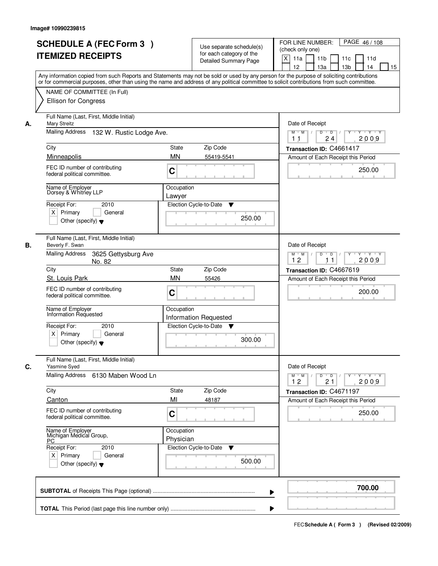| <b>SCHEDULE A (FEC Form 3)</b><br><b>ITEMIZED RECEIPTS</b>                                                | Use separate schedule(s)<br>for each category of the<br><b>Detailed Summary Page</b><br>Any information copied from such Reports and Statements may not be sold or used by any person for the purpose of soliciting contributions | PAGE 46/108<br>FOR LINE NUMBER:<br>(check only one)<br>X<br>11 <sub>b</sub><br>11a<br>11 <sub>c</sub><br>11d<br>12<br>13 <sub>b</sub><br>14<br>13a<br>15 |
|-----------------------------------------------------------------------------------------------------------|-----------------------------------------------------------------------------------------------------------------------------------------------------------------------------------------------------------------------------------|----------------------------------------------------------------------------------------------------------------------------------------------------------|
| NAME OF COMMITTEE (In Full)<br><b>Ellison for Congress</b>                                                | or for commercial purposes, other than using the name and address of any political committee to solicit contributions from such committee.                                                                                        |                                                                                                                                                          |
| Full Name (Last, First, Middle Initial)<br>Mary Streitz<br>А.<br>Mailing Address 132 W. Rustic Lodge Ave. |                                                                                                                                                                                                                                   | Date of Receipt<br>$D$ $D$<br>Y<br>Y TY Y Y<br>$M$ $M$ /<br>24<br>2009<br>1 <sub>1</sub>                                                                 |
| City                                                                                                      | <b>State</b><br>Zip Code                                                                                                                                                                                                          | Transaction ID: C4661417                                                                                                                                 |
| Minneapolis                                                                                               | <b>MN</b><br>55419-5541                                                                                                                                                                                                           | Amount of Each Receipt this Period                                                                                                                       |
| FEC ID number of contributing<br>federal political committee.                                             | C                                                                                                                                                                                                                                 | 250.00                                                                                                                                                   |
| Name of Employer<br>Dorsey & Whitney LLP                                                                  | Occupation<br>Lawyer                                                                                                                                                                                                              |                                                                                                                                                          |
| Receipt For:<br>2010<br>$X$ Primary<br>General<br>Other (specify) $\blacktriangledown$                    | Election Cycle-to-Date<br>▼<br>250.00                                                                                                                                                                                             |                                                                                                                                                          |
| Full Name (Last, First, Middle Initial)<br>Beverly F. Swan<br>В.                                          |                                                                                                                                                                                                                                   | Date of Receipt                                                                                                                                          |
| <b>Mailing Address</b><br>3625 Gettysburg Ave<br>No. 82                                                   |                                                                                                                                                                                                                                   | $M$ $M$ /<br>D<br>$\overline{D}$<br>$Y + Y + Y$<br>12<br>2009<br>11                                                                                      |
| City<br>St. Louis Park                                                                                    | Zip Code<br>State<br><b>MN</b><br>55426                                                                                                                                                                                           | Transaction ID: C4667619<br>Amount of Each Receipt this Period                                                                                           |
| FEC ID number of contributing<br>federal political committee.                                             | C                                                                                                                                                                                                                                 | 200.00                                                                                                                                                   |
| Name of Employer<br>Information Requested                                                                 | Occupation<br>Information Requested                                                                                                                                                                                               |                                                                                                                                                          |
| Receipt For:<br>2010<br>$X$ Primary<br>General<br>Other (specify) $\blacktriangledown$                    | Election Cycle-to-Date<br>▼<br>300.00                                                                                                                                                                                             |                                                                                                                                                          |
| Full Name (Last, First, Middle Initial)<br>C.<br>Yasmine Syed                                             |                                                                                                                                                                                                                                   | Date of Receipt                                                                                                                                          |
| Mailing Address<br>6130 Maben Wood Ln                                                                     |                                                                                                                                                                                                                                   | $M$ $M$<br>$D$ $D$ $/$<br>$Y$ <sup>U</sup><br>Y 'Y 'Y<br>2009<br>12<br>21                                                                                |
| City<br>Canton                                                                                            | Zip Code<br>State<br>MI<br>48187                                                                                                                                                                                                  | Transaction ID: C4671197<br>Amount of Each Receipt this Period                                                                                           |
| FEC ID number of contributing<br>federal political committee.                                             | C                                                                                                                                                                                                                                 | 250.00                                                                                                                                                   |
| Name of Employer<br>Michigan Medical Group,<br><b>PC</b>                                                  | Occupation<br>Physician                                                                                                                                                                                                           |                                                                                                                                                          |
| Receipt For:<br>2010<br>$X$ Primary<br>General<br>Other (specify) $\blacktriangledown$                    | Election Cycle-to-Date<br>v<br>500.00                                                                                                                                                                                             |                                                                                                                                                          |
|                                                                                                           |                                                                                                                                                                                                                                   | 700.00                                                                                                                                                   |
|                                                                                                           |                                                                                                                                                                                                                                   |                                                                                                                                                          |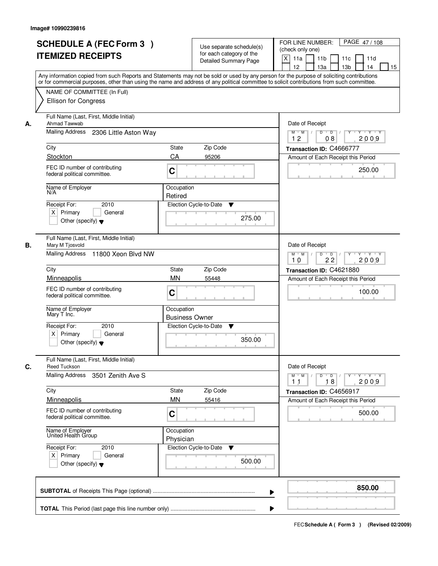| <b>SCHEDULE A (FEC Form 3)</b><br><b>ITEMIZED RECEIPTS</b>           | Use separate schedule(s)<br>for each category of the<br><b>Detailed Summary Page</b>                                                                                                                                                                                                    | FOR LINE NUMBER:<br>PAGE 47/108<br>(check only one)<br>$\boldsymbol{\mathsf{X}}$<br>11a<br>11 <sub>b</sub><br>11c<br>11d |
|----------------------------------------------------------------------|-----------------------------------------------------------------------------------------------------------------------------------------------------------------------------------------------------------------------------------------------------------------------------------------|--------------------------------------------------------------------------------------------------------------------------|
|                                                                      | Any information copied from such Reports and Statements may not be sold or used by any person for the purpose of soliciting contributions<br>or for commercial purposes, other than using the name and address of any political committee to solicit contributions from such committee. | 12<br>13a<br>13 <sub>b</sub><br>14<br>15                                                                                 |
| NAME OF COMMITTEE (In Full)<br><b>Ellison for Congress</b>           |                                                                                                                                                                                                                                                                                         |                                                                                                                          |
| Full Name (Last, First, Middle Initial)<br>Ahmad Tawwab<br>А.        |                                                                                                                                                                                                                                                                                         | Date of Receipt                                                                                                          |
| Mailing Address<br>2306 Little Aston Way                             |                                                                                                                                                                                                                                                                                         | $\overline{D}$<br>$Y - Y - Y$<br>$M$ $M$ /<br>D<br>Y<br>2009<br>12<br>08                                                 |
| City                                                                 | <b>State</b><br>Zip Code                                                                                                                                                                                                                                                                | Transaction ID: C4666777                                                                                                 |
| Stockton                                                             | CA<br>95206                                                                                                                                                                                                                                                                             | Amount of Each Receipt this Period                                                                                       |
| FEC ID number of contributing<br>federal political committee.        | C                                                                                                                                                                                                                                                                                       | 250.00                                                                                                                   |
| Name of Employer<br>N/A                                              | Occupation<br>Retired                                                                                                                                                                                                                                                                   |                                                                                                                          |
| 2010<br>Receipt For:                                                 | Election Cycle-to-Date<br>▼                                                                                                                                                                                                                                                             |                                                                                                                          |
| $X$ Primary<br>General<br>Other (specify) $\blacktriangledown$       | 275.00                                                                                                                                                                                                                                                                                  |                                                                                                                          |
| Full Name (Last, First, Middle Initial)<br>В.<br>Mary M Tjosvold     |                                                                                                                                                                                                                                                                                         | Date of Receipt                                                                                                          |
| Mailing Address<br>11800 Xeon Blvd NW                                |                                                                                                                                                                                                                                                                                         | D<br>$M$ $M$ /<br>$\overline{D}$<br>Y<br>$Y + Y + Y$<br>22<br>2009<br>10                                                 |
| City                                                                 | Zip Code<br>State                                                                                                                                                                                                                                                                       | Transaction ID: C4621880                                                                                                 |
| Minneapolis                                                          | <b>MN</b><br>55448                                                                                                                                                                                                                                                                      | Amount of Each Receipt this Period                                                                                       |
| FEC ID number of contributing<br>federal political committee.        | C                                                                                                                                                                                                                                                                                       | 100.00                                                                                                                   |
| Name of Employer<br>Mary T Inc.                                      | Occupation<br><b>Business Owner</b>                                                                                                                                                                                                                                                     |                                                                                                                          |
| Receipt For:<br>2010                                                 | Election Cycle-to-Date<br>V                                                                                                                                                                                                                                                             |                                                                                                                          |
| $X$ Primary<br>General<br>Other (specify) $\blacktriangledown$       | 350.00                                                                                                                                                                                                                                                                                  |                                                                                                                          |
| Full Name (Last, First, Middle Initial)<br>C.<br><b>Reed Tuckson</b> |                                                                                                                                                                                                                                                                                         | Date of Receipt                                                                                                          |
| Mailing Address<br>3501 Zenith Ave S                                 |                                                                                                                                                                                                                                                                                         | $D$ $D$ $I$<br>$M$ $M$<br>$Y \rightarrow Y \rightarrow Y$<br>$Y$ <sup>-1</sup><br>2009<br>11<br>18                       |
| City                                                                 | Zip Code<br>State                                                                                                                                                                                                                                                                       | Transaction ID: C4656917                                                                                                 |
| Minneapolis                                                          | <b>MN</b><br>55416                                                                                                                                                                                                                                                                      | Amount of Each Receipt this Period                                                                                       |
| FEC ID number of contributing<br>federal political committee.        | C                                                                                                                                                                                                                                                                                       | 500.00                                                                                                                   |
| Name of Employer<br>United Health Group                              | Occupation<br>Physician                                                                                                                                                                                                                                                                 |                                                                                                                          |
| Receipt For:<br>2010                                                 | Election Cycle-to-Date<br>v                                                                                                                                                                                                                                                             |                                                                                                                          |
| $X$ Primary<br>General<br>Other (specify) $\blacktriangledown$       | 500.00                                                                                                                                                                                                                                                                                  |                                                                                                                          |
|                                                                      | ▶                                                                                                                                                                                                                                                                                       | 850.00                                                                                                                   |
|                                                                      |                                                                                                                                                                                                                                                                                         |                                                                                                                          |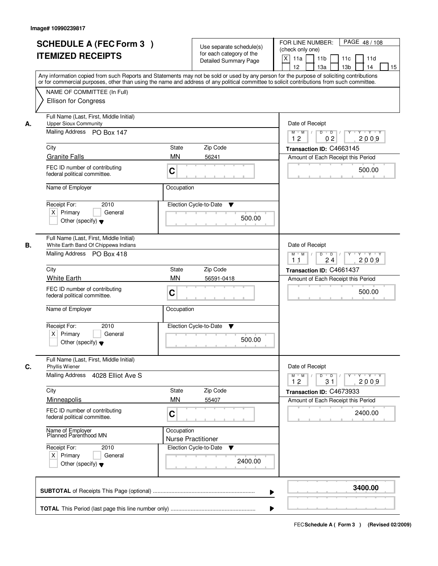|    | <b>SCHEDULE A (FEC Form 3)</b><br><b>ITEMIZED RECEIPTS</b>                                                    | Use separate schedule(s)<br>for each category of the<br><b>Detailed Summary Page</b><br>Any information copied from such Reports and Statements may not be sold or used by any person for the purpose of soliciting contributions | FOR LINE NUMBER:<br>PAGE 48/108<br>(check only one)<br>$\boldsymbol{\mathsf{X}}$<br>11a<br>11 <sub>b</sub><br>11c<br>11d<br>12<br>13a<br>13 <sub>b</sub><br>14<br>15 |
|----|---------------------------------------------------------------------------------------------------------------|-----------------------------------------------------------------------------------------------------------------------------------------------------------------------------------------------------------------------------------|----------------------------------------------------------------------------------------------------------------------------------------------------------------------|
|    | NAME OF COMMITTEE (In Full)<br><b>Ellison for Congress</b>                                                    | or for commercial purposes, other than using the name and address of any political committee to solicit contributions from such committee.                                                                                        |                                                                                                                                                                      |
| А. | Full Name (Last, First, Middle Initial)<br><b>Upper Sioux Community</b><br>Mailing Address PO Box 147         |                                                                                                                                                                                                                                   | Date of Receipt<br>$\overline{D}$<br>Y Y Y Y<br>$M$ $M$ /<br>D<br>Y<br>2009<br>12<br>0 <sub>2</sub>                                                                  |
|    | City<br><b>Granite Falls</b>                                                                                  | Zip Code<br>State<br><b>MN</b><br>56241                                                                                                                                                                                           | Transaction ID: C4663145<br>Amount of Each Receipt this Period                                                                                                       |
|    | FEC ID number of contributing<br>federal political committee.                                                 | C                                                                                                                                                                                                                                 | 500.00                                                                                                                                                               |
|    | Name of Employer                                                                                              | Occupation                                                                                                                                                                                                                        |                                                                                                                                                                      |
|    | Receipt For:<br>2010<br>$X$ Primary<br>General<br>Other (specify) $\blacktriangledown$                        | Election Cycle-to-Date<br>▼<br>500.00                                                                                                                                                                                             |                                                                                                                                                                      |
| В. | Full Name (Last, First, Middle Initial)<br>White Earth Band Of Chippewa Indians<br>Mailing Address PO Box 418 |                                                                                                                                                                                                                                   | Date of Receipt<br>$D$ $D$ $1$<br>$M$ $M$ /<br>Y<br>$Y + Y + Y$<br>2009<br>1 <sub>1</sub><br>24                                                                      |
|    | City                                                                                                          | Zip Code<br>State                                                                                                                                                                                                                 | Transaction ID: C4661437                                                                                                                                             |
|    | <b>White Earth</b><br>FEC ID number of contributing<br>federal political committee.                           | <b>MN</b><br>56591-0418<br>C                                                                                                                                                                                                      | Amount of Each Receipt this Period<br>500.00                                                                                                                         |
|    | Name of Employer                                                                                              | Occupation                                                                                                                                                                                                                        |                                                                                                                                                                      |
|    | Receipt For:<br>2010<br>$X$ Primary<br>General<br>Other (specify) $\blacktriangledown$                        | Election Cycle-to-Date<br>v<br>500.00                                                                                                                                                                                             |                                                                                                                                                                      |
| C. | Full Name (Last, First, Middle Initial)<br><b>Phyllis Wiener</b>                                              |                                                                                                                                                                                                                                   | Date of Receipt                                                                                                                                                      |
|    | Mailing Address<br>4028 Elliot Ave S                                                                          |                                                                                                                                                                                                                                   | $M^+$ M<br>$D$ $D$ $l$<br>$Y - Y - Y - Y$<br>$\frac{1}{2}$<br>$Y$ <sup><math>\top</math></sup><br>12<br>2009<br>31                                                   |
|    | City                                                                                                          | Zip Code<br>State                                                                                                                                                                                                                 | Transaction ID: C4673933                                                                                                                                             |
|    | Minneapolis<br>FEC ID number of contributing<br>federal political committee.                                  | <b>MN</b><br>55407<br>C                                                                                                                                                                                                           | Amount of Each Receipt this Period<br>2400.00                                                                                                                        |
|    | Name of Employer<br>Planned Parenthood MN                                                                     | Occupation<br><b>Nurse Practitioner</b>                                                                                                                                                                                           |                                                                                                                                                                      |
|    | Receipt For:<br>2010<br>$X$ Primary<br>General<br>Other (specify) $\blacktriangledown$                        | Election Cycle-to-Date<br>v<br>2400.00                                                                                                                                                                                            |                                                                                                                                                                      |
|    |                                                                                                               | ▶                                                                                                                                                                                                                                 | 3400.00                                                                                                                                                              |
|    |                                                                                                               |                                                                                                                                                                                                                                   |                                                                                                                                                                      |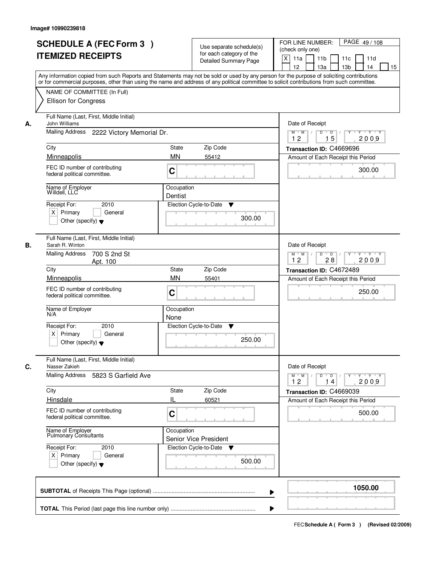|    | <b>SCHEDULE A (FEC Form 3)</b>                                                                                                                                                                                                                                                          |                                                                   | Use separate schedule(s)     | FOR LINE NUMBER:<br>PAGE 49/108                                                                  |
|----|-----------------------------------------------------------------------------------------------------------------------------------------------------------------------------------------------------------------------------------------------------------------------------------------|-------------------------------------------------------------------|------------------------------|--------------------------------------------------------------------------------------------------|
|    | <b>ITEMIZED RECEIPTS</b>                                                                                                                                                                                                                                                                |                                                                   | for each category of the     | (check only one)                                                                                 |
|    |                                                                                                                                                                                                                                                                                         |                                                                   | <b>Detailed Summary Page</b> | $\boldsymbol{\mathsf{X}}$<br>11a<br>11 <sub>b</sub><br>11c<br>11d                                |
|    |                                                                                                                                                                                                                                                                                         |                                                                   |                              | 12<br>13a<br>13 <sub>b</sub><br>14<br>15                                                         |
|    | Any information copied from such Reports and Statements may not be sold or used by any person for the purpose of soliciting contributions<br>or for commercial purposes, other than using the name and address of any political committee to solicit contributions from such committee. |                                                                   |                              |                                                                                                  |
|    |                                                                                                                                                                                                                                                                                         |                                                                   |                              |                                                                                                  |
|    | NAME OF COMMITTEE (In Full)                                                                                                                                                                                                                                                             |                                                                   |                              |                                                                                                  |
|    | <b>Ellison for Congress</b>                                                                                                                                                                                                                                                             |                                                                   |                              |                                                                                                  |
|    | Full Name (Last, First, Middle Initial)                                                                                                                                                                                                                                                 |                                                                   |                              |                                                                                                  |
| А. | John Williams                                                                                                                                                                                                                                                                           |                                                                   |                              | Date of Receipt                                                                                  |
|    | Mailing Address 2222 Victory Memorial Dr.                                                                                                                                                                                                                                               | $\overline{D}$<br>$Y - Y - Y - Y$<br>$M$ $M$ /<br>D<br>15<br>2009 |                              |                                                                                                  |
|    |                                                                                                                                                                                                                                                                                         |                                                                   |                              | 12                                                                                               |
|    | City                                                                                                                                                                                                                                                                                    | Zip Code<br>State                                                 |                              | Transaction ID: C4669696                                                                         |
|    | Minneapolis                                                                                                                                                                                                                                                                             | <b>MN</b><br>55412                                                |                              | Amount of Each Receipt this Period                                                               |
|    | FEC ID number of contributing                                                                                                                                                                                                                                                           | C                                                                 |                              | 300.00                                                                                           |
|    | federal political committee.                                                                                                                                                                                                                                                            |                                                                   |                              |                                                                                                  |
|    | Name of Employer<br>Willdell, LLC                                                                                                                                                                                                                                                       | Occupation                                                        |                              |                                                                                                  |
|    |                                                                                                                                                                                                                                                                                         | Dentist                                                           |                              |                                                                                                  |
|    | 2010<br>Receipt For:                                                                                                                                                                                                                                                                    | Election Cycle-to-Date                                            | ▼                            |                                                                                                  |
|    | $X$ Primary<br>General                                                                                                                                                                                                                                                                  |                                                                   | 300.00                       |                                                                                                  |
|    | Other (specify) $\blacktriangledown$                                                                                                                                                                                                                                                    |                                                                   |                              |                                                                                                  |
|    |                                                                                                                                                                                                                                                                                         |                                                                   |                              |                                                                                                  |
| В. | Full Name (Last, First, Middle Initial)<br>Sarah R. Winton                                                                                                                                                                                                                              |                                                                   |                              | Date of Receipt                                                                                  |
|    | <b>Mailing Address</b><br>700 S 2nd St                                                                                                                                                                                                                                                  |                                                                   |                              | D<br>$\overline{D}$ $\overline{I}$<br>$M$ $M$ /<br>Y<br>$Y + Y + Y$                              |
|    | Apt. 100                                                                                                                                                                                                                                                                                |                                                                   |                              | 12<br>28<br>2009                                                                                 |
|    | City                                                                                                                                                                                                                                                                                    | Zip Code<br>State                                                 |                              | Transaction ID: C4672489                                                                         |
|    | Minneapolis                                                                                                                                                                                                                                                                             | <b>MN</b><br>55401                                                |                              | Amount of Each Receipt this Period                                                               |
|    | FEC ID number of contributing                                                                                                                                                                                                                                                           |                                                                   |                              |                                                                                                  |
|    | federal political committee.                                                                                                                                                                                                                                                            | C                                                                 |                              | 250.00                                                                                           |
|    | Name of Employer                                                                                                                                                                                                                                                                        | Occupation                                                        |                              |                                                                                                  |
|    | N/A                                                                                                                                                                                                                                                                                     | None                                                              |                              |                                                                                                  |
|    | Receipt For:<br>2010                                                                                                                                                                                                                                                                    | Election Cycle-to-Date                                            | v                            |                                                                                                  |
|    | $X$ Primary<br>General                                                                                                                                                                                                                                                                  |                                                                   |                              |                                                                                                  |
|    | Other (specify) $\blacktriangledown$                                                                                                                                                                                                                                                    |                                                                   | 250.00                       |                                                                                                  |
|    |                                                                                                                                                                                                                                                                                         |                                                                   |                              |                                                                                                  |
|    | Full Name (Last, First, Middle Initial)                                                                                                                                                                                                                                                 |                                                                   |                              |                                                                                                  |
| C. | Nasser Zakieh                                                                                                                                                                                                                                                                           |                                                                   |                              | Date of Receipt                                                                                  |
|    | Mailing Address<br>5823 S Garfield Ave                                                                                                                                                                                                                                                  |                                                                   |                              | $M^+$ M<br>$D$ $D$ $/$<br>$Y - Y - Y - Y$<br>$\sqrt{ }$<br>$Y$ <sup>-1</sup><br>2009<br>12<br>14 |
|    | City                                                                                                                                                                                                                                                                                    | Zip Code<br>State                                                 |                              | Transaction ID: C4669039                                                                         |
|    | Hinsdale                                                                                                                                                                                                                                                                                | IL<br>60521                                                       |                              | Amount of Each Receipt this Period                                                               |
|    | FEC ID number of contributing                                                                                                                                                                                                                                                           |                                                                   |                              |                                                                                                  |
|    | federal political committee.                                                                                                                                                                                                                                                            | C                                                                 |                              | 500.00                                                                                           |
|    |                                                                                                                                                                                                                                                                                         |                                                                   |                              |                                                                                                  |
|    | Name of Employer<br>Pulmonary Consultants                                                                                                                                                                                                                                               | Occupation                                                        |                              |                                                                                                  |
|    | Receipt For:<br>2010                                                                                                                                                                                                                                                                    | Senior Vice President<br>Election Cycle-to-Date                   |                              |                                                                                                  |
|    | $X$ Primary<br>General                                                                                                                                                                                                                                                                  |                                                                   | v                            |                                                                                                  |
|    | Other (specify) $\blacktriangledown$                                                                                                                                                                                                                                                    |                                                                   | 500.00                       |                                                                                                  |
|    |                                                                                                                                                                                                                                                                                         |                                                                   |                              |                                                                                                  |
|    |                                                                                                                                                                                                                                                                                         |                                                                   |                              |                                                                                                  |
|    |                                                                                                                                                                                                                                                                                         |                                                                   | ▶                            | 1050.00                                                                                          |
|    |                                                                                                                                                                                                                                                                                         |                                                                   |                              |                                                                                                  |
|    |                                                                                                                                                                                                                                                                                         |                                                                   |                              |                                                                                                  |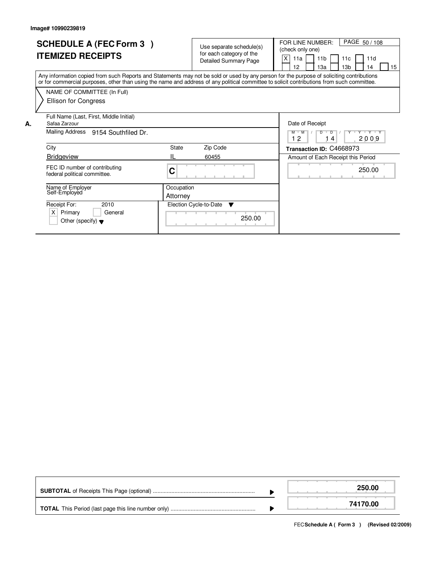|    | <b>SCHEDULE A (FEC Form 3)</b><br><b>ITEMIZED RECEIPTS</b>                                                                                                                                                                                                                              |            | Use separate schedule(s)<br>for each category of the<br><b>Detailed Summary Page</b> | PAGE 50/108<br>FOR LINE NUMBER:<br>(check only one)<br>X<br>11 <sub>b</sub><br>11d<br>11a<br>11c<br>12<br>13a<br>13 <sub>b</sub><br>15<br>14 |
|----|-----------------------------------------------------------------------------------------------------------------------------------------------------------------------------------------------------------------------------------------------------------------------------------------|------------|--------------------------------------------------------------------------------------|----------------------------------------------------------------------------------------------------------------------------------------------|
|    | Any information copied from such Reports and Statements may not be sold or used by any person for the purpose of soliciting contributions<br>or for commercial purposes, other than using the name and address of any political committee to solicit contributions from such committee. |            |                                                                                      |                                                                                                                                              |
|    | NAME OF COMMITTEE (In Full)                                                                                                                                                                                                                                                             |            |                                                                                      |                                                                                                                                              |
|    | <b>Ellison for Congress</b>                                                                                                                                                                                                                                                             |            |                                                                                      |                                                                                                                                              |
| А. | Full Name (Last, First, Middle Initial)<br>Safaa Zarzour                                                                                                                                                                                                                                |            |                                                                                      | Date of Receipt                                                                                                                              |
|    | Mailing Address 9154 Southfiled Dr.                                                                                                                                                                                                                                                     |            |                                                                                      | $M$ $M$<br>$Y$ $Y$<br>D<br>D<br>12<br>2009<br>4                                                                                              |
|    | City                                                                                                                                                                                                                                                                                    | State      | Zip Code                                                                             | Transaction ID: C4668973                                                                                                                     |
|    | <b>Bridgeview</b>                                                                                                                                                                                                                                                                       | IL         | 60455                                                                                | Amount of Each Receipt this Period                                                                                                           |
|    | FEC ID number of contributing<br>federal political committee.                                                                                                                                                                                                                           | C          |                                                                                      | 250.00                                                                                                                                       |
|    | Name of Employer                                                                                                                                                                                                                                                                        | Occupation |                                                                                      |                                                                                                                                              |
|    | Self-Employed                                                                                                                                                                                                                                                                           | Attorney   |                                                                                      |                                                                                                                                              |
|    | Receipt For:<br>2010                                                                                                                                                                                                                                                                    |            | Election Cycle-to-Date ▼                                                             |                                                                                                                                              |
|    | $\times$<br>Primary<br>General<br>Other (specify) $\blacktriangledown$                                                                                                                                                                                                                  |            | 250.00                                                                               |                                                                                                                                              |

|  | 250.00   |
|--|----------|
|  | 74170.00 |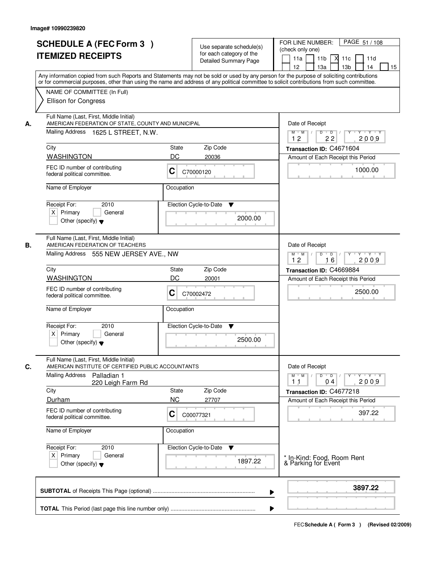|    | <b>SCHEDULE A (FEC Form 3)</b><br><b>ITEMIZED RECEIPTS</b>                                                                                                                                                                                                                                                                                            |                                                                                    | Use separate schedule(s)<br>for each category of the<br><b>Detailed Summary Page</b> | PAGE 51 / 108<br>FOR LINE NUMBER:<br>(check only one)<br>11 <sub>b</sub><br>11a<br>-XI<br>11c<br>11d<br>13 <sub>b</sub><br>12<br>13a<br>14<br>15 |
|----|-------------------------------------------------------------------------------------------------------------------------------------------------------------------------------------------------------------------------------------------------------------------------------------------------------------------------------------------------------|------------------------------------------------------------------------------------|--------------------------------------------------------------------------------------|--------------------------------------------------------------------------------------------------------------------------------------------------|
|    | Any information copied from such Reports and Statements may not be sold or used by any person for the purpose of soliciting contributions<br>or for commercial purposes, other than using the name and address of any political committee to solicit contributions from such committee.<br>NAME OF COMMITTEE (In Full)<br><b>Ellison for Congress</b> |                                                                                    |                                                                                      |                                                                                                                                                  |
| А. | Full Name (Last, First, Middle Initial)<br>AMERICAN FEDERATION OF STATE, COUNTY AND MUNICIPAL<br>Mailing Address 1625 L STREET, N.W.<br>City                                                                                                                                                                                                          | State                                                                              | Zip Code                                                                             | Date of Receipt<br>$M$ $M$<br>$D$ $D$ $/$<br>$Y^+$<br>Y Y Y Y<br>12<br>22<br>2009<br>Transaction ID: C4671604                                    |
|    | <b>WASHINGTON</b>                                                                                                                                                                                                                                                                                                                                     | DC                                                                                 | 20036                                                                                | Amount of Each Receipt this Period                                                                                                               |
|    | FEC ID number of contributing<br>federal political committee.                                                                                                                                                                                                                                                                                         | C<br>C70000120                                                                     |                                                                                      | 1000.00                                                                                                                                          |
|    | Name of Employer                                                                                                                                                                                                                                                                                                                                      | Occupation                                                                         |                                                                                      |                                                                                                                                                  |
|    | 2010<br>Receipt For:<br>$X$ Primary<br>General<br>Other (specify) $\blacktriangledown$                                                                                                                                                                                                                                                                | Election Cycle-to-Date                                                             | ▼<br>2000.00                                                                         |                                                                                                                                                  |
| В. | Full Name (Last, First, Middle Initial)<br>AMERICAN FEDERATION OF TEACHERS                                                                                                                                                                                                                                                                            |                                                                                    |                                                                                      | Date of Receipt                                                                                                                                  |
|    | Mailing Address 555 NEW JERSEY AVE., NW                                                                                                                                                                                                                                                                                                               | Y<br>$Y \vdash Y \vdash Y$<br>$M$ $M$ /<br>D<br>$\overline{D}$<br>12<br>16<br>2009 |                                                                                      |                                                                                                                                                  |
|    | City                                                                                                                                                                                                                                                                                                                                                  | <b>State</b>                                                                       | Zip Code                                                                             | Transaction ID: C4669884                                                                                                                         |
|    | <b>WASHINGTON</b>                                                                                                                                                                                                                                                                                                                                     | DC                                                                                 | 20001                                                                                | Amount of Each Receipt this Period                                                                                                               |
|    | FEC ID number of contributing<br>federal political committee.                                                                                                                                                                                                                                                                                         | С<br>C70002472                                                                     |                                                                                      | 2500.00                                                                                                                                          |
|    | Name of Employer                                                                                                                                                                                                                                                                                                                                      | Occupation                                                                         |                                                                                      |                                                                                                                                                  |
|    | Receipt For:<br>2010<br>$X$ Primary<br>General<br>Other (specify) $\blacktriangledown$                                                                                                                                                                                                                                                                | Election Cycle-to-Date                                                             | v<br>2500.00                                                                         |                                                                                                                                                  |
| C. | Full Name (Last, First, Middle Initial)<br>AMERICAN INSTITUTE OF CERTIFIED PUBLIC ACCOUNTANTS<br><b>Mailing Address</b><br>Palladian 1<br>220 Leigh Farm Rd                                                                                                                                                                                           |                                                                                    |                                                                                      | Date of Receipt<br>$D$ $D$ $l$<br>$M$ $M$ /<br>$Y + Y + Y$<br>Y "<br>2009<br>11<br>04                                                            |
|    | City                                                                                                                                                                                                                                                                                                                                                  | State                                                                              | Zip Code                                                                             | Transaction ID: C4677218                                                                                                                         |
|    | Durham                                                                                                                                                                                                                                                                                                                                                | <b>NC</b>                                                                          | 27707                                                                                | Amount of Each Receipt this Period                                                                                                               |
|    | FEC ID number of contributing<br>federal political committee.                                                                                                                                                                                                                                                                                         | C<br>C00077321                                                                     |                                                                                      | 397.22                                                                                                                                           |
|    | Name of Employer                                                                                                                                                                                                                                                                                                                                      | Occupation                                                                         |                                                                                      |                                                                                                                                                  |
|    | Receipt For:<br>2010<br>$X$ Primary<br>General<br>Other (specify) $\blacktriangledown$                                                                                                                                                                                                                                                                | Election Cycle-to-Date                                                             | v<br>1897.22                                                                         | * In-Kind: Food, Room Rent<br>& Parking for Event                                                                                                |
|    |                                                                                                                                                                                                                                                                                                                                                       |                                                                                    | ▶                                                                                    | 3897.22                                                                                                                                          |
|    |                                                                                                                                                                                                                                                                                                                                                       |                                                                                    |                                                                                      |                                                                                                                                                  |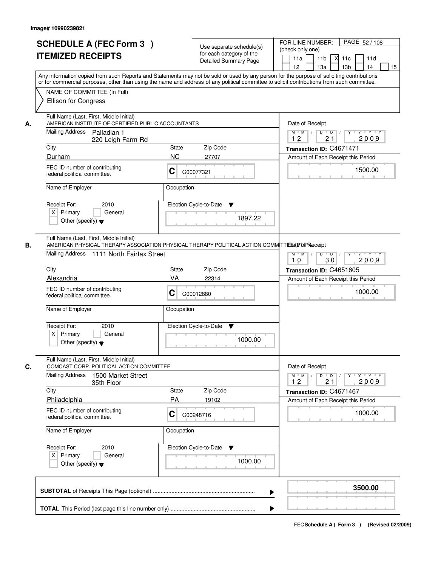|    | <b>SCHEDULE A (FEC Form 3)</b>                                                                                                             |                                          | Use separate schedule(s)     | PAGE 52 / 108<br>FOR LINE NUMBER:                                                       |
|----|--------------------------------------------------------------------------------------------------------------------------------------------|------------------------------------------|------------------------------|-----------------------------------------------------------------------------------------|
|    | <b>ITEMIZED RECEIPTS</b>                                                                                                                   |                                          | for each category of the     | (check only one)                                                                        |
|    |                                                                                                                                            |                                          | <b>Detailed Summary Page</b> | 11 <sub>b</sub><br>11a<br>$X$ 11 $c$<br>11d                                             |
|    |                                                                                                                                            | 12<br>13a<br>13 <sub>b</sub><br>14<br>15 |                              |                                                                                         |
|    | Any information copied from such Reports and Statements may not be sold or used by any person for the purpose of soliciting contributions  |                                          |                              |                                                                                         |
|    | or for commercial purposes, other than using the name and address of any political committee to solicit contributions from such committee. |                                          |                              |                                                                                         |
|    | NAME OF COMMITTEE (In Full)                                                                                                                |                                          |                              |                                                                                         |
|    | <b>Ellison for Congress</b>                                                                                                                |                                          |                              |                                                                                         |
|    |                                                                                                                                            |                                          |                              |                                                                                         |
|    | Full Name (Last, First, Middle Initial)                                                                                                    |                                          |                              |                                                                                         |
| А. | AMERICAN INSTITUTE OF CERTIFIED PUBLIC ACCOUNTANTS                                                                                         |                                          |                              | Date of Receipt                                                                         |
|    | Mailing Address<br>Palladian 1                                                                                                             |                                          |                              | $Y - Y - Y$<br>$M$ $M$ /<br>D<br>$\overline{D}$                                         |
|    | 220 Leigh Farm Rd                                                                                                                          |                                          |                              | 2009<br>12<br>21                                                                        |
|    | City                                                                                                                                       | State                                    | Zip Code                     | Transaction ID: C4671471                                                                |
|    | Durham                                                                                                                                     | <b>NC</b>                                | 27707                        | Amount of Each Receipt this Period                                                      |
|    | FEC ID number of contributing                                                                                                              |                                          |                              |                                                                                         |
|    | federal political committee.                                                                                                               | С                                        | C00077321                    | 1500.00                                                                                 |
|    |                                                                                                                                            |                                          |                              |                                                                                         |
|    | Name of Employer                                                                                                                           | Occupation                               |                              |                                                                                         |
|    |                                                                                                                                            |                                          |                              |                                                                                         |
|    | 2010<br>Receipt For:                                                                                                                       |                                          | Election Cycle-to-Date<br>▼  |                                                                                         |
|    | $X$ Primary<br>General                                                                                                                     |                                          |                              |                                                                                         |
|    | Other (specify) $\blacktriangledown$                                                                                                       | 1897.22                                  |                              |                                                                                         |
|    |                                                                                                                                            |                                          |                              |                                                                                         |
|    | Full Name (Last, First, Middle Initial)                                                                                                    |                                          |                              |                                                                                         |
| В. | AMERICAN PHYSICAL THERAPY ASSOCIATION PHYSICAL THERAPY POLITICAL ACTION COMMITTEDE (P Diffaeceipt                                          |                                          |                              |                                                                                         |
|    | Mailing Address 1111 North Fairfax Street                                                                                                  |                                          |                              | $D$ $D$ $1$<br>$M$ $M$ /<br>$Y + Y + Y$                                                 |
|    |                                                                                                                                            |                                          |                              | 30<br>2009<br>10                                                                        |
|    | City                                                                                                                                       | State                                    | Zip Code                     | Transaction ID: C4651605                                                                |
|    | Alexandria                                                                                                                                 | VA                                       | 22314                        | Amount of Each Receipt this Period                                                      |
|    |                                                                                                                                            |                                          |                              |                                                                                         |
|    | FEC ID number of contributing<br>federal political committee.                                                                              | С                                        | C00012880                    | 1000.00                                                                                 |
|    |                                                                                                                                            |                                          |                              |                                                                                         |
|    | Name of Employer                                                                                                                           | Occupation                               |                              |                                                                                         |
|    |                                                                                                                                            |                                          |                              |                                                                                         |
|    | Receipt For:<br>2010                                                                                                                       |                                          | Election Cycle-to-Date<br>v  |                                                                                         |
|    | $X$ Primary<br>General                                                                                                                     |                                          |                              |                                                                                         |
|    | Other (specify) $\blacktriangledown$                                                                                                       |                                          | 1000.00                      |                                                                                         |
|    |                                                                                                                                            |                                          |                              |                                                                                         |
|    | Full Name (Last, First, Middle Initial)                                                                                                    |                                          |                              |                                                                                         |
| C. | COMCAST CORP. POLITICAL ACTION COMMITTEE                                                                                                   |                                          |                              | Date of Receipt                                                                         |
|    | Mailing Address<br>1500 Market Street                                                                                                      |                                          |                              | $M^+$ M<br>$D$ $D$ $/$<br>$Y - Y - Y$<br>$\sqrt{ }$<br>$Y$ <sup><math>\top</math></sup> |
|    | 35th Floor                                                                                                                                 |                                          |                              | 12<br>2009<br>21                                                                        |
|    | City                                                                                                                                       | State                                    | Zip Code                     | Transaction ID: C4671467                                                                |
|    | Philadelphia                                                                                                                               | PA                                       | 19102                        | Amount of Each Receipt this Period                                                      |
|    | FEC ID number of contributing                                                                                                              |                                          |                              |                                                                                         |
|    | federal political committee.                                                                                                               | C                                        | C00248716                    | 1000.00                                                                                 |
|    |                                                                                                                                            |                                          |                              |                                                                                         |
|    | Name of Employer                                                                                                                           | Occupation                               |                              |                                                                                         |
|    |                                                                                                                                            |                                          |                              |                                                                                         |
|    | Receipt For:<br>2010                                                                                                                       |                                          | Election Cycle-to-Date<br>v  |                                                                                         |
|    | $X$ Primary<br>General                                                                                                                     |                                          |                              |                                                                                         |
|    | Other (specify) $\blacktriangledown$                                                                                                       |                                          | 1000.00                      |                                                                                         |
|    |                                                                                                                                            |                                          |                              |                                                                                         |
|    |                                                                                                                                            |                                          |                              |                                                                                         |
|    |                                                                                                                                            |                                          |                              | 3500.00                                                                                 |
|    |                                                                                                                                            |                                          | ▶                            |                                                                                         |
|    |                                                                                                                                            |                                          |                              |                                                                                         |
|    |                                                                                                                                            |                                          |                              |                                                                                         |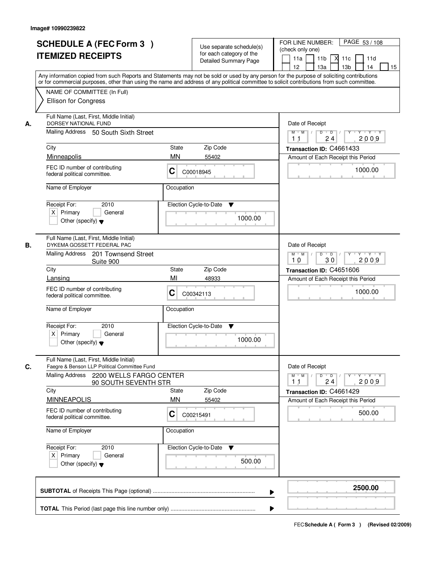| <b>SCHEDULE A (FEC Form 3)</b><br><b>ITEMIZED RECEIPTS</b>                                                     | Use separate schedule(s)<br>for each category of the<br><b>Detailed Summary Page</b><br>Any information copied from such Reports and Statements may not be sold or used by any person for the purpose of soliciting contributions | PAGE 53/108<br>FOR LINE NUMBER:<br>(check only one)<br>11 <sub>b</sub><br>11a<br><b>X</b><br>11c<br>11d<br>13 <sub>b</sub><br>14<br>12<br>13a<br>15 |
|----------------------------------------------------------------------------------------------------------------|-----------------------------------------------------------------------------------------------------------------------------------------------------------------------------------------------------------------------------------|-----------------------------------------------------------------------------------------------------------------------------------------------------|
| NAME OF COMMITTEE (In Full)<br><b>Ellison for Congress</b>                                                     | or for commercial purposes, other than using the name and address of any political committee to solicit contributions from such committee.                                                                                        |                                                                                                                                                     |
| Full Name (Last, First, Middle Initial)<br>DORSEY NATIONAL FUND<br>А.<br>Mailing Address 50 South Sixth Street |                                                                                                                                                                                                                                   | Date of Receipt<br>$D$ $D$ $I$<br>Y<br>$Y + Y + Y$<br>$M$ $M$<br>2009<br>24<br>1 <sub>1</sub>                                                       |
| City                                                                                                           | <b>State</b><br>Zip Code                                                                                                                                                                                                          | Transaction ID: C4661433                                                                                                                            |
| Minneapolis                                                                                                    | <b>MN</b><br>55402                                                                                                                                                                                                                | Amount of Each Receipt this Period                                                                                                                  |
| FEC ID number of contributing<br>federal political committee.                                                  | C<br>C00018945                                                                                                                                                                                                                    | 1000.00                                                                                                                                             |
| Name of Employer                                                                                               | Occupation                                                                                                                                                                                                                        |                                                                                                                                                     |
| Receipt For:<br>2010<br>$X$ Primary<br>General<br>Other (specify) $\blacktriangledown$                         | Election Cycle-to-Date<br>▼<br>1000.00                                                                                                                                                                                            |                                                                                                                                                     |
| Full Name (Last, First, Middle Initial)<br>DYKEMA GOSSETT FEDERAL PAC<br>В.                                    |                                                                                                                                                                                                                                   | Date of Receipt                                                                                                                                     |
| Mailing Address<br>201 Townsend Street<br>Suite 900                                                            | $M$ $M$ /<br>D<br>$\overline{D}$<br>$Y$ <sup><math>\top</math></sup><br>Y Y Y Y<br>10<br>30<br>2009                                                                                                                               |                                                                                                                                                     |
| City                                                                                                           | Zip Code<br>State                                                                                                                                                                                                                 | Transaction ID: C4651606                                                                                                                            |
| Lansing<br>FEC ID number of contributing<br>federal political committee.                                       | MI<br>48933<br>С<br>C00342113                                                                                                                                                                                                     | Amount of Each Receipt this Period<br>1000.00                                                                                                       |
| Name of Employer                                                                                               | Occupation                                                                                                                                                                                                                        |                                                                                                                                                     |
| Receipt For:<br>2010<br>$X$ Primary<br>General<br>Other (specify) $\blacktriangledown$                         | Election Cycle-to-Date<br>v<br>1000.00                                                                                                                                                                                            |                                                                                                                                                     |
| Full Name (Last, First, Middle Initial)<br>C.<br>Faegre & Benson LLP Political Committee Fund                  |                                                                                                                                                                                                                                   | Date of Receipt                                                                                                                                     |
| <b>Mailing Address</b><br>2200 WELLS FARGO CENTER<br>90 SOUTH SEVENTH STR                                      |                                                                                                                                                                                                                                   | $M$ $M$<br>$D$ $D$ $/$<br>$Y^+$<br>$Y + Y + Y$<br>2009<br>24<br>11                                                                                  |
| City<br><b>MINNEAPOLIS</b>                                                                                     | Zip Code<br>State<br><b>MN</b><br>55402                                                                                                                                                                                           | Transaction ID: C4661429<br>Amount of Each Receipt this Period                                                                                      |
| FEC ID number of contributing<br>federal political committee.                                                  | C<br>C00215491                                                                                                                                                                                                                    | 500.00                                                                                                                                              |
| Name of Employer                                                                                               | Occupation                                                                                                                                                                                                                        |                                                                                                                                                     |
| Receipt For:<br>2010<br>$X$ Primary<br>General<br>Other (specify) $\blacktriangledown$                         | Election Cycle-to-Date ▼<br>500.00                                                                                                                                                                                                |                                                                                                                                                     |
|                                                                                                                |                                                                                                                                                                                                                                   | 2500.00                                                                                                                                             |
|                                                                                                                |                                                                                                                                                                                                                                   |                                                                                                                                                     |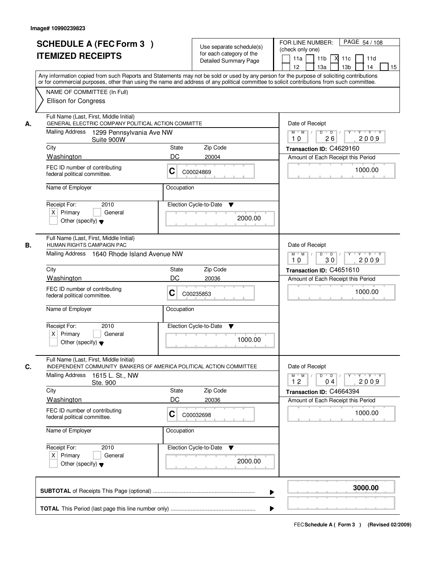|    | <b>SCHEDULE A (FEC Form 3)</b><br><b>ITEMIZED RECEIPTS</b><br>Any information copied from such Reports and Statements may not be sold or used by any person for the purpose of soliciting contributions<br>or for commercial purposes, other than using the name and address of any political committee to solicit contributions from such committee. |                  | Use separate schedule(s)<br>for each category of the<br><b>Detailed Summary Page</b> | PAGE 54 / 108<br>FOR LINE NUMBER:<br>(check only one)<br>11 <sub>b</sub><br>11a<br><b>X</b><br>11c<br>11d<br>13a<br>13 <sub>b</sub><br>12<br>14<br>15 |
|----|-------------------------------------------------------------------------------------------------------------------------------------------------------------------------------------------------------------------------------------------------------------------------------------------------------------------------------------------------------|------------------|--------------------------------------------------------------------------------------|-------------------------------------------------------------------------------------------------------------------------------------------------------|
|    | NAME OF COMMITTEE (In Full)<br><b>Ellison for Congress</b>                                                                                                                                                                                                                                                                                            |                  |                                                                                      |                                                                                                                                                       |
| А. | Full Name (Last, First, Middle Initial)<br>GENERAL ELECTRIC COMPANY POLITICAL ACTION COMMITTE<br>Mailing Address 1299 Pennsylvania Ave NW                                                                                                                                                                                                             |                  |                                                                                      | Date of Receipt<br>$M$ $M$ /<br>$D$ $D$ $/$<br>$\overline{Y}$<br>Y Y Y Y                                                                              |
|    | Suite 900W                                                                                                                                                                                                                                                                                                                                            | 2009<br>10<br>26 |                                                                                      |                                                                                                                                                       |
|    | City<br>Washington                                                                                                                                                                                                                                                                                                                                    | State<br>DC      | Zip Code                                                                             | Transaction ID: C4629160                                                                                                                              |
|    | FEC ID number of contributing<br>federal political committee.                                                                                                                                                                                                                                                                                         | C                | 20004<br>C00024869                                                                   | Amount of Each Receipt this Period<br>1000.00                                                                                                         |
|    | Name of Employer                                                                                                                                                                                                                                                                                                                                      | Occupation       |                                                                                      |                                                                                                                                                       |
|    | 2010<br>Receipt For:<br>$X$ Primary<br>General<br>Other (specify) $\blacktriangledown$                                                                                                                                                                                                                                                                |                  | Election Cycle-to-Date<br>▼<br>2000.00                                               |                                                                                                                                                       |
| В. | Full Name (Last, First, Middle Initial)<br>HUMAN RIGHTS CAMPAIGN PAC<br>Mailing Address 1640 Rhode Island Avenue NW                                                                                                                                                                                                                                   |                  |                                                                                      | Date of Receipt<br>$M$ $M$ /<br>Y<br>$Y \vdash Y \vdash Y$<br>D<br>$\overline{D}$ /<br>30<br>2009<br>10                                               |
|    | City                                                                                                                                                                                                                                                                                                                                                  | State            | Zip Code                                                                             | Transaction ID: C4651610                                                                                                                              |
|    | Washington                                                                                                                                                                                                                                                                                                                                            | DC               | 20036                                                                                | Amount of Each Receipt this Period                                                                                                                    |
|    | FEC ID number of contributing<br>federal political committee.                                                                                                                                                                                                                                                                                         | C                | C00235853                                                                            | 1000.00                                                                                                                                               |
|    | Name of Employer                                                                                                                                                                                                                                                                                                                                      | Occupation       |                                                                                      |                                                                                                                                                       |
|    | Receipt For:<br>2010<br>$X$ Primary<br>General<br>Other (specify) $\blacktriangledown$                                                                                                                                                                                                                                                                |                  | Election Cycle-to-Date<br>v<br>1000.00                                               |                                                                                                                                                       |
| C. | Full Name (Last, First, Middle Initial)<br>INDEPENDENT COMMUNITY BANKERS OF AMERICA POLITICAL ACTION COMMITTEE                                                                                                                                                                                                                                        |                  |                                                                                      | Date of Receipt                                                                                                                                       |
|    | <b>Mailing Address</b><br>1615 L. St., NW<br>Ste. 900                                                                                                                                                                                                                                                                                                 |                  |                                                                                      | $D$ $D$ $/$<br>$M$ $M$ $/$<br>Y "<br>Y "Y "Y<br>12<br>2009<br>04                                                                                      |
|    | City<br><b>Washington</b>                                                                                                                                                                                                                                                                                                                             | State<br>DC      | Zip Code<br>20036                                                                    | Transaction ID: C4664394<br>Amount of Each Receipt this Period                                                                                        |
|    | FEC ID number of contributing<br>federal political committee.                                                                                                                                                                                                                                                                                         | C                | C00032698                                                                            | 1000.00                                                                                                                                               |
|    | Name of Employer                                                                                                                                                                                                                                                                                                                                      | Occupation       |                                                                                      |                                                                                                                                                       |
|    | Receipt For:<br>2010<br>$X$ Primary<br>General<br>Other (specify) $\blacktriangledown$                                                                                                                                                                                                                                                                |                  | Election Cycle-to-Date<br>v<br>2000.00                                               |                                                                                                                                                       |
|    |                                                                                                                                                                                                                                                                                                                                                       |                  | ▶                                                                                    | 3000.00                                                                                                                                               |
|    |                                                                                                                                                                                                                                                                                                                                                       |                  |                                                                                      |                                                                                                                                                       |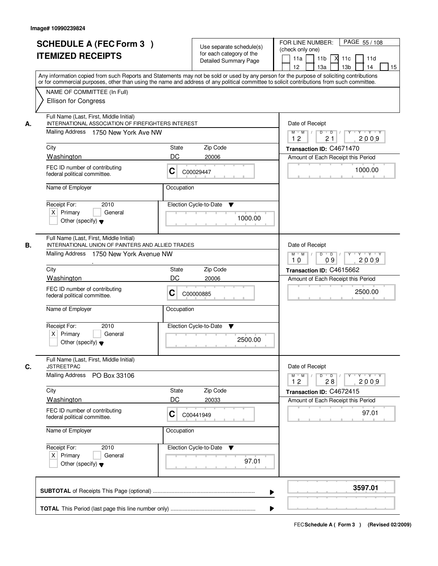|    | <b>SCHEDULE A (FEC Form 3)</b><br><b>ITEMIZED RECEIPTS</b><br>Any information copied from such Reports and Statements may not be sold or used by any person for the purpose of soliciting contributions<br>or for commercial purposes, other than using the name and address of any political committee to solicit contributions from such committee. |            | Use separate schedule(s)<br>for each category of the<br><b>Detailed Summary Page</b> | PAGE 55/108<br>FOR LINE NUMBER:<br>(check only one)<br>11 <sub>b</sub><br>11d<br>11a<br><b>X</b><br>11c<br>13a<br>13 <sub>b</sub><br>12<br>14<br>15 |
|----|-------------------------------------------------------------------------------------------------------------------------------------------------------------------------------------------------------------------------------------------------------------------------------------------------------------------------------------------------------|------------|--------------------------------------------------------------------------------------|-----------------------------------------------------------------------------------------------------------------------------------------------------|
|    | NAME OF COMMITTEE (In Full)<br><b>Ellison for Congress</b>                                                                                                                                                                                                                                                                                            |            |                                                                                      |                                                                                                                                                     |
| А. | Full Name (Last, First, Middle Initial)<br>INTERNATIONAL ASSOCIATION OF FIREFIGHTERS INTEREST<br>Mailing Address 1750 New York Ave NW<br>City                                                                                                                                                                                                         | State      | Zip Code                                                                             | Date of Receipt<br>$M$ $M$<br>$D$ $D$ $/$<br>$\overline{Y}$<br>$Y + Y + Y$<br>12<br>21<br>2009                                                      |
|    | Washington                                                                                                                                                                                                                                                                                                                                            | DC         | 20006                                                                                | Transaction ID: C4671470<br>Amount of Each Receipt this Period                                                                                      |
|    | FEC ID number of contributing<br>federal political committee.                                                                                                                                                                                                                                                                                         | C          | C00029447                                                                            | 1000.00                                                                                                                                             |
|    | Name of Employer                                                                                                                                                                                                                                                                                                                                      | Occupation |                                                                                      |                                                                                                                                                     |
|    | Receipt For:<br>2010<br>$X$ Primary<br>General<br>Other (specify) $\blacktriangledown$                                                                                                                                                                                                                                                                |            | Election Cycle-to-Date<br>▼<br>1000.00                                               |                                                                                                                                                     |
| В. | Full Name (Last, First, Middle Initial)<br>INTERNATIONAL UNION OF PAINTERS AND ALLIED TRADES                                                                                                                                                                                                                                                          |            |                                                                                      | Date of Receipt                                                                                                                                     |
|    | Mailing Address 1750 New York Avenue NW                                                                                                                                                                                                                                                                                                               |            |                                                                                      | $M$ $M$ /<br>Y<br>$Y \vdash Y \vdash Y$<br>D<br>$\overline{\phantom{0}}$ D<br>10<br>09<br>2009                                                      |
|    | City                                                                                                                                                                                                                                                                                                                                                  | State      | Zip Code                                                                             | Transaction ID: C4615662                                                                                                                            |
|    | Washington<br>FEC ID number of contributing<br>federal political committee.                                                                                                                                                                                                                                                                           | DC<br>C    | 20006<br>C00000885                                                                   | Amount of Each Receipt this Period<br>2500.00                                                                                                       |
|    | Name of Employer                                                                                                                                                                                                                                                                                                                                      | Occupation |                                                                                      |                                                                                                                                                     |
|    | Receipt For:<br>2010<br>$X$ Primary<br>General<br>Other (specify) $\blacktriangledown$                                                                                                                                                                                                                                                                |            | Election Cycle-to-Date<br>v<br>2500.00                                               |                                                                                                                                                     |
| C. | Full Name (Last, First, Middle Initial)<br><b>JSTREETPAC</b>                                                                                                                                                                                                                                                                                          |            |                                                                                      | Date of Receipt                                                                                                                                     |
|    | <b>Mailing Address</b><br>PO Box 33106                                                                                                                                                                                                                                                                                                                |            |                                                                                      | $D$ $D$ $/$<br>$M$ $M$ /<br>$Y + Y + Y$<br>$Y$ <sup><math>\top</math></sup><br>2009<br>12<br>28                                                     |
|    | City                                                                                                                                                                                                                                                                                                                                                  | State      | Zip Code                                                                             | Transaction ID: C4672415                                                                                                                            |
|    | Washington<br>FEC ID number of contributing<br>federal political committee.                                                                                                                                                                                                                                                                           | DC<br>C    | 20033<br>C00441949                                                                   | Amount of Each Receipt this Period<br>97.01                                                                                                         |
|    | Name of Employer                                                                                                                                                                                                                                                                                                                                      | Occupation |                                                                                      |                                                                                                                                                     |
|    | Receipt For:<br>2010<br>$X$ Primary<br>General<br>Other (specify) $\blacktriangledown$                                                                                                                                                                                                                                                                |            | Election Cycle-to-Date ▼<br>97.01                                                    |                                                                                                                                                     |
|    |                                                                                                                                                                                                                                                                                                                                                       |            | ▶                                                                                    | 3597.01                                                                                                                                             |
|    |                                                                                                                                                                                                                                                                                                                                                       |            |                                                                                      |                                                                                                                                                     |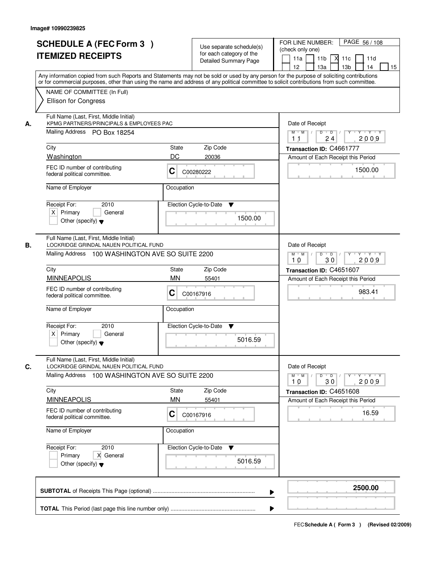|    | <b>SCHEDULE A (FEC Form 3)</b><br><b>ITEMIZED RECEIPTS</b><br>Any information copied from such Reports and Statements may not be sold or used by any person for the purpose of soliciting contributions<br>or for commercial purposes, other than using the name and address of any political committee to solicit contributions from such committee. |              | Use separate schedule(s)<br>for each category of the<br><b>Detailed Summary Page</b> | PAGE 56 / 108<br>FOR LINE NUMBER:<br>(check only one)<br>11 <sub>b</sub><br>11d<br>11a<br><b>X</b><br>11c<br>13 <sub>b</sub><br>12<br>13a<br>14<br>15 |
|----|-------------------------------------------------------------------------------------------------------------------------------------------------------------------------------------------------------------------------------------------------------------------------------------------------------------------------------------------------------|--------------|--------------------------------------------------------------------------------------|-------------------------------------------------------------------------------------------------------------------------------------------------------|
|    | NAME OF COMMITTEE (In Full)<br><b>Ellison for Congress</b>                                                                                                                                                                                                                                                                                            |              |                                                                                      |                                                                                                                                                       |
| А. | Full Name (Last, First, Middle Initial)<br>KPMG PARTNERS/PRINCIPALS & EMPLOYEES PAC<br>Mailing Address PO Box 18254                                                                                                                                                                                                                                   |              |                                                                                      | Date of Receipt<br>$M$ $M$ /<br>$D$ $D$ $/$<br>$\overline{Y}$<br>Y Y Y Y<br>24<br>2009<br>11                                                          |
|    | City                                                                                                                                                                                                                                                                                                                                                  | State        | Zip Code                                                                             | Transaction ID: C4661777                                                                                                                              |
|    | Washington                                                                                                                                                                                                                                                                                                                                            | DC           | 20036                                                                                | Amount of Each Receipt this Period                                                                                                                    |
|    | FEC ID number of contributing<br>federal political committee.                                                                                                                                                                                                                                                                                         | C            | C00280222                                                                            | 1500.00                                                                                                                                               |
|    | Name of Employer                                                                                                                                                                                                                                                                                                                                      | Occupation   |                                                                                      |                                                                                                                                                       |
|    | Receipt For:<br>2010<br>$X$ Primary<br>General<br>Other (specify) $\blacktriangledown$                                                                                                                                                                                                                                                                |              | Election Cycle-to-Date<br>▼<br>1500.00                                               |                                                                                                                                                       |
| В. | Full Name (Last, First, Middle Initial)<br>LOCKRIDGE GRINDAL NAUEN POLITICAL FUND                                                                                                                                                                                                                                                                     |              |                                                                                      | Date of Receipt                                                                                                                                       |
|    | Mailing Address 100 WASHINGTON AVE SO SUITE 2200                                                                                                                                                                                                                                                                                                      |              |                                                                                      | $M$ $M$ /<br>Y<br>Y Y Y Y<br>D<br>$\overline{D}$ /<br>10<br>30<br>2009                                                                                |
|    | City                                                                                                                                                                                                                                                                                                                                                  | <b>State</b> | Zip Code                                                                             | Transaction ID: C4651607                                                                                                                              |
|    | <b>MINNEAPOLIS</b>                                                                                                                                                                                                                                                                                                                                    | <b>MN</b>    | 55401                                                                                | Amount of Each Receipt this Period                                                                                                                    |
|    | FEC ID number of contributing<br>federal political committee.                                                                                                                                                                                                                                                                                         | C            | C00167916                                                                            | 983.41                                                                                                                                                |
|    | Name of Employer                                                                                                                                                                                                                                                                                                                                      | Occupation   |                                                                                      |                                                                                                                                                       |
|    | Receipt For:<br>2010<br>$X$ Primary<br>General<br>Other (specify) $\blacktriangledown$                                                                                                                                                                                                                                                                |              | Election Cycle-to-Date<br>v<br>5016.59                                               |                                                                                                                                                       |
| C. | Full Name (Last, First, Middle Initial)<br>LOCKRIDGE GRINDAL NAUEN POLITICAL FUND                                                                                                                                                                                                                                                                     |              |                                                                                      | Date of Receipt                                                                                                                                       |
|    | Mailing Address 100 WASHINGTON AVE SO SUITE 2200                                                                                                                                                                                                                                                                                                      |              |                                                                                      | $M$ $M$<br>$D$ $D$ $/$<br>Y "<br>Y Y Y Y<br>2009<br>10<br>30                                                                                          |
|    | City                                                                                                                                                                                                                                                                                                                                                  | State        | Zip Code                                                                             | Transaction ID: C4651608                                                                                                                              |
|    | <b>MINNEAPOLIS</b><br>FEC ID number of contributing                                                                                                                                                                                                                                                                                                   | <b>MN</b>    | 55401                                                                                | Amount of Each Receipt this Period                                                                                                                    |
|    | federal political committee.                                                                                                                                                                                                                                                                                                                          | C            | C00167916                                                                            | 16.59                                                                                                                                                 |
|    | Name of Employer                                                                                                                                                                                                                                                                                                                                      | Occupation   |                                                                                      |                                                                                                                                                       |
|    | Receipt For:<br>2010                                                                                                                                                                                                                                                                                                                                  |              | Election Cycle-to-Date<br>v                                                          |                                                                                                                                                       |
|    | Primary<br>X General<br>Other (specify) $\blacktriangledown$                                                                                                                                                                                                                                                                                          |              | 5016.59                                                                              |                                                                                                                                                       |
|    |                                                                                                                                                                                                                                                                                                                                                       |              | ▶                                                                                    | 2500.00                                                                                                                                               |
|    |                                                                                                                                                                                                                                                                                                                                                       |              |                                                                                      |                                                                                                                                                       |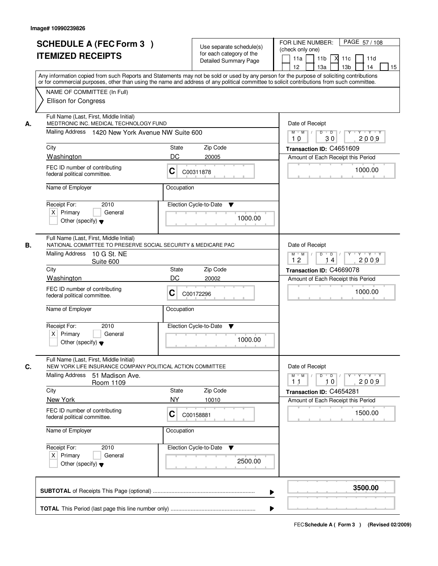|    | <b>SCHEDULE A (FEC Form 3)</b><br><b>ITEMIZED RECEIPTS</b>                                                                                 | Use separate schedule(s)<br>for each category of the<br><b>Detailed Summary Page</b><br>Any information copied from such Reports and Statements may not be sold or used by any person for the purpose of soliciting contributions | PAGE 57/108<br>FOR LINE NUMBER:<br>(check only one)<br>11 <sub>b</sub><br>11a<br>-XI<br>11c<br>11d<br>13 <sub>b</sub><br>14<br>12<br>13a<br>15 |
|----|--------------------------------------------------------------------------------------------------------------------------------------------|-----------------------------------------------------------------------------------------------------------------------------------------------------------------------------------------------------------------------------------|------------------------------------------------------------------------------------------------------------------------------------------------|
|    | NAME OF COMMITTEE (In Full)<br>Ellison for Congress                                                                                        | or for commercial purposes, other than using the name and address of any political committee to solicit contributions from such committee.                                                                                        |                                                                                                                                                |
| А. | Full Name (Last, First, Middle Initial)<br>MEDTRONIC INC. MEDICAL TECHNOLOGY FUND<br>Mailing Address 1420 New York Avenue NW Suite 600     |                                                                                                                                                                                                                                   | Date of Receipt<br>$D$ $D$ $1$<br>$Y$ <sup>U</sup><br>$Y + Y + Y$<br>$M$ $M$ /<br>2009<br>30<br>10                                             |
|    | City                                                                                                                                       | Zip Code<br>State                                                                                                                                                                                                                 | Transaction ID: C4651609                                                                                                                       |
|    | Washington                                                                                                                                 | DC<br>20005                                                                                                                                                                                                                       | Amount of Each Receipt this Period                                                                                                             |
|    | FEC ID number of contributing<br>federal political committee.                                                                              | C<br>C00311878                                                                                                                                                                                                                    | 1000.00                                                                                                                                        |
|    | Name of Employer                                                                                                                           | Occupation                                                                                                                                                                                                                        |                                                                                                                                                |
|    | 2010<br>Receipt For:<br>$X$ Primary<br>General<br>Other (specify) $\blacktriangledown$                                                     | Election Cycle-to-Date<br>▼<br>1000.00                                                                                                                                                                                            |                                                                                                                                                |
| В. | Full Name (Last, First, Middle Initial)<br>NATIONAL COMMITTEE TO PRESERVE SOCIAL SECURITY & MEDICARE PAC<br>Mailing Address<br>10 G St. NE |                                                                                                                                                                                                                                   | Date of Receipt<br>$M$ $M$ /<br>D<br>$\overline{\phantom{0}}$<br>$Y + Y + Y$                                                                   |
|    | Suite 600                                                                                                                                  |                                                                                                                                                                                                                                   | 12<br>2009<br>14                                                                                                                               |
|    | City                                                                                                                                       | Zip Code<br>State                                                                                                                                                                                                                 | Transaction ID: C4669078                                                                                                                       |
|    | Washington                                                                                                                                 | DC<br>20002                                                                                                                                                                                                                       | Amount of Each Receipt this Period                                                                                                             |
|    | FEC ID number of contributing<br>federal political committee.                                                                              | C<br>C00172296                                                                                                                                                                                                                    | 1000.00                                                                                                                                        |
|    | Name of Employer                                                                                                                           | Occupation                                                                                                                                                                                                                        |                                                                                                                                                |
|    | Receipt For:<br>2010<br>$X$ Primary<br>General<br>Other (specify) $\blacktriangledown$                                                     | Election Cycle-to-Date<br>Y<br>1000.00                                                                                                                                                                                            |                                                                                                                                                |
| C. | Full Name (Last, First, Middle Initial)<br>NEW YORK LIFE INSURANCE COMPANY POLITICAL ACTION COMMITTEE                                      |                                                                                                                                                                                                                                   | Date of Receipt                                                                                                                                |
|    | <b>Mailing Address</b><br>51 Madison Ave.<br>Room 1109                                                                                     |                                                                                                                                                                                                                                   | $D$ $D$ $/$<br>$M$ $M$ $/$<br>2009<br>11<br>10                                                                                                 |
|    | City                                                                                                                                       | Zip Code<br><b>State</b>                                                                                                                                                                                                          | Transaction ID: C4654281                                                                                                                       |
|    | New York                                                                                                                                   | <b>NY</b><br>10010                                                                                                                                                                                                                | Amount of Each Receipt this Period                                                                                                             |
|    | FEC ID number of contributing<br>federal political committee.                                                                              | C<br>C00158881                                                                                                                                                                                                                    | 1500.00                                                                                                                                        |
|    | Name of Employer                                                                                                                           | Occupation                                                                                                                                                                                                                        |                                                                                                                                                |
|    | Receipt For:<br>2010<br>$X$ Primary<br>General<br>Other (specify) $\blacktriangledown$                                                     | Election Cycle-to-Date ▼<br>2500.00                                                                                                                                                                                               |                                                                                                                                                |
|    |                                                                                                                                            |                                                                                                                                                                                                                                   | 3500.00                                                                                                                                        |
|    |                                                                                                                                            |                                                                                                                                                                                                                                   |                                                                                                                                                |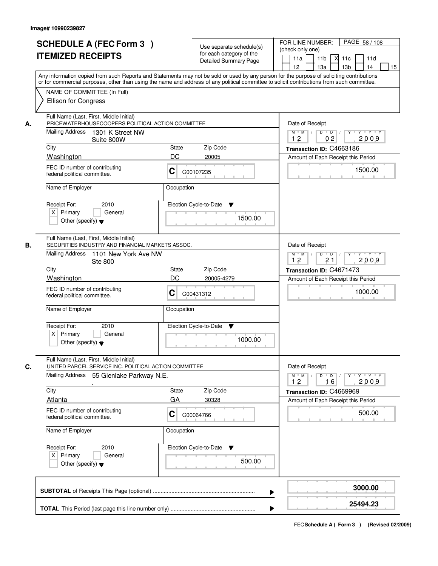|    | <b>SCHEDULE A (FEC Form 3)</b><br><b>ITEMIZED RECEIPTS</b><br>Any information copied from such Reports and Statements may not be sold or used by any person for the purpose of soliciting contributions<br>or for commercial purposes, other than using the name and address of any political committee to solicit contributions from such committee. |            | Use separate schedule(s)<br>for each category of the<br><b>Detailed Summary Page</b> | PAGE 58 / 108<br>FOR LINE NUMBER:<br>(check only one)<br>11 <sub>b</sub><br>11d<br>11a<br><b>X</b><br>11c<br>13a<br>13 <sub>b</sub><br>12<br>14<br>15 |
|----|-------------------------------------------------------------------------------------------------------------------------------------------------------------------------------------------------------------------------------------------------------------------------------------------------------------------------------------------------------|------------|--------------------------------------------------------------------------------------|-------------------------------------------------------------------------------------------------------------------------------------------------------|
|    | NAME OF COMMITTEE (In Full)<br><b>Ellison for Congress</b>                                                                                                                                                                                                                                                                                            |            |                                                                                      |                                                                                                                                                       |
| А. | Full Name (Last, First, Middle Initial)<br>PRICEWATERHOUSECOOPERS POLITICAL ACTION COMMITTEE<br>Mailing Address<br>1301 K Street NW                                                                                                                                                                                                                   |            |                                                                                      | Date of Receipt<br>$M$ $M$<br>$D$ $D$ $1$<br>$\overline{Y}$<br>Y Y Y Y<br>12<br>0 <sub>2</sub><br>2009                                                |
|    | Suite 800W<br>City                                                                                                                                                                                                                                                                                                                                    | State      | Zip Code                                                                             | Transaction ID: C4663186                                                                                                                              |
|    | Washington                                                                                                                                                                                                                                                                                                                                            | DC         | 20005                                                                                | Amount of Each Receipt this Period                                                                                                                    |
|    | FEC ID number of contributing<br>federal political committee.                                                                                                                                                                                                                                                                                         | C          | C00107235                                                                            | 1500.00                                                                                                                                               |
|    | Name of Employer                                                                                                                                                                                                                                                                                                                                      | Occupation |                                                                                      |                                                                                                                                                       |
|    | Receipt For:<br>2010<br>$X$ Primary<br>General<br>Other (specify) $\blacktriangledown$                                                                                                                                                                                                                                                                |            | Election Cycle-to-Date<br>▼<br>1500.00                                               |                                                                                                                                                       |
| В. | Full Name (Last, First, Middle Initial)<br>SECURITIES INDUSTRY AND FINANCIAL MARKETS ASSOC.                                                                                                                                                                                                                                                           |            |                                                                                      | Date of Receipt                                                                                                                                       |
|    | Mailing Address 1101 New York Ave NW<br><b>Ste 800</b>                                                                                                                                                                                                                                                                                                |            |                                                                                      | Y Y Y Y<br>$M$ M<br>D<br>$\overline{D}$<br>Y<br>12<br>21<br>2009                                                                                      |
|    | City                                                                                                                                                                                                                                                                                                                                                  | State      | Zip Code                                                                             | Transaction ID: C4671473                                                                                                                              |
|    | Washington<br>FEC ID number of contributing<br>federal political committee.                                                                                                                                                                                                                                                                           | DC<br>С    | 20005-4279<br>C00431312                                                              | Amount of Each Receipt this Period<br>1000.00                                                                                                         |
|    | Name of Employer                                                                                                                                                                                                                                                                                                                                      | Occupation |                                                                                      |                                                                                                                                                       |
|    | Receipt For:<br>2010<br>$X$ Primary<br>General<br>Other (specify) $\blacktriangledown$                                                                                                                                                                                                                                                                |            | Election Cycle-to-Date<br>v<br>1000.00                                               |                                                                                                                                                       |
| C. | Full Name (Last, First, Middle Initial)<br>UNITED PARCEL SERVICE INC. POLITICAL ACTION COMMITTEE<br>Mailing Address 55 Glenlake Parkway N.E.                                                                                                                                                                                                          |            |                                                                                      | Date of Receipt<br>$D$ $D$ $I$<br>$M$ $M$ /<br>$Y^+$<br>Y "Y "Y<br>12<br>2009<br>16                                                                   |
|    | City                                                                                                                                                                                                                                                                                                                                                  | State      | Zip Code                                                                             | Transaction ID: C4669969                                                                                                                              |
|    | Atlanta                                                                                                                                                                                                                                                                                                                                               | GA         | 30328                                                                                | Amount of Each Receipt this Period                                                                                                                    |
|    | FEC ID number of contributing<br>federal political committee.                                                                                                                                                                                                                                                                                         | C          | C00064766                                                                            | 500.00                                                                                                                                                |
|    | Name of Employer                                                                                                                                                                                                                                                                                                                                      | Occupation |                                                                                      |                                                                                                                                                       |
|    | Receipt For:<br>2010<br>$X$ Primary<br>General<br>Other (specify) $\blacktriangledown$                                                                                                                                                                                                                                                                |            | Election Cycle-to-Date<br>500.00                                                     |                                                                                                                                                       |
|    |                                                                                                                                                                                                                                                                                                                                                       |            | ▶                                                                                    | 3000.00                                                                                                                                               |
|    |                                                                                                                                                                                                                                                                                                                                                       |            |                                                                                      | 25494.23                                                                                                                                              |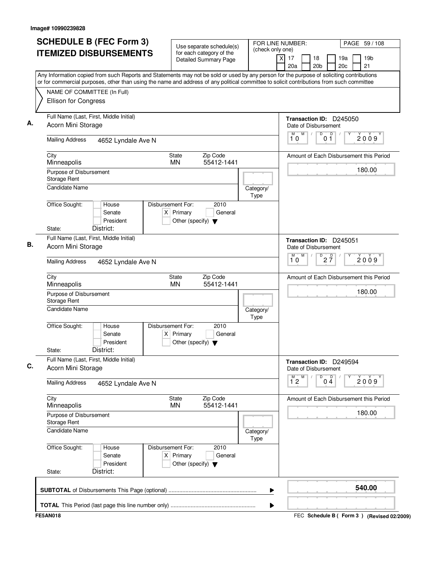| <b>SCHEDULE B (FEC Form 3)</b>                                                                                                                                                                                                                                                         | Use separate schedule(s)                                                                    | FOR LINE NUMBER:                                               |                                                 | PAGE 59 / 108                                    |
|----------------------------------------------------------------------------------------------------------------------------------------------------------------------------------------------------------------------------------------------------------------------------------------|---------------------------------------------------------------------------------------------|----------------------------------------------------------------|-------------------------------------------------|--------------------------------------------------|
| <b>ITEMIZED DISBURSEMENTS</b>                                                                                                                                                                                                                                                          | for each category of the<br><b>Detailed Summary Page</b>                                    | (check only one)<br>x                                          | 17<br>18<br>20a<br>20 <sub>b</sub>              | 19 <sub>b</sub><br>19a<br>20c<br>21              |
| Any Information copied from such Reports and Statements may not be sold or used by any person for the purpose of soliciting contributions<br>or for commercial purposes, other than using the name and address of any political committee to solicit contributions from such committee |                                                                                             |                                                                |                                                 |                                                  |
| NAME OF COMMITTEE (In Full)                                                                                                                                                                                                                                                            |                                                                                             |                                                                |                                                 |                                                  |
| Ellison for Congress                                                                                                                                                                                                                                                                   |                                                                                             |                                                                |                                                 |                                                  |
| Full Name (Last, First, Middle Initial)<br>Acorn Mini Storage                                                                                                                                                                                                                          |                                                                                             |                                                                | Transaction ID: D245050<br>Date of Disbursement |                                                  |
| <b>Mailing Address</b><br>4652 Lyndale Ave N                                                                                                                                                                                                                                           |                                                                                             |                                                                | M<br>M<br>D<br>10<br>01                         | D<br>2009                                        |
| City<br>Minneapolis                                                                                                                                                                                                                                                                    |                                                                                             |                                                                | Amount of Each Disbursement this Period         |                                                  |
| Purpose of Disbursement<br>Storage Rent                                                                                                                                                                                                                                                |                                                                                             |                                                                | 180.00                                          |                                                  |
| Candidate Name                                                                                                                                                                                                                                                                         |                                                                                             | Category/<br>Type                                              |                                                 |                                                  |
| Office Sought:<br>House<br>Senate<br>President<br>District:<br>State:                                                                                                                                                                                                                  | Disbursement For:<br>2010<br>$X$ Primary<br>General<br>Other (specify) $\blacktriangledown$ |                                                                |                                                 |                                                  |
| Full Name (Last, First, Middle Initial)                                                                                                                                                                                                                                                |                                                                                             |                                                                |                                                 |                                                  |
| Acorn Mini Storage                                                                                                                                                                                                                                                                     |                                                                                             | Transaction ID: D245051<br>Date of Disbursement<br>M<br>M<br>D |                                                 |                                                  |
| <b>Mailing Address</b><br>4652 Lyndale Ave N                                                                                                                                                                                                                                           |                                                                                             | $2\frac{D}{7}$<br>10                                           | 2009                                            |                                                  |
| City<br>Minneapolis                                                                                                                                                                                                                                                                    | Zip Code<br>State<br><b>MN</b><br>55412-1441                                                |                                                                |                                                 | Amount of Each Disbursement this Period          |
| Purpose of Disbursement<br>Storage Rent                                                                                                                                                                                                                                                |                                                                                             |                                                                | 180.00                                          |                                                  |
| <b>Candidate Name</b>                                                                                                                                                                                                                                                                  | Category/<br>Type                                                                           |                                                                |                                                 |                                                  |
| Office Sought:<br>House<br>Senate<br>President<br>District:<br>State:                                                                                                                                                                                                                  | Disbursement For:<br>2010<br>$X$ Primary<br>General<br>Other (specify) $\blacktriangledown$ |                                                                |                                                 |                                                  |
| Full Name (Last, First, Middle Initial)<br>Acorn Mini Storage                                                                                                                                                                                                                          |                                                                                             |                                                                | Transaction ID: D249594<br>Date of Disbursement |                                                  |
| <b>Mailing Address</b><br>4652 Lyndale Ave N                                                                                                                                                                                                                                           |                                                                                             |                                                                | $1^{M}2$<br>M<br>D                              | $\overline{0}$ <sup>D</sup> <sub>4</sub><br>2009 |
| City<br>Minneapolis                                                                                                                                                                                                                                                                    | Zip Code<br>State<br><b>MN</b><br>55412-1441                                                |                                                                |                                                 | Amount of Each Disbursement this Period          |
| Purpose of Disbursement<br>Storage Rent                                                                                                                                                                                                                                                |                                                                                             |                                                                | 180.00                                          |                                                  |
| <b>Candidate Name</b>                                                                                                                                                                                                                                                                  |                                                                                             | Category/<br>Type                                              |                                                 |                                                  |
| Office Sought:<br>House<br>Senate<br>President<br>District:<br>State:                                                                                                                                                                                                                  | Disbursement For:<br>2010<br>$X$ Primary<br>General<br>Other (specify) $\blacktriangledown$ |                                                                |                                                 |                                                  |
|                                                                                                                                                                                                                                                                                        |                                                                                             | ▶                                                              |                                                 | 540.00                                           |
|                                                                                                                                                                                                                                                                                        |                                                                                             | ▶                                                              |                                                 |                                                  |
| <b>FE5AN018</b>                                                                                                                                                                                                                                                                        |                                                                                             |                                                                |                                                 | FEC Schedule B ( Form 3 ) (Revised 02/2009)      |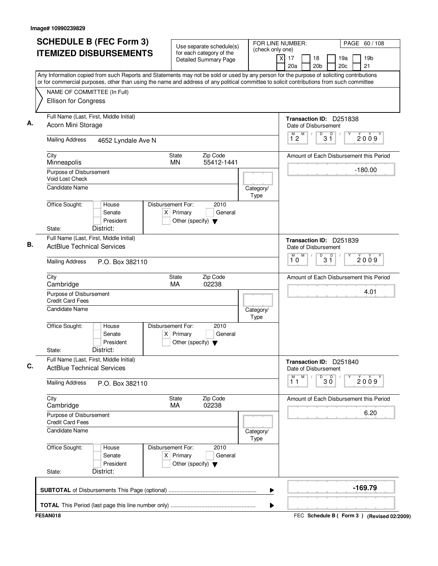| <b>SCHEDULE B (FEC Form 3)</b><br><b>ITEMIZED DISBURSEMENTS</b>                                                                                                                                                                                                                        | Use separate schedule(s)<br>for each category of the<br><b>Detailed Summary Page</b>        | FOR LINE NUMBER:<br>(check only one) | PAGE 60 / 108<br>19 <sub>b</sub><br>$\times$<br>17<br>18<br>19a<br>21<br>20a<br>20 <sub>b</sub><br>20c |
|----------------------------------------------------------------------------------------------------------------------------------------------------------------------------------------------------------------------------------------------------------------------------------------|---------------------------------------------------------------------------------------------|--------------------------------------|--------------------------------------------------------------------------------------------------------|
| Any Information copied from such Reports and Statements may not be sold or used by any person for the purpose of soliciting contributions<br>or for commercial purposes, other than using the name and address of any political committee to solicit contributions from such committee |                                                                                             |                                      |                                                                                                        |
| NAME OF COMMITTEE (In Full)<br>Ellison for Congress                                                                                                                                                                                                                                    |                                                                                             |                                      |                                                                                                        |
| Full Name (Last, First, Middle Initial)<br>Acorn Mini Storage                                                                                                                                                                                                                          |                                                                                             |                                      | Transaction ID: D251838<br>Date of Disbursement                                                        |
| <b>Mailing Address</b><br>4652 Lyndale Ave N                                                                                                                                                                                                                                           |                                                                                             |                                      | M<br>$\mathsf D$<br>$\overline{D}$<br>M<br>$\sqrt{2}$<br>2009<br>3 Ĭ<br>12                             |
| City<br>Minneapolis                                                                                                                                                                                                                                                                    | Zip Code<br>State<br><b>MN</b><br>55412-1441                                                |                                      | Amount of Each Disbursement this Period                                                                |
| Purpose of Disbursement<br><b>Void Lost Check</b>                                                                                                                                                                                                                                      |                                                                                             |                                      | $-180.00$                                                                                              |
| Candidate Name                                                                                                                                                                                                                                                                         |                                                                                             | Category/<br>Type                    |                                                                                                        |
| Office Sought:<br>House<br>Senate<br>President                                                                                                                                                                                                                                         | Disbursement For:<br>2010<br>$X$ Primary<br>General<br>Other (specify) $\blacktriangledown$ |                                      |                                                                                                        |
| District:<br>State:<br>Full Name (Last, First, Middle Initial)                                                                                                                                                                                                                         |                                                                                             |                                      | Transaction ID: D251839                                                                                |
| <b>ActBlue Technical Services</b>                                                                                                                                                                                                                                                      |                                                                                             |                                      | Date of Disbursement<br>M<br>M<br>D<br>$3^{\circ}$                                                     |
| <b>Mailing Address</b><br>P.O. Box 382110                                                                                                                                                                                                                                              |                                                                                             |                                      | 2009<br>10                                                                                             |
| City<br>Cambridge                                                                                                                                                                                                                                                                      | Zip Code<br>State<br>MA<br>02238                                                            |                                      | Amount of Each Disbursement this Period                                                                |
| Purpose of Disbursement<br><b>Credit Card Fees</b>                                                                                                                                                                                                                                     |                                                                                             |                                      | 4.01                                                                                                   |
| <b>Candidate Name</b>                                                                                                                                                                                                                                                                  |                                                                                             | Category/<br>Type                    |                                                                                                        |
| Office Sought:<br>House<br>Senate<br>President<br>District:<br>State:                                                                                                                                                                                                                  | Disbursement For:<br>2010<br>$X$ Primary<br>General<br>Other (specify) $\blacktriangledown$ |                                      |                                                                                                        |
| Full Name (Last, First, Middle Initial)<br><b>ActBlue Technical Services</b>                                                                                                                                                                                                           |                                                                                             |                                      | Transaction ID: D251840<br>Date of Disbursement                                                        |
| <b>Mailing Address</b><br>P.O. Box 382110                                                                                                                                                                                                                                              |                                                                                             |                                      | M<br>D<br>$30^{\circ}$<br>M<br>2009<br>11                                                              |
| City<br>Cambridge                                                                                                                                                                                                                                                                      | Zip Code<br>State<br>02238<br>МA                                                            |                                      | Amount of Each Disbursement this Period                                                                |
| Purpose of Disbursement<br><b>Credit Card Fees</b>                                                                                                                                                                                                                                     |                                                                                             |                                      | 6.20                                                                                                   |
| Candidate Name                                                                                                                                                                                                                                                                         |                                                                                             | Category/<br>Type                    |                                                                                                        |
| Office Sought:<br>House<br>Senate<br>President                                                                                                                                                                                                                                         | Disbursement For:<br>2010<br>$X$ Primary<br>General<br>Other (specify) $\blacktriangledown$ |                                      |                                                                                                        |
| District:<br>State:                                                                                                                                                                                                                                                                    |                                                                                             |                                      |                                                                                                        |
|                                                                                                                                                                                                                                                                                        |                                                                                             | ▶                                    | $-169.79$                                                                                              |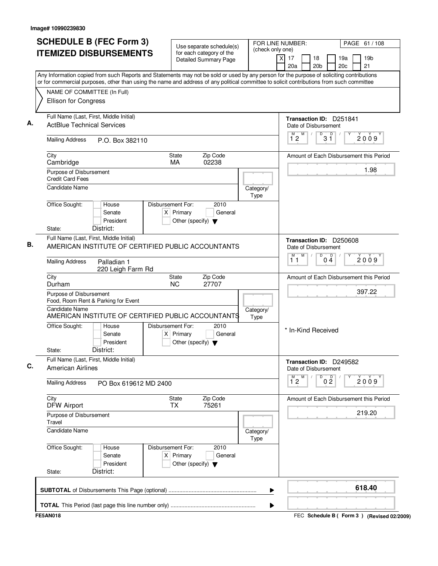| <b>SCHEDULE B (FEC Form 3)</b>                                                                                                                                                                                                                                                         | Use separate schedule(s)                                                                    | FOR LINE NUMBER:<br>(check only one) |                                                           |                     |            | PAGE 61 / 108                                     |
|----------------------------------------------------------------------------------------------------------------------------------------------------------------------------------------------------------------------------------------------------------------------------------------|---------------------------------------------------------------------------------------------|--------------------------------------|-----------------------------------------------------------|---------------------|------------|---------------------------------------------------|
| <b>ITEMIZED DISBURSEMENTS</b>                                                                                                                                                                                                                                                          | for each category of the<br><b>Detailed Summary Page</b>                                    | x                                    | 17<br>18<br>20a                                           | 20 <sub>b</sub>     | 19a<br>20c | 19 <sub>b</sub><br>21                             |
| Any Information copied from such Reports and Statements may not be sold or used by any person for the purpose of soliciting contributions<br>or for commercial purposes, other than using the name and address of any political committee to solicit contributions from such committee |                                                                                             |                                      |                                                           |                     |            |                                                   |
| NAME OF COMMITTEE (In Full)                                                                                                                                                                                                                                                            |                                                                                             |                                      |                                                           |                     |            |                                                   |
| Ellison for Congress                                                                                                                                                                                                                                                                   |                                                                                             |                                      |                                                           |                     |            |                                                   |
| Full Name (Last, First, Middle Initial)<br><b>ActBlue Technical Services</b>                                                                                                                                                                                                           |                                                                                             |                                      | Transaction ID: D251841<br>Date of Disbursement           |                     |            |                                                   |
| <b>Mailing Address</b><br>P.O. Box 382110                                                                                                                                                                                                                                              |                                                                                             |                                      | M<br>M<br>12                                              | D<br>D<br>3 Ĭ       |            | 2009                                              |
| City<br>Cambridge                                                                                                                                                                                                                                                                      | Zip Code<br>State<br>MA<br>02238                                                            |                                      |                                                           |                     |            | Amount of Each Disbursement this Period           |
| Purpose of Disbursement<br><b>Credit Card Fees</b>                                                                                                                                                                                                                                     |                                                                                             |                                      |                                                           |                     |            | 1.98                                              |
| Candidate Name                                                                                                                                                                                                                                                                         |                                                                                             | Category/<br>Type                    |                                                           |                     |            |                                                   |
| Office Sought:<br>House<br>Senate<br>President<br>State:<br>District:                                                                                                                                                                                                                  | Disbursement For:<br>2010<br>$X$ Primary<br>General<br>Other (specify) $\blacktriangledown$ |                                      |                                                           |                     |            |                                                   |
| Full Name (Last, First, Middle Initial)                                                                                                                                                                                                                                                |                                                                                             |                                      |                                                           |                     |            |                                                   |
| AMERICAN INSTITUTE OF CERTIFIED PUBLIC ACCOUNTANTS                                                                                                                                                                                                                                     |                                                                                             |                                      | Transaction ID: D250608<br>Date of Disbursement<br>M<br>M | D                   |            |                                                   |
| <b>Mailing Address</b><br>Palladian 1<br>220 Leigh Farm Rd                                                                                                                                                                                                                             |                                                                                             |                                      | 11                                                        | $0\frac{D}{4}$      |            | 2009                                              |
| City<br>Durham                                                                                                                                                                                                                                                                         | Zip Code<br>State<br><b>NC</b><br>27707                                                     |                                      |                                                           |                     |            | Amount of Each Disbursement this Period<br>397.22 |
| Purpose of Disbursement<br>Food, Room Rent & Parking for Event<br><b>Candidate Name</b>                                                                                                                                                                                                |                                                                                             |                                      |                                                           |                     |            |                                                   |
| AMERICAN INSTITUTE OF CERTIFIED PUBLIC ACCOUNTANTS                                                                                                                                                                                                                                     |                                                                                             | Category/<br>Type                    |                                                           |                     |            |                                                   |
| Office Sought:<br>House<br>Senate<br>President<br>District:<br>State:                                                                                                                                                                                                                  | 2010<br>Disbursement For:<br>$X$ Primary<br>General<br>Other (specify) $\blacktriangledown$ |                                      | * In-Kind Received                                        |                     |            |                                                   |
| Full Name (Last, First, Middle Initial)<br><b>American Airlines</b>                                                                                                                                                                                                                    |                                                                                             |                                      | Transaction ID: D249582<br>Date of Disbursement           |                     |            |                                                   |
| <b>Mailing Address</b><br>PO Box 619612 MD 2400                                                                                                                                                                                                                                        |                                                                                             |                                      | M<br>$\overline{1}^M$ 2                                   | 0 <sup>0</sup><br>D |            | 2009                                              |
| City<br><b>DFW Airport</b>                                                                                                                                                                                                                                                             | Zip Code<br>State<br>75261<br><b>TX</b>                                                     |                                      |                                                           |                     |            | Amount of Each Disbursement this Period           |
| Purpose of Disbursement<br>Travel                                                                                                                                                                                                                                                      |                                                                                             |                                      |                                                           |                     |            | 219.20                                            |
| <b>Candidate Name</b>                                                                                                                                                                                                                                                                  |                                                                                             | Category/<br>Type                    |                                                           |                     |            |                                                   |
| Office Sought:<br>House<br>Senate<br>President<br>District:<br>State:                                                                                                                                                                                                                  | Disbursement For:<br>2010<br>$X$ Primary<br>General<br>Other (specify) $\blacktriangledown$ |                                      |                                                           |                     |            |                                                   |
|                                                                                                                                                                                                                                                                                        |                                                                                             | ▶                                    |                                                           |                     |            | 618.40                                            |
|                                                                                                                                                                                                                                                                                        |                                                                                             | ▶                                    |                                                           |                     |            |                                                   |
| <b>FE5AN018</b>                                                                                                                                                                                                                                                                        |                                                                                             |                                      |                                                           |                     |            | FEC Schedule B ( Form 3 ) (Revised 02/2009)       |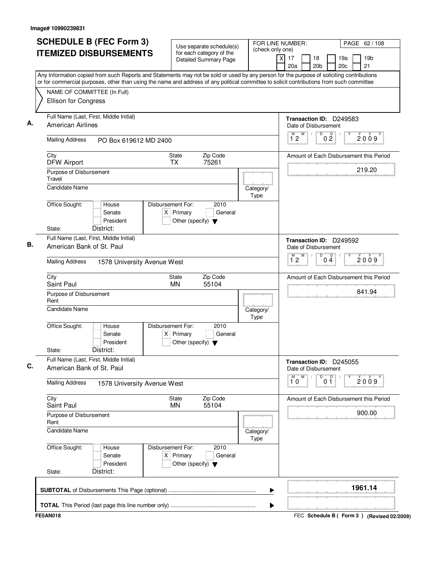| <b>SCHEDULE B (FEC Form 3)</b>                                                                                                            | Use separate schedule(s)                                                                    | FOR LINE NUMBER:<br>PAGE 62 / 108                                                                                                         |
|-------------------------------------------------------------------------------------------------------------------------------------------|---------------------------------------------------------------------------------------------|-------------------------------------------------------------------------------------------------------------------------------------------|
| <b>ITEMIZED DISBURSEMENTS</b>                                                                                                             | for each category of the<br><b>Detailed Summary Page</b>                                    | (check only one)<br>19 <sub>b</sub><br>$\times$<br>17<br>18<br>19a<br>20a<br>20 <sub>b</sub><br>20c<br>21                                 |
| or for commercial purposes, other than using the name and address of any political committee to solicit contributions from such committee |                                                                                             | Any Information copied from such Reports and Statements may not be sold or used by any person for the purpose of soliciting contributions |
| NAME OF COMMITTEE (In Full)<br>Ellison for Congress                                                                                       |                                                                                             |                                                                                                                                           |
| Full Name (Last, First, Middle Initial)<br><b>American Airlines</b>                                                                       |                                                                                             | Transaction ID: D249583<br>Date of Disbursement                                                                                           |
| <b>Mailing Address</b><br>PO Box 619612 MD 2400                                                                                           |                                                                                             | D<br>$0\frac{D}{2}$<br>M<br>М<br>2009<br>12                                                                                               |
| City<br><b>DFW Airport</b>                                                                                                                | Zip Code<br><b>State</b><br>75261<br><b>TX</b>                                              | Amount of Each Disbursement this Period<br>219.20                                                                                         |
| Purpose of Disbursement<br>Travel<br><b>Candidate Name</b>                                                                                |                                                                                             | Category/                                                                                                                                 |
| Office Sought:<br>House<br>Senate<br>President<br>District:<br>State:                                                                     | Disbursement For:<br>2010<br>$X$ Primary<br>General<br>Other (specify) $\blacktriangledown$ | Type                                                                                                                                      |
| Full Name (Last, First, Middle Initial)<br>American Bank of St. Paul                                                                      |                                                                                             | Transaction ID: D249592<br>Date of Disbursement<br>D<br>M<br>$0\stackrel{D}{4}$<br>2009                                                   |
| <b>Mailing Address</b><br>1578 University Avenue West                                                                                     |                                                                                             | 12                                                                                                                                        |
| City<br>Saint Paul                                                                                                                        | Zip Code<br><b>State</b><br><b>MN</b><br>55104                                              | Amount of Each Disbursement this Period                                                                                                   |
| Purpose of Disbursement<br>Rent<br><b>Candidate Name</b>                                                                                  |                                                                                             | 841.94<br>Category/                                                                                                                       |
| Office Sought:<br>House<br>Senate<br>President<br>District:<br>State:                                                                     | Disbursement For:<br>2010<br>$X$ Primary<br>General<br>Other (specify) $\blacktriangledown$ | Type                                                                                                                                      |
| Full Name (Last, First, Middle Initial)<br>American Bank of St. Paul                                                                      |                                                                                             | Transaction ID: D245055<br>Date of Disbursement                                                                                           |
| <b>Mailing Address</b><br>1578 University Avenue West                                                                                     |                                                                                             | $\overline{1}^M$ 0<br>M<br>D<br>0 <sup>0</sup><br>2009                                                                                    |
| City<br>Saint Paul                                                                                                                        | <b>State</b><br>Zip Code<br>55104<br><b>MN</b>                                              | Amount of Each Disbursement this Period<br>900.00                                                                                         |
| Purpose of Disbursement<br>Rent<br><b>Candidate Name</b>                                                                                  |                                                                                             | Category/<br>Type                                                                                                                         |
| Office Sought:<br>House<br>Senate<br>President<br>District:<br>State:                                                                     | Disbursement For:<br>2010<br>$X$ Primary<br>General<br>Other (specify) $\blacktriangledown$ |                                                                                                                                           |
|                                                                                                                                           |                                                                                             | 1961.14<br>▶                                                                                                                              |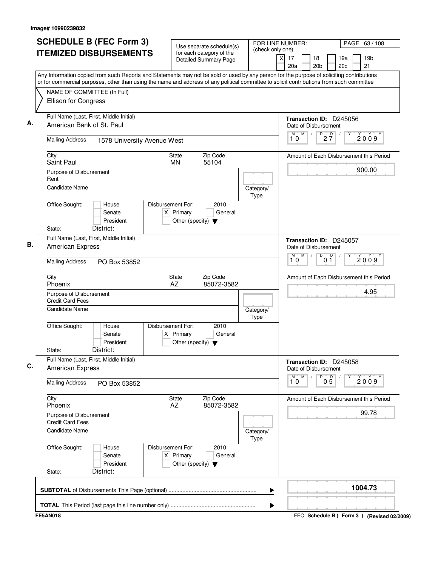| Any Information copied from such Reports and Statements may not be sold or used by any person for the purpose of soliciting contributions<br>or for commercial purposes, other than using the name and address of any political committee to solicit contributions from such committee<br>NAME OF COMMITTEE (In Full)<br>Ellison for Congress<br>Full Name (Last, First, Middle Initial)<br>American Bank of St. Paul<br>Date of Disbursement<br>M<br>D<br>$2\frac{D}{7}$<br>10<br><b>Mailing Address</b><br>1578 University Avenue West<br>Zip Code<br>City<br><b>State</b><br>Saint Paul<br>55104<br><b>MN</b><br>Purpose of Disbursement<br>Rent<br>Candidate Name<br>Category/<br>Type<br>Office Sought:<br>Disbursement For:<br>2010<br>House<br>$X$ Primary<br>Senate<br>General<br>President<br>Other (specify) $\blacktriangledown$<br>District:<br>State:<br>Full Name (Last, First, Middle Initial)<br><b>American Express</b><br>Date of Disbursement<br>M<br>$\overline{D}$<br>M<br>0 <sup>0</sup><br>10<br><b>Mailing Address</b><br>PO Box 53852<br><b>State</b><br>Zip Code<br>City<br>Phoenix<br>AZ<br>85072-3582<br>Purpose of Disbursement<br><b>Credit Card Fees</b><br><b>Candidate Name</b><br>Category/<br>Type<br>Office Sought:<br>Disbursement For:<br>2010<br>House<br>Senate<br>$X$ Primary<br>General<br>President<br>Other (specify) $\blacktriangledown$<br>District:<br>State:<br>Full Name (Last, First, Middle Initial)<br><b>American Express</b><br>Date of Disbursement<br>M<br>M<br>D<br>05<br>10<br><b>Mailing Address</b><br>PO Box 53852<br>City<br><b>State</b><br>Zip Code<br>85072-3582<br>Phoenix<br>AZ<br>Purpose of Disbursement<br><b>Credit Card Fees</b><br>Candidate Name<br>Category/<br>Type<br>Office Sought:<br>Disbursement For:<br>2010<br>House<br>$X$ Primary<br>Senate<br>General<br>President<br>Other (specify) $\blacktriangledown$ | PAGE 63/108<br>19 <sub>b</sub><br>21 | $\times$<br>17<br>18<br>19a<br>20c<br>20a<br>20 <sub>b</sub> | FOR LINE NUMBER:<br>(check only one) | Use separate schedule(s)<br>for each category of the<br><b>Detailed Summary Page</b> | <b>SCHEDULE B (FEC Form 3)</b><br><b>ITEMIZED DISBURSEMENTS</b> |        |
|---------------------------------------------------------------------------------------------------------------------------------------------------------------------------------------------------------------------------------------------------------------------------------------------------------------------------------------------------------------------------------------------------------------------------------------------------------------------------------------------------------------------------------------------------------------------------------------------------------------------------------------------------------------------------------------------------------------------------------------------------------------------------------------------------------------------------------------------------------------------------------------------------------------------------------------------------------------------------------------------------------------------------------------------------------------------------------------------------------------------------------------------------------------------------------------------------------------------------------------------------------------------------------------------------------------------------------------------------------------------------------------------------------------------------------------------------------------------------------------------------------------------------------------------------------------------------------------------------------------------------------------------------------------------------------------------------------------------------------------------------------------------------------------------------------------------------------------------------------------------------------------------------|--------------------------------------|--------------------------------------------------------------|--------------------------------------|--------------------------------------------------------------------------------------|-----------------------------------------------------------------|--------|
|                                                                                                                                                                                                                                                                                                                                                                                                                                                                                                                                                                                                                                                                                                                                                                                                                                                                                                                                                                                                                                                                                                                                                                                                                                                                                                                                                                                                                                                                                                                                                                                                                                                                                                                                                                                                                                                                                                   |                                      |                                                              |                                      |                                                                                      |                                                                 |        |
|                                                                                                                                                                                                                                                                                                                                                                                                                                                                                                                                                                                                                                                                                                                                                                                                                                                                                                                                                                                                                                                                                                                                                                                                                                                                                                                                                                                                                                                                                                                                                                                                                                                                                                                                                                                                                                                                                                   |                                      |                                                              |                                      |                                                                                      |                                                                 |        |
|                                                                                                                                                                                                                                                                                                                                                                                                                                                                                                                                                                                                                                                                                                                                                                                                                                                                                                                                                                                                                                                                                                                                                                                                                                                                                                                                                                                                                                                                                                                                                                                                                                                                                                                                                                                                                                                                                                   |                                      |                                                              |                                      |                                                                                      |                                                                 |        |
|                                                                                                                                                                                                                                                                                                                                                                                                                                                                                                                                                                                                                                                                                                                                                                                                                                                                                                                                                                                                                                                                                                                                                                                                                                                                                                                                                                                                                                                                                                                                                                                                                                                                                                                                                                                                                                                                                                   |                                      | Transaction ID: D245056                                      |                                      |                                                                                      |                                                                 |        |
|                                                                                                                                                                                                                                                                                                                                                                                                                                                                                                                                                                                                                                                                                                                                                                                                                                                                                                                                                                                                                                                                                                                                                                                                                                                                                                                                                                                                                                                                                                                                                                                                                                                                                                                                                                                                                                                                                                   | 2009                                 |                                                              |                                      |                                                                                      |                                                                 |        |
|                                                                                                                                                                                                                                                                                                                                                                                                                                                                                                                                                                                                                                                                                                                                                                                                                                                                                                                                                                                                                                                                                                                                                                                                                                                                                                                                                                                                                                                                                                                                                                                                                                                                                                                                                                                                                                                                                                   |                                      | Amount of Each Disbursement this Period                      |                                      |                                                                                      |                                                                 |        |
|                                                                                                                                                                                                                                                                                                                                                                                                                                                                                                                                                                                                                                                                                                                                                                                                                                                                                                                                                                                                                                                                                                                                                                                                                                                                                                                                                                                                                                                                                                                                                                                                                                                                                                                                                                                                                                                                                                   | 900.00                               |                                                              |                                      |                                                                                      |                                                                 |        |
|                                                                                                                                                                                                                                                                                                                                                                                                                                                                                                                                                                                                                                                                                                                                                                                                                                                                                                                                                                                                                                                                                                                                                                                                                                                                                                                                                                                                                                                                                                                                                                                                                                                                                                                                                                                                                                                                                                   |                                      |                                                              |                                      |                                                                                      |                                                                 |        |
|                                                                                                                                                                                                                                                                                                                                                                                                                                                                                                                                                                                                                                                                                                                                                                                                                                                                                                                                                                                                                                                                                                                                                                                                                                                                                                                                                                                                                                                                                                                                                                                                                                                                                                                                                                                                                                                                                                   |                                      |                                                              |                                      |                                                                                      |                                                                 |        |
|                                                                                                                                                                                                                                                                                                                                                                                                                                                                                                                                                                                                                                                                                                                                                                                                                                                                                                                                                                                                                                                                                                                                                                                                                                                                                                                                                                                                                                                                                                                                                                                                                                                                                                                                                                                                                                                                                                   |                                      |                                                              |                                      |                                                                                      |                                                                 |        |
|                                                                                                                                                                                                                                                                                                                                                                                                                                                                                                                                                                                                                                                                                                                                                                                                                                                                                                                                                                                                                                                                                                                                                                                                                                                                                                                                                                                                                                                                                                                                                                                                                                                                                                                                                                                                                                                                                                   |                                      | Transaction ID: D245057                                      |                                      |                                                                                      |                                                                 |        |
|                                                                                                                                                                                                                                                                                                                                                                                                                                                                                                                                                                                                                                                                                                                                                                                                                                                                                                                                                                                                                                                                                                                                                                                                                                                                                                                                                                                                                                                                                                                                                                                                                                                                                                                                                                                                                                                                                                   | 2009                                 |                                                              |                                      |                                                                                      |                                                                 |        |
|                                                                                                                                                                                                                                                                                                                                                                                                                                                                                                                                                                                                                                                                                                                                                                                                                                                                                                                                                                                                                                                                                                                                                                                                                                                                                                                                                                                                                                                                                                                                                                                                                                                                                                                                                                                                                                                                                                   |                                      | Amount of Each Disbursement this Period                      |                                      |                                                                                      |                                                                 |        |
|                                                                                                                                                                                                                                                                                                                                                                                                                                                                                                                                                                                                                                                                                                                                                                                                                                                                                                                                                                                                                                                                                                                                                                                                                                                                                                                                                                                                                                                                                                                                                                                                                                                                                                                                                                                                                                                                                                   | 4.95                                 |                                                              |                                      |                                                                                      |                                                                 |        |
|                                                                                                                                                                                                                                                                                                                                                                                                                                                                                                                                                                                                                                                                                                                                                                                                                                                                                                                                                                                                                                                                                                                                                                                                                                                                                                                                                                                                                                                                                                                                                                                                                                                                                                                                                                                                                                                                                                   |                                      |                                                              |                                      |                                                                                      |                                                                 |        |
|                                                                                                                                                                                                                                                                                                                                                                                                                                                                                                                                                                                                                                                                                                                                                                                                                                                                                                                                                                                                                                                                                                                                                                                                                                                                                                                                                                                                                                                                                                                                                                                                                                                                                                                                                                                                                                                                                                   |                                      |                                                              |                                      |                                                                                      |                                                                 |        |
|                                                                                                                                                                                                                                                                                                                                                                                                                                                                                                                                                                                                                                                                                                                                                                                                                                                                                                                                                                                                                                                                                                                                                                                                                                                                                                                                                                                                                                                                                                                                                                                                                                                                                                                                                                                                                                                                                                   |                                      |                                                              |                                      |                                                                                      |                                                                 |        |
|                                                                                                                                                                                                                                                                                                                                                                                                                                                                                                                                                                                                                                                                                                                                                                                                                                                                                                                                                                                                                                                                                                                                                                                                                                                                                                                                                                                                                                                                                                                                                                                                                                                                                                                                                                                                                                                                                                   |                                      | Transaction ID: D245058                                      |                                      |                                                                                      |                                                                 |        |
|                                                                                                                                                                                                                                                                                                                                                                                                                                                                                                                                                                                                                                                                                                                                                                                                                                                                                                                                                                                                                                                                                                                                                                                                                                                                                                                                                                                                                                                                                                                                                                                                                                                                                                                                                                                                                                                                                                   | 2009                                 |                                                              |                                      |                                                                                      |                                                                 |        |
|                                                                                                                                                                                                                                                                                                                                                                                                                                                                                                                                                                                                                                                                                                                                                                                                                                                                                                                                                                                                                                                                                                                                                                                                                                                                                                                                                                                                                                                                                                                                                                                                                                                                                                                                                                                                                                                                                                   |                                      | Amount of Each Disbursement this Period                      |                                      |                                                                                      |                                                                 |        |
|                                                                                                                                                                                                                                                                                                                                                                                                                                                                                                                                                                                                                                                                                                                                                                                                                                                                                                                                                                                                                                                                                                                                                                                                                                                                                                                                                                                                                                                                                                                                                                                                                                                                                                                                                                                                                                                                                                   | 99.78                                |                                                              |                                      |                                                                                      |                                                                 |        |
|                                                                                                                                                                                                                                                                                                                                                                                                                                                                                                                                                                                                                                                                                                                                                                                                                                                                                                                                                                                                                                                                                                                                                                                                                                                                                                                                                                                                                                                                                                                                                                                                                                                                                                                                                                                                                                                                                                   |                                      |                                                              |                                      |                                                                                      |                                                                 |        |
|                                                                                                                                                                                                                                                                                                                                                                                                                                                                                                                                                                                                                                                                                                                                                                                                                                                                                                                                                                                                                                                                                                                                                                                                                                                                                                                                                                                                                                                                                                                                                                                                                                                                                                                                                                                                                                                                                                   |                                      |                                                              |                                      |                                                                                      |                                                                 |        |
|                                                                                                                                                                                                                                                                                                                                                                                                                                                                                                                                                                                                                                                                                                                                                                                                                                                                                                                                                                                                                                                                                                                                                                                                                                                                                                                                                                                                                                                                                                                                                                                                                                                                                                                                                                                                                                                                                                   |                                      |                                                              |                                      |                                                                                      | District:                                                       | State: |
|                                                                                                                                                                                                                                                                                                                                                                                                                                                                                                                                                                                                                                                                                                                                                                                                                                                                                                                                                                                                                                                                                                                                                                                                                                                                                                                                                                                                                                                                                                                                                                                                                                                                                                                                                                                                                                                                                                   | 1004.73                              |                                                              |                                      |                                                                                      |                                                                 |        |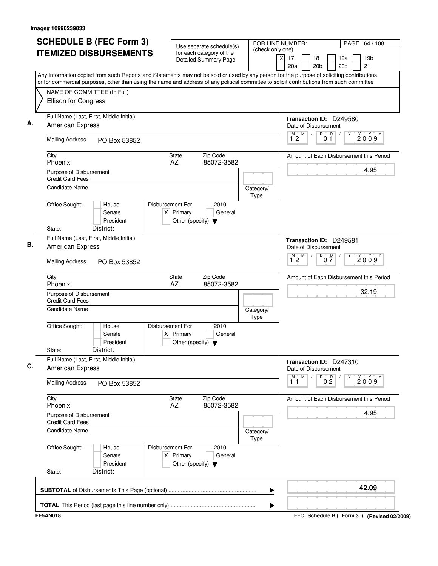| Any Information copied from such Reports and Statements may not be sold or used by any person for the purpose of soliciting contributions<br>or for commercial purposes, other than using the name and address of any political committee to solicit contributions from such committee<br>NAME OF COMMITTEE (In Full)<br>Ellison for Congress<br>Full Name (Last, First, Middle Initial)<br>Transaction ID: D249580<br><b>American Express</b><br>Date of Disbursement<br>M<br>D<br>D<br>M<br>$\sqrt{2}$<br>2009<br>12<br>01<br><b>Mailing Address</b><br>PO Box 53852<br>State<br>Zip Code<br>City<br>AZ<br>85072-3582<br>Phoenix<br>4.95<br>Purpose of Disbursement<br><b>Credit Card Fees</b><br>Candidate Name<br>Category/<br>Type<br>Office Sought:<br>Disbursement For:<br>2010<br>House<br>$X$ Primary<br>General<br>Senate<br>President<br>Other (specify) $\blacktriangledown$<br>District:<br>State:<br>Full Name (Last, First, Middle Initial)<br>Transaction ID: D249581<br>American Express<br>Date of Disbursement<br>D<br>$M$ $M$<br>0 <sup>0</sup><br>2009<br>$1^{\degree}2$<br><b>Mailing Address</b><br>PO Box 53852<br>Zip Code<br>City<br>State<br>Phoenix<br>AZ<br>85072-3582<br>32.19<br>Purpose of Disbursement<br><b>Credit Card Fees</b><br><b>Candidate Name</b><br>Category/<br>Type<br>Office Sought:<br>Disbursement For:<br>2010<br>House<br>Senate<br>$X$ Primary<br>General<br>President<br>Other (specify) $\blacktriangledown$<br>District:<br>State:<br>Full Name (Last, First, Middle Initial)<br>Transaction ID: D247310<br><b>American Express</b><br>Date of Disbursement<br>M<br>D<br>M<br>0 <sup>0</sup><br>2009<br>11<br><b>Mailing Address</b><br>PO Box 53852<br>City<br><b>State</b><br>Zip Code<br>Phoenix<br>AZ<br>85072-3582<br>4.95<br>Purpose of Disbursement<br><b>Credit Card Fees</b><br>Candidate Name<br>Category/<br>Type<br>Office Sought:<br>Disbursement For:<br>House<br>2010<br>$X$ Primary<br>Senate<br>General<br>President<br>Other (specify) $\blacktriangledown$<br>District:<br>State:<br>42.09 | <b>SCHEDULE B (FEC Form 3)</b><br><b>ITEMIZED DISBURSEMENTS</b> | Use separate schedule(s)<br>for each category of the<br><b>Detailed Summary Page</b> | FOR LINE NUMBER:<br>(check only one) | PAGE 64 / 108<br>19 <sub>b</sub><br>$\times$<br>17<br>18<br>19a<br>20 <sub>b</sub><br>21<br>20a<br>20c |
|---------------------------------------------------------------------------------------------------------------------------------------------------------------------------------------------------------------------------------------------------------------------------------------------------------------------------------------------------------------------------------------------------------------------------------------------------------------------------------------------------------------------------------------------------------------------------------------------------------------------------------------------------------------------------------------------------------------------------------------------------------------------------------------------------------------------------------------------------------------------------------------------------------------------------------------------------------------------------------------------------------------------------------------------------------------------------------------------------------------------------------------------------------------------------------------------------------------------------------------------------------------------------------------------------------------------------------------------------------------------------------------------------------------------------------------------------------------------------------------------------------------------------------------------------------------------------------------------------------------------------------------------------------------------------------------------------------------------------------------------------------------------------------------------------------------------------------------------------------------------------------------------------------------------------------------------------------------------------------------------------------------------------------------------------------------------|-----------------------------------------------------------------|--------------------------------------------------------------------------------------|--------------------------------------|--------------------------------------------------------------------------------------------------------|
|                                                                                                                                                                                                                                                                                                                                                                                                                                                                                                                                                                                                                                                                                                                                                                                                                                                                                                                                                                                                                                                                                                                                                                                                                                                                                                                                                                                                                                                                                                                                                                                                                                                                                                                                                                                                                                                                                                                                                                                                                                                                     |                                                                 |                                                                                      |                                      |                                                                                                        |
|                                                                                                                                                                                                                                                                                                                                                                                                                                                                                                                                                                                                                                                                                                                                                                                                                                                                                                                                                                                                                                                                                                                                                                                                                                                                                                                                                                                                                                                                                                                                                                                                                                                                                                                                                                                                                                                                                                                                                                                                                                                                     |                                                                 |                                                                                      |                                      |                                                                                                        |
|                                                                                                                                                                                                                                                                                                                                                                                                                                                                                                                                                                                                                                                                                                                                                                                                                                                                                                                                                                                                                                                                                                                                                                                                                                                                                                                                                                                                                                                                                                                                                                                                                                                                                                                                                                                                                                                                                                                                                                                                                                                                     |                                                                 |                                                                                      |                                      |                                                                                                        |
|                                                                                                                                                                                                                                                                                                                                                                                                                                                                                                                                                                                                                                                                                                                                                                                                                                                                                                                                                                                                                                                                                                                                                                                                                                                                                                                                                                                                                                                                                                                                                                                                                                                                                                                                                                                                                                                                                                                                                                                                                                                                     |                                                                 |                                                                                      |                                      |                                                                                                        |
|                                                                                                                                                                                                                                                                                                                                                                                                                                                                                                                                                                                                                                                                                                                                                                                                                                                                                                                                                                                                                                                                                                                                                                                                                                                                                                                                                                                                                                                                                                                                                                                                                                                                                                                                                                                                                                                                                                                                                                                                                                                                     |                                                                 |                                                                                      |                                      | Amount of Each Disbursement this Period                                                                |
|                                                                                                                                                                                                                                                                                                                                                                                                                                                                                                                                                                                                                                                                                                                                                                                                                                                                                                                                                                                                                                                                                                                                                                                                                                                                                                                                                                                                                                                                                                                                                                                                                                                                                                                                                                                                                                                                                                                                                                                                                                                                     |                                                                 |                                                                                      |                                      |                                                                                                        |
|                                                                                                                                                                                                                                                                                                                                                                                                                                                                                                                                                                                                                                                                                                                                                                                                                                                                                                                                                                                                                                                                                                                                                                                                                                                                                                                                                                                                                                                                                                                                                                                                                                                                                                                                                                                                                                                                                                                                                                                                                                                                     |                                                                 |                                                                                      |                                      |                                                                                                        |
|                                                                                                                                                                                                                                                                                                                                                                                                                                                                                                                                                                                                                                                                                                                                                                                                                                                                                                                                                                                                                                                                                                                                                                                                                                                                                                                                                                                                                                                                                                                                                                                                                                                                                                                                                                                                                                                                                                                                                                                                                                                                     |                                                                 |                                                                                      |                                      |                                                                                                        |
|                                                                                                                                                                                                                                                                                                                                                                                                                                                                                                                                                                                                                                                                                                                                                                                                                                                                                                                                                                                                                                                                                                                                                                                                                                                                                                                                                                                                                                                                                                                                                                                                                                                                                                                                                                                                                                                                                                                                                                                                                                                                     |                                                                 |                                                                                      |                                      |                                                                                                        |
|                                                                                                                                                                                                                                                                                                                                                                                                                                                                                                                                                                                                                                                                                                                                                                                                                                                                                                                                                                                                                                                                                                                                                                                                                                                                                                                                                                                                                                                                                                                                                                                                                                                                                                                                                                                                                                                                                                                                                                                                                                                                     |                                                                 |                                                                                      |                                      |                                                                                                        |
|                                                                                                                                                                                                                                                                                                                                                                                                                                                                                                                                                                                                                                                                                                                                                                                                                                                                                                                                                                                                                                                                                                                                                                                                                                                                                                                                                                                                                                                                                                                                                                                                                                                                                                                                                                                                                                                                                                                                                                                                                                                                     |                                                                 |                                                                                      |                                      |                                                                                                        |
|                                                                                                                                                                                                                                                                                                                                                                                                                                                                                                                                                                                                                                                                                                                                                                                                                                                                                                                                                                                                                                                                                                                                                                                                                                                                                                                                                                                                                                                                                                                                                                                                                                                                                                                                                                                                                                                                                                                                                                                                                                                                     |                                                                 |                                                                                      |                                      | Amount of Each Disbursement this Period                                                                |
|                                                                                                                                                                                                                                                                                                                                                                                                                                                                                                                                                                                                                                                                                                                                                                                                                                                                                                                                                                                                                                                                                                                                                                                                                                                                                                                                                                                                                                                                                                                                                                                                                                                                                                                                                                                                                                                                                                                                                                                                                                                                     |                                                                 |                                                                                      |                                      |                                                                                                        |
|                                                                                                                                                                                                                                                                                                                                                                                                                                                                                                                                                                                                                                                                                                                                                                                                                                                                                                                                                                                                                                                                                                                                                                                                                                                                                                                                                                                                                                                                                                                                                                                                                                                                                                                                                                                                                                                                                                                                                                                                                                                                     |                                                                 |                                                                                      |                                      |                                                                                                        |
|                                                                                                                                                                                                                                                                                                                                                                                                                                                                                                                                                                                                                                                                                                                                                                                                                                                                                                                                                                                                                                                                                                                                                                                                                                                                                                                                                                                                                                                                                                                                                                                                                                                                                                                                                                                                                                                                                                                                                                                                                                                                     |                                                                 |                                                                                      |                                      |                                                                                                        |
|                                                                                                                                                                                                                                                                                                                                                                                                                                                                                                                                                                                                                                                                                                                                                                                                                                                                                                                                                                                                                                                                                                                                                                                                                                                                                                                                                                                                                                                                                                                                                                                                                                                                                                                                                                                                                                                                                                                                                                                                                                                                     |                                                                 |                                                                                      |                                      |                                                                                                        |
|                                                                                                                                                                                                                                                                                                                                                                                                                                                                                                                                                                                                                                                                                                                                                                                                                                                                                                                                                                                                                                                                                                                                                                                                                                                                                                                                                                                                                                                                                                                                                                                                                                                                                                                                                                                                                                                                                                                                                                                                                                                                     |                                                                 |                                                                                      |                                      |                                                                                                        |
|                                                                                                                                                                                                                                                                                                                                                                                                                                                                                                                                                                                                                                                                                                                                                                                                                                                                                                                                                                                                                                                                                                                                                                                                                                                                                                                                                                                                                                                                                                                                                                                                                                                                                                                                                                                                                                                                                                                                                                                                                                                                     |                                                                 |                                                                                      |                                      |                                                                                                        |
|                                                                                                                                                                                                                                                                                                                                                                                                                                                                                                                                                                                                                                                                                                                                                                                                                                                                                                                                                                                                                                                                                                                                                                                                                                                                                                                                                                                                                                                                                                                                                                                                                                                                                                                                                                                                                                                                                                                                                                                                                                                                     |                                                                 |                                                                                      |                                      | Amount of Each Disbursement this Period                                                                |
|                                                                                                                                                                                                                                                                                                                                                                                                                                                                                                                                                                                                                                                                                                                                                                                                                                                                                                                                                                                                                                                                                                                                                                                                                                                                                                                                                                                                                                                                                                                                                                                                                                                                                                                                                                                                                                                                                                                                                                                                                                                                     |                                                                 |                                                                                      |                                      |                                                                                                        |
|                                                                                                                                                                                                                                                                                                                                                                                                                                                                                                                                                                                                                                                                                                                                                                                                                                                                                                                                                                                                                                                                                                                                                                                                                                                                                                                                                                                                                                                                                                                                                                                                                                                                                                                                                                                                                                                                                                                                                                                                                                                                     |                                                                 |                                                                                      |                                      |                                                                                                        |
|                                                                                                                                                                                                                                                                                                                                                                                                                                                                                                                                                                                                                                                                                                                                                                                                                                                                                                                                                                                                                                                                                                                                                                                                                                                                                                                                                                                                                                                                                                                                                                                                                                                                                                                                                                                                                                                                                                                                                                                                                                                                     |                                                                 |                                                                                      |                                      |                                                                                                        |
|                                                                                                                                                                                                                                                                                                                                                                                                                                                                                                                                                                                                                                                                                                                                                                                                                                                                                                                                                                                                                                                                                                                                                                                                                                                                                                                                                                                                                                                                                                                                                                                                                                                                                                                                                                                                                                                                                                                                                                                                                                                                     |                                                                 |                                                                                      |                                      |                                                                                                        |
|                                                                                                                                                                                                                                                                                                                                                                                                                                                                                                                                                                                                                                                                                                                                                                                                                                                                                                                                                                                                                                                                                                                                                                                                                                                                                                                                                                                                                                                                                                                                                                                                                                                                                                                                                                                                                                                                                                                                                                                                                                                                     |                                                                 |                                                                                      |                                      |                                                                                                        |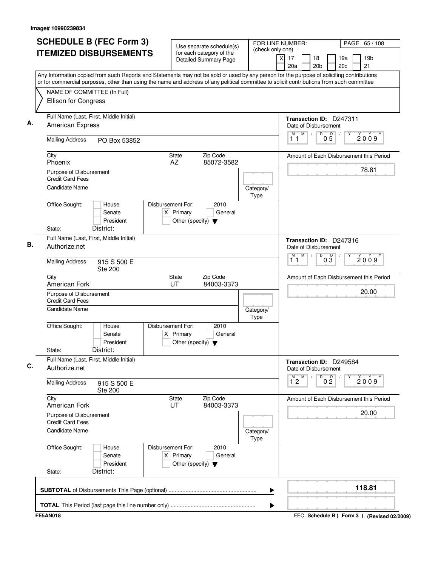| <b>SCHEDULE B (FEC Form 3)</b>                                                                                                                                                                                                                                                         | Use separate schedule(s)                                                                    | FOR LINE NUMBER:<br>(check only one) | PAGE 65/108                                                               |
|----------------------------------------------------------------------------------------------------------------------------------------------------------------------------------------------------------------------------------------------------------------------------------------|---------------------------------------------------------------------------------------------|--------------------------------------|---------------------------------------------------------------------------|
| <b>ITEMIZED DISBURSEMENTS</b>                                                                                                                                                                                                                                                          | for each category of the<br><b>Detailed Summary Page</b>                                    | Χ                                    | 19 <sub>b</sub><br>17<br>18<br>19a<br>20a<br>20 <sub>b</sub><br>20c<br>21 |
| Any Information copied from such Reports and Statements may not be sold or used by any person for the purpose of soliciting contributions<br>or for commercial purposes, other than using the name and address of any political committee to solicit contributions from such committee |                                                                                             |                                      |                                                                           |
| NAME OF COMMITTEE (In Full)                                                                                                                                                                                                                                                            |                                                                                             |                                      |                                                                           |
| Ellison for Congress                                                                                                                                                                                                                                                                   |                                                                                             |                                      |                                                                           |
| Full Name (Last, First, Middle Initial)<br>American Express                                                                                                                                                                                                                            |                                                                                             |                                      | Transaction ID: D247311<br>Date of Disbursement                           |
| <b>Mailing Address</b><br>PO Box 53852                                                                                                                                                                                                                                                 |                                                                                             |                                      | M<br>$\mathsf D$<br>$0\overline{5}$<br>$\sqrt{2}$<br>M<br>2009<br>11      |
| City<br>Phoenix                                                                                                                                                                                                                                                                        | Zip Code<br>State<br>AZ<br>85072-3582                                                       |                                      | Amount of Each Disbursement this Period                                   |
| Purpose of Disbursement<br><b>Credit Card Fees</b>                                                                                                                                                                                                                                     |                                                                                             |                                      | 78.81                                                                     |
| Candidate Name                                                                                                                                                                                                                                                                         |                                                                                             | Category/<br>Type                    |                                                                           |
| Office Sought:<br>House<br>Senate<br>President                                                                                                                                                                                                                                         | Disbursement For:<br>2010<br>$X$ Primary<br>General<br>Other (specify) $\blacktriangledown$ |                                      |                                                                           |
| District:<br>State:                                                                                                                                                                                                                                                                    |                                                                                             |                                      |                                                                           |
| Full Name (Last, First, Middle Initial)<br>Authorize.net                                                                                                                                                                                                                               |                                                                                             |                                      | Transaction ID: D247316<br>Date of Disbursement                           |
| <b>Mailing Address</b><br>915 S 500 E<br><b>Ste 200</b>                                                                                                                                                                                                                                |                                                                                             |                                      | M<br>D<br>$0\overline{3}$<br>М<br>2009<br>11                              |
| City<br>American Fork                                                                                                                                                                                                                                                                  | Zip Code<br>State<br>UT<br>84003-3373                                                       |                                      | Amount of Each Disbursement this Period                                   |
| Purpose of Disbursement<br><b>Credit Card Fees</b>                                                                                                                                                                                                                                     |                                                                                             |                                      | 20.00                                                                     |
| <b>Candidate Name</b>                                                                                                                                                                                                                                                                  |                                                                                             | Category/<br>Type                    |                                                                           |
| Office Sought:<br>House<br>Senate<br>President                                                                                                                                                                                                                                         | Disbursement For:<br>2010<br>$X$ Primary<br>General<br>Other (specify) $\blacktriangledown$ |                                      |                                                                           |
| District:<br>State:<br>Full Name (Last, First, Middle Initial)                                                                                                                                                                                                                         |                                                                                             |                                      |                                                                           |
| Authorize.net                                                                                                                                                                                                                                                                          |                                                                                             |                                      | Transaction ID: D249584<br>Date of Disbursement<br>M<br>D                 |
| <b>Mailing Address</b><br>915 S 500 E<br><b>Ste 200</b>                                                                                                                                                                                                                                |                                                                                             |                                      | 0 <sup>0</sup><br>$\overline{1}^M$ 2<br>2009                              |
| City<br>American Fork                                                                                                                                                                                                                                                                  | State<br>Zip Code<br>UT<br>84003-3373                                                       |                                      | Amount of Each Disbursement this Period                                   |
| Purpose of Disbursement<br><b>Credit Card Fees</b>                                                                                                                                                                                                                                     |                                                                                             |                                      | 20.00                                                                     |
| Candidate Name                                                                                                                                                                                                                                                                         |                                                                                             | Category/<br>Type                    |                                                                           |
| Office Sought:<br>House<br>Senate<br>President                                                                                                                                                                                                                                         | Disbursement For:<br>2010<br>$X$ Primary<br>General<br>Other (specify) $\blacktriangledown$ |                                      |                                                                           |
| District:<br>State:                                                                                                                                                                                                                                                                    |                                                                                             |                                      |                                                                           |
|                                                                                                                                                                                                                                                                                        |                                                                                             | ▶                                    | 118.81                                                                    |
|                                                                                                                                                                                                                                                                                        |                                                                                             |                                      |                                                                           |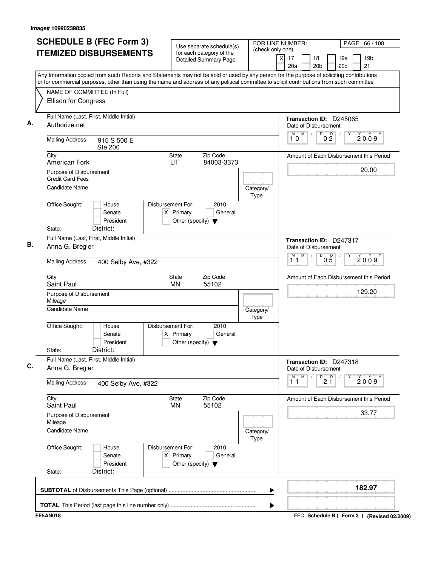| <b>ITEMIZED DISBURSEMENTS</b>                                                                                                                                                                                                                                                          | for each category of the                                                                    | (check only one)  |                                                                                       |
|----------------------------------------------------------------------------------------------------------------------------------------------------------------------------------------------------------------------------------------------------------------------------------------|---------------------------------------------------------------------------------------------|-------------------|---------------------------------------------------------------------------------------|
|                                                                                                                                                                                                                                                                                        | <b>Detailed Summary Page</b>                                                                | $\times$          | 17<br>18<br>19a<br>19 <sub>b</sub><br>20 <sub>b</sub><br>20 <sub>c</sub><br>21<br>20a |
| Any Information copied from such Reports and Statements may not be sold or used by any person for the purpose of soliciting contributions<br>or for commercial purposes, other than using the name and address of any political committee to solicit contributions from such committee |                                                                                             |                   |                                                                                       |
| NAME OF COMMITTEE (In Full)<br>Ellison for Congress                                                                                                                                                                                                                                    |                                                                                             |                   |                                                                                       |
| Full Name (Last, First, Middle Initial)<br>Authorize.net                                                                                                                                                                                                                               |                                                                                             |                   | Transaction ID: D245065<br>Date of Disbursement                                       |
| <b>Mailing Address</b><br>915 S 500 E<br><b>Ste 200</b>                                                                                                                                                                                                                                |                                                                                             |                   | M<br>D<br>0 <sup>D</sup><br>M<br>$\prime$<br>2009<br>10                               |
| City<br>American Fork                                                                                                                                                                                                                                                                  | Zip Code<br>State<br>UT<br>84003-3373                                                       |                   | Amount of Each Disbursement this Period                                               |
| Purpose of Disbursement<br><b>Credit Card Fees</b>                                                                                                                                                                                                                                     |                                                                                             |                   | 20.00                                                                                 |
| <b>Candidate Name</b>                                                                                                                                                                                                                                                                  |                                                                                             | Category/<br>Type |                                                                                       |
| Office Sought:<br>House<br>Senate<br>President<br>District:<br>State:                                                                                                                                                                                                                  | Disbursement For:<br>2010<br>$X$ Primary<br>General<br>Other (specify) $\blacktriangledown$ |                   |                                                                                       |
| Full Name (Last, First, Middle Initial)<br>Anna G. Bregier                                                                                                                                                                                                                             |                                                                                             |                   | Transaction ID: D247317<br>Date of Disbursement                                       |
| <b>Mailing Address</b><br>400 Selby Ave, #322                                                                                                                                                                                                                                          |                                                                                             |                   | M<br>М<br>D<br>05<br>2009<br>11                                                       |
| City<br>Saint Paul                                                                                                                                                                                                                                                                     | Zip Code<br>State<br><b>MN</b><br>55102                                                     |                   | Amount of Each Disbursement this Period                                               |
| Purpose of Disbursement<br>Mileage                                                                                                                                                                                                                                                     |                                                                                             |                   | 129.20                                                                                |
| Candidate Name                                                                                                                                                                                                                                                                         |                                                                                             | Category/<br>Type |                                                                                       |
| Office Sought:<br>House<br>Senate<br>President<br>District:<br>State:                                                                                                                                                                                                                  | Disbursement For:<br>2010<br>General<br>$X$ Primary<br>Other (specify) $\blacktriangledown$ |                   |                                                                                       |
| Full Name (Last, First, Middle Initial)<br>Anna G. Bregier                                                                                                                                                                                                                             |                                                                                             |                   | Transaction ID: D247318<br>Date of Disbursement                                       |
| <b>Mailing Address</b><br>400 Selby Ave, #322                                                                                                                                                                                                                                          |                                                                                             |                   | M<br>M<br>2 <sup>0</sup><br>D<br>2009<br>11                                           |
| City<br>Saint Paul                                                                                                                                                                                                                                                                     | Zip Code<br>State<br>55102<br>MN.                                                           |                   | Amount of Each Disbursement this Period                                               |
| Purpose of Disbursement<br>Mileage                                                                                                                                                                                                                                                     |                                                                                             |                   | 33.77                                                                                 |
| <b>Candidate Name</b>                                                                                                                                                                                                                                                                  |                                                                                             | Category/<br>Type |                                                                                       |
| Office Sought:<br>House<br>Senate<br>President<br>District:<br>State:                                                                                                                                                                                                                  | Disbursement For:<br>2010<br>$X$ Primary<br>General<br>Other (specify) $\blacktriangledown$ |                   |                                                                                       |
|                                                                                                                                                                                                                                                                                        |                                                                                             | ▶                 | 182.97                                                                                |
|                                                                                                                                                                                                                                                                                        |                                                                                             | ▶                 |                                                                                       |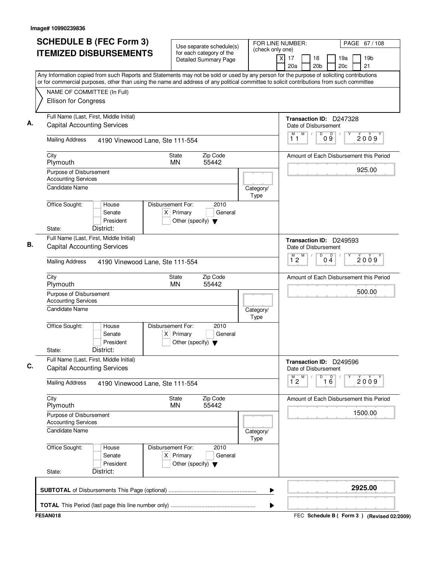| <b>Detailed Summary Page</b><br>20a<br>20 <sub>b</sub><br>Any Information copied from such Reports and Statements may not be sold or used by any person for the purpose of soliciting contributions<br>or for commercial purposes, other than using the name and address of any political committee to solicit contributions from such committee<br>NAME OF COMMITTEE (In Full)<br>Ellison for Congress<br>Full Name (Last, First, Middle Initial)<br>Transaction ID: D247328<br><b>Capital Accounting Services</b><br>Date of Disbursement<br>M<br>$\mathsf D$<br>$\mathsf D$<br>M<br>$\sqrt{2}$<br>$0\overline{9}$<br>11<br><b>Mailing Address</b><br>4190 Vinewood Lane, Ste 111-554<br>Zip Code<br>City<br><b>State</b><br>Amount of Each Disbursement this Period<br>Plymouth<br><b>MN</b><br>55442<br>Purpose of Disbursement<br><b>Accounting Services</b><br><b>Candidate Name</b><br>Category/<br>Type<br>Office Sought:<br>Disbursement For:<br>2010<br>House<br>$X$ Primary<br>General<br>Senate<br>President<br>Other (specify) $\blacktriangledown$<br>District:<br>State:<br>Full Name (Last, First, Middle Initial)<br>Transaction ID: D249593<br><b>Capital Accounting Services</b><br>Date of Disbursement<br>M<br>D<br>$0\overset{D}{4}$<br>M<br>$1^{\circ}2$<br><b>Mailing Address</b><br>4190 Vinewood Lane, Ste 111-554<br>City<br><b>State</b><br>Zip Code<br>Amount of Each Disbursement this Period<br>Plymouth<br><b>MN</b><br>55442<br>Purpose of Disbursement<br><b>Accounting Services</b><br><b>Candidate Name</b><br>Category/<br>Type<br>Office Sought:<br>Disbursement For:<br>2010<br>House<br>Senate<br>$X$ Primary<br>General<br>President<br>Other (specify) $\blacktriangledown$<br>District:<br>State:<br>Full Name (Last, First, Middle Initial)<br>Transaction ID: D249596<br><b>Capital Accounting Services</b><br>Date of Disbursement<br>$\overline{16}$<br>$\overline{1}^M$ 2<br>M<br>D<br><b>Mailing Address</b><br>4190 Vinewood Lane, Ste 111-554<br>City<br>Zip Code<br><b>State</b><br>Amount of Each Disbursement this Period<br>Plymouth<br>MN<br>55442<br>Purpose of Disbursement<br><b>Accounting Services</b><br><b>Candidate Name</b><br>Category/<br>Type<br>Office Sought:<br>Disbursement For:<br>2010<br>House<br>$X$ Primary<br>Senate<br>General | PAGE 67/108<br>19a<br>19 <sub>b</sub> |
|---------------------------------------------------------------------------------------------------------------------------------------------------------------------------------------------------------------------------------------------------------------------------------------------------------------------------------------------------------------------------------------------------------------------------------------------------------------------------------------------------------------------------------------------------------------------------------------------------------------------------------------------------------------------------------------------------------------------------------------------------------------------------------------------------------------------------------------------------------------------------------------------------------------------------------------------------------------------------------------------------------------------------------------------------------------------------------------------------------------------------------------------------------------------------------------------------------------------------------------------------------------------------------------------------------------------------------------------------------------------------------------------------------------------------------------------------------------------------------------------------------------------------------------------------------------------------------------------------------------------------------------------------------------------------------------------------------------------------------------------------------------------------------------------------------------------------------------------------------------------------------------------------------------------------------------------------------------------------------------------------------------------------------------------------------------------------------------------------------------------------------------------------------------------------------------------------------------------------------------------------------------------------------------------------------------|---------------------------------------|
|                                                                                                                                                                                                                                                                                                                                                                                                                                                                                                                                                                                                                                                                                                                                                                                                                                                                                                                                                                                                                                                                                                                                                                                                                                                                                                                                                                                                                                                                                                                                                                                                                                                                                                                                                                                                                                                                                                                                                                                                                                                                                                                                                                                                                                                                                                               | 20c<br>21                             |
|                                                                                                                                                                                                                                                                                                                                                                                                                                                                                                                                                                                                                                                                                                                                                                                                                                                                                                                                                                                                                                                                                                                                                                                                                                                                                                                                                                                                                                                                                                                                                                                                                                                                                                                                                                                                                                                                                                                                                                                                                                                                                                                                                                                                                                                                                                               |                                       |
|                                                                                                                                                                                                                                                                                                                                                                                                                                                                                                                                                                                                                                                                                                                                                                                                                                                                                                                                                                                                                                                                                                                                                                                                                                                                                                                                                                                                                                                                                                                                                                                                                                                                                                                                                                                                                                                                                                                                                                                                                                                                                                                                                                                                                                                                                                               |                                       |
|                                                                                                                                                                                                                                                                                                                                                                                                                                                                                                                                                                                                                                                                                                                                                                                                                                                                                                                                                                                                                                                                                                                                                                                                                                                                                                                                                                                                                                                                                                                                                                                                                                                                                                                                                                                                                                                                                                                                                                                                                                                                                                                                                                                                                                                                                                               |                                       |
|                                                                                                                                                                                                                                                                                                                                                                                                                                                                                                                                                                                                                                                                                                                                                                                                                                                                                                                                                                                                                                                                                                                                                                                                                                                                                                                                                                                                                                                                                                                                                                                                                                                                                                                                                                                                                                                                                                                                                                                                                                                                                                                                                                                                                                                                                                               |                                       |
|                                                                                                                                                                                                                                                                                                                                                                                                                                                                                                                                                                                                                                                                                                                                                                                                                                                                                                                                                                                                                                                                                                                                                                                                                                                                                                                                                                                                                                                                                                                                                                                                                                                                                                                                                                                                                                                                                                                                                                                                                                                                                                                                                                                                                                                                                                               |                                       |
|                                                                                                                                                                                                                                                                                                                                                                                                                                                                                                                                                                                                                                                                                                                                                                                                                                                                                                                                                                                                                                                                                                                                                                                                                                                                                                                                                                                                                                                                                                                                                                                                                                                                                                                                                                                                                                                                                                                                                                                                                                                                                                                                                                                                                                                                                                               | 2009                                  |
|                                                                                                                                                                                                                                                                                                                                                                                                                                                                                                                                                                                                                                                                                                                                                                                                                                                                                                                                                                                                                                                                                                                                                                                                                                                                                                                                                                                                                                                                                                                                                                                                                                                                                                                                                                                                                                                                                                                                                                                                                                                                                                                                                                                                                                                                                                               |                                       |
|                                                                                                                                                                                                                                                                                                                                                                                                                                                                                                                                                                                                                                                                                                                                                                                                                                                                                                                                                                                                                                                                                                                                                                                                                                                                                                                                                                                                                                                                                                                                                                                                                                                                                                                                                                                                                                                                                                                                                                                                                                                                                                                                                                                                                                                                                                               | 925.00                                |
|                                                                                                                                                                                                                                                                                                                                                                                                                                                                                                                                                                                                                                                                                                                                                                                                                                                                                                                                                                                                                                                                                                                                                                                                                                                                                                                                                                                                                                                                                                                                                                                                                                                                                                                                                                                                                                                                                                                                                                                                                                                                                                                                                                                                                                                                                                               |                                       |
|                                                                                                                                                                                                                                                                                                                                                                                                                                                                                                                                                                                                                                                                                                                                                                                                                                                                                                                                                                                                                                                                                                                                                                                                                                                                                                                                                                                                                                                                                                                                                                                                                                                                                                                                                                                                                                                                                                                                                                                                                                                                                                                                                                                                                                                                                                               |                                       |
|                                                                                                                                                                                                                                                                                                                                                                                                                                                                                                                                                                                                                                                                                                                                                                                                                                                                                                                                                                                                                                                                                                                                                                                                                                                                                                                                                                                                                                                                                                                                                                                                                                                                                                                                                                                                                                                                                                                                                                                                                                                                                                                                                                                                                                                                                                               |                                       |
|                                                                                                                                                                                                                                                                                                                                                                                                                                                                                                                                                                                                                                                                                                                                                                                                                                                                                                                                                                                                                                                                                                                                                                                                                                                                                                                                                                                                                                                                                                                                                                                                                                                                                                                                                                                                                                                                                                                                                                                                                                                                                                                                                                                                                                                                                                               |                                       |
|                                                                                                                                                                                                                                                                                                                                                                                                                                                                                                                                                                                                                                                                                                                                                                                                                                                                                                                                                                                                                                                                                                                                                                                                                                                                                                                                                                                                                                                                                                                                                                                                                                                                                                                                                                                                                                                                                                                                                                                                                                                                                                                                                                                                                                                                                                               | 2009                                  |
|                                                                                                                                                                                                                                                                                                                                                                                                                                                                                                                                                                                                                                                                                                                                                                                                                                                                                                                                                                                                                                                                                                                                                                                                                                                                                                                                                                                                                                                                                                                                                                                                                                                                                                                                                                                                                                                                                                                                                                                                                                                                                                                                                                                                                                                                                                               |                                       |
|                                                                                                                                                                                                                                                                                                                                                                                                                                                                                                                                                                                                                                                                                                                                                                                                                                                                                                                                                                                                                                                                                                                                                                                                                                                                                                                                                                                                                                                                                                                                                                                                                                                                                                                                                                                                                                                                                                                                                                                                                                                                                                                                                                                                                                                                                                               | 500.00                                |
|                                                                                                                                                                                                                                                                                                                                                                                                                                                                                                                                                                                                                                                                                                                                                                                                                                                                                                                                                                                                                                                                                                                                                                                                                                                                                                                                                                                                                                                                                                                                                                                                                                                                                                                                                                                                                                                                                                                                                                                                                                                                                                                                                                                                                                                                                                               |                                       |
|                                                                                                                                                                                                                                                                                                                                                                                                                                                                                                                                                                                                                                                                                                                                                                                                                                                                                                                                                                                                                                                                                                                                                                                                                                                                                                                                                                                                                                                                                                                                                                                                                                                                                                                                                                                                                                                                                                                                                                                                                                                                                                                                                                                                                                                                                                               |                                       |
|                                                                                                                                                                                                                                                                                                                                                                                                                                                                                                                                                                                                                                                                                                                                                                                                                                                                                                                                                                                                                                                                                                                                                                                                                                                                                                                                                                                                                                                                                                                                                                                                                                                                                                                                                                                                                                                                                                                                                                                                                                                                                                                                                                                                                                                                                                               |                                       |
|                                                                                                                                                                                                                                                                                                                                                                                                                                                                                                                                                                                                                                                                                                                                                                                                                                                                                                                                                                                                                                                                                                                                                                                                                                                                                                                                                                                                                                                                                                                                                                                                                                                                                                                                                                                                                                                                                                                                                                                                                                                                                                                                                                                                                                                                                                               |                                       |
|                                                                                                                                                                                                                                                                                                                                                                                                                                                                                                                                                                                                                                                                                                                                                                                                                                                                                                                                                                                                                                                                                                                                                                                                                                                                                                                                                                                                                                                                                                                                                                                                                                                                                                                                                                                                                                                                                                                                                                                                                                                                                                                                                                                                                                                                                                               | 2009                                  |
|                                                                                                                                                                                                                                                                                                                                                                                                                                                                                                                                                                                                                                                                                                                                                                                                                                                                                                                                                                                                                                                                                                                                                                                                                                                                                                                                                                                                                                                                                                                                                                                                                                                                                                                                                                                                                                                                                                                                                                                                                                                                                                                                                                                                                                                                                                               |                                       |
|                                                                                                                                                                                                                                                                                                                                                                                                                                                                                                                                                                                                                                                                                                                                                                                                                                                                                                                                                                                                                                                                                                                                                                                                                                                                                                                                                                                                                                                                                                                                                                                                                                                                                                                                                                                                                                                                                                                                                                                                                                                                                                                                                                                                                                                                                                               | 1500.00                               |
|                                                                                                                                                                                                                                                                                                                                                                                                                                                                                                                                                                                                                                                                                                                                                                                                                                                                                                                                                                                                                                                                                                                                                                                                                                                                                                                                                                                                                                                                                                                                                                                                                                                                                                                                                                                                                                                                                                                                                                                                                                                                                                                                                                                                                                                                                                               |                                       |
| President<br>Other (specify) $\blacktriangledown$                                                                                                                                                                                                                                                                                                                                                                                                                                                                                                                                                                                                                                                                                                                                                                                                                                                                                                                                                                                                                                                                                                                                                                                                                                                                                                                                                                                                                                                                                                                                                                                                                                                                                                                                                                                                                                                                                                                                                                                                                                                                                                                                                                                                                                                             |                                       |
| District:<br>State:                                                                                                                                                                                                                                                                                                                                                                                                                                                                                                                                                                                                                                                                                                                                                                                                                                                                                                                                                                                                                                                                                                                                                                                                                                                                                                                                                                                                                                                                                                                                                                                                                                                                                                                                                                                                                                                                                                                                                                                                                                                                                                                                                                                                                                                                                           |                                       |
| ▶                                                                                                                                                                                                                                                                                                                                                                                                                                                                                                                                                                                                                                                                                                                                                                                                                                                                                                                                                                                                                                                                                                                                                                                                                                                                                                                                                                                                                                                                                                                                                                                                                                                                                                                                                                                                                                                                                                                                                                                                                                                                                                                                                                                                                                                                                                             | 2925.00                               |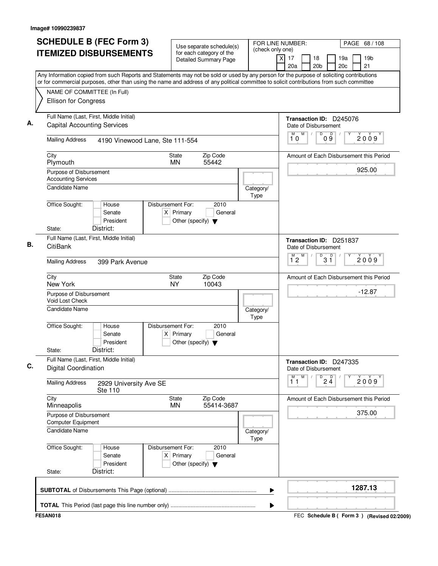| <b>SCHEDULE B (FEC Form 3)</b>                                                                                                                                                                                                                                                         | Use separate schedule(s)                                                                    | FOR LINE NUMBER:                            |                                                                | PAGE 68 / 108                                   |
|----------------------------------------------------------------------------------------------------------------------------------------------------------------------------------------------------------------------------------------------------------------------------------------|---------------------------------------------------------------------------------------------|---------------------------------------------|----------------------------------------------------------------|-------------------------------------------------|
| <b>ITEMIZED DISBURSEMENTS</b>                                                                                                                                                                                                                                                          | for each category of the<br><b>Detailed Summary Page</b>                                    | (check only one)<br>$\overline{\mathsf{x}}$ | 17<br>18<br>20 <sub>b</sub><br>20a                             | 19 <sub>b</sub><br>19a<br>20 <sub>c</sub><br>21 |
| Any Information copied from such Reports and Statements may not be sold or used by any person for the purpose of soliciting contributions<br>or for commercial purposes, other than using the name and address of any political committee to solicit contributions from such committee |                                                                                             |                                             |                                                                |                                                 |
| NAME OF COMMITTEE (In Full)<br>Ellison for Congress                                                                                                                                                                                                                                    |                                                                                             |                                             |                                                                |                                                 |
| Full Name (Last, First, Middle Initial)<br><b>Capital Accounting Services</b>                                                                                                                                                                                                          |                                                                                             |                                             | Transaction ID: D245076<br>Date of Disbursement                |                                                 |
| <b>Mailing Address</b><br>4190 Vinewood Lane, Ste 111-554                                                                                                                                                                                                                              |                                                                                             |                                             | M<br>D<br>D<br>09<br>10                                        | 2009                                            |
| City<br>Plymouth                                                                                                                                                                                                                                                                       | Zip Code<br>State<br>55442<br><b>MN</b>                                                     |                                             |                                                                | Amount of Each Disbursement this Period         |
| Purpose of Disbursement<br><b>Accounting Services</b>                                                                                                                                                                                                                                  |                                                                                             |                                             |                                                                | 925.00                                          |
| <b>Candidate Name</b>                                                                                                                                                                                                                                                                  |                                                                                             | Category/<br>Type                           |                                                                |                                                 |
| Office Sought:<br>House<br>Senate<br>President<br>District:<br>State:                                                                                                                                                                                                                  | Disbursement For:<br>2010<br>$X$ Primary<br>General<br>Other (specify) $\blacktriangledown$ |                                             |                                                                |                                                 |
| Full Name (Last, First, Middle Initial)<br>CitiBank                                                                                                                                                                                                                                    |                                                                                             |                                             | Transaction ID: D251837<br>Date of Disbursement                |                                                 |
| <b>Mailing Address</b><br>399 Park Avenue                                                                                                                                                                                                                                              |                                                                                             |                                             | M<br>M.<br>D<br>$3^{\circ}$<br>$1^{\circ}2$                    | 2009                                            |
| City<br>New York                                                                                                                                                                                                                                                                       | Zip Code<br>State<br><b>NY</b><br>10043                                                     |                                             |                                                                | Amount of Each Disbursement this Period         |
| Purpose of Disbursement<br><b>Void Lost Check</b>                                                                                                                                                                                                                                      |                                                                                             |                                             |                                                                | $-12.87$                                        |
| Candidate Name                                                                                                                                                                                                                                                                         |                                                                                             | Category/<br>Type                           |                                                                |                                                 |
| Office Sought:<br>House<br>Senate<br>President<br>District:<br>State:                                                                                                                                                                                                                  | Disbursement For:<br>2010<br>$X$ Primary<br>General<br>Other (specify) $\blacktriangledown$ |                                             |                                                                |                                                 |
| Full Name (Last, First, Middle Initial)<br><b>Digital Coordination</b>                                                                                                                                                                                                                 |                                                                                             |                                             | Transaction ID: D247335<br>Date of Disbursement                |                                                 |
| <b>Mailing Address</b><br>2929 University Ave SE<br><b>Ste 110</b>                                                                                                                                                                                                                     |                                                                                             |                                             | $\begin{bmatrix} 0 & 0 \\ 2 & 4 \end{bmatrix}$<br>M<br>M<br>11 | 2009                                            |
| City<br>Minneapolis                                                                                                                                                                                                                                                                    | State<br>Zip Code<br>55414-3687<br><b>MN</b>                                                |                                             |                                                                | Amount of Each Disbursement this Period         |
| Purpose of Disbursement<br>Computer Equipment                                                                                                                                                                                                                                          |                                                                                             |                                             |                                                                | 375.00                                          |
| Candidate Name                                                                                                                                                                                                                                                                         |                                                                                             | Category/<br>Type                           |                                                                |                                                 |
| Office Sought:<br>House<br>Senate<br>President<br>District:<br>State:                                                                                                                                                                                                                  | Disbursement For:<br>2010<br>$X$ Primary<br>General<br>Other (specify) $\blacktriangledown$ |                                             |                                                                |                                                 |
|                                                                                                                                                                                                                                                                                        |                                                                                             |                                             |                                                                | 1287.13                                         |
|                                                                                                                                                                                                                                                                                        |                                                                                             | ▶                                           |                                                                |                                                 |
| <b>FE5AN018</b>                                                                                                                                                                                                                                                                        |                                                                                             |                                             |                                                                | FEC Schedule B ( Form 3 ) (Revised 02/2009)     |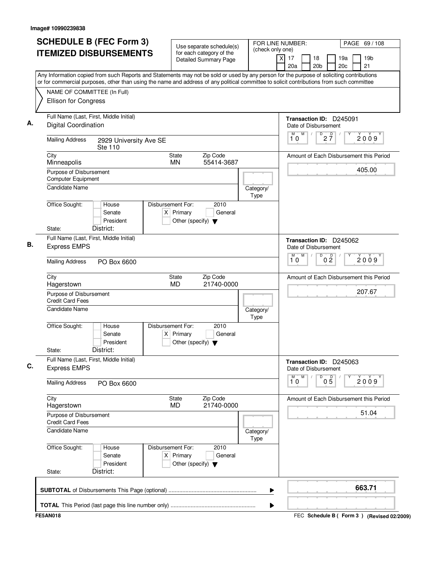| <b>SCHEDULE B (FEC Form 3)</b><br><b>ITEMIZED DISBURSEMENTS</b>                                                                                                                                                                                                                                                                               | Use separate schedule(s)<br>for each category of the<br><b>Detailed Summary Page</b>        | (check only one)  | FOR LINE NUMBER:<br>PAGE 69 / 108<br>$\times$<br>17<br>19 <sub>b</sub><br>18<br>19a<br>20c<br>21<br>20a<br>20 <sub>b</sub> |
|-----------------------------------------------------------------------------------------------------------------------------------------------------------------------------------------------------------------------------------------------------------------------------------------------------------------------------------------------|---------------------------------------------------------------------------------------------|-------------------|----------------------------------------------------------------------------------------------------------------------------|
| Any Information copied from such Reports and Statements may not be sold or used by any person for the purpose of soliciting contributions<br>or for commercial purposes, other than using the name and address of any political committee to solicit contributions from such committee<br>NAME OF COMMITTEE (In Full)<br>Ellison for Congress |                                                                                             |                   |                                                                                                                            |
| Full Name (Last, First, Middle Initial)                                                                                                                                                                                                                                                                                                       |                                                                                             |                   | Transaction ID: D245091                                                                                                    |
| <b>Digital Coordination</b><br><b>Mailing Address</b><br>2929 University Ave SE                                                                                                                                                                                                                                                               |                                                                                             |                   | Date of Disbursement<br>M<br>$D$ <sub>2</sub> $\frac{D}{7}$<br>$\sqrt{2}$<br>2009<br>10                                    |
| <b>Ste 110</b><br>City<br>Minneapolis                                                                                                                                                                                                                                                                                                         | <b>State</b><br>Zip Code<br>55414-3687<br><b>MN</b>                                         |                   | Amount of Each Disbursement this Period                                                                                    |
| Purpose of Disbursement<br><b>Computer Equipment</b>                                                                                                                                                                                                                                                                                          |                                                                                             |                   | 405.00                                                                                                                     |
| <b>Candidate Name</b>                                                                                                                                                                                                                                                                                                                         |                                                                                             | Category/<br>Type |                                                                                                                            |
| Office Sought:<br>House<br>Senate<br>President                                                                                                                                                                                                                                                                                                | Disbursement For:<br>2010<br>$X$ Primary<br>General<br>Other (specify) $\blacktriangledown$ |                   |                                                                                                                            |
| District:<br>State:<br>Full Name (Last, First, Middle Initial)<br><b>Express EMPS</b>                                                                                                                                                                                                                                                         |                                                                                             |                   | Transaction ID: D245062<br>Date of Disbursement                                                                            |
| <b>Mailing Address</b><br>PO Box 6600                                                                                                                                                                                                                                                                                                         |                                                                                             |                   | M<br>$\overline{D}$<br>0 <sup>0</sup><br>м<br>2009<br>10                                                                   |
| City<br>Hagerstown                                                                                                                                                                                                                                                                                                                            | Zip Code<br>State<br><b>MD</b><br>21740-0000                                                |                   | Amount of Each Disbursement this Period                                                                                    |
| Purpose of Disbursement<br><b>Credit Card Fees</b>                                                                                                                                                                                                                                                                                            |                                                                                             |                   | 207.67                                                                                                                     |
| <b>Candidate Name</b>                                                                                                                                                                                                                                                                                                                         |                                                                                             | Category/<br>Type |                                                                                                                            |
| Office Sought:<br>House<br>Senate<br>President<br>District:<br>State:                                                                                                                                                                                                                                                                         | Disbursement For:<br>2010<br>$X$ Primary<br>General<br>Other (specify) $\blacktriangledown$ |                   |                                                                                                                            |
| Full Name (Last, First, Middle Initial)<br><b>Express EMPS</b>                                                                                                                                                                                                                                                                                |                                                                                             |                   | Transaction ID: D245063<br>Date of Disbursement                                                                            |
| <b>Mailing Address</b><br>PO Box 6600                                                                                                                                                                                                                                                                                                         |                                                                                             |                   | M<br>D<br>M<br>05<br>2009<br>10                                                                                            |
| City<br>Hagerstown                                                                                                                                                                                                                                                                                                                            | Zip Code<br>State<br><b>MD</b><br>21740-0000                                                |                   | Amount of Each Disbursement this Period                                                                                    |
| Purpose of Disbursement<br><b>Credit Card Fees</b>                                                                                                                                                                                                                                                                                            |                                                                                             |                   | 51.04                                                                                                                      |
| Candidate Name                                                                                                                                                                                                                                                                                                                                |                                                                                             | Category/<br>Type |                                                                                                                            |
| Office Sought:<br>House<br>Senate<br>President                                                                                                                                                                                                                                                                                                | Disbursement For:<br>2010<br>$X$ Primary<br>General<br>Other (specify) $\blacktriangledown$ |                   |                                                                                                                            |
| District:<br>State:                                                                                                                                                                                                                                                                                                                           |                                                                                             |                   |                                                                                                                            |
|                                                                                                                                                                                                                                                                                                                                               |                                                                                             | ▶                 | 663.71                                                                                                                     |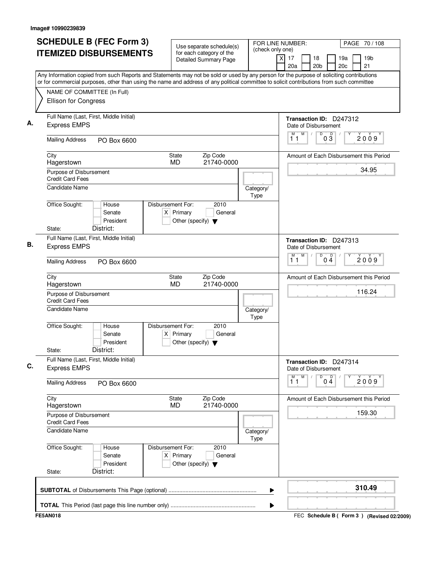| <b>SCHEDULE B (FEC Form 3)</b>                                                                                                                                                                                                                                                         | Use separate schedule(s)                                                                    | FOR LINE NUMBER:<br>(check only one) | PAGE 70 / 108                                                                  |
|----------------------------------------------------------------------------------------------------------------------------------------------------------------------------------------------------------------------------------------------------------------------------------------|---------------------------------------------------------------------------------------------|--------------------------------------|--------------------------------------------------------------------------------|
| <b>ITEMIZED DISBURSEMENTS</b>                                                                                                                                                                                                                                                          | for each category of the<br><b>Detailed Summary Page</b>                                    |                                      | 19 <sub>b</sub><br>17<br>18<br>19a<br>Χ<br>20a<br>20 <sub>b</sub><br>20c<br>21 |
| Any Information copied from such Reports and Statements may not be sold or used by any person for the purpose of soliciting contributions<br>or for commercial purposes, other than using the name and address of any political committee to solicit contributions from such committee |                                                                                             |                                      |                                                                                |
| NAME OF COMMITTEE (In Full)                                                                                                                                                                                                                                                            |                                                                                             |                                      |                                                                                |
| Ellison for Congress                                                                                                                                                                                                                                                                   |                                                                                             |                                      |                                                                                |
| Full Name (Last, First, Middle Initial)<br><b>Express EMPS</b>                                                                                                                                                                                                                         |                                                                                             |                                      | Transaction ID: D247312<br>Date of Disbursement                                |
| <b>Mailing Address</b><br>PO Box 6600                                                                                                                                                                                                                                                  |                                                                                             |                                      | M<br>$\mathsf D$<br>D<br>$\sqrt{2}$<br>M<br>2009<br>03<br>11                   |
| City<br>Hagerstown                                                                                                                                                                                                                                                                     | State<br>Zip Code<br>21740-0000<br><b>MD</b>                                                |                                      | Amount of Each Disbursement this Period                                        |
| Purpose of Disbursement<br><b>Credit Card Fees</b>                                                                                                                                                                                                                                     |                                                                                             |                                      | 34.95                                                                          |
| Candidate Name                                                                                                                                                                                                                                                                         |                                                                                             | Category/<br>Type                    |                                                                                |
| Office Sought:<br>House<br>Senate<br>President                                                                                                                                                                                                                                         | Disbursement For:<br>2010<br>$X$ Primary<br>General<br>Other (specify) $\blacktriangledown$ |                                      |                                                                                |
| District:<br>State:                                                                                                                                                                                                                                                                    |                                                                                             |                                      |                                                                                |
| Full Name (Last, First, Middle Initial)<br><b>Express EMPS</b>                                                                                                                                                                                                                         |                                                                                             |                                      | Transaction ID: D247313<br>Date of Disbursement                                |
| <b>Mailing Address</b><br>PO Box 6600                                                                                                                                                                                                                                                  |                                                                                             |                                      | M<br>D<br>$0\stackrel{D}{4}$<br>М<br>2009<br>11                                |
| City<br>Hagerstown                                                                                                                                                                                                                                                                     | Zip Code<br>State<br><b>MD</b><br>21740-0000                                                |                                      | Amount of Each Disbursement this Period                                        |
| Purpose of Disbursement<br><b>Credit Card Fees</b>                                                                                                                                                                                                                                     |                                                                                             |                                      | 116.24                                                                         |
| Candidate Name                                                                                                                                                                                                                                                                         |                                                                                             | Category/<br>Type                    |                                                                                |
| Office Sought:<br>House<br>Senate<br>President<br>District:<br>State:                                                                                                                                                                                                                  | Disbursement For:<br>2010<br>$X$ Primary<br>General<br>Other (specify) $\blacktriangledown$ |                                      |                                                                                |
| Full Name (Last, First, Middle Initial)                                                                                                                                                                                                                                                |                                                                                             |                                      |                                                                                |
| <b>Express EMPS</b>                                                                                                                                                                                                                                                                    |                                                                                             |                                      | Transaction ID: D247314<br>Date of Disbursement<br>M<br>D<br>M                 |
| <b>Mailing Address</b><br>PO Box 6600                                                                                                                                                                                                                                                  |                                                                                             |                                      | $0\stackrel{D}{4}$<br>2009<br>11                                               |
| City<br>Hagerstown                                                                                                                                                                                                                                                                     | Zip Code<br>State<br>21740-0000<br><b>MD</b>                                                |                                      | Amount of Each Disbursement this Period                                        |
| Purpose of Disbursement<br><b>Credit Card Fees</b>                                                                                                                                                                                                                                     |                                                                                             |                                      | 159.30                                                                         |
| <b>Candidate Name</b>                                                                                                                                                                                                                                                                  |                                                                                             | Category/<br>Type                    |                                                                                |
| Office Sought:<br>House<br>Senate<br>President                                                                                                                                                                                                                                         | Disbursement For:<br>2010<br>$X$ Primary<br>General<br>Other (specify) $\blacktriangledown$ |                                      |                                                                                |
| District:<br>State:                                                                                                                                                                                                                                                                    |                                                                                             |                                      |                                                                                |
|                                                                                                                                                                                                                                                                                        |                                                                                             | ▶                                    | 310.49                                                                         |
|                                                                                                                                                                                                                                                                                        |                                                                                             |                                      |                                                                                |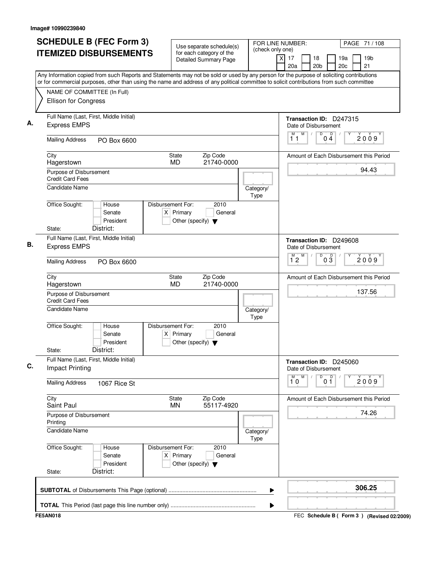| <b>SCHEDULE B (FEC Form 3)</b>                                                                                                                                                                                                                                                         | Use separate schedule(s)                                                                    | FOR LINE NUMBER:<br>(check only one) |                                              | PAGE 71 / 108                               |
|----------------------------------------------------------------------------------------------------------------------------------------------------------------------------------------------------------------------------------------------------------------------------------------|---------------------------------------------------------------------------------------------|--------------------------------------|----------------------------------------------|---------------------------------------------|
| <b>ITEMIZED DISBURSEMENTS</b>                                                                                                                                                                                                                                                          | for each category of the<br>Detailed Summary Page                                           | $\overline{x}$                       | 17<br>18<br>20a<br>20 <sub>b</sub>           | 19 <sub>b</sub><br>19a<br>21<br>20c         |
| Any Information copied from such Reports and Statements may not be sold or used by any person for the purpose of soliciting contributions<br>or for commercial purposes, other than using the name and address of any political committee to solicit contributions from such committee |                                                                                             |                                      |                                              |                                             |
| NAME OF COMMITTEE (In Full)                                                                                                                                                                                                                                                            |                                                                                             |                                      |                                              |                                             |
| Ellison for Congress                                                                                                                                                                                                                                                                   |                                                                                             |                                      |                                              |                                             |
| Full Name (Last, First, Middle Initial)<br><b>Express EMPS</b>                                                                                                                                                                                                                         |                                                                                             |                                      | Date of Disbursement                         | Transaction ID: D247315                     |
| <b>Mailing Address</b><br>PO Box 6600                                                                                                                                                                                                                                                  |                                                                                             |                                      | M<br>M<br>11                                 | D<br>D<br>2009<br>04                        |
| City<br>Hagerstown                                                                                                                                                                                                                                                                     | Zip Code<br><b>State</b><br><b>MD</b><br>21740-0000                                         |                                      |                                              | Amount of Each Disbursement this Period     |
| Purpose of Disbursement<br><b>Credit Card Fees</b>                                                                                                                                                                                                                                     |                                                                                             |                                      |                                              | 94.43                                       |
| <b>Candidate Name</b>                                                                                                                                                                                                                                                                  |                                                                                             | Category/<br>Type                    |                                              |                                             |
| Office Sought:<br>House<br>Senate<br>President<br>District:<br>State:                                                                                                                                                                                                                  | Disbursement For:<br>2010<br>$X$ Primary<br>General<br>Other (specify) $\blacktriangledown$ |                                      |                                              |                                             |
| Full Name (Last, First, Middle Initial)                                                                                                                                                                                                                                                |                                                                                             |                                      |                                              | Transaction ID: D249608                     |
| <b>Express EMPS</b>                                                                                                                                                                                                                                                                    |                                                                                             |                                      | Date of Disbursement<br>M<br>M <sup>-1</sup> | D                                           |
| <b>Mailing Address</b><br>PO Box 6600                                                                                                                                                                                                                                                  |                                                                                             |                                      | 12                                           | $0\overline{3}$<br>2009                     |
| City<br>Hagerstown                                                                                                                                                                                                                                                                     | Zip Code<br>State<br><b>MD</b><br>21740-0000                                                |                                      |                                              | Amount of Each Disbursement this Period     |
| Purpose of Disbursement<br><b>Credit Card Fees</b>                                                                                                                                                                                                                                     |                                                                                             |                                      |                                              | 137.56                                      |
| <b>Candidate Name</b>                                                                                                                                                                                                                                                                  |                                                                                             | Category/<br>Type                    |                                              |                                             |
| Office Sought:<br>House<br>Senate<br>President<br>District:<br>State:                                                                                                                                                                                                                  | 2010<br>Disbursement For:<br>$X$ Primary<br>General<br>Other (specify) $\blacktriangledown$ |                                      |                                              |                                             |
| Full Name (Last, First, Middle Initial)<br>Impact Printing                                                                                                                                                                                                                             |                                                                                             |                                      | Date of Disbursement                         | Transaction ID: D245060                     |
| <b>Mailing Address</b><br>1067 Rice St                                                                                                                                                                                                                                                 |                                                                                             |                                      | M<br>M<br>10                                 | 0 <sup>0</sup><br>D<br>2009                 |
| City<br>Saint Paul                                                                                                                                                                                                                                                                     | Zip Code<br>State<br>55117-4920<br>MN                                                       |                                      |                                              | Amount of Each Disbursement this Period     |
| Purpose of Disbursement<br>Printing                                                                                                                                                                                                                                                    |                                                                                             |                                      |                                              | 74.26                                       |
| Candidate Name                                                                                                                                                                                                                                                                         |                                                                                             | Category/<br>Type                    |                                              |                                             |
| Office Sought:<br>House<br>Senate<br>President<br>District:<br>State:                                                                                                                                                                                                                  | Disbursement For:<br>2010<br>$X$ Primary<br>General<br>Other (specify) $\blacktriangledown$ |                                      |                                              |                                             |
|                                                                                                                                                                                                                                                                                        |                                                                                             | ▶                                    |                                              | 306.25                                      |
|                                                                                                                                                                                                                                                                                        |                                                                                             | ▶                                    |                                              |                                             |
| <b>FE5AN018</b>                                                                                                                                                                                                                                                                        |                                                                                             |                                      |                                              | FEC Schedule B ( Form 3 ) (Revised 02/2009) |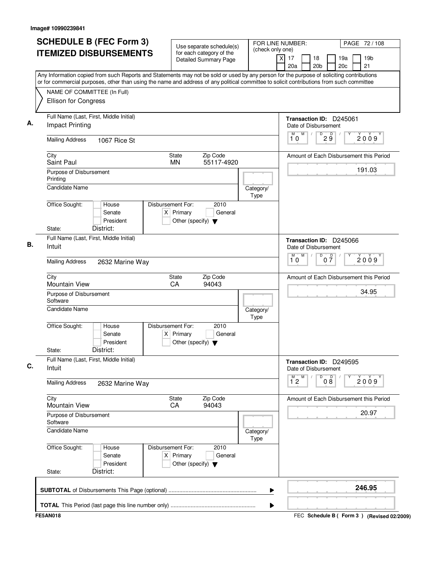| <b>ITEMIZED DISBURSEMENTS</b>                                                                                                                                                                                                                                                          | Use separate schedule(s)<br>for each category of the<br><b>Detailed Summary Page</b>                | (check only one)  | FOR LINE NUMBER:<br>PAGE 72 / 108<br>19 <sub>b</sub><br>$\times$<br>17<br>18<br>19a<br>20 <sub>b</sub><br>20c<br>21<br>20a |
|----------------------------------------------------------------------------------------------------------------------------------------------------------------------------------------------------------------------------------------------------------------------------------------|-----------------------------------------------------------------------------------------------------|-------------------|----------------------------------------------------------------------------------------------------------------------------|
| Any Information copied from such Reports and Statements may not be sold or used by any person for the purpose of soliciting contributions<br>or for commercial purposes, other than using the name and address of any political committee to solicit contributions from such committee |                                                                                                     |                   |                                                                                                                            |
| NAME OF COMMITTEE (In Full)<br>Ellison for Congress                                                                                                                                                                                                                                    |                                                                                                     |                   |                                                                                                                            |
| Full Name (Last, First, Middle Initial)<br>Impact Printing                                                                                                                                                                                                                             |                                                                                                     |                   | Transaction ID: D245061<br>Date of Disbursement                                                                            |
| <b>Mailing Address</b><br>1067 Rice St                                                                                                                                                                                                                                                 |                                                                                                     |                   | M<br>$D^D$ $2Q^D$<br>M<br>$\sqrt{2}$<br>2009<br>10                                                                         |
| City<br>Saint Paul                                                                                                                                                                                                                                                                     | Zip Code<br><b>State</b><br><b>MN</b><br>55117-4920                                                 |                   | Amount of Each Disbursement this Period                                                                                    |
| Purpose of Disbursement<br>Printing                                                                                                                                                                                                                                                    |                                                                                                     |                   | 191.03                                                                                                                     |
| <b>Candidate Name</b>                                                                                                                                                                                                                                                                  |                                                                                                     | Category/<br>Type |                                                                                                                            |
| Office Sought:<br>House<br>Senate<br>President                                                                                                                                                                                                                                         | Disbursement For:<br>2010<br>$X$ Primary<br>General<br>Other (specify) $\blacktriangledown$         |                   |                                                                                                                            |
| District:<br>State:                                                                                                                                                                                                                                                                    |                                                                                                     |                   |                                                                                                                            |
| Full Name (Last, First, Middle Initial)<br>Intuit                                                                                                                                                                                                                                      |                                                                                                     |                   | Transaction ID: D245066<br>Date of Disbursement                                                                            |
| <b>Mailing Address</b><br>2632 Marine Way                                                                                                                                                                                                                                              |                                                                                                     |                   | M<br>D<br>M T<br>0 <sup>0</sup><br>2009<br>10                                                                              |
| City<br><b>Mountain View</b>                                                                                                                                                                                                                                                           | <b>State</b><br>Zip Code<br>CA<br>94043                                                             |                   | Amount of Each Disbursement this Period                                                                                    |
| Purpose of Disbursement<br>Software                                                                                                                                                                                                                                                    |                                                                                                     |                   | 34.95                                                                                                                      |
| Candidate Name                                                                                                                                                                                                                                                                         |                                                                                                     | Category/<br>Type |                                                                                                                            |
| Office Sought:<br>House<br>Senate<br>President<br>District:<br>State:                                                                                                                                                                                                                  | Disbursement For:<br>2010<br>Primary<br>General<br>$X \mid$<br>Other (specify) $\blacktriangledown$ |                   |                                                                                                                            |
| Full Name (Last, First, Middle Initial)<br>Intuit                                                                                                                                                                                                                                      |                                                                                                     |                   | Transaction ID: D249595<br>Date of Disbursement                                                                            |
| <b>Mailing Address</b><br>2632 Marine Way                                                                                                                                                                                                                                              |                                                                                                     |                   | M<br>D<br>08<br>M<br>2009<br>$1^{\circ}2$                                                                                  |
| City<br>Mountain View                                                                                                                                                                                                                                                                  | <b>State</b><br>Zip Code<br>CA<br>94043                                                             |                   | Amount of Each Disbursement this Period                                                                                    |
| Purpose of Disbursement<br>Software                                                                                                                                                                                                                                                    |                                                                                                     |                   | 20.97                                                                                                                      |
| Candidate Name                                                                                                                                                                                                                                                                         |                                                                                                     | Category/<br>Type |                                                                                                                            |
| Office Sought:<br>House<br>Senate<br>President                                                                                                                                                                                                                                         | Disbursement For:<br>2010<br>$X$ Primary<br>General<br>Other (specify) $\blacktriangledown$         |                   |                                                                                                                            |
| District:<br>State:                                                                                                                                                                                                                                                                    |                                                                                                     |                   |                                                                                                                            |
|                                                                                                                                                                                                                                                                                        |                                                                                                     | ▶                 | 246.95                                                                                                                     |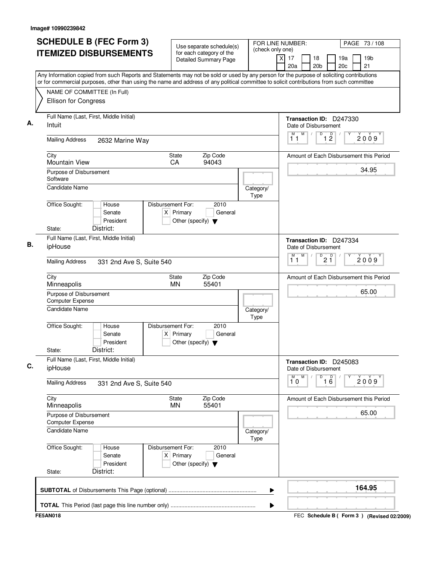| <b>SCHEDULE B (FEC Form 3)</b><br>Use separate schedule(s)                                                                                                                                                                                                                             |                                                                                             | FOR LINE NUMBER:  |                                                               | PAGE 73 / 108                       |                        |                                             |  |
|----------------------------------------------------------------------------------------------------------------------------------------------------------------------------------------------------------------------------------------------------------------------------------------|---------------------------------------------------------------------------------------------|-------------------|---------------------------------------------------------------|-------------------------------------|------------------------|---------------------------------------------|--|
| <b>ITEMIZED DISBURSEMENTS</b>                                                                                                                                                                                                                                                          | for each category of the<br><b>Detailed Summary Page</b>                                    | (check only one)  | $\overline{\mathsf{x}}$<br>17<br>18<br>20a<br>20 <sub>b</sub> |                                     | 19a<br>20 <sub>c</sub> | 19 <sub>b</sub><br>21                       |  |
| Any Information copied from such Reports and Statements may not be sold or used by any person for the purpose of soliciting contributions<br>or for commercial purposes, other than using the name and address of any political committee to solicit contributions from such committee |                                                                                             |                   |                                                               |                                     |                        |                                             |  |
| NAME OF COMMITTEE (In Full)<br>Ellison for Congress                                                                                                                                                                                                                                    |                                                                                             |                   |                                                               |                                     |                        |                                             |  |
| Full Name (Last, First, Middle Initial)<br>Intuit                                                                                                                                                                                                                                      |                                                                                             |                   | Transaction ID: D247330<br>Date of Disbursement               |                                     |                        |                                             |  |
| <b>Mailing Address</b><br>2632 Marine Way                                                                                                                                                                                                                                              |                                                                                             |                   | M<br>М<br>$\sqrt{2}$<br>11                                    | D<br>$\mathsf D$<br>$1\overline{2}$ |                        | 2009                                        |  |
| City<br><b>Mountain View</b>                                                                                                                                                                                                                                                           | Zip Code<br>State<br>CA<br>94043                                                            |                   |                                                               |                                     |                        | Amount of Each Disbursement this Period     |  |
| Purpose of Disbursement<br>Software<br><b>Candidate Name</b>                                                                                                                                                                                                                           |                                                                                             |                   |                                                               |                                     |                        | 34.95                                       |  |
| Office Sought:<br>House<br>Senate                                                                                                                                                                                                                                                      | Disbursement For:<br>2010<br>$X$ Primary<br>General                                         | Category/<br>Type |                                                               |                                     |                        |                                             |  |
| President<br>District:<br>State:                                                                                                                                                                                                                                                       | Other (specify) $\blacktriangledown$                                                        |                   |                                                               |                                     |                        |                                             |  |
| Full Name (Last, First, Middle Initial)<br>ipHouse                                                                                                                                                                                                                                     |                                                                                             |                   | Transaction ID: D247334<br>Date of Disbursement<br>M<br>М     |                                     |                        |                                             |  |
| <b>Mailing Address</b><br>331 2nd Ave S, Suite 540                                                                                                                                                                                                                                     |                                                                                             |                   | 11                                                            | $\overline{P}$ 2 $\overline{1}$     |                        | 2009                                        |  |
| City<br>Minneapolis                                                                                                                                                                                                                                                                    | Zip Code<br>State<br><b>MN</b><br>55401                                                     |                   |                                                               |                                     |                        | Amount of Each Disbursement this Period     |  |
| Purpose of Disbursement<br><b>Computer Expense</b><br>Candidate Name                                                                                                                                                                                                                   |                                                                                             | Category/         |                                                               |                                     |                        | 65.00                                       |  |
| Office Sought:<br>House<br>Senate<br>President<br>District:<br>State:                                                                                                                                                                                                                  | Disbursement For:<br>2010<br>$X$ Primary<br>General<br>Other (specify) $\blacktriangledown$ | Type              |                                                               |                                     |                        |                                             |  |
| Full Name (Last, First, Middle Initial)<br>ipHouse                                                                                                                                                                                                                                     |                                                                                             |                   | Transaction ID: D245083<br>Date of Disbursement               |                                     |                        |                                             |  |
| <b>Mailing Address</b><br>331 2nd Ave S, Suite 540                                                                                                                                                                                                                                     |                                                                                             |                   | М<br>M<br>10                                                  | $\overline{16}$<br>D                |                        | 2009                                        |  |
| City<br>Minneapolis                                                                                                                                                                                                                                                                    | Zip Code<br>State<br>55401<br>MN.                                                           |                   |                                                               |                                     |                        | Amount of Each Disbursement this Period     |  |
| Purpose of Disbursement<br><b>Computer Expense</b>                                                                                                                                                                                                                                     |                                                                                             |                   |                                                               |                                     |                        | 65.00                                       |  |
| <b>Candidate Name</b>                                                                                                                                                                                                                                                                  |                                                                                             | Category/<br>Type |                                                               |                                     |                        |                                             |  |
| Office Sought:<br>House<br>Senate<br>President<br>District:<br>State:                                                                                                                                                                                                                  | Disbursement For:<br>2010<br>$X$ Primary<br>General<br>Other (specify) $\blacktriangledown$ |                   |                                                               |                                     |                        |                                             |  |
|                                                                                                                                                                                                                                                                                        |                                                                                             | ▶                 |                                                               |                                     |                        | 164.95                                      |  |
|                                                                                                                                                                                                                                                                                        |                                                                                             | ▶                 |                                                               |                                     |                        |                                             |  |
| <b>FE5AN018</b>                                                                                                                                                                                                                                                                        |                                                                                             |                   |                                                               |                                     |                        | FEC Schedule B ( Form 3 ) (Revised 02/2009) |  |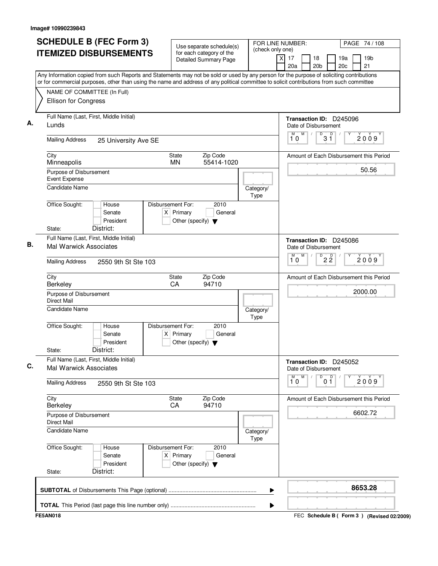| <b>SCHEDULE B (FEC Form 3)</b>                                           | Use separate schedule(s)                                                                                                                                                                                                                                                               | FOR LINE NUMBER:<br>PAGE 74 / 108                                                                                  |
|--------------------------------------------------------------------------|----------------------------------------------------------------------------------------------------------------------------------------------------------------------------------------------------------------------------------------------------------------------------------------|--------------------------------------------------------------------------------------------------------------------|
| <b>ITEMIZED DISBURSEMENTS</b>                                            | (check only one)<br>for each category of the<br>Detailed Summary Page                                                                                                                                                                                                                  | 19 <sub>b</sub><br>$\boldsymbol{\mathsf{X}}$<br>17<br>18<br>19a<br>20 <sub>b</sub><br>20 <sub>c</sub><br>21<br>20a |
|                                                                          | Any Information copied from such Reports and Statements may not be sold or used by any person for the purpose of soliciting contributions<br>or for commercial purposes, other than using the name and address of any political committee to solicit contributions from such committee |                                                                                                                    |
| NAME OF COMMITTEE (In Full)                                              |                                                                                                                                                                                                                                                                                        |                                                                                                                    |
| Ellison for Congress                                                     |                                                                                                                                                                                                                                                                                        |                                                                                                                    |
| Full Name (Last, First, Middle Initial)<br>Lunds                         |                                                                                                                                                                                                                                                                                        | Transaction ID: D245096<br>Date of Disbursement                                                                    |
| <b>Mailing Address</b><br>25 University Ave SE                           |                                                                                                                                                                                                                                                                                        | M<br>D<br>D<br>M<br>$\sqrt{2}$<br>2009<br>$3\bar{1}$<br>10                                                         |
| City<br>Minneapolis                                                      | <b>State</b><br>Zip Code<br><b>MN</b><br>55414-1020                                                                                                                                                                                                                                    | Amount of Each Disbursement this Period                                                                            |
| Purpose of Disbursement<br>Event Expense                                 |                                                                                                                                                                                                                                                                                        | 50.56                                                                                                              |
| <b>Candidate Name</b>                                                    | Category/<br>Type                                                                                                                                                                                                                                                                      |                                                                                                                    |
| Office Sought:<br>House<br>Senate<br>President                           | Disbursement For:<br>2010<br>$X$ Primary<br>General<br>Other (specify) $\blacktriangledown$                                                                                                                                                                                            |                                                                                                                    |
| State:<br>District:                                                      |                                                                                                                                                                                                                                                                                        |                                                                                                                    |
| Full Name (Last, First, Middle Initial)<br>Mal Warwick Associates        |                                                                                                                                                                                                                                                                                        | Transaction ID: D245086<br>Date of Disbursement                                                                    |
| <b>Mailing Address</b><br>2550 9th St Ste 103                            |                                                                                                                                                                                                                                                                                        | M<br>D<br>M<br>$2\overline{2}$<br>2009<br>10                                                                       |
| City<br>Berkeley                                                         | Zip Code<br>State<br>CA<br>94710                                                                                                                                                                                                                                                       | Amount of Each Disbursement this Period                                                                            |
| Purpose of Disbursement<br><b>Direct Mail</b>                            |                                                                                                                                                                                                                                                                                        | 2000.00                                                                                                            |
| Candidate Name                                                           | Category/<br>Type                                                                                                                                                                                                                                                                      |                                                                                                                    |
| Office Sought:<br>House<br>Senate<br>President                           | Disbursement For:<br>2010<br>$X$ Primary<br>General<br>Other (specify) $\blacktriangledown$                                                                                                                                                                                            |                                                                                                                    |
| District:<br>State:                                                      |                                                                                                                                                                                                                                                                                        |                                                                                                                    |
| Full Name (Last, First, Middle Initial)<br><b>Mal Warwick Associates</b> |                                                                                                                                                                                                                                                                                        | Transaction ID: D245052<br>Date of Disbursement                                                                    |
| <b>Mailing Address</b><br>2550 9th St Ste 103                            |                                                                                                                                                                                                                                                                                        | M<br>D<br>0 <sup>D</sup><br>M<br>2009<br>10                                                                        |
| City<br>Berkeley                                                         | Zip Code<br>State<br>94710<br>CA                                                                                                                                                                                                                                                       | Amount of Each Disbursement this Period                                                                            |
| Purpose of Disbursement<br><b>Direct Mail</b>                            |                                                                                                                                                                                                                                                                                        | 6602.72                                                                                                            |
| <b>Candidate Name</b>                                                    | Category/<br>Type                                                                                                                                                                                                                                                                      |                                                                                                                    |
| Office Sought:<br>House<br>Senate<br>President                           | Disbursement For:<br>2010<br>$X$ Primary<br>General<br>Other (specify) $\blacktriangledown$                                                                                                                                                                                            |                                                                                                                    |
| District:<br>State:                                                      |                                                                                                                                                                                                                                                                                        |                                                                                                                    |
|                                                                          |                                                                                                                                                                                                                                                                                        | 8653.28                                                                                                            |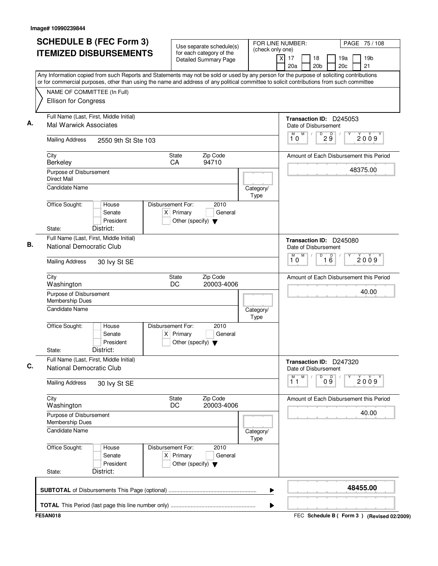| <b>SCHEDULE B (FEC Form 3)</b><br><b>ITEMIZED DISBURSEMENTS</b><br>Any Information copied from such Reports and Statements may not be sold or used by any person for the purpose of soliciting contributions | Use separate schedule(s)<br>for each category of the<br><b>Detailed Summary Page</b>        | (check only one)  | FOR LINE NUMBER:<br>PAGE 75 / 108<br>xl<br>17<br>19 <sub>b</sub><br>18<br>19a<br>21<br>20a<br>20 <sub>b</sub><br>20c |
|--------------------------------------------------------------------------------------------------------------------------------------------------------------------------------------------------------------|---------------------------------------------------------------------------------------------|-------------------|----------------------------------------------------------------------------------------------------------------------|
| or for commercial purposes, other than using the name and address of any political committee to solicit contributions from such committee<br>NAME OF COMMITTEE (In Full)<br>Ellison for Congress             |                                                                                             |                   |                                                                                                                      |
| Full Name (Last, First, Middle Initial)<br><b>Mal Warwick Associates</b>                                                                                                                                     |                                                                                             |                   | Transaction ID: D245053<br>Date of Disbursement                                                                      |
| <b>Mailing Address</b><br>2550 9th St Ste 103                                                                                                                                                                |                                                                                             |                   | $D$ <sub>2</sub> $\frac{D}{9}$<br>M<br>М<br>2009<br>10                                                               |
| City<br>Berkeley                                                                                                                                                                                             | State<br>Zip Code<br>CA<br>94710                                                            |                   | Amount of Each Disbursement this Period                                                                              |
| Purpose of Disbursement<br><b>Direct Mail</b>                                                                                                                                                                |                                                                                             |                   | 48375.00                                                                                                             |
| Candidate Name                                                                                                                                                                                               |                                                                                             | Category/<br>Type |                                                                                                                      |
| Office Sought:<br>House<br>Senate<br>President                                                                                                                                                               | Disbursement For:<br>2010<br>$X$ Primary<br>General<br>Other (specify) $\blacktriangledown$ |                   |                                                                                                                      |
| District:<br>State:<br>Full Name (Last, First, Middle Initial)                                                                                                                                               |                                                                                             |                   | Transaction ID: D245080                                                                                              |
| National Democratic Club                                                                                                                                                                                     |                                                                                             |                   | Date of Disbursement<br>M<br>D<br>м                                                                                  |
| <b>Mailing Address</b><br>30 lvy St SE                                                                                                                                                                       |                                                                                             |                   | $\overline{16}$<br>2009<br>10                                                                                        |
| City<br>Washington                                                                                                                                                                                           | Zip Code<br>State<br>DC<br>20003-4006                                                       |                   | Amount of Each Disbursement this Period                                                                              |
| Purpose of Disbursement<br>Membership Dues                                                                                                                                                                   |                                                                                             |                   | 40.00                                                                                                                |
| Candidate Name                                                                                                                                                                                               |                                                                                             | Category/<br>Type |                                                                                                                      |
| Office Sought:<br>House<br>Senate<br>X<br>President<br>District:<br>State:                                                                                                                                   | Disbursement For:<br>2010<br>Primary<br>General<br>Other (specify) $\blacktriangledown$     |                   |                                                                                                                      |
| Full Name (Last, First, Middle Initial)<br>National Democratic Club                                                                                                                                          |                                                                                             |                   | Transaction ID: D247320<br>Date of Disbursement                                                                      |
| <b>Mailing Address</b><br>30 lvy St SE                                                                                                                                                                       |                                                                                             |                   | ${\sf M}$<br>M<br>D<br>09<br>2009<br>11                                                                              |
| City<br>Washington                                                                                                                                                                                           | Zip Code<br>State<br>20003-4006<br>DC                                                       |                   | Amount of Each Disbursement this Period                                                                              |
| Purpose of Disbursement<br>Membership Dues                                                                                                                                                                   |                                                                                             |                   | 40.00                                                                                                                |
| Candidate Name                                                                                                                                                                                               |                                                                                             | Category/<br>Type |                                                                                                                      |
| Office Sought:<br>House<br>Senate<br>President                                                                                                                                                               | Disbursement For:<br>2010<br>$X$ Primary<br>General<br>Other (specify) $\blacktriangledown$ |                   |                                                                                                                      |
| District:<br>State:                                                                                                                                                                                          |                                                                                             |                   |                                                                                                                      |
|                                                                                                                                                                                                              |                                                                                             | ▶                 | 48455.00                                                                                                             |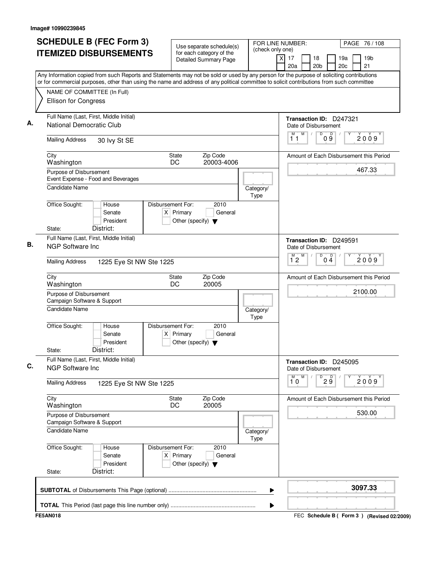| <b>SCHEDULE B (FEC Form 3)</b><br><b>ITEMIZED DISBURSEMENTS</b>                                                                                                                                                                                                                        | Use separate schedule(s)<br>for each category of the<br><b>Detailed Summary Page</b>        | FOR LINE NUMBER:<br>PAGE 76 / 108<br>(check only one)<br>19 <sub>b</sub><br>$\times$<br>17<br>19a<br>18<br>21<br>20a<br>20 <sub>b</sub><br>20c |
|----------------------------------------------------------------------------------------------------------------------------------------------------------------------------------------------------------------------------------------------------------------------------------------|---------------------------------------------------------------------------------------------|------------------------------------------------------------------------------------------------------------------------------------------------|
| Any Information copied from such Reports and Statements may not be sold or used by any person for the purpose of soliciting contributions<br>or for commercial purposes, other than using the name and address of any political committee to solicit contributions from such committee |                                                                                             |                                                                                                                                                |
| NAME OF COMMITTEE (In Full)<br>Ellison for Congress                                                                                                                                                                                                                                    |                                                                                             |                                                                                                                                                |
| Full Name (Last, First, Middle Initial)<br>National Democratic Club                                                                                                                                                                                                                    |                                                                                             | Transaction ID: D247321<br>Date of Disbursement                                                                                                |
| <b>Mailing Address</b><br>30 lvy St SE                                                                                                                                                                                                                                                 |                                                                                             | M<br>D<br>$\mathsf D$<br>М<br>$\sqrt{2}$<br>2009<br>$0\overline{9}$<br>11                                                                      |
| City<br>Washington                                                                                                                                                                                                                                                                     | <b>State</b><br>Zip Code<br>DC<br>20003-4006                                                | Amount of Each Disbursement this Period                                                                                                        |
| Purpose of Disbursement<br>Event Expense - Food and Beverages                                                                                                                                                                                                                          |                                                                                             | 467.33                                                                                                                                         |
| <b>Candidate Name</b>                                                                                                                                                                                                                                                                  | Category/<br>Type                                                                           |                                                                                                                                                |
| Office Sought:<br>House<br>Senate<br>President                                                                                                                                                                                                                                         | Disbursement For:<br>2010<br>$X$ Primary<br>General<br>Other (specify) $\blacktriangledown$ |                                                                                                                                                |
| District:<br>State:<br>Full Name (Last, First, Middle Initial)                                                                                                                                                                                                                         |                                                                                             | Transaction ID: D249591                                                                                                                        |
| <b>NGP Software Inc</b><br><b>Mailing Address</b><br>1225 Eye St NW Ste 1225                                                                                                                                                                                                           |                                                                                             | Date of Disbursement<br>$M$ $M$<br>D<br>$0\frac{D}{4}$<br>2009<br>$1^{\degree}2$                                                               |
| City                                                                                                                                                                                                                                                                                   | Zip Code<br><b>State</b>                                                                    | Amount of Each Disbursement this Period                                                                                                        |
| Washington                                                                                                                                                                                                                                                                             | DC<br>20005                                                                                 | 2100.00                                                                                                                                        |
| Purpose of Disbursement<br>Campaign Software & Support<br><b>Candidate Name</b>                                                                                                                                                                                                        | Category/                                                                                   |                                                                                                                                                |
|                                                                                                                                                                                                                                                                                        | Type                                                                                        |                                                                                                                                                |
| Office Sought:<br>House<br>Senate<br>President<br>District:<br>State:                                                                                                                                                                                                                  | Disbursement For:<br>2010<br>$X$ Primary<br>General<br>Other (specify) $\blacktriangledown$ |                                                                                                                                                |
| Full Name (Last, First, Middle Initial)<br><b>NGP Software Inc</b>                                                                                                                                                                                                                     |                                                                                             | Transaction ID: D245095<br>Date of Disbursement                                                                                                |
| <b>Mailing Address</b><br>1225 Eye St NW Ste 1225                                                                                                                                                                                                                                      |                                                                                             | M<br>М<br>D<br>29<br>2009<br>10                                                                                                                |
| City<br>Washington                                                                                                                                                                                                                                                                     | Zip Code<br>State<br>DC<br>20005                                                            | Amount of Each Disbursement this Period                                                                                                        |
| Purpose of Disbursement<br>Campaign Software & Support                                                                                                                                                                                                                                 |                                                                                             | 530.00                                                                                                                                         |
| Candidate Name                                                                                                                                                                                                                                                                         | Category/<br>Type                                                                           |                                                                                                                                                |
| Office Sought:<br>House<br>Senate<br>President                                                                                                                                                                                                                                         | Disbursement For:<br>2010<br>$X$ Primary<br>General<br>Other (specify) $\blacktriangledown$ |                                                                                                                                                |
| District:<br>State:                                                                                                                                                                                                                                                                    |                                                                                             |                                                                                                                                                |
|                                                                                                                                                                                                                                                                                        |                                                                                             | 3097.33                                                                                                                                        |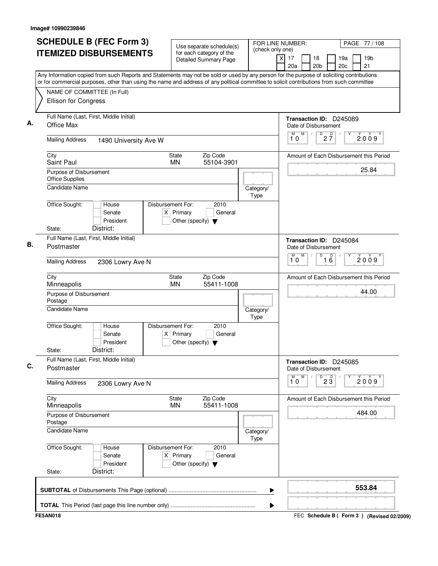| <b>SCHEDULE B (FEC Form 3)</b>                                                                                                                                                                                                                                                         | Use separate schedule(s)                                                                    | FOR LINE NUMBER:         | PAGE 77 / 108                                                                  |
|----------------------------------------------------------------------------------------------------------------------------------------------------------------------------------------------------------------------------------------------------------------------------------------|---------------------------------------------------------------------------------------------|--------------------------|--------------------------------------------------------------------------------|
| <b>ITEMIZED DISBURSEMENTS</b>                                                                                                                                                                                                                                                          | for each category of the<br><b>Detailed Summary Page</b>                                    | (check only one)         | 19 <sub>b</sub><br>17<br>18<br>19a<br>Χ<br>20a<br>20 <sub>b</sub><br>20c<br>21 |
| Any Information copied from such Reports and Statements may not be sold or used by any person for the purpose of soliciting contributions<br>or for commercial purposes, other than using the name and address of any political committee to solicit contributions from such committee |                                                                                             |                          |                                                                                |
| NAME OF COMMITTEE (In Full)                                                                                                                                                                                                                                                            |                                                                                             |                          |                                                                                |
| Ellison for Congress                                                                                                                                                                                                                                                                   |                                                                                             |                          |                                                                                |
| Full Name (Last, First, Middle Initial)<br>Office Max                                                                                                                                                                                                                                  |                                                                                             |                          | Transaction ID: D245089<br>Date of Disbursement                                |
| <b>Mailing Address</b><br>1490 University Ave W                                                                                                                                                                                                                                        |                                                                                             |                          | M<br>$2\frac{D}{7}$<br>D<br>M<br>2009<br>10                                    |
| City<br>Saint Paul                                                                                                                                                                                                                                                                     | Zip Code<br>State<br>55104-3901<br><b>MN</b>                                                |                          | Amount of Each Disbursement this Period                                        |
| Purpose of Disbursement<br><b>Office Supplies</b>                                                                                                                                                                                                                                      |                                                                                             |                          | 25.84                                                                          |
| <b>Candidate Name</b>                                                                                                                                                                                                                                                                  |                                                                                             | Category/<br>Type        |                                                                                |
| Office Sought:<br>House<br>Senate<br>President                                                                                                                                                                                                                                         | Disbursement For:<br>2010<br>$X$ Primary<br>General<br>Other (specify) $\blacktriangledown$ |                          |                                                                                |
| District:<br>State:                                                                                                                                                                                                                                                                    |                                                                                             |                          |                                                                                |
| Full Name (Last, First, Middle Initial)<br>Postmaster                                                                                                                                                                                                                                  |                                                                                             |                          | Transaction ID: D245084<br>Date of Disbursement                                |
| <b>Mailing Address</b><br>2306 Lowry Ave N                                                                                                                                                                                                                                             |                                                                                             |                          | M<br>D<br>$\overline{16}$<br>М<br>2009<br>10                                   |
| City<br>Minneapolis                                                                                                                                                                                                                                                                    | Zip Code<br>State<br><b>MN</b><br>55411-1008                                                |                          | Amount of Each Disbursement this Period                                        |
| Purpose of Disbursement<br>Postage                                                                                                                                                                                                                                                     |                                                                                             |                          | 44.00                                                                          |
| <b>Candidate Name</b>                                                                                                                                                                                                                                                                  |                                                                                             | Category/<br><b>Type</b> |                                                                                |
| Office Sought:<br>House<br>Senate<br>President                                                                                                                                                                                                                                         | Disbursement For:<br>2010<br>$X$ Primary<br>General<br>Other (specify) $\blacktriangledown$ |                          |                                                                                |
| District:<br>State:                                                                                                                                                                                                                                                                    |                                                                                             |                          |                                                                                |
| Full Name (Last, First, Middle Initial)<br>Postmaster                                                                                                                                                                                                                                  |                                                                                             |                          | Transaction ID: D245085<br>Date of Disbursement                                |
| <b>Mailing Address</b><br>2306 Lowry Ave N                                                                                                                                                                                                                                             |                                                                                             |                          | M<br>$\mathsf{M}$<br>$D^D$ 2 $\overline{3}$<br>2009<br>10                      |
| City<br>Minneapolis                                                                                                                                                                                                                                                                    | Zip Code<br>State<br>55411-1008<br>MN                                                       |                          | Amount of Each Disbursement this Period                                        |
| Purpose of Disbursement<br>Postage                                                                                                                                                                                                                                                     |                                                                                             |                          | 484.00                                                                         |
| <b>Candidate Name</b>                                                                                                                                                                                                                                                                  |                                                                                             | Category/<br>Type        |                                                                                |
| Office Sought:<br>House<br>Senate<br>President                                                                                                                                                                                                                                         | Disbursement For:<br>2010<br>$X$ Primary<br>General<br>Other (specify) $\blacktriangledown$ |                          |                                                                                |
| District:<br>State:                                                                                                                                                                                                                                                                    |                                                                                             |                          |                                                                                |
|                                                                                                                                                                                                                                                                                        |                                                                                             | ▶                        | 553.84                                                                         |
|                                                                                                                                                                                                                                                                                        |                                                                                             |                          |                                                                                |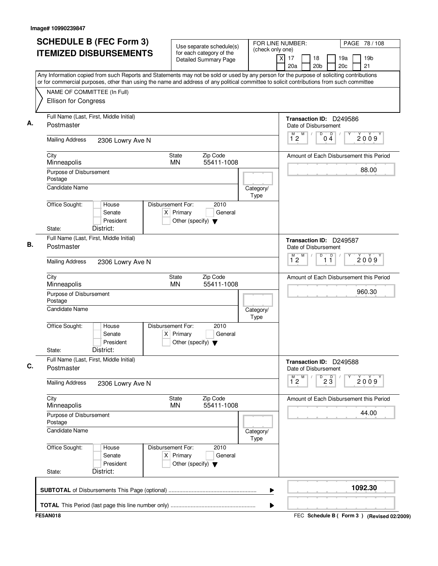| <b>SCHEDULE B (FEC Form 3)</b>                                                                                                                                                                                                                                                         | Use separate schedule(s)                                                                    | FOR LINE NUMBER:<br>(check only one) | PAGE 78 / 108                                                                                     |
|----------------------------------------------------------------------------------------------------------------------------------------------------------------------------------------------------------------------------------------------------------------------------------------|---------------------------------------------------------------------------------------------|--------------------------------------|---------------------------------------------------------------------------------------------------|
| <b>ITEMIZED DISBURSEMENTS</b>                                                                                                                                                                                                                                                          | for each category of the<br><b>Detailed Summary Page</b>                                    |                                      | $\times$<br>17<br>18<br>19a<br>19 <sub>b</sub><br>20 <sub>b</sub><br>20 <sub>c</sub><br>21<br>20a |
| Any Information copied from such Reports and Statements may not be sold or used by any person for the purpose of soliciting contributions<br>or for commercial purposes, other than using the name and address of any political committee to solicit contributions from such committee |                                                                                             |                                      |                                                                                                   |
| NAME OF COMMITTEE (In Full)                                                                                                                                                                                                                                                            |                                                                                             |                                      |                                                                                                   |
| Ellison for Congress                                                                                                                                                                                                                                                                   |                                                                                             |                                      |                                                                                                   |
| Full Name (Last, First, Middle Initial)<br>Postmaster                                                                                                                                                                                                                                  |                                                                                             |                                      | Transaction ID: D249586<br>Date of Disbursement                                                   |
| <b>Mailing Address</b><br>2306 Lowry Ave N                                                                                                                                                                                                                                             |                                                                                             |                                      | M<br>D<br>D<br>M<br>2009<br>12<br>04                                                              |
| City<br>Minneapolis                                                                                                                                                                                                                                                                    | Zip Code<br>State<br><b>MN</b><br>55411-1008                                                |                                      | Amount of Each Disbursement this Period                                                           |
| Purpose of Disbursement<br>Postage                                                                                                                                                                                                                                                     |                                                                                             |                                      | 88.00                                                                                             |
| <b>Candidate Name</b>                                                                                                                                                                                                                                                                  |                                                                                             | Category/<br>Type                    |                                                                                                   |
| Office Sought:<br>House<br>Senate<br>President<br>District:<br>State:                                                                                                                                                                                                                  | Disbursement For:<br>2010<br>$X$ Primary<br>General<br>Other (specify) $\blacktriangledown$ |                                      |                                                                                                   |
| Full Name (Last, First, Middle Initial)                                                                                                                                                                                                                                                |                                                                                             |                                      | Transaction ID: D249587                                                                           |
| Postmaster                                                                                                                                                                                                                                                                             |                                                                                             |                                      | Date of Disbursement                                                                              |
| <b>Mailing Address</b><br>2306 Lowry Ave N                                                                                                                                                                                                                                             |                                                                                             |                                      | M<br>$\overline{11}$<br>$\overline{1}^M$ 2<br>D<br>2009                                           |
| City<br>Minneapolis                                                                                                                                                                                                                                                                    | Zip Code<br>State<br><b>MN</b><br>55411-1008                                                |                                      | Amount of Each Disbursement this Period                                                           |
| Purpose of Disbursement<br>Postage                                                                                                                                                                                                                                                     |                                                                                             |                                      | 960.30                                                                                            |
| <b>Candidate Name</b>                                                                                                                                                                                                                                                                  |                                                                                             | Category/<br><b>Type</b>             |                                                                                                   |
| Office Sought:<br>House<br>Senate<br>President<br>District:<br>State:                                                                                                                                                                                                                  | Disbursement For:<br>2010<br>General<br>$X$ Primary<br>Other (specify) $\blacktriangledown$ |                                      |                                                                                                   |
| Full Name (Last, First, Middle Initial)<br>Postmaster                                                                                                                                                                                                                                  |                                                                                             |                                      | Transaction ID: D249588<br>Date of Disbursement                                                   |
| <b>Mailing Address</b><br>2306 Lowry Ave N                                                                                                                                                                                                                                             |                                                                                             |                                      | $2\overline{3}$<br>$\overline{1}^M$ 2<br>M<br>D<br>2009                                           |
| City<br>Minneapolis                                                                                                                                                                                                                                                                    | Zip Code<br>State<br>55411-1008<br>MN.                                                      |                                      | Amount of Each Disbursement this Period                                                           |
| Purpose of Disbursement<br>Postage                                                                                                                                                                                                                                                     |                                                                                             |                                      | 44.00                                                                                             |
| <b>Candidate Name</b>                                                                                                                                                                                                                                                                  |                                                                                             | Category/<br>Type                    |                                                                                                   |
| Office Sought:<br>House<br>Senate<br>President<br>District:<br>State:                                                                                                                                                                                                                  | Disbursement For:<br>2010<br>$X$ Primary<br>General<br>Other (specify) $\blacktriangledown$ |                                      |                                                                                                   |
|                                                                                                                                                                                                                                                                                        |                                                                                             | ▶                                    | 1092.30                                                                                           |
|                                                                                                                                                                                                                                                                                        |                                                                                             |                                      |                                                                                                   |
| <b>FE5AN018</b>                                                                                                                                                                                                                                                                        |                                                                                             | ▶                                    | FEC Schedule B ( Form 3 ) (Revised 02/2009)                                                       |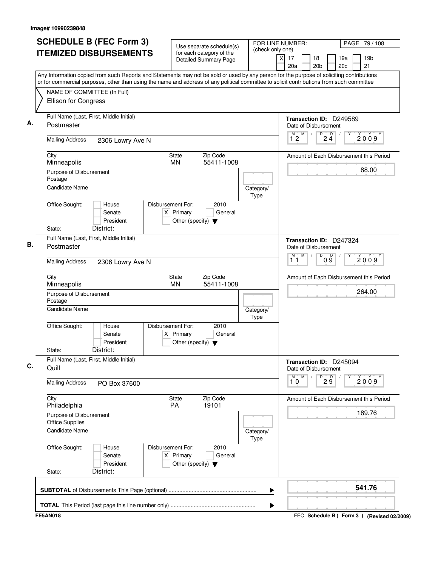| (check only one)<br><b>ITEMIZED DISBURSEMENTS</b><br>for each category of the<br>X<br>17<br>18<br>19a<br><b>Detailed Summary Page</b><br>20 <sub>b</sub><br>20 <sub>c</sub><br>21<br>20a<br>Any Information copied from such Reports and Statements may not be sold or used by any person for the purpose of soliciting contributions<br>or for commercial purposes, other than using the name and address of any political committee to solicit contributions from such committee<br>NAME OF COMMITTEE (In Full)<br>Ellison for Congress<br>Full Name (Last, First, Middle Initial)<br>Transaction ID: D249589<br>Postmaster<br>Date of Disbursement<br>M<br>D<br>$2\frac{D}{4}$<br>М<br>$1^{\degree}2$<br><b>Mailing Address</b><br>2306 Lowry Ave N<br><b>State</b><br>Zip Code<br>City<br>Amount of Each Disbursement this Period<br><b>MN</b><br>55411-1008<br>Minneapolis<br>Purpose of Disbursement<br>Postage<br><b>Candidate Name</b><br>Category/<br>Type<br>Office Sought:<br>Disbursement For:<br>2010<br>House<br>$X$ Primary<br>Senate<br>General<br>President<br>Other (specify) $\blacktriangledown$<br>State:<br>District:<br>Full Name (Last, First, Middle Initial)<br>Transaction ID: D247324<br>Postmaster<br>Date of Disbursement<br>M<br>D<br>M<br>09<br>$\sqrt{ }$<br>11<br><b>Mailing Address</b><br>2306 Lowry Ave N<br>Zip Code<br>City<br>State<br>Amount of Each Disbursement this Period<br>Minneapolis<br><b>MN</b><br>55411-1008<br>Purpose of Disbursement<br>Postage<br><b>Candidate Name</b><br>Category/<br>Type<br>Office Sought:<br>Disbursement For:<br>2010<br>House<br>Senate<br>$X$ Primary<br>General<br>President<br>Other (specify) $\blacktriangledown$<br>District:<br>State:<br>Full Name (Last, First, Middle Initial)<br>Transaction ID: D245094<br>Quill<br>Date of Disbursement<br>M<br>D<br>M<br>29<br>10<br><b>Mailing Address</b><br>PO Box 37600<br>City<br><b>State</b><br>Zip Code<br>Amount of Each Disbursement this Period<br>PA<br>Philadelphia<br>19101<br>Purpose of Disbursement<br><b>Office Supplies</b><br><b>Candidate Name</b><br>Category/<br>Type<br>Office Sought:<br>Disbursement For:<br>2010<br>House<br>$X$ Primary<br>Senate<br>General<br>President<br>Other (specify) $\blacktriangledown$<br>District:<br>State: | PAGE 79 / 108   |  | FOR LINE NUMBER: | Use separate schedule(s) | <b>SCHEDULE B (FEC Form 3)</b> |  |
|---------------------------------------------------------------------------------------------------------------------------------------------------------------------------------------------------------------------------------------------------------------------------------------------------------------------------------------------------------------------------------------------------------------------------------------------------------------------------------------------------------------------------------------------------------------------------------------------------------------------------------------------------------------------------------------------------------------------------------------------------------------------------------------------------------------------------------------------------------------------------------------------------------------------------------------------------------------------------------------------------------------------------------------------------------------------------------------------------------------------------------------------------------------------------------------------------------------------------------------------------------------------------------------------------------------------------------------------------------------------------------------------------------------------------------------------------------------------------------------------------------------------------------------------------------------------------------------------------------------------------------------------------------------------------------------------------------------------------------------------------------------------------------------------------------------------------------------------------------------------------------------------------------------------------------------------------------------------------------------------------------------------------------------------------------------------------------------------------------------------------------------------------------------------------------------------------------------------------------------------------------------------------------------------------|-----------------|--|------------------|--------------------------|--------------------------------|--|
|                                                                                                                                                                                                                                                                                                                                                                                                                                                                                                                                                                                                                                                                                                                                                                                                                                                                                                                                                                                                                                                                                                                                                                                                                                                                                                                                                                                                                                                                                                                                                                                                                                                                                                                                                                                                                                                                                                                                                                                                                                                                                                                                                                                                                                                                                                   | 19 <sub>b</sub> |  |                  |                          |                                |  |
|                                                                                                                                                                                                                                                                                                                                                                                                                                                                                                                                                                                                                                                                                                                                                                                                                                                                                                                                                                                                                                                                                                                                                                                                                                                                                                                                                                                                                                                                                                                                                                                                                                                                                                                                                                                                                                                                                                                                                                                                                                                                                                                                                                                                                                                                                                   |                 |  |                  |                          |                                |  |
|                                                                                                                                                                                                                                                                                                                                                                                                                                                                                                                                                                                                                                                                                                                                                                                                                                                                                                                                                                                                                                                                                                                                                                                                                                                                                                                                                                                                                                                                                                                                                                                                                                                                                                                                                                                                                                                                                                                                                                                                                                                                                                                                                                                                                                                                                                   |                 |  |                  |                          |                                |  |
|                                                                                                                                                                                                                                                                                                                                                                                                                                                                                                                                                                                                                                                                                                                                                                                                                                                                                                                                                                                                                                                                                                                                                                                                                                                                                                                                                                                                                                                                                                                                                                                                                                                                                                                                                                                                                                                                                                                                                                                                                                                                                                                                                                                                                                                                                                   |                 |  |                  |                          |                                |  |
|                                                                                                                                                                                                                                                                                                                                                                                                                                                                                                                                                                                                                                                                                                                                                                                                                                                                                                                                                                                                                                                                                                                                                                                                                                                                                                                                                                                                                                                                                                                                                                                                                                                                                                                                                                                                                                                                                                                                                                                                                                                                                                                                                                                                                                                                                                   |                 |  |                  |                          |                                |  |
|                                                                                                                                                                                                                                                                                                                                                                                                                                                                                                                                                                                                                                                                                                                                                                                                                                                                                                                                                                                                                                                                                                                                                                                                                                                                                                                                                                                                                                                                                                                                                                                                                                                                                                                                                                                                                                                                                                                                                                                                                                                                                                                                                                                                                                                                                                   | 2009            |  |                  |                          |                                |  |
|                                                                                                                                                                                                                                                                                                                                                                                                                                                                                                                                                                                                                                                                                                                                                                                                                                                                                                                                                                                                                                                                                                                                                                                                                                                                                                                                                                                                                                                                                                                                                                                                                                                                                                                                                                                                                                                                                                                                                                                                                                                                                                                                                                                                                                                                                                   |                 |  |                  |                          |                                |  |
|                                                                                                                                                                                                                                                                                                                                                                                                                                                                                                                                                                                                                                                                                                                                                                                                                                                                                                                                                                                                                                                                                                                                                                                                                                                                                                                                                                                                                                                                                                                                                                                                                                                                                                                                                                                                                                                                                                                                                                                                                                                                                                                                                                                                                                                                                                   | 88.00           |  |                  |                          |                                |  |
|                                                                                                                                                                                                                                                                                                                                                                                                                                                                                                                                                                                                                                                                                                                                                                                                                                                                                                                                                                                                                                                                                                                                                                                                                                                                                                                                                                                                                                                                                                                                                                                                                                                                                                                                                                                                                                                                                                                                                                                                                                                                                                                                                                                                                                                                                                   |                 |  |                  |                          |                                |  |
|                                                                                                                                                                                                                                                                                                                                                                                                                                                                                                                                                                                                                                                                                                                                                                                                                                                                                                                                                                                                                                                                                                                                                                                                                                                                                                                                                                                                                                                                                                                                                                                                                                                                                                                                                                                                                                                                                                                                                                                                                                                                                                                                                                                                                                                                                                   |                 |  |                  |                          |                                |  |
|                                                                                                                                                                                                                                                                                                                                                                                                                                                                                                                                                                                                                                                                                                                                                                                                                                                                                                                                                                                                                                                                                                                                                                                                                                                                                                                                                                                                                                                                                                                                                                                                                                                                                                                                                                                                                                                                                                                                                                                                                                                                                                                                                                                                                                                                                                   |                 |  |                  |                          |                                |  |
|                                                                                                                                                                                                                                                                                                                                                                                                                                                                                                                                                                                                                                                                                                                                                                                                                                                                                                                                                                                                                                                                                                                                                                                                                                                                                                                                                                                                                                                                                                                                                                                                                                                                                                                                                                                                                                                                                                                                                                                                                                                                                                                                                                                                                                                                                                   |                 |  |                  |                          |                                |  |
|                                                                                                                                                                                                                                                                                                                                                                                                                                                                                                                                                                                                                                                                                                                                                                                                                                                                                                                                                                                                                                                                                                                                                                                                                                                                                                                                                                                                                                                                                                                                                                                                                                                                                                                                                                                                                                                                                                                                                                                                                                                                                                                                                                                                                                                                                                   | 2009            |  |                  |                          |                                |  |
|                                                                                                                                                                                                                                                                                                                                                                                                                                                                                                                                                                                                                                                                                                                                                                                                                                                                                                                                                                                                                                                                                                                                                                                                                                                                                                                                                                                                                                                                                                                                                                                                                                                                                                                                                                                                                                                                                                                                                                                                                                                                                                                                                                                                                                                                                                   |                 |  |                  |                          |                                |  |
|                                                                                                                                                                                                                                                                                                                                                                                                                                                                                                                                                                                                                                                                                                                                                                                                                                                                                                                                                                                                                                                                                                                                                                                                                                                                                                                                                                                                                                                                                                                                                                                                                                                                                                                                                                                                                                                                                                                                                                                                                                                                                                                                                                                                                                                                                                   | 264.00          |  |                  |                          |                                |  |
|                                                                                                                                                                                                                                                                                                                                                                                                                                                                                                                                                                                                                                                                                                                                                                                                                                                                                                                                                                                                                                                                                                                                                                                                                                                                                                                                                                                                                                                                                                                                                                                                                                                                                                                                                                                                                                                                                                                                                                                                                                                                                                                                                                                                                                                                                                   |                 |  |                  |                          |                                |  |
|                                                                                                                                                                                                                                                                                                                                                                                                                                                                                                                                                                                                                                                                                                                                                                                                                                                                                                                                                                                                                                                                                                                                                                                                                                                                                                                                                                                                                                                                                                                                                                                                                                                                                                                                                                                                                                                                                                                                                                                                                                                                                                                                                                                                                                                                                                   |                 |  |                  |                          |                                |  |
|                                                                                                                                                                                                                                                                                                                                                                                                                                                                                                                                                                                                                                                                                                                                                                                                                                                                                                                                                                                                                                                                                                                                                                                                                                                                                                                                                                                                                                                                                                                                                                                                                                                                                                                                                                                                                                                                                                                                                                                                                                                                                                                                                                                                                                                                                                   |                 |  |                  |                          |                                |  |
|                                                                                                                                                                                                                                                                                                                                                                                                                                                                                                                                                                                                                                                                                                                                                                                                                                                                                                                                                                                                                                                                                                                                                                                                                                                                                                                                                                                                                                                                                                                                                                                                                                                                                                                                                                                                                                                                                                                                                                                                                                                                                                                                                                                                                                                                                                   |                 |  |                  |                          |                                |  |
|                                                                                                                                                                                                                                                                                                                                                                                                                                                                                                                                                                                                                                                                                                                                                                                                                                                                                                                                                                                                                                                                                                                                                                                                                                                                                                                                                                                                                                                                                                                                                                                                                                                                                                                                                                                                                                                                                                                                                                                                                                                                                                                                                                                                                                                                                                   | 2009            |  |                  |                          |                                |  |
|                                                                                                                                                                                                                                                                                                                                                                                                                                                                                                                                                                                                                                                                                                                                                                                                                                                                                                                                                                                                                                                                                                                                                                                                                                                                                                                                                                                                                                                                                                                                                                                                                                                                                                                                                                                                                                                                                                                                                                                                                                                                                                                                                                                                                                                                                                   |                 |  |                  |                          |                                |  |
|                                                                                                                                                                                                                                                                                                                                                                                                                                                                                                                                                                                                                                                                                                                                                                                                                                                                                                                                                                                                                                                                                                                                                                                                                                                                                                                                                                                                                                                                                                                                                                                                                                                                                                                                                                                                                                                                                                                                                                                                                                                                                                                                                                                                                                                                                                   | 189.76          |  |                  |                          |                                |  |
|                                                                                                                                                                                                                                                                                                                                                                                                                                                                                                                                                                                                                                                                                                                                                                                                                                                                                                                                                                                                                                                                                                                                                                                                                                                                                                                                                                                                                                                                                                                                                                                                                                                                                                                                                                                                                                                                                                                                                                                                                                                                                                                                                                                                                                                                                                   |                 |  |                  |                          |                                |  |
|                                                                                                                                                                                                                                                                                                                                                                                                                                                                                                                                                                                                                                                                                                                                                                                                                                                                                                                                                                                                                                                                                                                                                                                                                                                                                                                                                                                                                                                                                                                                                                                                                                                                                                                                                                                                                                                                                                                                                                                                                                                                                                                                                                                                                                                                                                   |                 |  |                  |                          |                                |  |
|                                                                                                                                                                                                                                                                                                                                                                                                                                                                                                                                                                                                                                                                                                                                                                                                                                                                                                                                                                                                                                                                                                                                                                                                                                                                                                                                                                                                                                                                                                                                                                                                                                                                                                                                                                                                                                                                                                                                                                                                                                                                                                                                                                                                                                                                                                   |                 |  |                  |                          |                                |  |
|                                                                                                                                                                                                                                                                                                                                                                                                                                                                                                                                                                                                                                                                                                                                                                                                                                                                                                                                                                                                                                                                                                                                                                                                                                                                                                                                                                                                                                                                                                                                                                                                                                                                                                                                                                                                                                                                                                                                                                                                                                                                                                                                                                                                                                                                                                   | 541.76          |  |                  |                          |                                |  |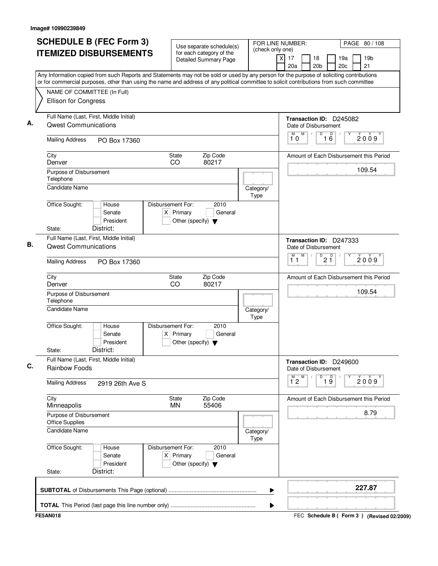| <b>SCHEDULE B (FEC Form 3)</b><br><b>ITEMIZED DISBURSEMENTS</b><br>Any Information copied from such Reports and Statements may not be sold or used by any person for the purpose of soliciting contributions | Use separate schedule(s)<br>for each category of the<br>Detailed Summary Page               | FOR LINE NUMBER:<br>(check only one)<br>$\times$ | PAGE 80 / 108<br>17<br>19 <sub>b</sub><br>18<br>19a<br>20c<br>21<br>20a<br>20 <sub>b</sub> |
|--------------------------------------------------------------------------------------------------------------------------------------------------------------------------------------------------------------|---------------------------------------------------------------------------------------------|--------------------------------------------------|--------------------------------------------------------------------------------------------|
| or for commercial purposes, other than using the name and address of any political committee to solicit contributions from such committee<br>NAME OF COMMITTEE (In Full)<br>Ellison for Congress             |                                                                                             |                                                  |                                                                                            |
| Full Name (Last, First, Middle Initial)<br><b>Qwest Communications</b>                                                                                                                                       |                                                                                             |                                                  | Transaction ID: D245082<br>Date of Disbursement                                            |
| <b>Mailing Address</b><br>PO Box 17360                                                                                                                                                                       |                                                                                             |                                                  | M<br>D<br>$\overline{D}$<br>M<br>$\sqrt{2}$<br>2009<br>$1\overline{6}$<br>10               |
| City<br>Denver                                                                                                                                                                                               | State<br>Zip Code<br>CO<br>80217                                                            |                                                  | Amount of Each Disbursement this Period                                                    |
| Purpose of Disbursement<br>Telephone                                                                                                                                                                         |                                                                                             |                                                  | 109.54                                                                                     |
| <b>Candidate Name</b>                                                                                                                                                                                        |                                                                                             | Category/<br>Type                                |                                                                                            |
| Office Sought:<br>House<br>Senate<br>President                                                                                                                                                               | Disbursement For:<br>2010<br>$X$ Primary<br>General<br>Other (specify) $\blacktriangledown$ |                                                  |                                                                                            |
| District:<br>State:<br>Full Name (Last, First, Middle Initial)                                                                                                                                               |                                                                                             |                                                  | Transaction ID: D247333                                                                    |
| <b>Qwest Communications</b>                                                                                                                                                                                  |                                                                                             |                                                  | Date of Disbursement<br>M<br>$\overline{D}$<br>M                                           |
| <b>Mailing Address</b><br>PO Box 17360                                                                                                                                                                       |                                                                                             |                                                  | 2 <sup>D</sup><br>2009<br>11                                                               |
| City<br>Denver                                                                                                                                                                                               | Zip Code<br>State<br>CO<br>80217                                                            |                                                  | Amount of Each Disbursement this Period                                                    |
| Purpose of Disbursement<br>Telephone                                                                                                                                                                         |                                                                                             |                                                  | 109.54                                                                                     |
| <b>Candidate Name</b>                                                                                                                                                                                        |                                                                                             | Category/<br>Type                                |                                                                                            |
| Office Sought:<br>House<br>Senate<br>President<br>District:<br>State:                                                                                                                                        | Disbursement For:<br>2010<br>$X$ Primary<br>General<br>Other (specify) $\blacktriangledown$ |                                                  |                                                                                            |
| Full Name (Last, First, Middle Initial)<br><b>Rainbow Foods</b>                                                                                                                                              |                                                                                             |                                                  | Transaction ID: D249600<br>Date of Disbursement                                            |
| <b>Mailing Address</b><br>2919 26th Ave S                                                                                                                                                                    |                                                                                             |                                                  | 19<br>М<br>D<br>м<br>2009<br>12                                                            |
| City<br>Minneapolis                                                                                                                                                                                          | Zip Code<br>State<br><b>MN</b><br>55406                                                     |                                                  | Amount of Each Disbursement this Period                                                    |
| Purpose of Disbursement<br><b>Office Supplies</b>                                                                                                                                                            |                                                                                             |                                                  | 8.79                                                                                       |
| <b>Candidate Name</b>                                                                                                                                                                                        |                                                                                             | Category/<br><b>Type</b>                         |                                                                                            |
| Office Sought:<br>House<br>Senate<br>President                                                                                                                                                               | Disbursement For:<br>2010<br>$X$ Primary<br>General<br>Other (specify) $\blacktriangledown$ |                                                  |                                                                                            |
| District:<br>State:                                                                                                                                                                                          |                                                                                             |                                                  |                                                                                            |
|                                                                                                                                                                                                              |                                                                                             | ▶                                                | 227.87                                                                                     |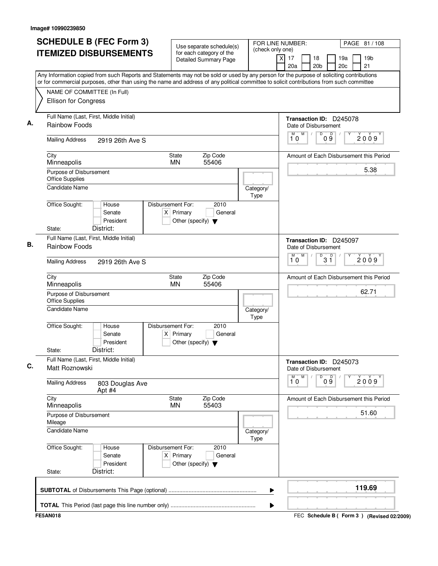| (check only one)<br>for each category of the<br>19 <sub>b</sub><br>X<br>17<br>18<br>19a<br><b>Detailed Summary Page</b><br>20 <sub>b</sub><br>20 <sub>c</sub><br>21<br>20a<br>NAME OF COMMITTEE (In Full)<br>Ellison for Congress<br>Full Name (Last, First, Middle Initial)<br>Transaction ID: D245078<br><b>Rainbow Foods</b><br>Date of Disbursement<br>M<br>D<br>09<br>М<br>$\sqrt{2}$<br>2009<br>10<br><b>Mailing Address</b><br>2919 26th Ave S<br><b>State</b><br>Zip Code<br>City<br>Amount of Each Disbursement this Period<br>Minneapolis<br><b>MN</b><br>55406<br>5.38<br>Purpose of Disbursement<br><b>Office Supplies</b><br><b>Candidate Name</b><br>Category/<br>Type<br>Office Sought:<br>Disbursement For:<br>2010<br>House<br>$X$ Primary<br>Senate<br>General<br>President<br>Other (specify) $\blacktriangledown$<br>District:<br>State:<br>Full Name (Last, First, Middle Initial)<br>Transaction ID: D245097<br>Rainbow Foods<br>Date of Disbursement<br>M<br>D<br>M<br>3 <sup>0</sup><br>2009<br>10<br><b>Mailing Address</b><br>2919 26th Ave S<br>Zip Code<br>City<br>State<br>Amount of Each Disbursement this Period<br>Minneapolis<br><b>MN</b><br>55406<br>62.71<br>Purpose of Disbursement<br><b>Office Supplies</b><br><b>Candidate Name</b><br>Category/<br>Type<br>Office Sought:<br>Disbursement For:<br>2010<br>House<br>Senate<br>$X$ Primary<br>General<br>President<br>Other (specify) $\blacktriangledown$<br>District:<br>State:<br>Full Name (Last, First, Middle Initial)<br>Transaction ID: D245073<br>Matt Roznowski<br>Date of Disbursement<br>M<br>D<br>$\overline{\overset{M}{10}}$<br>09<br>2009<br><b>Mailing Address</b><br>803 Douglas Ave<br>Apt #4<br>City<br>Zip Code<br><b>State</b><br>Amount of Each Disbursement this Period<br>Minneapolis<br><b>MN</b><br>55403<br>51.60<br>Purpose of Disbursement<br>Mileage<br><b>Candidate Name</b><br>Category/<br>Type<br>Office Sought:<br>Disbursement For:<br>2010<br>House<br>$X$ Primary<br>Senate<br>General<br>President<br>Other (specify) $\blacktriangledown$<br>District:<br>State:<br>119.69 | <b>ITEMIZED DISBURSEMENTS</b><br>Any Information copied from such Reports and Statements may not be sold or used by any person for the purpose of soliciting contributions<br>or for commercial purposes, other than using the name and address of any political committee to solicit contributions from such committee | <b>SCHEDULE B (FEC Form 3)</b> | Use separate schedule(s) | FOR LINE NUMBER: |  |  | PAGE 81 / 108 |
|------------------------------------------------------------------------------------------------------------------------------------------------------------------------------------------------------------------------------------------------------------------------------------------------------------------------------------------------------------------------------------------------------------------------------------------------------------------------------------------------------------------------------------------------------------------------------------------------------------------------------------------------------------------------------------------------------------------------------------------------------------------------------------------------------------------------------------------------------------------------------------------------------------------------------------------------------------------------------------------------------------------------------------------------------------------------------------------------------------------------------------------------------------------------------------------------------------------------------------------------------------------------------------------------------------------------------------------------------------------------------------------------------------------------------------------------------------------------------------------------------------------------------------------------------------------------------------------------------------------------------------------------------------------------------------------------------------------------------------------------------------------------------------------------------------------------------------------------------------------------------------------------------------------------------------------------------------------------------------------------------------------------------------------------------------------------------------------------------------|-------------------------------------------------------------------------------------------------------------------------------------------------------------------------------------------------------------------------------------------------------------------------------------------------------------------------|--------------------------------|--------------------------|------------------|--|--|---------------|
|                                                                                                                                                                                                                                                                                                                                                                                                                                                                                                                                                                                                                                                                                                                                                                                                                                                                                                                                                                                                                                                                                                                                                                                                                                                                                                                                                                                                                                                                                                                                                                                                                                                                                                                                                                                                                                                                                                                                                                                                                                                                                                            |                                                                                                                                                                                                                                                                                                                         |                                |                          |                  |  |  |               |
|                                                                                                                                                                                                                                                                                                                                                                                                                                                                                                                                                                                                                                                                                                                                                                                                                                                                                                                                                                                                                                                                                                                                                                                                                                                                                                                                                                                                                                                                                                                                                                                                                                                                                                                                                                                                                                                                                                                                                                                                                                                                                                            |                                                                                                                                                                                                                                                                                                                         |                                |                          |                  |  |  |               |
|                                                                                                                                                                                                                                                                                                                                                                                                                                                                                                                                                                                                                                                                                                                                                                                                                                                                                                                                                                                                                                                                                                                                                                                                                                                                                                                                                                                                                                                                                                                                                                                                                                                                                                                                                                                                                                                                                                                                                                                                                                                                                                            |                                                                                                                                                                                                                                                                                                                         |                                |                          |                  |  |  |               |
|                                                                                                                                                                                                                                                                                                                                                                                                                                                                                                                                                                                                                                                                                                                                                                                                                                                                                                                                                                                                                                                                                                                                                                                                                                                                                                                                                                                                                                                                                                                                                                                                                                                                                                                                                                                                                                                                                                                                                                                                                                                                                                            |                                                                                                                                                                                                                                                                                                                         |                                |                          |                  |  |  |               |
|                                                                                                                                                                                                                                                                                                                                                                                                                                                                                                                                                                                                                                                                                                                                                                                                                                                                                                                                                                                                                                                                                                                                                                                                                                                                                                                                                                                                                                                                                                                                                                                                                                                                                                                                                                                                                                                                                                                                                                                                                                                                                                            |                                                                                                                                                                                                                                                                                                                         |                                |                          |                  |  |  |               |
|                                                                                                                                                                                                                                                                                                                                                                                                                                                                                                                                                                                                                                                                                                                                                                                                                                                                                                                                                                                                                                                                                                                                                                                                                                                                                                                                                                                                                                                                                                                                                                                                                                                                                                                                                                                                                                                                                                                                                                                                                                                                                                            |                                                                                                                                                                                                                                                                                                                         |                                |                          |                  |  |  |               |
|                                                                                                                                                                                                                                                                                                                                                                                                                                                                                                                                                                                                                                                                                                                                                                                                                                                                                                                                                                                                                                                                                                                                                                                                                                                                                                                                                                                                                                                                                                                                                                                                                                                                                                                                                                                                                                                                                                                                                                                                                                                                                                            |                                                                                                                                                                                                                                                                                                                         |                                |                          |                  |  |  |               |
|                                                                                                                                                                                                                                                                                                                                                                                                                                                                                                                                                                                                                                                                                                                                                                                                                                                                                                                                                                                                                                                                                                                                                                                                                                                                                                                                                                                                                                                                                                                                                                                                                                                                                                                                                                                                                                                                                                                                                                                                                                                                                                            |                                                                                                                                                                                                                                                                                                                         |                                |                          |                  |  |  |               |
|                                                                                                                                                                                                                                                                                                                                                                                                                                                                                                                                                                                                                                                                                                                                                                                                                                                                                                                                                                                                                                                                                                                                                                                                                                                                                                                                                                                                                                                                                                                                                                                                                                                                                                                                                                                                                                                                                                                                                                                                                                                                                                            |                                                                                                                                                                                                                                                                                                                         |                                |                          |                  |  |  |               |
|                                                                                                                                                                                                                                                                                                                                                                                                                                                                                                                                                                                                                                                                                                                                                                                                                                                                                                                                                                                                                                                                                                                                                                                                                                                                                                                                                                                                                                                                                                                                                                                                                                                                                                                                                                                                                                                                                                                                                                                                                                                                                                            |                                                                                                                                                                                                                                                                                                                         |                                |                          |                  |  |  |               |
|                                                                                                                                                                                                                                                                                                                                                                                                                                                                                                                                                                                                                                                                                                                                                                                                                                                                                                                                                                                                                                                                                                                                                                                                                                                                                                                                                                                                                                                                                                                                                                                                                                                                                                                                                                                                                                                                                                                                                                                                                                                                                                            |                                                                                                                                                                                                                                                                                                                         |                                |                          |                  |  |  |               |
|                                                                                                                                                                                                                                                                                                                                                                                                                                                                                                                                                                                                                                                                                                                                                                                                                                                                                                                                                                                                                                                                                                                                                                                                                                                                                                                                                                                                                                                                                                                                                                                                                                                                                                                                                                                                                                                                                                                                                                                                                                                                                                            |                                                                                                                                                                                                                                                                                                                         |                                |                          |                  |  |  |               |
|                                                                                                                                                                                                                                                                                                                                                                                                                                                                                                                                                                                                                                                                                                                                                                                                                                                                                                                                                                                                                                                                                                                                                                                                                                                                                                                                                                                                                                                                                                                                                                                                                                                                                                                                                                                                                                                                                                                                                                                                                                                                                                            |                                                                                                                                                                                                                                                                                                                         |                                |                          |                  |  |  |               |
|                                                                                                                                                                                                                                                                                                                                                                                                                                                                                                                                                                                                                                                                                                                                                                                                                                                                                                                                                                                                                                                                                                                                                                                                                                                                                                                                                                                                                                                                                                                                                                                                                                                                                                                                                                                                                                                                                                                                                                                                                                                                                                            |                                                                                                                                                                                                                                                                                                                         |                                |                          |                  |  |  |               |
|                                                                                                                                                                                                                                                                                                                                                                                                                                                                                                                                                                                                                                                                                                                                                                                                                                                                                                                                                                                                                                                                                                                                                                                                                                                                                                                                                                                                                                                                                                                                                                                                                                                                                                                                                                                                                                                                                                                                                                                                                                                                                                            |                                                                                                                                                                                                                                                                                                                         |                                |                          |                  |  |  |               |
|                                                                                                                                                                                                                                                                                                                                                                                                                                                                                                                                                                                                                                                                                                                                                                                                                                                                                                                                                                                                                                                                                                                                                                                                                                                                                                                                                                                                                                                                                                                                                                                                                                                                                                                                                                                                                                                                                                                                                                                                                                                                                                            |                                                                                                                                                                                                                                                                                                                         |                                |                          |                  |  |  |               |
|                                                                                                                                                                                                                                                                                                                                                                                                                                                                                                                                                                                                                                                                                                                                                                                                                                                                                                                                                                                                                                                                                                                                                                                                                                                                                                                                                                                                                                                                                                                                                                                                                                                                                                                                                                                                                                                                                                                                                                                                                                                                                                            |                                                                                                                                                                                                                                                                                                                         |                                |                          |                  |  |  |               |
|                                                                                                                                                                                                                                                                                                                                                                                                                                                                                                                                                                                                                                                                                                                                                                                                                                                                                                                                                                                                                                                                                                                                                                                                                                                                                                                                                                                                                                                                                                                                                                                                                                                                                                                                                                                                                                                                                                                                                                                                                                                                                                            |                                                                                                                                                                                                                                                                                                                         |                                |                          |                  |  |  |               |
|                                                                                                                                                                                                                                                                                                                                                                                                                                                                                                                                                                                                                                                                                                                                                                                                                                                                                                                                                                                                                                                                                                                                                                                                                                                                                                                                                                                                                                                                                                                                                                                                                                                                                                                                                                                                                                                                                                                                                                                                                                                                                                            |                                                                                                                                                                                                                                                                                                                         |                                |                          |                  |  |  |               |
|                                                                                                                                                                                                                                                                                                                                                                                                                                                                                                                                                                                                                                                                                                                                                                                                                                                                                                                                                                                                                                                                                                                                                                                                                                                                                                                                                                                                                                                                                                                                                                                                                                                                                                                                                                                                                                                                                                                                                                                                                                                                                                            |                                                                                                                                                                                                                                                                                                                         |                                |                          |                  |  |  |               |
|                                                                                                                                                                                                                                                                                                                                                                                                                                                                                                                                                                                                                                                                                                                                                                                                                                                                                                                                                                                                                                                                                                                                                                                                                                                                                                                                                                                                                                                                                                                                                                                                                                                                                                                                                                                                                                                                                                                                                                                                                                                                                                            |                                                                                                                                                                                                                                                                                                                         |                                |                          |                  |  |  |               |
|                                                                                                                                                                                                                                                                                                                                                                                                                                                                                                                                                                                                                                                                                                                                                                                                                                                                                                                                                                                                                                                                                                                                                                                                                                                                                                                                                                                                                                                                                                                                                                                                                                                                                                                                                                                                                                                                                                                                                                                                                                                                                                            |                                                                                                                                                                                                                                                                                                                         |                                |                          |                  |  |  |               |
|                                                                                                                                                                                                                                                                                                                                                                                                                                                                                                                                                                                                                                                                                                                                                                                                                                                                                                                                                                                                                                                                                                                                                                                                                                                                                                                                                                                                                                                                                                                                                                                                                                                                                                                                                                                                                                                                                                                                                                                                                                                                                                            |                                                                                                                                                                                                                                                                                                                         |                                |                          |                  |  |  |               |
|                                                                                                                                                                                                                                                                                                                                                                                                                                                                                                                                                                                                                                                                                                                                                                                                                                                                                                                                                                                                                                                                                                                                                                                                                                                                                                                                                                                                                                                                                                                                                                                                                                                                                                                                                                                                                                                                                                                                                                                                                                                                                                            |                                                                                                                                                                                                                                                                                                                         |                                |                          |                  |  |  |               |
|                                                                                                                                                                                                                                                                                                                                                                                                                                                                                                                                                                                                                                                                                                                                                                                                                                                                                                                                                                                                                                                                                                                                                                                                                                                                                                                                                                                                                                                                                                                                                                                                                                                                                                                                                                                                                                                                                                                                                                                                                                                                                                            |                                                                                                                                                                                                                                                                                                                         |                                |                          |                  |  |  |               |
|                                                                                                                                                                                                                                                                                                                                                                                                                                                                                                                                                                                                                                                                                                                                                                                                                                                                                                                                                                                                                                                                                                                                                                                                                                                                                                                                                                                                                                                                                                                                                                                                                                                                                                                                                                                                                                                                                                                                                                                                                                                                                                            |                                                                                                                                                                                                                                                                                                                         |                                |                          |                  |  |  |               |
|                                                                                                                                                                                                                                                                                                                                                                                                                                                                                                                                                                                                                                                                                                                                                                                                                                                                                                                                                                                                                                                                                                                                                                                                                                                                                                                                                                                                                                                                                                                                                                                                                                                                                                                                                                                                                                                                                                                                                                                                                                                                                                            |                                                                                                                                                                                                                                                                                                                         |                                |                          |                  |  |  |               |
|                                                                                                                                                                                                                                                                                                                                                                                                                                                                                                                                                                                                                                                                                                                                                                                                                                                                                                                                                                                                                                                                                                                                                                                                                                                                                                                                                                                                                                                                                                                                                                                                                                                                                                                                                                                                                                                                                                                                                                                                                                                                                                            |                                                                                                                                                                                                                                                                                                                         |                                |                          |                  |  |  |               |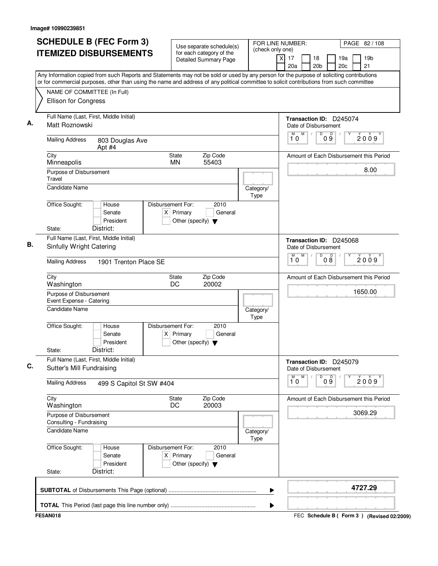| <b>SCHEDULE B (FEC Form 3)</b><br><b>ITEMIZED DISBURSEMENTS</b>                                                                                                                                                                                                                        | Use separate schedule(s)<br>for each category of the<br><b>Detailed Summary Page</b>        | FOR LINE NUMBER:<br>(check only one)<br>$\times$ | PAGE 82/108<br>17<br>18<br>19a<br>19 <sub>b</sub><br>21         |
|----------------------------------------------------------------------------------------------------------------------------------------------------------------------------------------------------------------------------------------------------------------------------------------|---------------------------------------------------------------------------------------------|--------------------------------------------------|-----------------------------------------------------------------|
| Any Information copied from such Reports and Statements may not be sold or used by any person for the purpose of soliciting contributions<br>or for commercial purposes, other than using the name and address of any political committee to solicit contributions from such committee |                                                                                             |                                                  | 20a<br>20 <sub>b</sub><br>20c                                   |
| NAME OF COMMITTEE (In Full)<br>Ellison for Congress                                                                                                                                                                                                                                    |                                                                                             |                                                  |                                                                 |
| Full Name (Last, First, Middle Initial)<br>Matt Roznowski                                                                                                                                                                                                                              |                                                                                             |                                                  | Transaction ID: D245074<br>Date of Disbursement                 |
| <b>Mailing Address</b><br>803 Douglas Ave<br>Apt #4                                                                                                                                                                                                                                    |                                                                                             |                                                  | M<br>D<br>$\overline{D}$<br>M<br>$\sqrt{2}$<br>2009<br>09<br>10 |
| City<br>Minneapolis                                                                                                                                                                                                                                                                    | Zip Code<br>State<br><b>MN</b><br>55403                                                     |                                                  | Amount of Each Disbursement this Period                         |
| Purpose of Disbursement<br>Travel                                                                                                                                                                                                                                                      |                                                                                             |                                                  | 8.00                                                            |
| <b>Candidate Name</b>                                                                                                                                                                                                                                                                  |                                                                                             | Category/<br>Type                                |                                                                 |
| Office Sought:<br>House<br>Senate<br>President                                                                                                                                                                                                                                         | Disbursement For:<br>2010<br>$X$ Primary<br>General<br>Other (specify) $\blacktriangledown$ |                                                  |                                                                 |
| District:<br>State:<br>Full Name (Last, First, Middle Initial)                                                                                                                                                                                                                         |                                                                                             |                                                  | Transaction ID: D245068                                         |
| Sinfully Wright Catering                                                                                                                                                                                                                                                               |                                                                                             |                                                  | Date of Disbursement                                            |
| <b>Mailing Address</b><br>1901 Trenton Place SE                                                                                                                                                                                                                                        |                                                                                             |                                                  | M<br>M<br>D<br>08<br>2009<br>10                                 |
| City<br>Washington                                                                                                                                                                                                                                                                     | Zip Code<br>State<br>DC<br>20002                                                            |                                                  | Amount of Each Disbursement this Period                         |
| Purpose of Disbursement<br>Event Expense - Catering                                                                                                                                                                                                                                    |                                                                                             |                                                  | 1650.00                                                         |
| <b>Candidate Name</b>                                                                                                                                                                                                                                                                  |                                                                                             | Category/<br>Type                                |                                                                 |
| Office Sought:<br>House<br>Senate<br>President<br>District:<br>State:                                                                                                                                                                                                                  | Disbursement For:<br>2010<br>$X$ Primary<br>General<br>Other (specify) $\blacktriangledown$ |                                                  |                                                                 |
| Full Name (Last, First, Middle Initial)<br>Sutter's Mill Fundraising                                                                                                                                                                                                                   |                                                                                             |                                                  | Transaction ID: D245079<br>Date of Disbursement                 |
| <b>Mailing Address</b><br>499 S Capitol St SW #404                                                                                                                                                                                                                                     |                                                                                             |                                                  | M<br>M<br>D<br>09<br>2009<br>10                                 |
| City<br>Washington                                                                                                                                                                                                                                                                     | Zip Code<br><b>State</b><br>DC<br>20003                                                     |                                                  | Amount of Each Disbursement this Period                         |
| Purpose of Disbursement<br>Consulting - Fundraising                                                                                                                                                                                                                                    |                                                                                             |                                                  | 3069.29                                                         |
| <b>Candidate Name</b>                                                                                                                                                                                                                                                                  |                                                                                             | Category/<br>Type                                |                                                                 |
| Office Sought:<br>House<br>Senate<br>President                                                                                                                                                                                                                                         | Disbursement For:<br>2010<br>$X$ Primary<br>General<br>Other (specify) $\blacktriangledown$ |                                                  |                                                                 |
| District:<br>State:                                                                                                                                                                                                                                                                    |                                                                                             |                                                  |                                                                 |
|                                                                                                                                                                                                                                                                                        |                                                                                             | ▶                                                | 4727.29                                                         |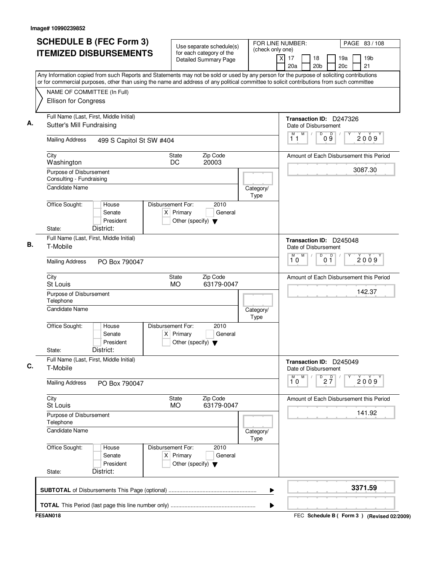| <b>Detailed Summary Page</b><br>21<br>20a<br>20 <sub>b</sub><br>20c<br>Any Information copied from such Reports and Statements may not be sold or used by any person for the purpose of soliciting contributions<br>or for commercial purposes, other than using the name and address of any political committee to solicit contributions from such committee<br>NAME OF COMMITTEE (In Full)<br>Ellison for Congress<br>Full Name (Last, First, Middle Initial)<br>Transaction ID: D247326<br>Sutter's Mill Fundraising<br>Date of Disbursement<br>M<br>D<br>$\mathsf D$<br>M<br>$\sqrt{2}$<br>2009<br>09<br>11<br><b>Mailing Address</b><br>499 S Capitol St SW #404<br>Zip Code<br>City<br>State<br>Amount of Each Disbursement this Period<br>DC<br>20003<br>Washington<br>3087.30<br>Purpose of Disbursement<br>Consulting - Fundraising<br><b>Candidate Name</b><br>Category/<br>Type<br>Office Sought:<br>House<br>Disbursement For:<br>2010<br>$X$ Primary<br>General<br>Senate<br>President<br>Other (specify) $\blacktriangledown$<br>District:<br>State:<br>Full Name (Last, First, Middle Initial)<br>Transaction ID: D245048<br>T-Mobile<br>Date of Disbursement<br>M<br>M<br>D<br>0 <sup>0</sup><br>2009<br>10<br><b>Mailing Address</b><br>PO Box 790047<br>Zip Code<br>City<br>State<br>Amount of Each Disbursement this Period<br>St Louis<br><b>MO</b><br>63179-0047<br>142.37<br>Purpose of Disbursement<br>Telephone<br><b>Candidate Name</b><br>Category/<br>Type<br>Office Sought:<br>Disbursement For:<br>2010<br>House<br>Senate<br>$X$ Primary<br>General<br>President<br>Other (specify) $\blacktriangledown$<br>District:<br>State:<br>Full Name (Last, First, Middle Initial)<br>Transaction ID: D245049<br>T-Mobile<br>Date of Disbursement<br>M<br>$D$ <sub>2</sub> $\frac{D}{7}$<br>M<br>2009<br>10<br><b>Mailing Address</b><br>PO Box 790047<br>City<br>State<br>Zip Code<br>Amount of Each Disbursement this Period<br>63179-0047<br>St Louis<br><b>MO</b><br>141.92<br>Purpose of Disbursement<br>Telephone<br><b>Candidate Name</b><br>Category/<br>Type<br>Office Sought:<br>Disbursement For:<br>2010<br>House<br>$X$ Primary<br>Senate<br>General<br>President<br>Other (specify) $\blacktriangledown$<br>District:<br>State:<br>3371.59<br>▶ |  |  |  |
|-------------------------------------------------------------------------------------------------------------------------------------------------------------------------------------------------------------------------------------------------------------------------------------------------------------------------------------------------------------------------------------------------------------------------------------------------------------------------------------------------------------------------------------------------------------------------------------------------------------------------------------------------------------------------------------------------------------------------------------------------------------------------------------------------------------------------------------------------------------------------------------------------------------------------------------------------------------------------------------------------------------------------------------------------------------------------------------------------------------------------------------------------------------------------------------------------------------------------------------------------------------------------------------------------------------------------------------------------------------------------------------------------------------------------------------------------------------------------------------------------------------------------------------------------------------------------------------------------------------------------------------------------------------------------------------------------------------------------------------------------------------------------------------------------------------------------------------------------------------------------------------------------------------------------------------------------------------------------------------------------------------------------------------------------------------------------------------------------------------------------------------------------------------------------------------------------------------------------------------------------------------------------------------|--|--|--|
|                                                                                                                                                                                                                                                                                                                                                                                                                                                                                                                                                                                                                                                                                                                                                                                                                                                                                                                                                                                                                                                                                                                                                                                                                                                                                                                                                                                                                                                                                                                                                                                                                                                                                                                                                                                                                                                                                                                                                                                                                                                                                                                                                                                                                                                                                     |  |  |  |
|                                                                                                                                                                                                                                                                                                                                                                                                                                                                                                                                                                                                                                                                                                                                                                                                                                                                                                                                                                                                                                                                                                                                                                                                                                                                                                                                                                                                                                                                                                                                                                                                                                                                                                                                                                                                                                                                                                                                                                                                                                                                                                                                                                                                                                                                                     |  |  |  |
|                                                                                                                                                                                                                                                                                                                                                                                                                                                                                                                                                                                                                                                                                                                                                                                                                                                                                                                                                                                                                                                                                                                                                                                                                                                                                                                                                                                                                                                                                                                                                                                                                                                                                                                                                                                                                                                                                                                                                                                                                                                                                                                                                                                                                                                                                     |  |  |  |
|                                                                                                                                                                                                                                                                                                                                                                                                                                                                                                                                                                                                                                                                                                                                                                                                                                                                                                                                                                                                                                                                                                                                                                                                                                                                                                                                                                                                                                                                                                                                                                                                                                                                                                                                                                                                                                                                                                                                                                                                                                                                                                                                                                                                                                                                                     |  |  |  |
|                                                                                                                                                                                                                                                                                                                                                                                                                                                                                                                                                                                                                                                                                                                                                                                                                                                                                                                                                                                                                                                                                                                                                                                                                                                                                                                                                                                                                                                                                                                                                                                                                                                                                                                                                                                                                                                                                                                                                                                                                                                                                                                                                                                                                                                                                     |  |  |  |
|                                                                                                                                                                                                                                                                                                                                                                                                                                                                                                                                                                                                                                                                                                                                                                                                                                                                                                                                                                                                                                                                                                                                                                                                                                                                                                                                                                                                                                                                                                                                                                                                                                                                                                                                                                                                                                                                                                                                                                                                                                                                                                                                                                                                                                                                                     |  |  |  |
|                                                                                                                                                                                                                                                                                                                                                                                                                                                                                                                                                                                                                                                                                                                                                                                                                                                                                                                                                                                                                                                                                                                                                                                                                                                                                                                                                                                                                                                                                                                                                                                                                                                                                                                                                                                                                                                                                                                                                                                                                                                                                                                                                                                                                                                                                     |  |  |  |
|                                                                                                                                                                                                                                                                                                                                                                                                                                                                                                                                                                                                                                                                                                                                                                                                                                                                                                                                                                                                                                                                                                                                                                                                                                                                                                                                                                                                                                                                                                                                                                                                                                                                                                                                                                                                                                                                                                                                                                                                                                                                                                                                                                                                                                                                                     |  |  |  |
|                                                                                                                                                                                                                                                                                                                                                                                                                                                                                                                                                                                                                                                                                                                                                                                                                                                                                                                                                                                                                                                                                                                                                                                                                                                                                                                                                                                                                                                                                                                                                                                                                                                                                                                                                                                                                                                                                                                                                                                                                                                                                                                                                                                                                                                                                     |  |  |  |
|                                                                                                                                                                                                                                                                                                                                                                                                                                                                                                                                                                                                                                                                                                                                                                                                                                                                                                                                                                                                                                                                                                                                                                                                                                                                                                                                                                                                                                                                                                                                                                                                                                                                                                                                                                                                                                                                                                                                                                                                                                                                                                                                                                                                                                                                                     |  |  |  |
|                                                                                                                                                                                                                                                                                                                                                                                                                                                                                                                                                                                                                                                                                                                                                                                                                                                                                                                                                                                                                                                                                                                                                                                                                                                                                                                                                                                                                                                                                                                                                                                                                                                                                                                                                                                                                                                                                                                                                                                                                                                                                                                                                                                                                                                                                     |  |  |  |
|                                                                                                                                                                                                                                                                                                                                                                                                                                                                                                                                                                                                                                                                                                                                                                                                                                                                                                                                                                                                                                                                                                                                                                                                                                                                                                                                                                                                                                                                                                                                                                                                                                                                                                                                                                                                                                                                                                                                                                                                                                                                                                                                                                                                                                                                                     |  |  |  |
|                                                                                                                                                                                                                                                                                                                                                                                                                                                                                                                                                                                                                                                                                                                                                                                                                                                                                                                                                                                                                                                                                                                                                                                                                                                                                                                                                                                                                                                                                                                                                                                                                                                                                                                                                                                                                                                                                                                                                                                                                                                                                                                                                                                                                                                                                     |  |  |  |
|                                                                                                                                                                                                                                                                                                                                                                                                                                                                                                                                                                                                                                                                                                                                                                                                                                                                                                                                                                                                                                                                                                                                                                                                                                                                                                                                                                                                                                                                                                                                                                                                                                                                                                                                                                                                                                                                                                                                                                                                                                                                                                                                                                                                                                                                                     |  |  |  |
|                                                                                                                                                                                                                                                                                                                                                                                                                                                                                                                                                                                                                                                                                                                                                                                                                                                                                                                                                                                                                                                                                                                                                                                                                                                                                                                                                                                                                                                                                                                                                                                                                                                                                                                                                                                                                                                                                                                                                                                                                                                                                                                                                                                                                                                                                     |  |  |  |
|                                                                                                                                                                                                                                                                                                                                                                                                                                                                                                                                                                                                                                                                                                                                                                                                                                                                                                                                                                                                                                                                                                                                                                                                                                                                                                                                                                                                                                                                                                                                                                                                                                                                                                                                                                                                                                                                                                                                                                                                                                                                                                                                                                                                                                                                                     |  |  |  |
|                                                                                                                                                                                                                                                                                                                                                                                                                                                                                                                                                                                                                                                                                                                                                                                                                                                                                                                                                                                                                                                                                                                                                                                                                                                                                                                                                                                                                                                                                                                                                                                                                                                                                                                                                                                                                                                                                                                                                                                                                                                                                                                                                                                                                                                                                     |  |  |  |
|                                                                                                                                                                                                                                                                                                                                                                                                                                                                                                                                                                                                                                                                                                                                                                                                                                                                                                                                                                                                                                                                                                                                                                                                                                                                                                                                                                                                                                                                                                                                                                                                                                                                                                                                                                                                                                                                                                                                                                                                                                                                                                                                                                                                                                                                                     |  |  |  |
|                                                                                                                                                                                                                                                                                                                                                                                                                                                                                                                                                                                                                                                                                                                                                                                                                                                                                                                                                                                                                                                                                                                                                                                                                                                                                                                                                                                                                                                                                                                                                                                                                                                                                                                                                                                                                                                                                                                                                                                                                                                                                                                                                                                                                                                                                     |  |  |  |
|                                                                                                                                                                                                                                                                                                                                                                                                                                                                                                                                                                                                                                                                                                                                                                                                                                                                                                                                                                                                                                                                                                                                                                                                                                                                                                                                                                                                                                                                                                                                                                                                                                                                                                                                                                                                                                                                                                                                                                                                                                                                                                                                                                                                                                                                                     |  |  |  |
|                                                                                                                                                                                                                                                                                                                                                                                                                                                                                                                                                                                                                                                                                                                                                                                                                                                                                                                                                                                                                                                                                                                                                                                                                                                                                                                                                                                                                                                                                                                                                                                                                                                                                                                                                                                                                                                                                                                                                                                                                                                                                                                                                                                                                                                                                     |  |  |  |
|                                                                                                                                                                                                                                                                                                                                                                                                                                                                                                                                                                                                                                                                                                                                                                                                                                                                                                                                                                                                                                                                                                                                                                                                                                                                                                                                                                                                                                                                                                                                                                                                                                                                                                                                                                                                                                                                                                                                                                                                                                                                                                                                                                                                                                                                                     |  |  |  |
|                                                                                                                                                                                                                                                                                                                                                                                                                                                                                                                                                                                                                                                                                                                                                                                                                                                                                                                                                                                                                                                                                                                                                                                                                                                                                                                                                                                                                                                                                                                                                                                                                                                                                                                                                                                                                                                                                                                                                                                                                                                                                                                                                                                                                                                                                     |  |  |  |
|                                                                                                                                                                                                                                                                                                                                                                                                                                                                                                                                                                                                                                                                                                                                                                                                                                                                                                                                                                                                                                                                                                                                                                                                                                                                                                                                                                                                                                                                                                                                                                                                                                                                                                                                                                                                                                                                                                                                                                                                                                                                                                                                                                                                                                                                                     |  |  |  |
|                                                                                                                                                                                                                                                                                                                                                                                                                                                                                                                                                                                                                                                                                                                                                                                                                                                                                                                                                                                                                                                                                                                                                                                                                                                                                                                                                                                                                                                                                                                                                                                                                                                                                                                                                                                                                                                                                                                                                                                                                                                                                                                                                                                                                                                                                     |  |  |  |
|                                                                                                                                                                                                                                                                                                                                                                                                                                                                                                                                                                                                                                                                                                                                                                                                                                                                                                                                                                                                                                                                                                                                                                                                                                                                                                                                                                                                                                                                                                                                                                                                                                                                                                                                                                                                                                                                                                                                                                                                                                                                                                                                                                                                                                                                                     |  |  |  |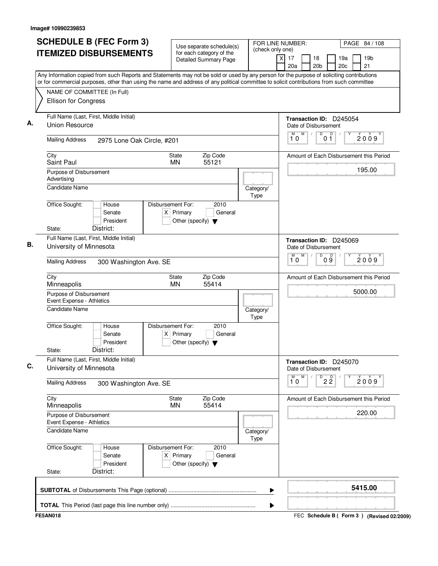| Any Information copied from such Reports and Statements may not be sold or used by any person for the purpose of soliciting contributions<br>or for commercial purposes, other than using the name and address of any political committee to solicit contributions from such committee<br>NAME OF COMMITTEE (In Full)<br>Ellison for Congress<br>Full Name (Last, First, Middle Initial)<br>Union Resource |                                                                                             |                   | 21<br>20a<br>20 <sub>b</sub><br>20c<br>Transaction ID: D245054  |
|------------------------------------------------------------------------------------------------------------------------------------------------------------------------------------------------------------------------------------------------------------------------------------------------------------------------------------------------------------------------------------------------------------|---------------------------------------------------------------------------------------------|-------------------|-----------------------------------------------------------------|
|                                                                                                                                                                                                                                                                                                                                                                                                            |                                                                                             |                   |                                                                 |
|                                                                                                                                                                                                                                                                                                                                                                                                            |                                                                                             |                   |                                                                 |
|                                                                                                                                                                                                                                                                                                                                                                                                            |                                                                                             |                   | Date of Disbursement                                            |
| <b>Mailing Address</b><br>2975 Lone Oak Circle, #201                                                                                                                                                                                                                                                                                                                                                       |                                                                                             |                   | M<br>D<br>$\overline{D}$<br>M<br>$\sqrt{2}$<br>2009<br>01<br>10 |
| City<br>Saint Paul                                                                                                                                                                                                                                                                                                                                                                                         | Zip Code<br>State<br>55121<br><b>MN</b>                                                     |                   | Amount of Each Disbursement this Period                         |
| Purpose of Disbursement<br>Advertising                                                                                                                                                                                                                                                                                                                                                                     |                                                                                             |                   | 195.00                                                          |
| Candidate Name                                                                                                                                                                                                                                                                                                                                                                                             |                                                                                             | Category/<br>Type |                                                                 |
| Office Sought:<br>House<br>Senate<br>President<br>District:<br>State:                                                                                                                                                                                                                                                                                                                                      | Disbursement For:<br>2010<br>$X$ Primary<br>General<br>Other (specify) $\blacktriangledown$ |                   |                                                                 |
| Full Name (Last, First, Middle Initial)                                                                                                                                                                                                                                                                                                                                                                    |                                                                                             |                   | Transaction ID: D245069                                         |
| University of Minnesota                                                                                                                                                                                                                                                                                                                                                                                    |                                                                                             |                   | Date of Disbursement                                            |
| <b>Mailing Address</b><br>300 Washington Ave. SE                                                                                                                                                                                                                                                                                                                                                           |                                                                                             |                   | M<br>M<br>D<br>09<br>2009<br>10                                 |
| City<br>Minneapolis                                                                                                                                                                                                                                                                                                                                                                                        | Zip Code<br>State<br><b>MN</b><br>55414                                                     |                   | Amount of Each Disbursement this Period                         |
| Purpose of Disbursement<br>Event Expense - Athletics                                                                                                                                                                                                                                                                                                                                                       |                                                                                             |                   | 5000.00                                                         |
| <b>Candidate Name</b>                                                                                                                                                                                                                                                                                                                                                                                      |                                                                                             | Category/<br>Type |                                                                 |
| Office Sought:<br>House<br>Senate<br>President<br>District:<br>State:                                                                                                                                                                                                                                                                                                                                      | Disbursement For:<br>2010<br>$X$ Primary<br>General<br>Other (specify) $\blacktriangledown$ |                   |                                                                 |
| Full Name (Last, First, Middle Initial)<br>University of Minnesota                                                                                                                                                                                                                                                                                                                                         |                                                                                             |                   | Transaction ID: D245070<br>Date of Disbursement                 |
| <b>Mailing Address</b><br>300 Washington Ave. SE                                                                                                                                                                                                                                                                                                                                                           |                                                                                             |                   | M<br>M<br>D<br>$2\overline{2}$<br>2009<br>10                    |
| City<br>Minneapolis                                                                                                                                                                                                                                                                                                                                                                                        | Zip Code<br><b>State</b><br>ΜN<br>55414                                                     |                   | Amount of Each Disbursement this Period                         |
| Purpose of Disbursement<br>Event Expense - Athletics                                                                                                                                                                                                                                                                                                                                                       |                                                                                             |                   | 220.00                                                          |
| <b>Candidate Name</b>                                                                                                                                                                                                                                                                                                                                                                                      |                                                                                             | Category/<br>Type |                                                                 |
| Office Sought:<br>House<br>Senate<br>President                                                                                                                                                                                                                                                                                                                                                             | Disbursement For:<br>2010<br>$X$ Primary<br>General<br>Other (specify) $\blacktriangledown$ |                   |                                                                 |
| District:<br>State:                                                                                                                                                                                                                                                                                                                                                                                        |                                                                                             |                   |                                                                 |
|                                                                                                                                                                                                                                                                                                                                                                                                            |                                                                                             | ▶                 | 5415.00                                                         |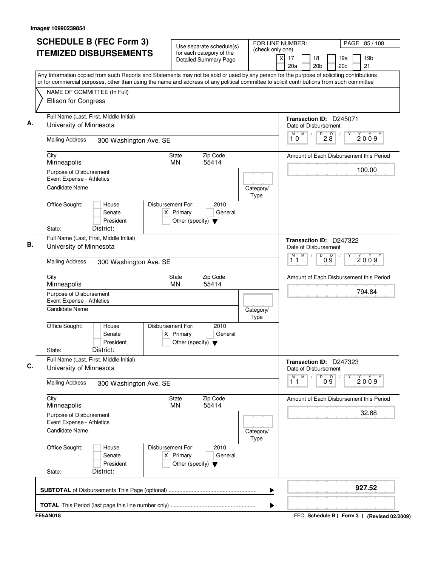| <b>SCHEDULE B (FEC Form 3)</b><br><b>ITEMIZED DISBURSEMENTS</b>                                                                                                                                                                                                                        | Use separate schedule(s)<br>for each category of the<br><b>Detailed Summary Page</b>        | FOR LINE NUMBER:<br>(check only one) | PAGE 85/108<br>$\times$<br>17<br>18<br>19a<br>19 <sub>b</sub> |
|----------------------------------------------------------------------------------------------------------------------------------------------------------------------------------------------------------------------------------------------------------------------------------------|---------------------------------------------------------------------------------------------|--------------------------------------|---------------------------------------------------------------|
| Any Information copied from such Reports and Statements may not be sold or used by any person for the purpose of soliciting contributions<br>or for commercial purposes, other than using the name and address of any political committee to solicit contributions from such committee |                                                                                             |                                      | 21<br>20a<br>20 <sub>b</sub><br>20c                           |
| NAME OF COMMITTEE (In Full)                                                                                                                                                                                                                                                            |                                                                                             |                                      |                                                               |
| Ellison for Congress                                                                                                                                                                                                                                                                   |                                                                                             |                                      |                                                               |
| Full Name (Last, First, Middle Initial)<br>University of Minnesota                                                                                                                                                                                                                     |                                                                                             |                                      | Transaction ID: D245071<br>Date of Disbursement               |
| <b>Mailing Address</b><br>300 Washington Ave. SE                                                                                                                                                                                                                                       |                                                                                             |                                      | M<br>D<br>D<br>M<br>$\sqrt{2}$<br>2009<br>$2\bar{8}$<br>10    |
| City<br>Minneapolis                                                                                                                                                                                                                                                                    | Zip Code<br>State<br>55414<br><b>MN</b>                                                     |                                      | Amount of Each Disbursement this Period                       |
| Purpose of Disbursement<br>Event Expense - Athletics                                                                                                                                                                                                                                   |                                                                                             |                                      | 100.00                                                        |
| <b>Candidate Name</b>                                                                                                                                                                                                                                                                  |                                                                                             | Category/<br>Type                    |                                                               |
| Office Sought:<br>House<br>Senate<br>President                                                                                                                                                                                                                                         | Disbursement For:<br>2010<br>$X$ Primary<br>General<br>Other (specify) $\blacktriangledown$ |                                      |                                                               |
| District:<br>State:                                                                                                                                                                                                                                                                    |                                                                                             |                                      |                                                               |
| Full Name (Last, First, Middle Initial)<br>University of Minnesota                                                                                                                                                                                                                     |                                                                                             |                                      | Transaction ID: D247322<br>Date of Disbursement               |
| <b>Mailing Address</b><br>300 Washington Ave. SE                                                                                                                                                                                                                                       |                                                                                             |                                      | M<br>D<br>09<br>M<br>2009<br>11                               |
| City<br>Minneapolis                                                                                                                                                                                                                                                                    | Zip Code<br>State<br><b>MN</b><br>55414                                                     |                                      | Amount of Each Disbursement this Period                       |
| Purpose of Disbursement<br>Event Expense - Athletics                                                                                                                                                                                                                                   |                                                                                             |                                      | 794.84                                                        |
| <b>Candidate Name</b>                                                                                                                                                                                                                                                                  |                                                                                             | Category/<br>Type                    |                                                               |
| Office Sought:<br>House<br>Senate<br>President<br>District:<br>State:                                                                                                                                                                                                                  | Disbursement For:<br>2010<br>$X$ Primary<br>General<br>Other (specify) $\blacktriangledown$ |                                      |                                                               |
| Full Name (Last, First, Middle Initial)<br>University of Minnesota                                                                                                                                                                                                                     |                                                                                             |                                      | Transaction ID: D247323<br>Date of Disbursement               |
| <b>Mailing Address</b><br>300 Washington Ave. SE                                                                                                                                                                                                                                       |                                                                                             |                                      | M<br>D<br>09<br>M<br>2009<br>11                               |
| City<br>Minneapolis                                                                                                                                                                                                                                                                    | Zip Code<br><b>State</b><br>ΜN<br>55414                                                     |                                      | Amount of Each Disbursement this Period                       |
| Purpose of Disbursement<br>Event Expense - Athletics                                                                                                                                                                                                                                   |                                                                                             |                                      | 32.68                                                         |
| <b>Candidate Name</b>                                                                                                                                                                                                                                                                  |                                                                                             | Category/<br>Type                    |                                                               |
| Office Sought:<br>House<br>Senate<br>President                                                                                                                                                                                                                                         | Disbursement For:<br>2010<br>$X$ Primary<br>General<br>Other (specify) $\blacktriangledown$ |                                      |                                                               |
| District:<br>State:                                                                                                                                                                                                                                                                    |                                                                                             |                                      |                                                               |
|                                                                                                                                                                                                                                                                                        |                                                                                             | ▶                                    | 927.52                                                        |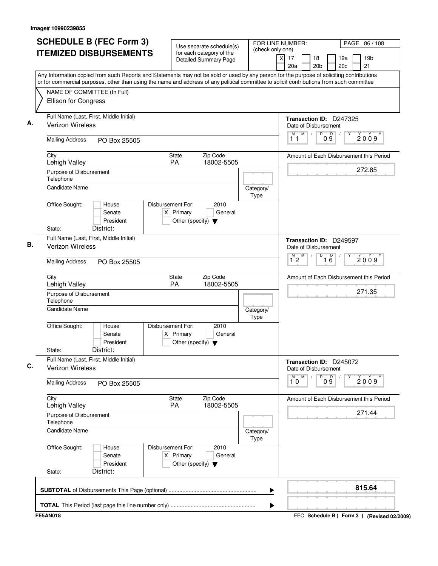| (check only one)<br>for each category of the<br>19 <sub>b</sub><br>$\times$<br>17<br>18<br>19a<br>Detailed Summary Page<br>20 <sub>b</sub><br>20c<br>21<br>20a<br>Any Information copied from such Reports and Statements may not be sold or used by any person for the purpose of soliciting contributions<br>or for commercial purposes, other than using the name and address of any political committee to solicit contributions from such committee<br>NAME OF COMMITTEE (In Full)<br>Ellison for Congress<br>Full Name (Last, First, Middle Initial)<br>Transaction ID: D247325<br>Verizon Wireless<br>Date of Disbursement<br>M<br>D<br>$\mathsf{D}$<br>$\sqrt{2}$<br>M<br>2009<br>09<br>11<br><b>Mailing Address</b><br>PO Box 25505<br>State<br>Zip Code<br>City<br>Amount of Each Disbursement this Period<br>PA<br>18002-5505<br>Lehigh Valley<br>272.85<br>Purpose of Disbursement<br>Telephone<br><b>Candidate Name</b><br>Category/<br>Type<br>Office Sought:<br>Disbursement For:<br>2010<br>House<br>$X$ Primary<br>Senate<br>General<br>President<br>Other (specify) $\blacktriangledown$<br>District:<br>State:<br>Full Name (Last, First, Middle Initial)<br>Transaction ID: D249597<br>Verizon Wireless<br>Date of Disbursement<br>$\overline{D}$<br>M<br>$\overline{16}$<br>М<br>2009<br>$1^{\circ}2$<br><b>Mailing Address</b><br>PO Box 25505<br>Zip Code<br>State<br>Amount of Each Disbursement this Period<br>City<br>Lehigh Valley<br>PA<br>18002-5505<br>271.35<br>Purpose of Disbursement<br>Telephone<br>Candidate Name<br>Category/<br>Type<br>Office Sought:<br>Disbursement For:<br>2010<br>House<br>Senate<br>$X$ Primary<br>General<br>President<br>Other (specify) $\blacktriangledown$<br>District:<br>State:<br>Full Name (Last, First, Middle Initial)<br>Transaction ID: D245072<br><b>Verizon Wireless</b><br>Date of Disbursement<br>M<br>D<br>09<br>$\overline{\mathbf{1}^M \mathbf{0}}$<br>2009<br><b>Mailing Address</b><br>PO Box 25505<br>City<br>State<br>Zip Code<br>Amount of Each Disbursement this Period<br>PA<br>18002-5505<br>Lehigh Valley<br>271.44<br>Purpose of Disbursement<br>Telephone<br><b>Candidate Name</b><br>Category/<br>Type<br>Office Sought:<br>Disbursement For:<br>2010<br>House<br>$X$ Primary<br>Senate<br>General<br>President<br>Other (specify) $\blacktriangledown$<br>District:<br>State:<br>815.64<br>▶ | <b>ITEMIZED DISBURSEMENTS</b> |  |
|-------------------------------------------------------------------------------------------------------------------------------------------------------------------------------------------------------------------------------------------------------------------------------------------------------------------------------------------------------------------------------------------------------------------------------------------------------------------------------------------------------------------------------------------------------------------------------------------------------------------------------------------------------------------------------------------------------------------------------------------------------------------------------------------------------------------------------------------------------------------------------------------------------------------------------------------------------------------------------------------------------------------------------------------------------------------------------------------------------------------------------------------------------------------------------------------------------------------------------------------------------------------------------------------------------------------------------------------------------------------------------------------------------------------------------------------------------------------------------------------------------------------------------------------------------------------------------------------------------------------------------------------------------------------------------------------------------------------------------------------------------------------------------------------------------------------------------------------------------------------------------------------------------------------------------------------------------------------------------------------------------------------------------------------------------------------------------------------------------------------------------------------------------------------------------------------------------------------------------------------------------------------------------------------------------------------------------------------------------------------------------------------|-------------------------------|--|
|                                                                                                                                                                                                                                                                                                                                                                                                                                                                                                                                                                                                                                                                                                                                                                                                                                                                                                                                                                                                                                                                                                                                                                                                                                                                                                                                                                                                                                                                                                                                                                                                                                                                                                                                                                                                                                                                                                                                                                                                                                                                                                                                                                                                                                                                                                                                                                                           |                               |  |
|                                                                                                                                                                                                                                                                                                                                                                                                                                                                                                                                                                                                                                                                                                                                                                                                                                                                                                                                                                                                                                                                                                                                                                                                                                                                                                                                                                                                                                                                                                                                                                                                                                                                                                                                                                                                                                                                                                                                                                                                                                                                                                                                                                                                                                                                                                                                                                                           |                               |  |
|                                                                                                                                                                                                                                                                                                                                                                                                                                                                                                                                                                                                                                                                                                                                                                                                                                                                                                                                                                                                                                                                                                                                                                                                                                                                                                                                                                                                                                                                                                                                                                                                                                                                                                                                                                                                                                                                                                                                                                                                                                                                                                                                                                                                                                                                                                                                                                                           |                               |  |
|                                                                                                                                                                                                                                                                                                                                                                                                                                                                                                                                                                                                                                                                                                                                                                                                                                                                                                                                                                                                                                                                                                                                                                                                                                                                                                                                                                                                                                                                                                                                                                                                                                                                                                                                                                                                                                                                                                                                                                                                                                                                                                                                                                                                                                                                                                                                                                                           |                               |  |
|                                                                                                                                                                                                                                                                                                                                                                                                                                                                                                                                                                                                                                                                                                                                                                                                                                                                                                                                                                                                                                                                                                                                                                                                                                                                                                                                                                                                                                                                                                                                                                                                                                                                                                                                                                                                                                                                                                                                                                                                                                                                                                                                                                                                                                                                                                                                                                                           |                               |  |
|                                                                                                                                                                                                                                                                                                                                                                                                                                                                                                                                                                                                                                                                                                                                                                                                                                                                                                                                                                                                                                                                                                                                                                                                                                                                                                                                                                                                                                                                                                                                                                                                                                                                                                                                                                                                                                                                                                                                                                                                                                                                                                                                                                                                                                                                                                                                                                                           |                               |  |
|                                                                                                                                                                                                                                                                                                                                                                                                                                                                                                                                                                                                                                                                                                                                                                                                                                                                                                                                                                                                                                                                                                                                                                                                                                                                                                                                                                                                                                                                                                                                                                                                                                                                                                                                                                                                                                                                                                                                                                                                                                                                                                                                                                                                                                                                                                                                                                                           |                               |  |
|                                                                                                                                                                                                                                                                                                                                                                                                                                                                                                                                                                                                                                                                                                                                                                                                                                                                                                                                                                                                                                                                                                                                                                                                                                                                                                                                                                                                                                                                                                                                                                                                                                                                                                                                                                                                                                                                                                                                                                                                                                                                                                                                                                                                                                                                                                                                                                                           |                               |  |
|                                                                                                                                                                                                                                                                                                                                                                                                                                                                                                                                                                                                                                                                                                                                                                                                                                                                                                                                                                                                                                                                                                                                                                                                                                                                                                                                                                                                                                                                                                                                                                                                                                                                                                                                                                                                                                                                                                                                                                                                                                                                                                                                                                                                                                                                                                                                                                                           |                               |  |
|                                                                                                                                                                                                                                                                                                                                                                                                                                                                                                                                                                                                                                                                                                                                                                                                                                                                                                                                                                                                                                                                                                                                                                                                                                                                                                                                                                                                                                                                                                                                                                                                                                                                                                                                                                                                                                                                                                                                                                                                                                                                                                                                                                                                                                                                                                                                                                                           |                               |  |
|                                                                                                                                                                                                                                                                                                                                                                                                                                                                                                                                                                                                                                                                                                                                                                                                                                                                                                                                                                                                                                                                                                                                                                                                                                                                                                                                                                                                                                                                                                                                                                                                                                                                                                                                                                                                                                                                                                                                                                                                                                                                                                                                                                                                                                                                                                                                                                                           |                               |  |
|                                                                                                                                                                                                                                                                                                                                                                                                                                                                                                                                                                                                                                                                                                                                                                                                                                                                                                                                                                                                                                                                                                                                                                                                                                                                                                                                                                                                                                                                                                                                                                                                                                                                                                                                                                                                                                                                                                                                                                                                                                                                                                                                                                                                                                                                                                                                                                                           |                               |  |
|                                                                                                                                                                                                                                                                                                                                                                                                                                                                                                                                                                                                                                                                                                                                                                                                                                                                                                                                                                                                                                                                                                                                                                                                                                                                                                                                                                                                                                                                                                                                                                                                                                                                                                                                                                                                                                                                                                                                                                                                                                                                                                                                                                                                                                                                                                                                                                                           |                               |  |
|                                                                                                                                                                                                                                                                                                                                                                                                                                                                                                                                                                                                                                                                                                                                                                                                                                                                                                                                                                                                                                                                                                                                                                                                                                                                                                                                                                                                                                                                                                                                                                                                                                                                                                                                                                                                                                                                                                                                                                                                                                                                                                                                                                                                                                                                                                                                                                                           |                               |  |
|                                                                                                                                                                                                                                                                                                                                                                                                                                                                                                                                                                                                                                                                                                                                                                                                                                                                                                                                                                                                                                                                                                                                                                                                                                                                                                                                                                                                                                                                                                                                                                                                                                                                                                                                                                                                                                                                                                                                                                                                                                                                                                                                                                                                                                                                                                                                                                                           |                               |  |
|                                                                                                                                                                                                                                                                                                                                                                                                                                                                                                                                                                                                                                                                                                                                                                                                                                                                                                                                                                                                                                                                                                                                                                                                                                                                                                                                                                                                                                                                                                                                                                                                                                                                                                                                                                                                                                                                                                                                                                                                                                                                                                                                                                                                                                                                                                                                                                                           |                               |  |
|                                                                                                                                                                                                                                                                                                                                                                                                                                                                                                                                                                                                                                                                                                                                                                                                                                                                                                                                                                                                                                                                                                                                                                                                                                                                                                                                                                                                                                                                                                                                                                                                                                                                                                                                                                                                                                                                                                                                                                                                                                                                                                                                                                                                                                                                                                                                                                                           |                               |  |
|                                                                                                                                                                                                                                                                                                                                                                                                                                                                                                                                                                                                                                                                                                                                                                                                                                                                                                                                                                                                                                                                                                                                                                                                                                                                                                                                                                                                                                                                                                                                                                                                                                                                                                                                                                                                                                                                                                                                                                                                                                                                                                                                                                                                                                                                                                                                                                                           |                               |  |
|                                                                                                                                                                                                                                                                                                                                                                                                                                                                                                                                                                                                                                                                                                                                                                                                                                                                                                                                                                                                                                                                                                                                                                                                                                                                                                                                                                                                                                                                                                                                                                                                                                                                                                                                                                                                                                                                                                                                                                                                                                                                                                                                                                                                                                                                                                                                                                                           |                               |  |
|                                                                                                                                                                                                                                                                                                                                                                                                                                                                                                                                                                                                                                                                                                                                                                                                                                                                                                                                                                                                                                                                                                                                                                                                                                                                                                                                                                                                                                                                                                                                                                                                                                                                                                                                                                                                                                                                                                                                                                                                                                                                                                                                                                                                                                                                                                                                                                                           |                               |  |
|                                                                                                                                                                                                                                                                                                                                                                                                                                                                                                                                                                                                                                                                                                                                                                                                                                                                                                                                                                                                                                                                                                                                                                                                                                                                                                                                                                                                                                                                                                                                                                                                                                                                                                                                                                                                                                                                                                                                                                                                                                                                                                                                                                                                                                                                                                                                                                                           |                               |  |
|                                                                                                                                                                                                                                                                                                                                                                                                                                                                                                                                                                                                                                                                                                                                                                                                                                                                                                                                                                                                                                                                                                                                                                                                                                                                                                                                                                                                                                                                                                                                                                                                                                                                                                                                                                                                                                                                                                                                                                                                                                                                                                                                                                                                                                                                                                                                                                                           |                               |  |
|                                                                                                                                                                                                                                                                                                                                                                                                                                                                                                                                                                                                                                                                                                                                                                                                                                                                                                                                                                                                                                                                                                                                                                                                                                                                                                                                                                                                                                                                                                                                                                                                                                                                                                                                                                                                                                                                                                                                                                                                                                                                                                                                                                                                                                                                                                                                                                                           |                               |  |
|                                                                                                                                                                                                                                                                                                                                                                                                                                                                                                                                                                                                                                                                                                                                                                                                                                                                                                                                                                                                                                                                                                                                                                                                                                                                                                                                                                                                                                                                                                                                                                                                                                                                                                                                                                                                                                                                                                                                                                                                                                                                                                                                                                                                                                                                                                                                                                                           |                               |  |
|                                                                                                                                                                                                                                                                                                                                                                                                                                                                                                                                                                                                                                                                                                                                                                                                                                                                                                                                                                                                                                                                                                                                                                                                                                                                                                                                                                                                                                                                                                                                                                                                                                                                                                                                                                                                                                                                                                                                                                                                                                                                                                                                                                                                                                                                                                                                                                                           |                               |  |
|                                                                                                                                                                                                                                                                                                                                                                                                                                                                                                                                                                                                                                                                                                                                                                                                                                                                                                                                                                                                                                                                                                                                                                                                                                                                                                                                                                                                                                                                                                                                                                                                                                                                                                                                                                                                                                                                                                                                                                                                                                                                                                                                                                                                                                                                                                                                                                                           |                               |  |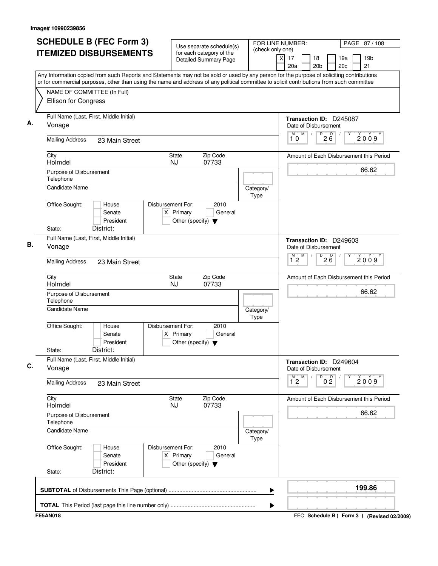| <b>SCHEDULE B (FEC Form 3)</b>                                        | Use separate schedule(s)                                                                    | FOR LINE NUMBER:<br>PAGE 87/108<br>(check only one)                                                                                                                                                                                                                                    |
|-----------------------------------------------------------------------|---------------------------------------------------------------------------------------------|----------------------------------------------------------------------------------------------------------------------------------------------------------------------------------------------------------------------------------------------------------------------------------------|
| <b>ITEMIZED DISBURSEMENTS</b>                                         | for each category of the<br><b>Detailed Summary Page</b>                                    | 19 <sub>b</sub><br>17<br>18<br>19a<br>Χ<br>20a<br>20 <sub>b</sub><br>20c<br>21                                                                                                                                                                                                         |
|                                                                       |                                                                                             | Any Information copied from such Reports and Statements may not be sold or used by any person for the purpose of soliciting contributions<br>or for commercial purposes, other than using the name and address of any political committee to solicit contributions from such committee |
| NAME OF COMMITTEE (In Full)                                           |                                                                                             |                                                                                                                                                                                                                                                                                        |
| Ellison for Congress                                                  |                                                                                             |                                                                                                                                                                                                                                                                                        |
| Full Name (Last, First, Middle Initial)<br>Vonage                     |                                                                                             | Transaction ID: D245087<br>Date of Disbursement                                                                                                                                                                                                                                        |
| <b>Mailing Address</b><br>23 Main Street                              |                                                                                             | M<br>$2\overline{6}$<br>M<br>D<br>2009<br>10                                                                                                                                                                                                                                           |
| City<br>Holmdel                                                       | Zip Code<br>State<br><b>NJ</b><br>07733                                                     | Amount of Each Disbursement this Period                                                                                                                                                                                                                                                |
| Purpose of Disbursement<br>Telephone                                  |                                                                                             | 66.62                                                                                                                                                                                                                                                                                  |
| <b>Candidate Name</b>                                                 |                                                                                             | Category/<br>Type                                                                                                                                                                                                                                                                      |
| Office Sought:<br>House<br>Senate<br>President                        | Disbursement For:<br>2010<br>$X$ Primary<br>General<br>Other (specify) $\blacktriangledown$ |                                                                                                                                                                                                                                                                                        |
| District:<br>State:                                                   |                                                                                             |                                                                                                                                                                                                                                                                                        |
| Full Name (Last, First, Middle Initial)<br>Vonage                     |                                                                                             | Transaction ID: D249603<br>Date of Disbursement                                                                                                                                                                                                                                        |
| <b>Mailing Address</b><br>23 Main Street                              |                                                                                             | M<br>D<br>26<br>M<br>2009<br>$1^{\circ}2$                                                                                                                                                                                                                                              |
| City<br>Holmdel                                                       | Zip Code<br>State<br><b>NJ</b><br>07733                                                     | Amount of Each Disbursement this Period                                                                                                                                                                                                                                                |
| Purpose of Disbursement<br>Telephone                                  |                                                                                             | 66.62                                                                                                                                                                                                                                                                                  |
| <b>Candidate Name</b>                                                 |                                                                                             | Category/<br>Type                                                                                                                                                                                                                                                                      |
| Office Sought:<br>House<br>Senate<br>President<br>District:<br>State: | Disbursement For:<br>2010<br>$X$ Primary<br>General<br>Other (specify) $\blacktriangledown$ |                                                                                                                                                                                                                                                                                        |
| Full Name (Last, First, Middle Initial)                               |                                                                                             |                                                                                                                                                                                                                                                                                        |
| Vonage                                                                |                                                                                             | Transaction ID: D249604<br>Date of Disbursement                                                                                                                                                                                                                                        |
| <b>Mailing Address</b><br>23 Main Street                              |                                                                                             | M<br>D<br>0 <sup>0</sup><br>$\overline{1}^M$ 2<br>2009                                                                                                                                                                                                                                 |
| City<br>Holmdel                                                       | Zip Code<br>State<br><b>NJ</b><br>07733                                                     | Amount of Each Disbursement this Period                                                                                                                                                                                                                                                |
| Purpose of Disbursement<br>Telephone                                  |                                                                                             | 66.62                                                                                                                                                                                                                                                                                  |
| <b>Candidate Name</b>                                                 |                                                                                             | Category/<br>Type                                                                                                                                                                                                                                                                      |
| Office Sought:<br>House<br>Senate<br>President                        | Disbursement For:<br>2010<br>$X$ Primary<br>General<br>Other (specify) $\blacktriangledown$ |                                                                                                                                                                                                                                                                                        |
| District:<br>State:                                                   |                                                                                             |                                                                                                                                                                                                                                                                                        |
|                                                                       |                                                                                             | 199.86<br>▶                                                                                                                                                                                                                                                                            |
|                                                                       |                                                                                             |                                                                                                                                                                                                                                                                                        |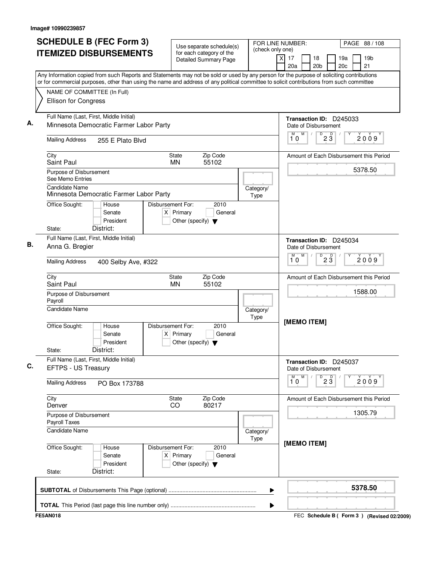| <b>SCHEDULE B (FEC Form 3)</b><br><b>ITEMIZED DISBURSEMENTS</b>                                                                                                                                                                                                                        | Use separate schedule(s)<br>for each category of the                                        | FOR LINE NUMBER:<br>(check only one) | PAGE 88 / 108<br>$\times$<br>17<br>19a<br>19 <sub>b</sub><br>18 |
|----------------------------------------------------------------------------------------------------------------------------------------------------------------------------------------------------------------------------------------------------------------------------------------|---------------------------------------------------------------------------------------------|--------------------------------------|-----------------------------------------------------------------|
|                                                                                                                                                                                                                                                                                        | Detailed Summary Page                                                                       |                                      | 20a<br>20 <sub>b</sub><br>20 <sub>c</sub><br>21                 |
| Any Information copied from such Reports and Statements may not be sold or used by any person for the purpose of soliciting contributions<br>or for commercial purposes, other than using the name and address of any political committee to solicit contributions from such committee |                                                                                             |                                      |                                                                 |
| NAME OF COMMITTEE (In Full)                                                                                                                                                                                                                                                            |                                                                                             |                                      |                                                                 |
| Ellison for Congress                                                                                                                                                                                                                                                                   |                                                                                             |                                      |                                                                 |
| Full Name (Last, First, Middle Initial)                                                                                                                                                                                                                                                |                                                                                             |                                      | Transaction ID: D245033                                         |
| Minnesota Democratic Farmer Labor Party                                                                                                                                                                                                                                                |                                                                                             |                                      | Date of Disbursement<br>M<br>M<br>$\prime$                      |
| <b>Mailing Address</b><br>255 E Plato Blvd                                                                                                                                                                                                                                             |                                                                                             |                                      | $\overline{P}$ 2 $\overline{3}$<br>2009<br>10                   |
| City<br>Saint Paul                                                                                                                                                                                                                                                                     | Zip Code<br><b>State</b><br>55102<br><b>MN</b>                                              |                                      | Amount of Each Disbursement this Period                         |
| Purpose of Disbursement                                                                                                                                                                                                                                                                |                                                                                             |                                      | 5378.50                                                         |
| See Memo Entries<br>Candidate Name                                                                                                                                                                                                                                                     |                                                                                             | Category/                            |                                                                 |
| Minnesota Democratic Farmer Labor Party                                                                                                                                                                                                                                                |                                                                                             | Type                                 |                                                                 |
| Office Sought:<br>House<br>Senate<br>President<br>District:<br>State:                                                                                                                                                                                                                  | Disbursement For:<br>2010<br>$X$ Primary<br>General<br>Other (specify) $\blacktriangledown$ |                                      |                                                                 |
| Full Name (Last, First, Middle Initial)                                                                                                                                                                                                                                                |                                                                                             |                                      | Transaction ID: D245034                                         |
| Anna G. Bregier                                                                                                                                                                                                                                                                        |                                                                                             |                                      | Date of Disbursement<br>M<br>D<br>м                             |
| <b>Mailing Address</b><br>400 Selby Ave, #322                                                                                                                                                                                                                                          |                                                                                             |                                      | $2\overline{3}$<br>2009<br>10                                   |
| City<br>Saint Paul                                                                                                                                                                                                                                                                     | Zip Code<br>State<br><b>MN</b><br>55102                                                     |                                      | Amount of Each Disbursement this Period                         |
| Purpose of Disbursement                                                                                                                                                                                                                                                                |                                                                                             |                                      | 1588.00                                                         |
| Payroll<br><b>Candidate Name</b>                                                                                                                                                                                                                                                       |                                                                                             | Category/<br>Type                    |                                                                 |
| Office Sought:<br>House<br>Senate<br>President<br>District:<br>State:                                                                                                                                                                                                                  | Disbursement For:<br>2010<br>$X$ Primary<br>General<br>Other (specify) $\blacktriangledown$ |                                      | [MEMO ITEM]                                                     |
| Full Name (Last, First, Middle Initial)<br>EFTPS - US Treasury                                                                                                                                                                                                                         |                                                                                             |                                      | Transaction ID: D245037<br>Date of Disbursement                 |
| <b>Mailing Address</b><br>PO Box 173788                                                                                                                                                                                                                                                |                                                                                             |                                      | M<br>М<br>$D^D$ 2 $3$<br>2009<br>10                             |
| City<br>Denver                                                                                                                                                                                                                                                                         | State<br>Zip Code<br>80217<br>CO                                                            |                                      | Amount of Each Disbursement this Period                         |
| Purpose of Disbursement<br>Payroll Taxes                                                                                                                                                                                                                                               |                                                                                             |                                      | 1305.79                                                         |
| <b>Candidate Name</b>                                                                                                                                                                                                                                                                  |                                                                                             | Category/                            |                                                                 |
| Office Sought:<br>House<br>Senate<br>President                                                                                                                                                                                                                                         | Disbursement For:<br>2010<br>$X$ Primary<br>General<br>Other (specify) $\blacktriangledown$ | Type                                 | [MEMO ITEM]                                                     |
| District:<br>State:                                                                                                                                                                                                                                                                    |                                                                                             |                                      |                                                                 |
|                                                                                                                                                                                                                                                                                        |                                                                                             | ▶                                    | 5378.50                                                         |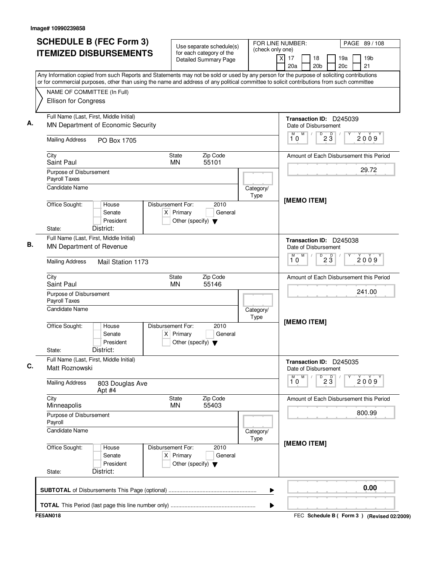| NAME OF COMMITTEE (In Full)<br>Ellison for Congress<br>Full Name (Last, First, Middle Initial)<br>Transaction ID: D245039<br>MN Department of Economic Security<br>Date of Disbursement<br>M<br>$\overline{P}$ 2 $\overline{3}$<br>M<br>2009<br>10<br><b>Mailing Address</b><br>PO Box 1705<br>City<br>Zip Code<br><b>State</b><br>Amount of Each Disbursement this Period<br>55101<br>Saint Paul<br><b>MN</b><br>29.72<br>Purpose of Disbursement<br>Payroll Taxes<br><b>Candidate Name</b><br>Category/<br>Type<br>[MEMO ITEM]<br>Office Sought:<br>Disbursement For:<br>2010<br>House<br>$X$ Primary<br>General<br>Senate<br>President<br>Other (specify) $\blacktriangledown$<br>District:<br>State:<br>Full Name (Last, First, Middle Initial)<br>Transaction ID: D245038<br>MN Department of Revenue<br>Date of Disbursement<br>M<br>D<br>м<br>$2\overline{3}$<br>2009<br>10<br><b>Mailing Address</b><br>Mail Station 1173<br>Zip Code<br>City<br>State<br>Amount of Each Disbursement this Period<br>Saint Paul<br><b>MN</b><br>55146<br>241.00<br>Purpose of Disbursement<br>Payroll Taxes<br><b>Candidate Name</b><br>Category/<br>Type<br>[MEMO ITEM]<br>Office Sought:<br>Disbursement For:<br>2010<br>House<br>Senate<br>$X$ Primary<br>General<br>President<br>Other (specify) $\blacktriangledown$<br>District:<br>State:<br>Full Name (Last, First, Middle Initial)<br>Transaction ID: D245035<br>Matt Roznowski<br>Date of Disbursement<br>м<br>M<br>$D^D$ <sub>2</sub> $\overline{3}$<br>2009<br>10<br><b>Mailing Address</b><br>803 Douglas Ave<br>Apt #4<br>City<br>State<br>Zip Code<br>Amount of Each Disbursement this Period<br>Minneapolis<br><b>MN</b><br>55403<br>800.99<br>Purpose of Disbursement<br>Payroll<br><b>Candidate Name</b><br>Category/<br>Type<br>[MEMO ITEM]<br>Office Sought:<br>2010<br>Disbursement For:<br>House<br>$X$ Primary<br>Senate<br>General<br>President<br>Other (specify) $\blacktriangledown$<br>District:<br>State:<br>0.00<br>▶ | Any Information copied from such Reports and Statements may not be sold or used by any person for the purpose of soliciting contributions<br>or for commercial purposes, other than using the name and address of any political committee to solicit contributions from such committee<br>▶<br>FEC Schedule B ( Form 3 ) (Revised 02/2009) | <b>SCHEDULE B (FEC Form 3)</b><br><b>ITEMIZED DISBURSEMENTS</b> | Use separate schedule(s)<br>for each category of the<br><b>Detailed Summary Page</b> | FOR LINE NUMBER:<br>(check only one) | PAGE 89 / 108<br>$\times$<br>17<br>19a<br>19 <sub>b</sub><br>18 |
|---------------------------------------------------------------------------------------------------------------------------------------------------------------------------------------------------------------------------------------------------------------------------------------------------------------------------------------------------------------------------------------------------------------------------------------------------------------------------------------------------------------------------------------------------------------------------------------------------------------------------------------------------------------------------------------------------------------------------------------------------------------------------------------------------------------------------------------------------------------------------------------------------------------------------------------------------------------------------------------------------------------------------------------------------------------------------------------------------------------------------------------------------------------------------------------------------------------------------------------------------------------------------------------------------------------------------------------------------------------------------------------------------------------------------------------------------------------------------------------------------------------------------------------------------------------------------------------------------------------------------------------------------------------------------------------------------------------------------------------------------------------------------------------------------------------------------------------------------------------------------------------------------------------------------------------------------------------------------------------------|--------------------------------------------------------------------------------------------------------------------------------------------------------------------------------------------------------------------------------------------------------------------------------------------------------------------------------------------|-----------------------------------------------------------------|--------------------------------------------------------------------------------------|--------------------------------------|-----------------------------------------------------------------|
|                                                                                                                                                                                                                                                                                                                                                                                                                                                                                                                                                                                                                                                                                                                                                                                                                                                                                                                                                                                                                                                                                                                                                                                                                                                                                                                                                                                                                                                                                                                                                                                                                                                                                                                                                                                                                                                                                                                                                                                             |                                                                                                                                                                                                                                                                                                                                            |                                                                 |                                                                                      |                                      | 20a<br>20 <sub>b</sub><br>20 <sub>c</sub><br>21                 |
|                                                                                                                                                                                                                                                                                                                                                                                                                                                                                                                                                                                                                                                                                                                                                                                                                                                                                                                                                                                                                                                                                                                                                                                                                                                                                                                                                                                                                                                                                                                                                                                                                                                                                                                                                                                                                                                                                                                                                                                             |                                                                                                                                                                                                                                                                                                                                            |                                                                 |                                                                                      |                                      |                                                                 |
|                                                                                                                                                                                                                                                                                                                                                                                                                                                                                                                                                                                                                                                                                                                                                                                                                                                                                                                                                                                                                                                                                                                                                                                                                                                                                                                                                                                                                                                                                                                                                                                                                                                                                                                                                                                                                                                                                                                                                                                             |                                                                                                                                                                                                                                                                                                                                            |                                                                 |                                                                                      |                                      |                                                                 |
|                                                                                                                                                                                                                                                                                                                                                                                                                                                                                                                                                                                                                                                                                                                                                                                                                                                                                                                                                                                                                                                                                                                                                                                                                                                                                                                                                                                                                                                                                                                                                                                                                                                                                                                                                                                                                                                                                                                                                                                             |                                                                                                                                                                                                                                                                                                                                            |                                                                 |                                                                                      |                                      |                                                                 |
|                                                                                                                                                                                                                                                                                                                                                                                                                                                                                                                                                                                                                                                                                                                                                                                                                                                                                                                                                                                                                                                                                                                                                                                                                                                                                                                                                                                                                                                                                                                                                                                                                                                                                                                                                                                                                                                                                                                                                                                             |                                                                                                                                                                                                                                                                                                                                            |                                                                 |                                                                                      |                                      |                                                                 |
|                                                                                                                                                                                                                                                                                                                                                                                                                                                                                                                                                                                                                                                                                                                                                                                                                                                                                                                                                                                                                                                                                                                                                                                                                                                                                                                                                                                                                                                                                                                                                                                                                                                                                                                                                                                                                                                                                                                                                                                             |                                                                                                                                                                                                                                                                                                                                            |                                                                 |                                                                                      |                                      |                                                                 |
|                                                                                                                                                                                                                                                                                                                                                                                                                                                                                                                                                                                                                                                                                                                                                                                                                                                                                                                                                                                                                                                                                                                                                                                                                                                                                                                                                                                                                                                                                                                                                                                                                                                                                                                                                                                                                                                                                                                                                                                             |                                                                                                                                                                                                                                                                                                                                            |                                                                 |                                                                                      |                                      |                                                                 |
|                                                                                                                                                                                                                                                                                                                                                                                                                                                                                                                                                                                                                                                                                                                                                                                                                                                                                                                                                                                                                                                                                                                                                                                                                                                                                                                                                                                                                                                                                                                                                                                                                                                                                                                                                                                                                                                                                                                                                                                             |                                                                                                                                                                                                                                                                                                                                            |                                                                 |                                                                                      |                                      |                                                                 |
|                                                                                                                                                                                                                                                                                                                                                                                                                                                                                                                                                                                                                                                                                                                                                                                                                                                                                                                                                                                                                                                                                                                                                                                                                                                                                                                                                                                                                                                                                                                                                                                                                                                                                                                                                                                                                                                                                                                                                                                             |                                                                                                                                                                                                                                                                                                                                            |                                                                 |                                                                                      |                                      |                                                                 |
|                                                                                                                                                                                                                                                                                                                                                                                                                                                                                                                                                                                                                                                                                                                                                                                                                                                                                                                                                                                                                                                                                                                                                                                                                                                                                                                                                                                                                                                                                                                                                                                                                                                                                                                                                                                                                                                                                                                                                                                             |                                                                                                                                                                                                                                                                                                                                            |                                                                 |                                                                                      |                                      |                                                                 |
|                                                                                                                                                                                                                                                                                                                                                                                                                                                                                                                                                                                                                                                                                                                                                                                                                                                                                                                                                                                                                                                                                                                                                                                                                                                                                                                                                                                                                                                                                                                                                                                                                                                                                                                                                                                                                                                                                                                                                                                             |                                                                                                                                                                                                                                                                                                                                            |                                                                 |                                                                                      |                                      |                                                                 |
|                                                                                                                                                                                                                                                                                                                                                                                                                                                                                                                                                                                                                                                                                                                                                                                                                                                                                                                                                                                                                                                                                                                                                                                                                                                                                                                                                                                                                                                                                                                                                                                                                                                                                                                                                                                                                                                                                                                                                                                             |                                                                                                                                                                                                                                                                                                                                            |                                                                 |                                                                                      |                                      |                                                                 |
|                                                                                                                                                                                                                                                                                                                                                                                                                                                                                                                                                                                                                                                                                                                                                                                                                                                                                                                                                                                                                                                                                                                                                                                                                                                                                                                                                                                                                                                                                                                                                                                                                                                                                                                                                                                                                                                                                                                                                                                             |                                                                                                                                                                                                                                                                                                                                            |                                                                 |                                                                                      |                                      |                                                                 |
|                                                                                                                                                                                                                                                                                                                                                                                                                                                                                                                                                                                                                                                                                                                                                                                                                                                                                                                                                                                                                                                                                                                                                                                                                                                                                                                                                                                                                                                                                                                                                                                                                                                                                                                                                                                                                                                                                                                                                                                             |                                                                                                                                                                                                                                                                                                                                            |                                                                 |                                                                                      |                                      |                                                                 |
|                                                                                                                                                                                                                                                                                                                                                                                                                                                                                                                                                                                                                                                                                                                                                                                                                                                                                                                                                                                                                                                                                                                                                                                                                                                                                                                                                                                                                                                                                                                                                                                                                                                                                                                                                                                                                                                                                                                                                                                             |                                                                                                                                                                                                                                                                                                                                            |                                                                 |                                                                                      |                                      |                                                                 |
|                                                                                                                                                                                                                                                                                                                                                                                                                                                                                                                                                                                                                                                                                                                                                                                                                                                                                                                                                                                                                                                                                                                                                                                                                                                                                                                                                                                                                                                                                                                                                                                                                                                                                                                                                                                                                                                                                                                                                                                             |                                                                                                                                                                                                                                                                                                                                            |                                                                 |                                                                                      |                                      |                                                                 |
|                                                                                                                                                                                                                                                                                                                                                                                                                                                                                                                                                                                                                                                                                                                                                                                                                                                                                                                                                                                                                                                                                                                                                                                                                                                                                                                                                                                                                                                                                                                                                                                                                                                                                                                                                                                                                                                                                                                                                                                             |                                                                                                                                                                                                                                                                                                                                            |                                                                 |                                                                                      |                                      |                                                                 |
|                                                                                                                                                                                                                                                                                                                                                                                                                                                                                                                                                                                                                                                                                                                                                                                                                                                                                                                                                                                                                                                                                                                                                                                                                                                                                                                                                                                                                                                                                                                                                                                                                                                                                                                                                                                                                                                                                                                                                                                             |                                                                                                                                                                                                                                                                                                                                            |                                                                 |                                                                                      |                                      |                                                                 |
|                                                                                                                                                                                                                                                                                                                                                                                                                                                                                                                                                                                                                                                                                                                                                                                                                                                                                                                                                                                                                                                                                                                                                                                                                                                                                                                                                                                                                                                                                                                                                                                                                                                                                                                                                                                                                                                                                                                                                                                             |                                                                                                                                                                                                                                                                                                                                            |                                                                 |                                                                                      |                                      |                                                                 |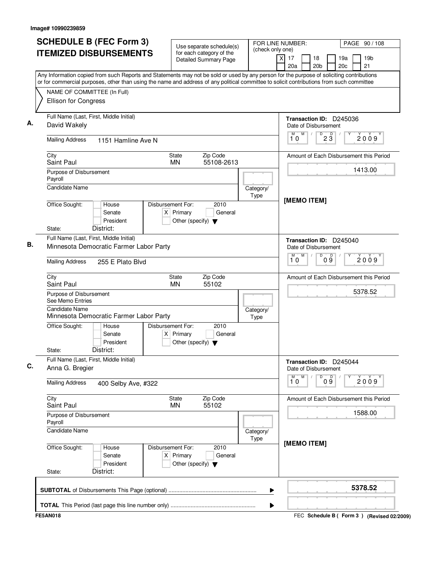| <b>SCHEDULE B (FEC Form 3)</b>                                                                                                                                           | Use separate schedule(s)                                                                    |                   | FOR LINE NUMBER:                                              | PAGE 90 / 108                                   |
|--------------------------------------------------------------------------------------------------------------------------------------------------------------------------|---------------------------------------------------------------------------------------------|-------------------|---------------------------------------------------------------|-------------------------------------------------|
| <b>ITEMIZED DISBURSEMENTS</b>                                                                                                                                            | for each category of the<br><b>Detailed Summary Page</b>                                    | (check only one)  | $\overline{\mathsf{x}}$<br>17<br>18<br>20 <sub>b</sub><br>20a | 19 <sub>b</sub><br>19a<br>20 <sub>c</sub><br>21 |
| Any Information copied from such Reports and Statements may not be sold or used by any person for the purpose of soliciting contributions                                |                                                                                             |                   |                                                               |                                                 |
| or for commercial purposes, other than using the name and address of any political committee to solicit contributions from such committee<br>NAME OF COMMITTEE (In Full) |                                                                                             |                   |                                                               |                                                 |
| Ellison for Congress                                                                                                                                                     |                                                                                             |                   |                                                               |                                                 |
| Full Name (Last, First, Middle Initial)                                                                                                                                  |                                                                                             |                   | Transaction ID: D245036                                       |                                                 |
| David Wakely                                                                                                                                                             |                                                                                             |                   | Date of Disbursement                                          |                                                 |
| <b>Mailing Address</b><br>1151 Hamline Ave N                                                                                                                             |                                                                                             |                   | M<br>М<br>D<br>$2\overline{3}$<br>10                          | 2009                                            |
| City<br>Saint Paul                                                                                                                                                       | Zip Code<br><b>State</b><br>55108-2613<br>MN.                                               |                   |                                                               | Amount of Each Disbursement this Period         |
| Purpose of Disbursement                                                                                                                                                  |                                                                                             |                   |                                                               | 1413.00                                         |
| Payroll<br><b>Candidate Name</b>                                                                                                                                         |                                                                                             | Category/         |                                                               |                                                 |
|                                                                                                                                                                          |                                                                                             | Type              |                                                               |                                                 |
| Office Sought:<br>House<br>Senate<br>President                                                                                                                           | Disbursement For:<br>2010<br>$X$ Primary<br>General<br>Other (specify) $\blacktriangledown$ |                   | [MEMO ITEM]                                                   |                                                 |
| District:<br>State:                                                                                                                                                      |                                                                                             |                   |                                                               |                                                 |
| Full Name (Last, First, Middle Initial)<br>Minnesota Democratic Farmer Labor Party                                                                                       |                                                                                             |                   | Transaction ID: D245040<br>Date of Disbursement               |                                                 |
| <b>Mailing Address</b><br>255 E Plato Blvd                                                                                                                               |                                                                                             |                   | M<br>D<br>09<br>м<br>10                                       | 2009                                            |
| City                                                                                                                                                                     | Zip Code<br>State                                                                           |                   |                                                               | Amount of Each Disbursement this Period         |
| Saint Paul                                                                                                                                                               | 55102<br><b>MN</b>                                                                          |                   |                                                               |                                                 |
| Purpose of Disbursement<br>See Memo Entries                                                                                                                              |                                                                                             |                   |                                                               | 5378.52                                         |
| Candidate Name<br>Minnesota Democratic Farmer Labor Party                                                                                                                |                                                                                             | Category/<br>Type |                                                               |                                                 |
| Office Sought:<br>House<br>Senate<br>President<br>District:<br>State:                                                                                                    | Disbursement For:<br>2010<br>$X$ Primary<br>General<br>Other (specify) $\blacktriangledown$ |                   |                                                               |                                                 |
| Full Name (Last, First, Middle Initial)<br>Anna G. Bregier                                                                                                               |                                                                                             |                   | Transaction ID: D245044<br>Date of Disbursement               |                                                 |
| <b>Mailing Address</b><br>400 Selby Ave, #322                                                                                                                            |                                                                                             |                   | M<br>M<br>D<br>09<br>10                                       | Y<br>2009                                       |
| City<br>Saint Paul                                                                                                                                                       | Zip Code<br>State<br>55102<br><b>MN</b>                                                     |                   |                                                               | Amount of Each Disbursement this Period         |
| Purpose of Disbursement<br>Payroll                                                                                                                                       |                                                                                             |                   |                                                               | 1588.00                                         |
| <b>Candidate Name</b>                                                                                                                                                    |                                                                                             | Category/<br>Type |                                                               |                                                 |
| Office Sought:<br>House<br>Senate<br>President<br>District:<br>State:                                                                                                    | Disbursement For:<br>2010<br>$X$ Primary<br>General<br>Other (specify) $\blacktriangledown$ |                   | [MEMO ITEM]                                                   |                                                 |
|                                                                                                                                                                          |                                                                                             | ▶                 |                                                               | 5378.52                                         |
|                                                                                                                                                                          |                                                                                             | ▶                 |                                                               |                                                 |
| <b>FE5AN018</b>                                                                                                                                                          |                                                                                             |                   |                                                               | FEC Schedule B ( Form 3 ) (Revised 02/2009)     |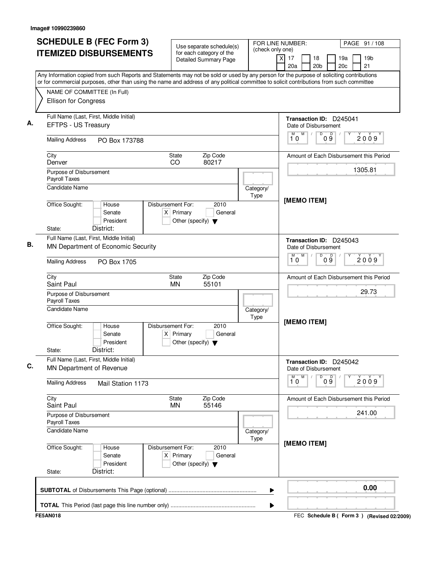| <b>SCHEDULE B (FEC Form 3)</b><br><b>ITEMIZED DISBURSEMENTS</b>                                                                                                                                                                                                                        | Use separate schedule(s)<br>for each category of the<br><b>Detailed Summary Page</b>        | FOR LINE NUMBER:<br>(check only one) | PAGE 91 / 108<br>$\overline{\mathsf{x}}$<br>17<br>18<br>19a<br>19 <sub>b</sub> |
|----------------------------------------------------------------------------------------------------------------------------------------------------------------------------------------------------------------------------------------------------------------------------------------|---------------------------------------------------------------------------------------------|--------------------------------------|--------------------------------------------------------------------------------|
|                                                                                                                                                                                                                                                                                        |                                                                                             |                                      | 21<br>20a<br>20 <sub>b</sub><br>20 <sub>c</sub>                                |
| Any Information copied from such Reports and Statements may not be sold or used by any person for the purpose of soliciting contributions<br>or for commercial purposes, other than using the name and address of any political committee to solicit contributions from such committee |                                                                                             |                                      |                                                                                |
| NAME OF COMMITTEE (In Full)                                                                                                                                                                                                                                                            |                                                                                             |                                      |                                                                                |
| Ellison for Congress                                                                                                                                                                                                                                                                   |                                                                                             |                                      |                                                                                |
| Full Name (Last, First, Middle Initial)<br>EFTPS - US Treasury                                                                                                                                                                                                                         |                                                                                             |                                      | Transaction ID: D245041<br>Date of Disbursement                                |
| <b>Mailing Address</b><br>PO Box 173788                                                                                                                                                                                                                                                |                                                                                             |                                      | M<br>D<br>D<br>M<br>$\sqrt{2}$<br>2009<br>09<br>10                             |
| City<br>Denver                                                                                                                                                                                                                                                                         | Zip Code<br><b>State</b><br>80217<br>CO                                                     |                                      | Amount of Each Disbursement this Period                                        |
| Purpose of Disbursement<br>Payroll Taxes                                                                                                                                                                                                                                               |                                                                                             |                                      | 1305.81                                                                        |
| <b>Candidate Name</b>                                                                                                                                                                                                                                                                  |                                                                                             | Category/<br>Type                    | [MEMO ITEM]                                                                    |
| Office Sought:<br>House<br>Senate<br>President<br>District:<br>State:                                                                                                                                                                                                                  | Disbursement For:<br>2010<br>$X$ Primary<br>General<br>Other (specify) $\blacktriangledown$ |                                      |                                                                                |
| Full Name (Last, First, Middle Initial)                                                                                                                                                                                                                                                |                                                                                             |                                      | Transaction ID: D245043                                                        |
| MN Department of Economic Security                                                                                                                                                                                                                                                     |                                                                                             |                                      | Date of Disbursement                                                           |
| <b>Mailing Address</b><br>PO Box 1705                                                                                                                                                                                                                                                  |                                                                                             |                                      | M<br>D<br>09<br>М<br>2009<br>10                                                |
| City<br>Saint Paul                                                                                                                                                                                                                                                                     | Zip Code<br><b>State</b><br><b>MN</b><br>55101                                              |                                      | Amount of Each Disbursement this Period                                        |
| Purpose of Disbursement<br>Payroll Taxes                                                                                                                                                                                                                                               |                                                                                             |                                      | 29.73                                                                          |
| <b>Candidate Name</b>                                                                                                                                                                                                                                                                  |                                                                                             | Category/<br>Type                    | [MEMO ITEM]                                                                    |
| Office Sought:<br>House<br>Senate<br>President<br>District:<br>State:                                                                                                                                                                                                                  | Disbursement For:<br>2010<br>$X$ Primary<br>General<br>Other (specify) $\blacktriangledown$ |                                      |                                                                                |
| Full Name (Last, First, Middle Initial)<br>MN Department of Revenue                                                                                                                                                                                                                    |                                                                                             |                                      | Transaction ID: D245042<br>Date of Disbursement                                |
| <b>Mailing Address</b><br>Mail Station 1173                                                                                                                                                                                                                                            |                                                                                             |                                      | M<br>D<br>09<br>$\overline{1}^M$ 0<br>2009                                     |
| City<br>Saint Paul                                                                                                                                                                                                                                                                     | Zip Code<br>State<br><b>MN</b><br>55146                                                     |                                      | Amount of Each Disbursement this Period                                        |
| Purpose of Disbursement<br>Payroll Taxes                                                                                                                                                                                                                                               |                                                                                             |                                      | 241.00                                                                         |
| <b>Candidate Name</b>                                                                                                                                                                                                                                                                  |                                                                                             | Category/<br>Type                    |                                                                                |
| Office Sought:<br>House<br>Senate<br>President<br>District:<br>State:                                                                                                                                                                                                                  | Disbursement For:<br>2010<br>$X$ Primary<br>General<br>Other (specify) $\blacktriangledown$ |                                      | [MEMO ITEM]                                                                    |
|                                                                                                                                                                                                                                                                                        |                                                                                             | ▶                                    | 0.00                                                                           |
|                                                                                                                                                                                                                                                                                        |                                                                                             | ▶                                    |                                                                                |
| <b>FE5AN018</b>                                                                                                                                                                                                                                                                        |                                                                                             |                                      | FEC Schedule B ( Form 3 ) (Revised 02/2009)                                    |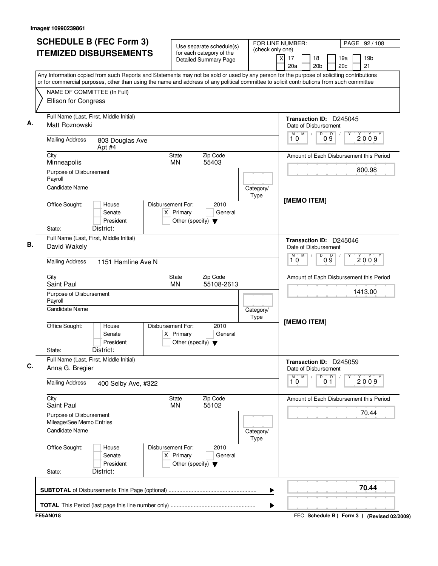|                                                     | <b>SCHEDULE B (FEC Form 3)</b>            | Use separate schedule(s)                                                                    |                   | FOR LINE NUMBER:<br>PAGE 92 / 108                                                                                                                                                                                                                                                      |
|-----------------------------------------------------|-------------------------------------------|---------------------------------------------------------------------------------------------|-------------------|----------------------------------------------------------------------------------------------------------------------------------------------------------------------------------------------------------------------------------------------------------------------------------------|
|                                                     | <b>ITEMIZED DISBURSEMENTS</b>             | for each category of the<br><b>Detailed Summary Page</b>                                    | (check only one)  | 17<br>$\times$<br>18<br>19a<br>19 <sub>b</sub><br>20a<br>20 <sub>b</sub><br>20 <sub>c</sub><br>21                                                                                                                                                                                      |
|                                                     |                                           |                                                                                             |                   | Any Information copied from such Reports and Statements may not be sold or used by any person for the purpose of soliciting contributions<br>or for commercial purposes, other than using the name and address of any political committee to solicit contributions from such committee |
|                                                     | NAME OF COMMITTEE (In Full)               |                                                                                             |                   |                                                                                                                                                                                                                                                                                        |
| Ellison for Congress                                |                                           |                                                                                             |                   |                                                                                                                                                                                                                                                                                        |
| Matt Roznowski                                      | Full Name (Last, First, Middle Initial)   |                                                                                             |                   | Transaction ID: D245045<br>Date of Disbursement                                                                                                                                                                                                                                        |
| <b>Mailing Address</b>                              | 803 Douglas Ave<br>Apt #4                 |                                                                                             |                   | M<br>D<br>M<br>09<br>2009<br>10                                                                                                                                                                                                                                                        |
| City<br>Minneapolis                                 |                                           | <b>State</b><br>Zip Code<br><b>MN</b><br>55403                                              |                   | Amount of Each Disbursement this Period                                                                                                                                                                                                                                                |
| Purpose of Disbursement<br>Payroll                  |                                           |                                                                                             |                   | 800.98                                                                                                                                                                                                                                                                                 |
| <b>Candidate Name</b>                               |                                           |                                                                                             | Category/<br>Type | [MEMO ITEM]                                                                                                                                                                                                                                                                            |
| Office Sought:                                      | House<br>Senate<br>President<br>District: | Disbursement For:<br>2010<br>$X$ Primary<br>General<br>Other (specify) $\blacktriangledown$ |                   |                                                                                                                                                                                                                                                                                        |
| State:                                              | Full Name (Last, First, Middle Initial)   |                                                                                             |                   |                                                                                                                                                                                                                                                                                        |
| David Wakely                                        |                                           |                                                                                             |                   | Transaction ID: D245046<br>Date of Disbursement<br>M<br>D<br>M                                                                                                                                                                                                                         |
| <b>Mailing Address</b>                              | 1151 Hamline Ave N                        |                                                                                             |                   | 09<br>2009<br>10                                                                                                                                                                                                                                                                       |
| City<br>Saint Paul                                  |                                           | Zip Code<br>State<br><b>MN</b><br>55108-2613                                                |                   | Amount of Each Disbursement this Period                                                                                                                                                                                                                                                |
| Purpose of Disbursement<br>Payroll                  |                                           |                                                                                             |                   | 1413.00                                                                                                                                                                                                                                                                                |
| <b>Candidate Name</b>                               |                                           |                                                                                             | Category/<br>Type | [MEMO ITEM]                                                                                                                                                                                                                                                                            |
| Office Sought:                                      | House<br>Senate<br>President              | Disbursement For:<br>2010<br>$X$ Primary<br>General<br>Other (specify) $\blacktriangledown$ |                   |                                                                                                                                                                                                                                                                                        |
| State:                                              | District:                                 |                                                                                             |                   |                                                                                                                                                                                                                                                                                        |
| Anna G. Bregier                                     | Full Name (Last, First, Middle Initial)   |                                                                                             |                   | Transaction ID: D245059<br>Date of Disbursement<br>D<br>M<br>M                                                                                                                                                                                                                         |
| <b>Mailing Address</b>                              | 400 Selby Ave, #322                       |                                                                                             |                   | 0 <sup>D</sup><br>2009<br>10                                                                                                                                                                                                                                                           |
| City<br>Saint Paul                                  |                                           | Zip Code<br><b>State</b><br><b>MN</b><br>55102                                              |                   | Amount of Each Disbursement this Period                                                                                                                                                                                                                                                |
| Purpose of Disbursement<br>Mileage/See Memo Entries |                                           |                                                                                             |                   | 70.44                                                                                                                                                                                                                                                                                  |
| <b>Candidate Name</b>                               |                                           |                                                                                             | Category/<br>Type |                                                                                                                                                                                                                                                                                        |
| Office Sought:                                      | House<br>Senate<br>President              | Disbursement For:<br>2010<br>$X$ Primary<br>General<br>Other (specify) $\blacktriangledown$ |                   |                                                                                                                                                                                                                                                                                        |
| State:                                              | District:                                 |                                                                                             |                   |                                                                                                                                                                                                                                                                                        |
|                                                     |                                           |                                                                                             |                   | 70.44                                                                                                                                                                                                                                                                                  |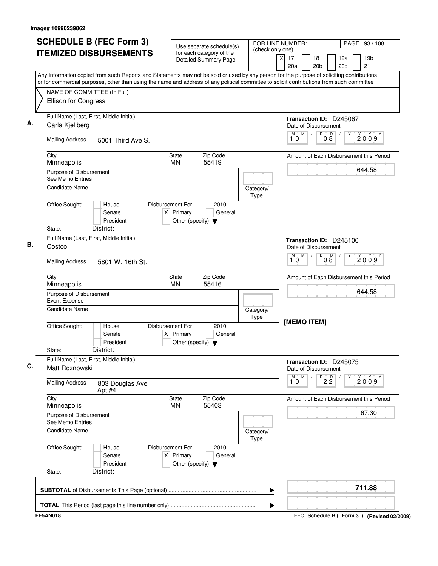| <b>SCHEDULE B (FEC Form 3)</b>                                                                                                                                                                                                                                                         | Use separate schedule(s)                                                                    | (check only one)  | FOR LINE NUMBER:<br>PAGE 93 / 108                                               |
|----------------------------------------------------------------------------------------------------------------------------------------------------------------------------------------------------------------------------------------------------------------------------------------|---------------------------------------------------------------------------------------------|-------------------|---------------------------------------------------------------------------------|
| <b>ITEMIZED DISBURSEMENTS</b>                                                                                                                                                                                                                                                          | for each category of the<br><b>Detailed Summary Page</b>                                    |                   | 19 <sub>b</sub><br>xl<br>17<br>18<br>19a<br>21<br>20a<br>20 <sub>b</sub><br>20c |
| Any Information copied from such Reports and Statements may not be sold or used by any person for the purpose of soliciting contributions<br>or for commercial purposes, other than using the name and address of any political committee to solicit contributions from such committee |                                                                                             |                   |                                                                                 |
| NAME OF COMMITTEE (In Full)                                                                                                                                                                                                                                                            |                                                                                             |                   |                                                                                 |
| Ellison for Congress                                                                                                                                                                                                                                                                   |                                                                                             |                   |                                                                                 |
| Full Name (Last, First, Middle Initial)<br>Carla Kjellberg                                                                                                                                                                                                                             |                                                                                             |                   | Transaction ID: D245067<br>Date of Disbursement                                 |
| <b>Mailing Address</b><br>5001 Third Ave S.                                                                                                                                                                                                                                            |                                                                                             |                   | 08<br>M<br>D<br>M<br>2009<br>10                                                 |
| City<br>Minneapolis                                                                                                                                                                                                                                                                    | Zip Code<br>State<br><b>MN</b><br>55419                                                     |                   | Amount of Each Disbursement this Period                                         |
| Purpose of Disbursement<br>See Memo Entries                                                                                                                                                                                                                                            |                                                                                             |                   | 644.58                                                                          |
| <b>Candidate Name</b>                                                                                                                                                                                                                                                                  |                                                                                             | Category/<br>Type |                                                                                 |
| Office Sought:<br>House<br>Senate<br>President                                                                                                                                                                                                                                         | Disbursement For:<br>2010<br>$X$ Primary<br>General<br>Other (specify) $\blacktriangledown$ |                   |                                                                                 |
| District:<br>State:                                                                                                                                                                                                                                                                    |                                                                                             |                   |                                                                                 |
| Full Name (Last, First, Middle Initial)<br>Costco                                                                                                                                                                                                                                      |                                                                                             |                   | Transaction ID: D245100<br>Date of Disbursement                                 |
| <b>Mailing Address</b><br>5801 W. 16th St.                                                                                                                                                                                                                                             |                                                                                             |                   | $\overline{D}$<br>M<br>08<br>M<br>2009<br>10                                    |
| City<br>Minneapolis                                                                                                                                                                                                                                                                    | Zip Code<br><b>State</b><br><b>MN</b><br>55416                                              |                   | Amount of Each Disbursement this Period                                         |
| Purpose of Disbursement<br>Event Expense                                                                                                                                                                                                                                               |                                                                                             |                   | 644.58                                                                          |
| Candidate Name                                                                                                                                                                                                                                                                         |                                                                                             | Category/         |                                                                                 |
| Office Sought:<br>House<br>Senate<br>President<br>District:<br>State:                                                                                                                                                                                                                  | 2010<br>Disbursement For:<br>$X$ Primary<br>General<br>Other (specify) $\blacktriangledown$ | Type              | [MEMO ITEM]                                                                     |
| Full Name (Last, First, Middle Initial)<br>Matt Roznowski                                                                                                                                                                                                                              |                                                                                             |                   | Transaction ID: D245075<br>Date of Disbursement                                 |
| <b>Mailing Address</b><br>803 Douglas Ave                                                                                                                                                                                                                                              |                                                                                             |                   | $\overline{1}^M$ 0<br>M<br>$\overline{22}$<br>2009                              |
| Apt $#4$<br>City<br>Minneapolis                                                                                                                                                                                                                                                        | Zip Code<br>State<br>55403<br><b>MN</b>                                                     |                   | Amount of Each Disbursement this Period                                         |
| Purpose of Disbursement<br>See Memo Entries                                                                                                                                                                                                                                            |                                                                                             |                   | 67.30                                                                           |
| <b>Candidate Name</b>                                                                                                                                                                                                                                                                  |                                                                                             | Category/<br>Type |                                                                                 |
| Office Sought:<br>House<br>Senate<br>President                                                                                                                                                                                                                                         | Disbursement For:<br>2010<br>$X$ Primary<br>General<br>Other (specify) $\blacktriangledown$ |                   |                                                                                 |
| District:<br>State:                                                                                                                                                                                                                                                                    |                                                                                             |                   |                                                                                 |
|                                                                                                                                                                                                                                                                                        |                                                                                             |                   |                                                                                 |
|                                                                                                                                                                                                                                                                                        |                                                                                             | ▶                 | 711.88                                                                          |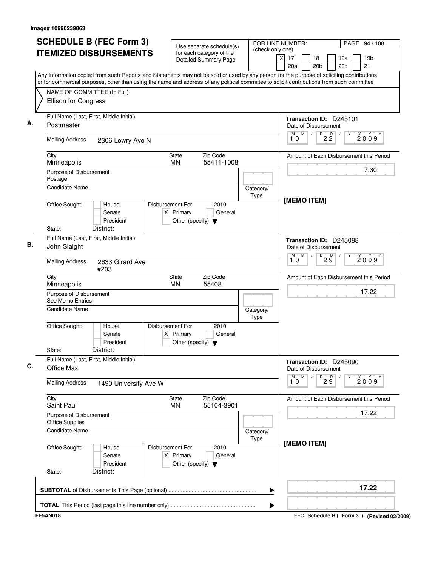| <b>SCHEDULE B (FEC Form 3)</b>                                                                                                            |                                                                                             | FOR LINE NUMBER:  | PAGE 94 / 108                                                                              |
|-------------------------------------------------------------------------------------------------------------------------------------------|---------------------------------------------------------------------------------------------|-------------------|--------------------------------------------------------------------------------------------|
| <b>ITEMIZED DISBURSEMENTS</b>                                                                                                             | Use separate schedule(s)<br>for each category of the<br><b>Detailed Summary Page</b>        | (check only one)  | X<br>17<br>18<br>19 <sub>b</sub><br>19a<br>20a<br>20 <sub>c</sub><br>21<br>20 <sub>b</sub> |
| Any Information copied from such Reports and Statements may not be sold or used by any person for the purpose of soliciting contributions |                                                                                             |                   |                                                                                            |
| or for commercial purposes, other than using the name and address of any political committee to solicit contributions from such committee |                                                                                             |                   |                                                                                            |
| NAME OF COMMITTEE (In Full)<br>Ellison for Congress                                                                                       |                                                                                             |                   |                                                                                            |
| Full Name (Last, First, Middle Initial)<br>Postmaster                                                                                     |                                                                                             |                   | Transaction ID: D245101<br>Date of Disbursement                                            |
| <b>Mailing Address</b><br>2306 Lowry Ave N                                                                                                |                                                                                             |                   | M<br>M<br>D<br>2 <sup>0</sup><br>2009<br>10                                                |
| City<br>Minneapolis                                                                                                                       | Zip Code<br>State<br><b>MN</b><br>55411-1008                                                |                   | Amount of Each Disbursement this Period                                                    |
| Purpose of Disbursement<br>Postage                                                                                                        |                                                                                             |                   | 7.30                                                                                       |
| Candidate Name                                                                                                                            |                                                                                             | Category/<br>Type | [MEMO ITEM]                                                                                |
| Office Sought:<br>House<br>Senate<br>President<br>District:<br>State:                                                                     | Disbursement For:<br>2010<br>$X$ Primary<br>General<br>Other (specify) $\blacktriangledown$ |                   |                                                                                            |
| Full Name (Last, First, Middle Initial)<br>John Slaight                                                                                   |                                                                                             |                   | Transaction ID: D245088<br>Date of Disbursement                                            |
| <b>Mailing Address</b><br>2633 Girard Ave<br>#203                                                                                         |                                                                                             |                   | M<br>D<br>М<br>$2\overline{9}$<br>2009<br>10                                               |
| City<br>Minneapolis                                                                                                                       | Zip Code<br>State<br>55408<br><b>MN</b>                                                     |                   | Amount of Each Disbursement this Period                                                    |
| Purpose of Disbursement<br>See Memo Entries                                                                                               |                                                                                             |                   | 17.22                                                                                      |
| <b>Candidate Name</b>                                                                                                                     |                                                                                             | Category/<br>Type |                                                                                            |
| Office Sought:<br>House<br>Senate<br>President<br>District:<br>State:                                                                     | Disbursement For:<br>2010<br>$X$ Primary<br>General<br>Other (specify) $\blacktriangledown$ |                   |                                                                                            |
| Full Name (Last, First, Middle Initial)<br>Office Max                                                                                     |                                                                                             |                   | Transaction ID: D245090<br>Date of Disbursement                                            |
| <b>Mailing Address</b><br>1490 University Ave W                                                                                           |                                                                                             |                   | $\overline{\mathbf{1}^M \mathbf{0}}$<br>M<br>D<br>29<br>2009                               |
| City<br>Saint Paul                                                                                                                        | Zip Code<br>State<br>55104-3901<br><b>MN</b>                                                |                   | Amount of Each Disbursement this Period                                                    |
| Purpose of Disbursement<br><b>Office Supplies</b>                                                                                         |                                                                                             |                   | 17.22                                                                                      |
| Candidate Name                                                                                                                            |                                                                                             | Category/<br>Type | [MEMO ITEM]                                                                                |
| Office Sought:<br>House<br>Senate<br>President<br>District:<br>State:                                                                     | Disbursement For:<br>2010<br>$X$ Primary<br>General<br>Other (specify) $\blacktriangledown$ |                   |                                                                                            |
|                                                                                                                                           |                                                                                             | ▶                 | 17.22                                                                                      |
|                                                                                                                                           |                                                                                             | ▶                 |                                                                                            |
| <b>FE5AN018</b>                                                                                                                           |                                                                                             |                   | FEC Schedule B (Form 3) (Revised 02/2009)                                                  |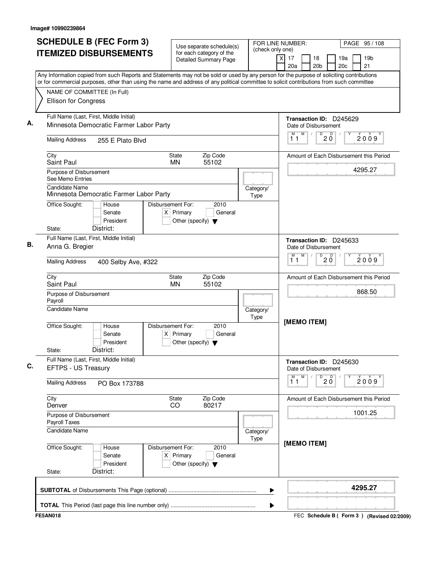|                                                                                                                                                                                                                                                                                        | <b>SCHEDULE B (FEC Form 3)</b><br>Use separate schedule(s)                                  |                   | FOR LINE NUMBER:<br>PAGE 95/108<br>(check only one) |                                 |                        |  |                       |
|----------------------------------------------------------------------------------------------------------------------------------------------------------------------------------------------------------------------------------------------------------------------------------------|---------------------------------------------------------------------------------------------|-------------------|-----------------------------------------------------|---------------------------------|------------------------|--|-----------------------|
| <b>ITEMIZED DISBURSEMENTS</b>                                                                                                                                                                                                                                                          | for each category of the<br><b>Detailed Summary Page</b>                                    |                   | $\times$<br>17<br>18<br>20a                         | 20 <sub>b</sub>                 | 19a<br>20 <sub>c</sub> |  | 19 <sub>b</sub><br>21 |
| Any Information copied from such Reports and Statements may not be sold or used by any person for the purpose of soliciting contributions<br>or for commercial purposes, other than using the name and address of any political committee to solicit contributions from such committee |                                                                                             |                   |                                                     |                                 |                        |  |                       |
| NAME OF COMMITTEE (In Full)                                                                                                                                                                                                                                                            |                                                                                             |                   |                                                     |                                 |                        |  |                       |
| Ellison for Congress                                                                                                                                                                                                                                                                   |                                                                                             |                   |                                                     |                                 |                        |  |                       |
|                                                                                                                                                                                                                                                                                        |                                                                                             |                   |                                                     |                                 |                        |  |                       |
| Full Name (Last, First, Middle Initial)                                                                                                                                                                                                                                                |                                                                                             |                   | Transaction ID: D245629                             |                                 |                        |  |                       |
| Minnesota Democratic Farmer Labor Party                                                                                                                                                                                                                                                |                                                                                             |                   | Date of Disbursement<br>M<br>M<br>$\sqrt{2}$        |                                 |                        |  |                       |
| <b>Mailing Address</b><br>255 E Plato Blvd                                                                                                                                                                                                                                             |                                                                                             |                   | 11                                                  | $D$ <sub>2</sub> $\overline{0}$ |                        |  | 2009                  |
| City<br>Saint Paul                                                                                                                                                                                                                                                                     | Zip Code<br><b>State</b><br>55102<br><b>MN</b>                                              |                   | Amount of Each Disbursement this Period             |                                 |                        |  |                       |
| Purpose of Disbursement                                                                                                                                                                                                                                                                |                                                                                             |                   |                                                     |                                 |                        |  | 4295.27               |
| See Memo Entries                                                                                                                                                                                                                                                                       |                                                                                             |                   |                                                     |                                 |                        |  |                       |
| Candidate Name<br>Minnesota Democratic Farmer Labor Party                                                                                                                                                                                                                              |                                                                                             | Category/<br>Type |                                                     |                                 |                        |  |                       |
| Office Sought:<br>House                                                                                                                                                                                                                                                                | Disbursement For:<br>2010                                                                   |                   |                                                     |                                 |                        |  |                       |
| Senate                                                                                                                                                                                                                                                                                 | $X$ Primary<br>General                                                                      |                   |                                                     |                                 |                        |  |                       |
| President<br>District:<br>State:                                                                                                                                                                                                                                                       | Other (specify) $\blacktriangledown$                                                        |                   |                                                     |                                 |                        |  |                       |
| Full Name (Last, First, Middle Initial)                                                                                                                                                                                                                                                |                                                                                             |                   | Transaction ID: D245633                             |                                 |                        |  |                       |
| Anna G. Bregier                                                                                                                                                                                                                                                                        |                                                                                             |                   | Date of Disbursement                                |                                 |                        |  |                       |
| <b>Mailing Address</b><br>400 Selby Ave, #322                                                                                                                                                                                                                                          |                                                                                             |                   | M<br>M.<br>11                                       | $\overline{0}$ 2 $\overline{0}$ |                        |  | 2009                  |
|                                                                                                                                                                                                                                                                                        |                                                                                             |                   |                                                     |                                 |                        |  |                       |
| City<br>Saint Paul                                                                                                                                                                                                                                                                     | Zip Code<br>State<br><b>MN</b><br>55102                                                     |                   | Amount of Each Disbursement this Period             |                                 |                        |  |                       |
| Purpose of Disbursement<br>Payroll                                                                                                                                                                                                                                                     |                                                                                             |                   |                                                     |                                 |                        |  | 868.50                |
| <b>Candidate Name</b>                                                                                                                                                                                                                                                                  |                                                                                             | Category/<br>Type |                                                     |                                 |                        |  |                       |
| Office Sought:<br>House<br>Senate<br>President<br>District:<br>State:                                                                                                                                                                                                                  | Disbursement For:<br>2010<br>$X$ Primary<br>General<br>Other (specify) $\blacktriangledown$ |                   | [MEMO ITEM]                                         |                                 |                        |  |                       |
| Full Name (Last, First, Middle Initial)                                                                                                                                                                                                                                                |                                                                                             |                   | Transaction ID: D245630                             |                                 |                        |  |                       |
| <b>EFTPS - US Treasury</b>                                                                                                                                                                                                                                                             |                                                                                             |                   | Date of Disbursement                                |                                 |                        |  |                       |
| <b>Mailing Address</b><br>PO Box 173788                                                                                                                                                                                                                                                |                                                                                             |                   | M<br>М<br>11                                        | $D^D$ 2 $\overline{0}$          |                        |  | 2009                  |
| City<br>Denver                                                                                                                                                                                                                                                                         | Zip Code<br><b>State</b><br>80217<br>CO                                                     |                   | Amount of Each Disbursement this Period             |                                 |                        |  |                       |
| Purpose of Disbursement<br>Payroll Taxes                                                                                                                                                                                                                                               |                                                                                             |                   |                                                     |                                 |                        |  | 1001.25               |
| <b>Candidate Name</b>                                                                                                                                                                                                                                                                  |                                                                                             | Category/         |                                                     |                                 |                        |  |                       |
| Office Sought:<br>House<br>Senate<br>President                                                                                                                                                                                                                                         | Disbursement For:<br>2010<br>$X$ Primary<br>General<br>Other (specify) $\blacktriangledown$ | Type              | [MEMO ITEM]                                         |                                 |                        |  |                       |
| District:<br>State:                                                                                                                                                                                                                                                                    |                                                                                             |                   |                                                     |                                 |                        |  |                       |
|                                                                                                                                                                                                                                                                                        |                                                                                             | ▶                 |                                                     |                                 |                        |  | 4295.27               |
|                                                                                                                                                                                                                                                                                        |                                                                                             |                   |                                                     |                                 |                        |  |                       |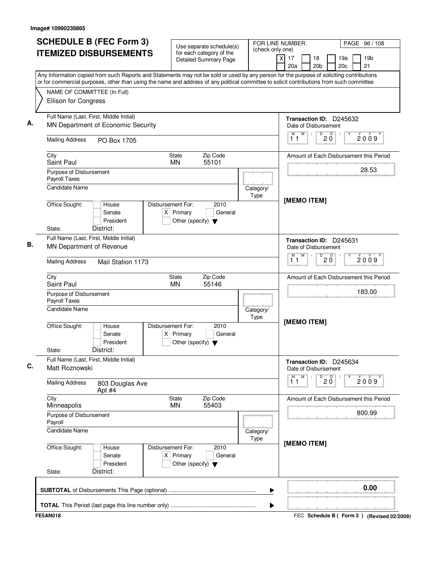| <b>SCHEDULE B (FEC Form 3)</b><br><b>ITEMIZED DISBURSEMENTS</b>                                                                                                                                                                                                                        | Use separate schedule(s)<br>for each category of the                                        | FOR LINE NUMBER:<br>(check only one) | PAGE 96 / 108                                                                                                    |
|----------------------------------------------------------------------------------------------------------------------------------------------------------------------------------------------------------------------------------------------------------------------------------------|---------------------------------------------------------------------------------------------|--------------------------------------|------------------------------------------------------------------------------------------------------------------|
|                                                                                                                                                                                                                                                                                        | Detailed Summary Page                                                                       |                                      | $\overline{\mathsf{x}}$<br>17<br>19 <sub>b</sub><br>18<br>19a<br>21<br>20a<br>20 <sub>b</sub><br>20 <sub>c</sub> |
| Any Information copied from such Reports and Statements may not be sold or used by any person for the purpose of soliciting contributions<br>or for commercial purposes, other than using the name and address of any political committee to solicit contributions from such committee |                                                                                             |                                      |                                                                                                                  |
| NAME OF COMMITTEE (In Full)                                                                                                                                                                                                                                                            |                                                                                             |                                      |                                                                                                                  |
| Ellison for Congress                                                                                                                                                                                                                                                                   |                                                                                             |                                      |                                                                                                                  |
| Full Name (Last, First, Middle Initial)                                                                                                                                                                                                                                                |                                                                                             |                                      | Transaction ID: D245632                                                                                          |
| MN Department of Economic Security                                                                                                                                                                                                                                                     |                                                                                             |                                      | Date of Disbursement<br>M<br>M<br>D<br>D                                                                         |
| <b>Mailing Address</b><br>PO Box 1705                                                                                                                                                                                                                                                  |                                                                                             |                                      | 2009<br>$2\bar{0}$<br>11                                                                                         |
| City                                                                                                                                                                                                                                                                                   | Zip Code<br><b>State</b>                                                                    |                                      | Amount of Each Disbursement this Period                                                                          |
| Saint Paul<br>Purpose of Disbursement                                                                                                                                                                                                                                                  | <b>MN</b><br>55101                                                                          |                                      | 28.53                                                                                                            |
| Payroll Taxes                                                                                                                                                                                                                                                                          |                                                                                             |                                      |                                                                                                                  |
| <b>Candidate Name</b>                                                                                                                                                                                                                                                                  |                                                                                             | Category/<br>Type                    |                                                                                                                  |
| Office Sought:<br>House                                                                                                                                                                                                                                                                | Disbursement For:<br>2010                                                                   |                                      | [MEMO ITEM]                                                                                                      |
| Senate                                                                                                                                                                                                                                                                                 | $X$ Primary<br>General                                                                      |                                      |                                                                                                                  |
| President<br>District:<br>State:                                                                                                                                                                                                                                                       | Other (specify) $\blacktriangledown$                                                        |                                      |                                                                                                                  |
| Full Name (Last, First, Middle Initial)                                                                                                                                                                                                                                                |                                                                                             |                                      | Transaction ID: D245631                                                                                          |
| MN Department of Revenue                                                                                                                                                                                                                                                               |                                                                                             |                                      | Date of Disbursement                                                                                             |
| <b>Mailing Address</b><br>Mail Station 1173                                                                                                                                                                                                                                            |                                                                                             |                                      | M<br>M<br>D<br>$20^{\circ}$<br>2009<br>11                                                                        |
| City<br>Saint Paul                                                                                                                                                                                                                                                                     | Zip Code<br><b>State</b><br><b>MN</b><br>55146                                              |                                      | Amount of Each Disbursement this Period                                                                          |
| Purpose of Disbursement                                                                                                                                                                                                                                                                |                                                                                             |                                      | 183.00                                                                                                           |
| Payroll Taxes                                                                                                                                                                                                                                                                          |                                                                                             |                                      |                                                                                                                  |
| Candidate Name                                                                                                                                                                                                                                                                         |                                                                                             | Category/<br>Type                    |                                                                                                                  |
| Office Sought:<br>House<br>Senate<br>President<br>District:<br>State:                                                                                                                                                                                                                  | Disbursement For:<br>2010<br>$X$ Primary<br>General<br>Other (specify) $\blacktriangledown$ |                                      | [MEMO ITEM]                                                                                                      |
| Full Name (Last, First, Middle Initial)                                                                                                                                                                                                                                                |                                                                                             |                                      | Transaction ID: D245634                                                                                          |
| Matt Roznowski                                                                                                                                                                                                                                                                         |                                                                                             |                                      | Date of Disbursement                                                                                             |
| <b>Mailing Address</b><br>803 Douglas Ave<br>Apt #4                                                                                                                                                                                                                                    |                                                                                             |                                      | M<br>$20^{\circ}$<br>М<br>D<br>2009<br>11                                                                        |
| City<br>Minneapolis                                                                                                                                                                                                                                                                    | State<br>Zip Code<br>55403<br><b>MN</b>                                                     |                                      | Amount of Each Disbursement this Period                                                                          |
| Purpose of Disbursement<br>Payroll                                                                                                                                                                                                                                                     |                                                                                             |                                      | 800.99                                                                                                           |
| <b>Candidate Name</b>                                                                                                                                                                                                                                                                  |                                                                                             | Category/                            |                                                                                                                  |
| Office Sought:<br>House                                                                                                                                                                                                                                                                | Disbursement For:<br>2010                                                                   | Type                                 | [MEMO ITEM]                                                                                                      |
| Senate<br>President                                                                                                                                                                                                                                                                    | $X$ Primary<br>General<br>Other (specify) $\blacktriangledown$                              |                                      |                                                                                                                  |
| District:<br>State:                                                                                                                                                                                                                                                                    |                                                                                             |                                      |                                                                                                                  |
|                                                                                                                                                                                                                                                                                        |                                                                                             | ▶                                    | 0.00                                                                                                             |
|                                                                                                                                                                                                                                                                                        |                                                                                             | ▶                                    |                                                                                                                  |
| <b>FE5AN018</b>                                                                                                                                                                                                                                                                        |                                                                                             |                                      | FEC Schedule B ( Form 3 ) (Revised 02/2009)                                                                      |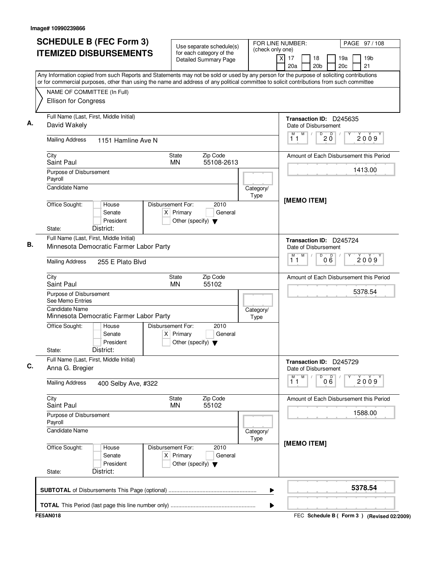| <b>SCHEDULE B (FEC Form 3)</b>                                                                                                            | Use separate schedule(s)                                                                      |                   | FOR LINE NUMBER:<br>PAGE 97/108                                                                       |
|-------------------------------------------------------------------------------------------------------------------------------------------|-----------------------------------------------------------------------------------------------|-------------------|-------------------------------------------------------------------------------------------------------|
| <b>ITEMIZED DISBURSEMENTS</b>                                                                                                             | for each category of the<br><b>Detailed Summary Page</b>                                      | (check only one)  | $\mathsf{X}$<br>17<br>18<br>19 <sub>b</sub><br>19a<br>20a<br>20 <sub>b</sub><br>20 <sub>c</sub><br>21 |
| Any Information copied from such Reports and Statements may not be sold or used by any person for the purpose of soliciting contributions |                                                                                               |                   |                                                                                                       |
| or for commercial purposes, other than using the name and address of any political committee to solicit contributions from such committee |                                                                                               |                   |                                                                                                       |
| NAME OF COMMITTEE (In Full)<br>Ellison for Congress                                                                                       |                                                                                               |                   |                                                                                                       |
| Full Name (Last, First, Middle Initial)                                                                                                   |                                                                                               |                   | Transaction ID: D245635                                                                               |
| David Wakely                                                                                                                              |                                                                                               |                   | Date of Disbursement                                                                                  |
| <b>Mailing Address</b><br>1151 Hamline Ave N                                                                                              |                                                                                               |                   | M<br>M<br>$\overline{0}$ 2 $\overline{0}$<br>2009<br>11                                               |
| City<br>Saint Paul                                                                                                                        | Zip Code<br><b>State</b><br>55108-2613<br><b>MN</b>                                           |                   | Amount of Each Disbursement this Period                                                               |
| Purpose of Disbursement                                                                                                                   |                                                                                               |                   | 1413.00                                                                                               |
| Payroll<br>Candidate Name                                                                                                                 |                                                                                               | Category/         |                                                                                                       |
|                                                                                                                                           |                                                                                               | Type              |                                                                                                       |
| Office Sought:<br>House<br>Senate<br>President                                                                                            | Disbursement For:<br>2010<br>$X$ Primary<br>General<br>Other (specify) $\blacktriangledown$   |                   | [MEMO ITEM]                                                                                           |
| District:<br>State:                                                                                                                       |                                                                                               |                   |                                                                                                       |
| Full Name (Last, First, Middle Initial)<br>Minnesota Democratic Farmer Labor Party                                                        |                                                                                               |                   | Transaction ID: D245724<br>Date of Disbursement                                                       |
|                                                                                                                                           |                                                                                               |                   | M<br>D<br>000<br>M<br>2009                                                                            |
| <b>Mailing Address</b><br>255 E Plato Blvd                                                                                                |                                                                                               |                   | 11                                                                                                    |
| City<br>Saint Paul                                                                                                                        | Zip Code<br>State<br>55102<br><b>MN</b>                                                       |                   | Amount of Each Disbursement this Period                                                               |
| Purpose of Disbursement<br>See Memo Entries                                                                                               |                                                                                               |                   | 5378.54                                                                                               |
| <b>Candidate Name</b><br>Minnesota Democratic Farmer Labor Party                                                                          |                                                                                               | Category/<br>Type |                                                                                                       |
| Office Sought:<br>House<br>Senate<br>President<br>District:<br>State:                                                                     | Disbursement For:<br>2010<br>$X$ Primary<br>General<br>Other (specify) $\blacktriangledown$   |                   |                                                                                                       |
| Full Name (Last, First, Middle Initial)<br>Anna G. Bregier                                                                                |                                                                                               |                   | Transaction ID: D245729<br>Date of Disbursement                                                       |
| <b>Mailing Address</b><br>400 Selby Ave, #322                                                                                             |                                                                                               |                   | ${\sf M}$<br>M<br>D<br>000<br>Y<br>2009<br>11                                                         |
| City<br>Saint Paul                                                                                                                        | Zip Code<br>State<br>55102<br>ΜN                                                              |                   | Amount of Each Disbursement this Period                                                               |
| Purpose of Disbursement<br>Payroll                                                                                                        |                                                                                               |                   | 1588.00                                                                                               |
| <b>Candidate Name</b>                                                                                                                     |                                                                                               | Category/<br>Type |                                                                                                       |
| Office Sought:<br>House<br>Senate<br>President                                                                                            | Disbursement For:<br>2010<br>Primary<br>General<br>X∣<br>Other (specify) $\blacktriangledown$ |                   | [MEMO ITEM]                                                                                           |
| District:<br>State:                                                                                                                       |                                                                                               |                   |                                                                                                       |
|                                                                                                                                           |                                                                                               | ▶                 | 5378.54                                                                                               |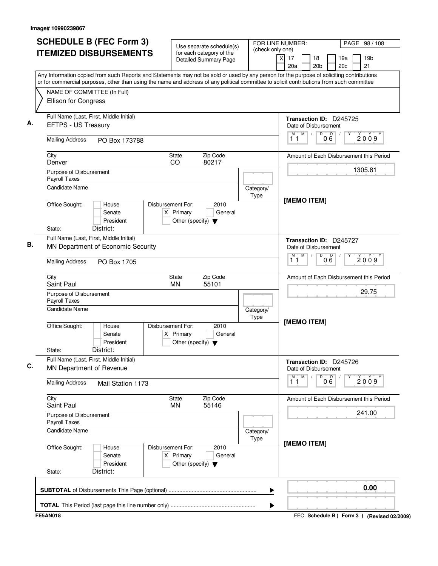| <b>SCHEDULE B (FEC Form 3)</b>                                                                                                                                                                                                                                                         | Use separate schedule(s)                                                                    | (check only one)  | FOR LINE NUMBER:<br>PAGE 98 / 108                             |                                                 |  |
|----------------------------------------------------------------------------------------------------------------------------------------------------------------------------------------------------------------------------------------------------------------------------------------|---------------------------------------------------------------------------------------------|-------------------|---------------------------------------------------------------|-------------------------------------------------|--|
| <b>ITEMIZED DISBURSEMENTS</b>                                                                                                                                                                                                                                                          | for each category of the<br><b>Detailed Summary Page</b>                                    |                   | $\overline{\mathsf{x}}$<br>17<br>18<br>20a<br>20 <sub>b</sub> | 19a<br>19 <sub>b</sub><br>21<br>20 <sub>c</sub> |  |
| Any Information copied from such Reports and Statements may not be sold or used by any person for the purpose of soliciting contributions<br>or for commercial purposes, other than using the name and address of any political committee to solicit contributions from such committee |                                                                                             |                   |                                                               |                                                 |  |
| NAME OF COMMITTEE (In Full)                                                                                                                                                                                                                                                            |                                                                                             |                   |                                                               |                                                 |  |
| Ellison for Congress                                                                                                                                                                                                                                                                   |                                                                                             |                   |                                                               |                                                 |  |
| Full Name (Last, First, Middle Initial)<br>EFTPS - US Treasury                                                                                                                                                                                                                         |                                                                                             |                   | Transaction ID: D245725<br>Date of Disbursement               |                                                 |  |
| <b>Mailing Address</b><br>PO Box 173788                                                                                                                                                                                                                                                |                                                                                             |                   | M<br>D<br>М<br>11                                             | 000<br>2009                                     |  |
| City<br>Denver                                                                                                                                                                                                                                                                         | Zip Code<br><b>State</b><br>80217<br>CO                                                     |                   |                                                               | Amount of Each Disbursement this Period         |  |
| Purpose of Disbursement<br>Payroll Taxes                                                                                                                                                                                                                                               |                                                                                             |                   |                                                               | 1305.81                                         |  |
| <b>Candidate Name</b>                                                                                                                                                                                                                                                                  |                                                                                             | Category/<br>Type | [MEMO ITEM]                                                   |                                                 |  |
| Office Sought:<br>House<br>Senate<br>President<br>District:<br>State:                                                                                                                                                                                                                  | Disbursement For:<br>2010<br>$X$ Primary<br>General<br>Other (specify) $\blacktriangledown$ |                   |                                                               |                                                 |  |
| Full Name (Last, First, Middle Initial)                                                                                                                                                                                                                                                |                                                                                             |                   | Transaction ID: D245727                                       |                                                 |  |
| MN Department of Economic Security                                                                                                                                                                                                                                                     |                                                                                             |                   | Date of Disbursement<br>M<br>D<br>м                           |                                                 |  |
| <b>Mailing Address</b><br>PO Box 1705                                                                                                                                                                                                                                                  |                                                                                             |                   | 11                                                            | 000<br>2009                                     |  |
| City<br>Saint Paul                                                                                                                                                                                                                                                                     | Zip Code<br>State<br>55101<br><b>MN</b>                                                     |                   |                                                               | Amount of Each Disbursement this Period         |  |
| Purpose of Disbursement<br>Payroll Taxes                                                                                                                                                                                                                                               |                                                                                             |                   | 29.75<br>[MEMO ITEM]                                          |                                                 |  |
| Candidate Name                                                                                                                                                                                                                                                                         |                                                                                             | Category/<br>Type |                                                               |                                                 |  |
| Office Sought:<br>House<br>Senate<br>President<br>District:<br>State:                                                                                                                                                                                                                  | Disbursement For:<br>2010<br>$X$ Primary<br>General<br>Other (specify) $\blacktriangledown$ |                   |                                                               |                                                 |  |
| Full Name (Last, First, Middle Initial)<br>MN Department of Revenue                                                                                                                                                                                                                    |                                                                                             |                   | Transaction ID: D245726<br>Date of Disbursement               |                                                 |  |
| <b>Mailing Address</b><br>Mail Station 1173                                                                                                                                                                                                                                            |                                                                                             |                   | M<br>M<br>D<br>11                                             | 000<br>Υ<br>2009                                |  |
| City<br>Saint Paul                                                                                                                                                                                                                                                                     | Zip Code<br>State<br><b>MN</b><br>55146                                                     |                   |                                                               | Amount of Each Disbursement this Period         |  |
| Purpose of Disbursement<br>Payroll Taxes                                                                                                                                                                                                                                               |                                                                                             |                   |                                                               | 241.00                                          |  |
| <b>Candidate Name</b>                                                                                                                                                                                                                                                                  |                                                                                             | Category/<br>Type | [MEMO ITEM]                                                   |                                                 |  |
| Office Sought:<br>House<br>Senate<br>President<br>District:<br>State:                                                                                                                                                                                                                  | Disbursement For:<br>2010<br>$X$ Primary<br>General<br>Other (specify) $\blacktriangledown$ |                   |                                                               |                                                 |  |
|                                                                                                                                                                                                                                                                                        |                                                                                             | ▶                 |                                                               | 0.00                                            |  |
|                                                                                                                                                                                                                                                                                        |                                                                                             |                   |                                                               |                                                 |  |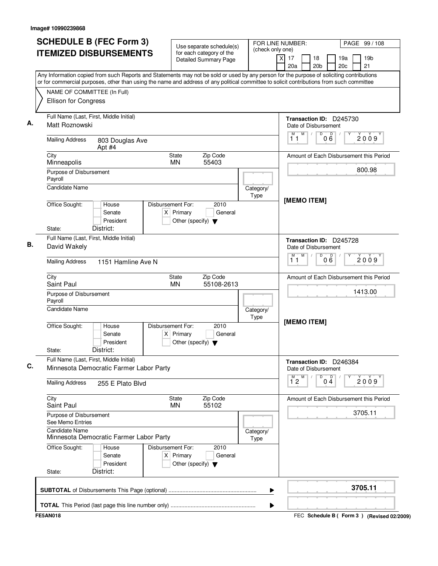| xl<br>17<br>18<br>19a<br>19 <sub>b</sub><br><b>Detailed Summary Page</b><br>20a<br>20 <sub>b</sub><br>20 <sub>c</sub><br>21<br>Any Information copied from such Reports and Statements may not be sold or used by any person for the purpose of soliciting contributions<br>or for commercial purposes, other than using the name and address of any political committee to solicit contributions from such committee<br>NAME OF COMMITTEE (In Full)<br><b>Ellison for Congress</b><br>Full Name (Last, First, Middle Initial)<br>Transaction ID: D245730<br>А.<br>Matt Roznowski<br>Date of Disbursement<br>D<br>M<br>000<br>M<br>11<br><b>Mailing Address</b><br>803 Douglas Ave<br>Apt #4<br>City<br><b>State</b><br>Zip Code<br>Minneapolis<br><b>MN</b><br>55403<br>Purpose of Disbursement<br>Payroll<br>Candidate Name<br>Category/<br>Type<br>[MEMO ITEM]<br>Office Sought:<br>Disbursement For:<br>2010<br>House<br>$X$ Primary<br>Senate<br>General<br>President<br>Other (specify) $\blacktriangledown$<br>District:<br>State:<br>Full Name (Last, First, Middle Initial)<br>Transaction ID: D245728<br>В.<br>David Wakely<br>Date of Disbursement<br>M<br>D<br>000<br>М<br>11<br><b>Mailing Address</b><br>1151 Hamline Ave N<br>City<br>Zip Code<br>State<br>Saint Paul<br><b>MN</b><br>55108-2613<br>1413.00<br>Purpose of Disbursement<br>Payroll<br><b>Candidate Name</b><br>Category/<br>Type<br>[MEMO ITEM]<br>Office Sought:<br>Disbursement For:<br>2010<br>House<br>Senate<br>$X$ Primary<br>General<br>President<br>Other (specify) $\blacktriangledown$<br>District:<br>State:<br>Full Name (Last, First, Middle Initial)<br>Transaction ID: D246384<br>C.<br>Minnesota Democratic Farmer Labor Party<br>Date of Disbursement<br>M<br>$\overline{0}$ $\overline{4}$<br>$\overline{1}^M$ 2<br>Υ<br><b>Mailing Address</b><br>255 E Plato Blvd<br>City<br>Zip Code<br>State<br>55102<br>Saint Paul<br><b>MN</b><br>Purpose of Disbursement<br>See Memo Entries<br><b>Candidate Name</b><br>Category/<br>Minnesota Democratic Farmer Labor Party<br>Type<br>Office Sought:<br>Disbursement For:<br>2010<br>House<br>$X$ Primary<br>Senate<br>General<br>President<br>Other (specify) $\blacktriangledown$<br>District:<br>State:<br>▶ | <b>SCHEDULE B (FEC Form 3)</b><br><b>ITEMIZED DISBURSEMENTS</b> | Use separate schedule(s)<br>for each category of the | (check only one) | FOR LINE NUMBER:<br>PAGE 99 / 108       |
|-----------------------------------------------------------------------------------------------------------------------------------------------------------------------------------------------------------------------------------------------------------------------------------------------------------------------------------------------------------------------------------------------------------------------------------------------------------------------------------------------------------------------------------------------------------------------------------------------------------------------------------------------------------------------------------------------------------------------------------------------------------------------------------------------------------------------------------------------------------------------------------------------------------------------------------------------------------------------------------------------------------------------------------------------------------------------------------------------------------------------------------------------------------------------------------------------------------------------------------------------------------------------------------------------------------------------------------------------------------------------------------------------------------------------------------------------------------------------------------------------------------------------------------------------------------------------------------------------------------------------------------------------------------------------------------------------------------------------------------------------------------------------------------------------------------------------------------------------------------------------------------------------------------------------------------------------------------------------------------------------------------------------------------------------------------------------------------------------------------------------------------------------------------------------------------------------------------------------------------------------------------|-----------------------------------------------------------------|------------------------------------------------------|------------------|-----------------------------------------|
|                                                                                                                                                                                                                                                                                                                                                                                                                                                                                                                                                                                                                                                                                                                                                                                                                                                                                                                                                                                                                                                                                                                                                                                                                                                                                                                                                                                                                                                                                                                                                                                                                                                                                                                                                                                                                                                                                                                                                                                                                                                                                                                                                                                                                                                           |                                                                 |                                                      |                  |                                         |
|                                                                                                                                                                                                                                                                                                                                                                                                                                                                                                                                                                                                                                                                                                                                                                                                                                                                                                                                                                                                                                                                                                                                                                                                                                                                                                                                                                                                                                                                                                                                                                                                                                                                                                                                                                                                                                                                                                                                                                                                                                                                                                                                                                                                                                                           |                                                                 |                                                      |                  |                                         |
|                                                                                                                                                                                                                                                                                                                                                                                                                                                                                                                                                                                                                                                                                                                                                                                                                                                                                                                                                                                                                                                                                                                                                                                                                                                                                                                                                                                                                                                                                                                                                                                                                                                                                                                                                                                                                                                                                                                                                                                                                                                                                                                                                                                                                                                           |                                                                 |                                                      |                  |                                         |
|                                                                                                                                                                                                                                                                                                                                                                                                                                                                                                                                                                                                                                                                                                                                                                                                                                                                                                                                                                                                                                                                                                                                                                                                                                                                                                                                                                                                                                                                                                                                                                                                                                                                                                                                                                                                                                                                                                                                                                                                                                                                                                                                                                                                                                                           |                                                                 |                                                      |                  |                                         |
|                                                                                                                                                                                                                                                                                                                                                                                                                                                                                                                                                                                                                                                                                                                                                                                                                                                                                                                                                                                                                                                                                                                                                                                                                                                                                                                                                                                                                                                                                                                                                                                                                                                                                                                                                                                                                                                                                                                                                                                                                                                                                                                                                                                                                                                           |                                                                 |                                                      |                  |                                         |
|                                                                                                                                                                                                                                                                                                                                                                                                                                                                                                                                                                                                                                                                                                                                                                                                                                                                                                                                                                                                                                                                                                                                                                                                                                                                                                                                                                                                                                                                                                                                                                                                                                                                                                                                                                                                                                                                                                                                                                                                                                                                                                                                                                                                                                                           |                                                                 |                                                      |                  | 2009                                    |
|                                                                                                                                                                                                                                                                                                                                                                                                                                                                                                                                                                                                                                                                                                                                                                                                                                                                                                                                                                                                                                                                                                                                                                                                                                                                                                                                                                                                                                                                                                                                                                                                                                                                                                                                                                                                                                                                                                                                                                                                                                                                                                                                                                                                                                                           |                                                                 |                                                      |                  | Amount of Each Disbursement this Period |
|                                                                                                                                                                                                                                                                                                                                                                                                                                                                                                                                                                                                                                                                                                                                                                                                                                                                                                                                                                                                                                                                                                                                                                                                                                                                                                                                                                                                                                                                                                                                                                                                                                                                                                                                                                                                                                                                                                                                                                                                                                                                                                                                                                                                                                                           |                                                                 |                                                      |                  | 800.98                                  |
|                                                                                                                                                                                                                                                                                                                                                                                                                                                                                                                                                                                                                                                                                                                                                                                                                                                                                                                                                                                                                                                                                                                                                                                                                                                                                                                                                                                                                                                                                                                                                                                                                                                                                                                                                                                                                                                                                                                                                                                                                                                                                                                                                                                                                                                           |                                                                 |                                                      |                  |                                         |
|                                                                                                                                                                                                                                                                                                                                                                                                                                                                                                                                                                                                                                                                                                                                                                                                                                                                                                                                                                                                                                                                                                                                                                                                                                                                                                                                                                                                                                                                                                                                                                                                                                                                                                                                                                                                                                                                                                                                                                                                                                                                                                                                                                                                                                                           |                                                                 |                                                      |                  |                                         |
|                                                                                                                                                                                                                                                                                                                                                                                                                                                                                                                                                                                                                                                                                                                                                                                                                                                                                                                                                                                                                                                                                                                                                                                                                                                                                                                                                                                                                                                                                                                                                                                                                                                                                                                                                                                                                                                                                                                                                                                                                                                                                                                                                                                                                                                           |                                                                 |                                                      |                  |                                         |
|                                                                                                                                                                                                                                                                                                                                                                                                                                                                                                                                                                                                                                                                                                                                                                                                                                                                                                                                                                                                                                                                                                                                                                                                                                                                                                                                                                                                                                                                                                                                                                                                                                                                                                                                                                                                                                                                                                                                                                                                                                                                                                                                                                                                                                                           |                                                                 |                                                      |                  |                                         |
|                                                                                                                                                                                                                                                                                                                                                                                                                                                                                                                                                                                                                                                                                                                                                                                                                                                                                                                                                                                                                                                                                                                                                                                                                                                                                                                                                                                                                                                                                                                                                                                                                                                                                                                                                                                                                                                                                                                                                                                                                                                                                                                                                                                                                                                           |                                                                 |                                                      |                  | 2009                                    |
|                                                                                                                                                                                                                                                                                                                                                                                                                                                                                                                                                                                                                                                                                                                                                                                                                                                                                                                                                                                                                                                                                                                                                                                                                                                                                                                                                                                                                                                                                                                                                                                                                                                                                                                                                                                                                                                                                                                                                                                                                                                                                                                                                                                                                                                           |                                                                 |                                                      |                  | Amount of Each Disbursement this Period |
|                                                                                                                                                                                                                                                                                                                                                                                                                                                                                                                                                                                                                                                                                                                                                                                                                                                                                                                                                                                                                                                                                                                                                                                                                                                                                                                                                                                                                                                                                                                                                                                                                                                                                                                                                                                                                                                                                                                                                                                                                                                                                                                                                                                                                                                           |                                                                 |                                                      |                  |                                         |
|                                                                                                                                                                                                                                                                                                                                                                                                                                                                                                                                                                                                                                                                                                                                                                                                                                                                                                                                                                                                                                                                                                                                                                                                                                                                                                                                                                                                                                                                                                                                                                                                                                                                                                                                                                                                                                                                                                                                                                                                                                                                                                                                                                                                                                                           |                                                                 |                                                      |                  |                                         |
|                                                                                                                                                                                                                                                                                                                                                                                                                                                                                                                                                                                                                                                                                                                                                                                                                                                                                                                                                                                                                                                                                                                                                                                                                                                                                                                                                                                                                                                                                                                                                                                                                                                                                                                                                                                                                                                                                                                                                                                                                                                                                                                                                                                                                                                           |                                                                 |                                                      |                  |                                         |
|                                                                                                                                                                                                                                                                                                                                                                                                                                                                                                                                                                                                                                                                                                                                                                                                                                                                                                                                                                                                                                                                                                                                                                                                                                                                                                                                                                                                                                                                                                                                                                                                                                                                                                                                                                                                                                                                                                                                                                                                                                                                                                                                                                                                                                                           |                                                                 |                                                      |                  |                                         |
|                                                                                                                                                                                                                                                                                                                                                                                                                                                                                                                                                                                                                                                                                                                                                                                                                                                                                                                                                                                                                                                                                                                                                                                                                                                                                                                                                                                                                                                                                                                                                                                                                                                                                                                                                                                                                                                                                                                                                                                                                                                                                                                                                                                                                                                           |                                                                 |                                                      |                  | 2009                                    |
|                                                                                                                                                                                                                                                                                                                                                                                                                                                                                                                                                                                                                                                                                                                                                                                                                                                                                                                                                                                                                                                                                                                                                                                                                                                                                                                                                                                                                                                                                                                                                                                                                                                                                                                                                                                                                                                                                                                                                                                                                                                                                                                                                                                                                                                           |                                                                 |                                                      |                  | Amount of Each Disbursement this Period |
|                                                                                                                                                                                                                                                                                                                                                                                                                                                                                                                                                                                                                                                                                                                                                                                                                                                                                                                                                                                                                                                                                                                                                                                                                                                                                                                                                                                                                                                                                                                                                                                                                                                                                                                                                                                                                                                                                                                                                                                                                                                                                                                                                                                                                                                           |                                                                 |                                                      |                  | 3705.11                                 |
|                                                                                                                                                                                                                                                                                                                                                                                                                                                                                                                                                                                                                                                                                                                                                                                                                                                                                                                                                                                                                                                                                                                                                                                                                                                                                                                                                                                                                                                                                                                                                                                                                                                                                                                                                                                                                                                                                                                                                                                                                                                                                                                                                                                                                                                           |                                                                 |                                                      |                  |                                         |
|                                                                                                                                                                                                                                                                                                                                                                                                                                                                                                                                                                                                                                                                                                                                                                                                                                                                                                                                                                                                                                                                                                                                                                                                                                                                                                                                                                                                                                                                                                                                                                                                                                                                                                                                                                                                                                                                                                                                                                                                                                                                                                                                                                                                                                                           |                                                                 |                                                      |                  |                                         |
|                                                                                                                                                                                                                                                                                                                                                                                                                                                                                                                                                                                                                                                                                                                                                                                                                                                                                                                                                                                                                                                                                                                                                                                                                                                                                                                                                                                                                                                                                                                                                                                                                                                                                                                                                                                                                                                                                                                                                                                                                                                                                                                                                                                                                                                           |                                                                 |                                                      |                  |                                         |
|                                                                                                                                                                                                                                                                                                                                                                                                                                                                                                                                                                                                                                                                                                                                                                                                                                                                                                                                                                                                                                                                                                                                                                                                                                                                                                                                                                                                                                                                                                                                                                                                                                                                                                                                                                                                                                                                                                                                                                                                                                                                                                                                                                                                                                                           |                                                                 |                                                      |                  | 3705.11                                 |
|                                                                                                                                                                                                                                                                                                                                                                                                                                                                                                                                                                                                                                                                                                                                                                                                                                                                                                                                                                                                                                                                                                                                                                                                                                                                                                                                                                                                                                                                                                                                                                                                                                                                                                                                                                                                                                                                                                                                                                                                                                                                                                                                                                                                                                                           |                                                                 |                                                      |                  |                                         |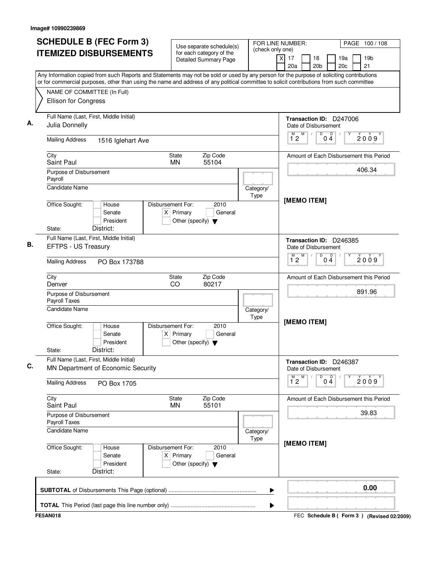|                                                                                                                                                                          | Use separate schedule(s)                                                                    |                   | FOR LINE NUMBER:<br>PAGE 100/108<br>(check only one) |                                                                  |                        |  |                                         |
|--------------------------------------------------------------------------------------------------------------------------------------------------------------------------|---------------------------------------------------------------------------------------------|-------------------|------------------------------------------------------|------------------------------------------------------------------|------------------------|--|-----------------------------------------|
| <b>ITEMIZED DISBURSEMENTS</b>                                                                                                                                            | for each category of the<br><b>Detailed Summary Page</b>                                    |                   | $\overline{\mathsf{x}}$<br>17<br>20a                 | 18<br>20 <sub>b</sub>                                            | 19a<br>20 <sub>c</sub> |  | 19 <sub>b</sub><br>21                   |
| Any Information copied from such Reports and Statements may not be sold or used by any person for the purpose of soliciting contributions                                |                                                                                             |                   |                                                      |                                                                  |                        |  |                                         |
| or for commercial purposes, other than using the name and address of any political committee to solicit contributions from such committee<br>NAME OF COMMITTEE (In Full) |                                                                                             |                   |                                                      |                                                                  |                        |  |                                         |
| Ellison for Congress                                                                                                                                                     |                                                                                             |                   |                                                      |                                                                  |                        |  |                                         |
| Full Name (Last, First, Middle Initial)                                                                                                                                  |                                                                                             |                   | Transaction ID: D247006                              |                                                                  |                        |  |                                         |
| Julia Donnelly                                                                                                                                                           |                                                                                             |                   | Date of Disbursement<br>M<br>М                       | D<br>$0\stackrel{D}{4}$                                          |                        |  | 2009                                    |
| <b>Mailing Address</b><br>1516 Iglehart Ave                                                                                                                              |                                                                                             |                   | 12                                                   |                                                                  |                        |  |                                         |
| City<br>Saint Paul                                                                                                                                                       | Zip Code<br><b>State</b><br>55104<br><b>MN</b>                                              |                   |                                                      |                                                                  |                        |  | Amount of Each Disbursement this Period |
| Purpose of Disbursement                                                                                                                                                  |                                                                                             |                   |                                                      |                                                                  |                        |  | 406.34                                  |
| Payroll                                                                                                                                                                  |                                                                                             |                   |                                                      |                                                                  |                        |  |                                         |
| <b>Candidate Name</b>                                                                                                                                                    |                                                                                             | Category/<br>Type |                                                      |                                                                  |                        |  |                                         |
| Office Sought:<br>House<br>Senate<br>President                                                                                                                           | Disbursement For:<br>2010<br>$X$ Primary<br>General<br>Other (specify) $\blacktriangledown$ |                   | [MEMO ITEM]                                          |                                                                  |                        |  |                                         |
| District:<br>State:                                                                                                                                                      |                                                                                             |                   |                                                      |                                                                  |                        |  |                                         |
| Full Name (Last, First, Middle Initial)<br>EFTPS - US Treasury                                                                                                           |                                                                                             |                   | Transaction ID: D246385<br>Date of Disbursement      |                                                                  |                        |  |                                         |
| <b>Mailing Address</b><br>PO Box 173788                                                                                                                                  |                                                                                             |                   | M<br>м<br>12                                         | D<br>$0\frac{D}{4}$                                              |                        |  | 2009                                    |
| City<br>Denver                                                                                                                                                           | Zip Code<br>State<br>CO<br>80217                                                            |                   |                                                      | Amount of Each Disbursement this Period<br>891.96<br>[MEMO ITEM] |                        |  |                                         |
| Purpose of Disbursement<br>Payroll Taxes                                                                                                                                 |                                                                                             |                   |                                                      |                                                                  |                        |  |                                         |
| Candidate Name                                                                                                                                                           |                                                                                             | Category/<br>Type |                                                      |                                                                  |                        |  |                                         |
| Office Sought:<br>House<br>Senate<br>President<br>District:<br>State:                                                                                                    | Disbursement For:<br>2010<br>$X$ Primary<br>General<br>Other (specify) $\blacktriangledown$ |                   |                                                      |                                                                  |                        |  |                                         |
| Full Name (Last, First, Middle Initial)<br>MN Department of Economic Security                                                                                            |                                                                                             |                   | Transaction ID: D246387<br>Date of Disbursement      |                                                                  |                        |  |                                         |
| <b>Mailing Address</b><br>PO Box 1705                                                                                                                                    |                                                                                             |                   | M<br>$\overline{1}^M$ 2                              | D<br>$\overline{0}$ <sup>D</sup> <sub>4</sub>                    | Υ                      |  | 2009                                    |
| City<br>Saint Paul                                                                                                                                                       | Zip Code<br>State<br><b>MN</b><br>55101                                                     |                   | Amount of Each Disbursement this Period              |                                                                  |                        |  |                                         |
| Purpose of Disbursement<br>Payroll Taxes                                                                                                                                 |                                                                                             |                   |                                                      |                                                                  |                        |  | 39.83                                   |
| <b>Candidate Name</b>                                                                                                                                                    |                                                                                             | Category/<br>Type |                                                      |                                                                  |                        |  |                                         |
| Office Sought:<br>House<br>Senate<br>President<br>District:<br>State:                                                                                                    | Disbursement For:<br>2010<br>$X$ Primary<br>General<br>Other (specify) $\blacktriangledown$ |                   | [MEMO ITEM]                                          |                                                                  |                        |  |                                         |
|                                                                                                                                                                          |                                                                                             |                   |                                                      |                                                                  |                        |  | 0.00                                    |
|                                                                                                                                                                          |                                                                                             |                   | ▶                                                    |                                                                  |                        |  |                                         |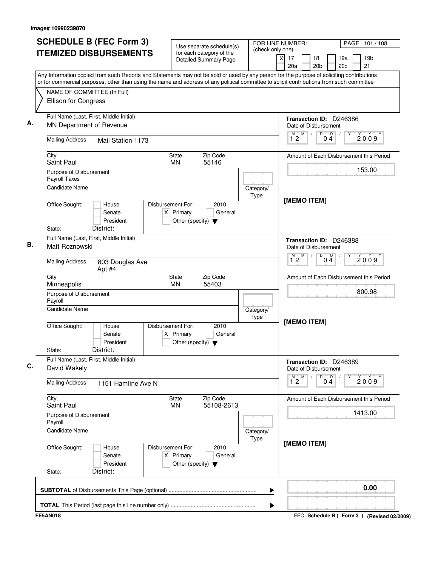| (check only one)<br><b>ITEMIZED DISBURSEMENTS</b><br>for each category of the<br>x<br>17<br>18<br>19a<br>Detailed Summary Page<br>20c<br>20a<br>20 <sub>b</sub><br>Any Information copied from such Reports and Statements may not be sold or used by any person for the purpose of soliciting contributions<br>or for commercial purposes, other than using the name and address of any political committee to solicit contributions from such committee<br>NAME OF COMMITTEE (In Full)<br>Ellison for Congress<br>Full Name (Last, First, Middle Initial)<br>Transaction ID: D246386<br>MN Department of Revenue<br>Date of Disbursement<br>M<br>D<br>М<br>D<br>$1^{\circ}2$<br>04<br><b>Mailing Address</b><br>Mail Station 1173<br>Zip Code<br>City<br>State<br>Saint Paul<br><b>MN</b><br>55146<br>Purpose of Disbursement<br>Payroll Taxes<br><b>Candidate Name</b><br>Category/<br>Type<br>[MEMO ITEM]<br>Office Sought:<br>Disbursement For:<br>2010<br>House<br>$X$ Primary<br>General<br>Senate<br>President<br>Other (specify) $\blacktriangledown$<br>District:<br>State:<br>Full Name (Last, First, Middle Initial)<br>Transaction ID: D246388<br>Matt Roznowski<br>Date of Disbursement<br>M<br>D<br>$0\stackrel{D}{4}$<br>M.<br>$1^{\circ}2$<br><b>Mailing Address</b><br>803 Douglas Ave<br>Apt #4<br>Zip Code<br>City<br>State<br>Minneapolis<br><b>MN</b><br>55403<br>Purpose of Disbursement<br>Payroll<br><b>Candidate Name</b><br>Category/<br>Type<br>[MEMO ITEM]<br>Office Sought:<br>Disbursement For:<br>2010<br>House<br>Senate<br>$X$ Primary<br>General<br>President<br>Other (specify) $\blacktriangledown$<br>District:<br>State:<br>Full Name (Last, First, Middle Initial)<br>Transaction ID: D246389<br>David Wakely<br>Date of Disbursement<br>$\overline{1}^M$ 2<br>M<br>D<br>D.<br>04<br><b>Mailing Address</b><br>1151 Hamline Ave N<br>City<br>Zip Code<br>State<br>Saint Paul<br>55108-2613<br>MN<br>Purpose of Disbursement<br>Payroll<br><b>Candidate Name</b><br>Category/<br>Type<br>[MEMO ITEM]<br>Office Sought:<br>Disbursement For:<br>2010<br>House<br>$X$ Primary<br>Senate<br>General<br>President<br>Other (specify) $\blacktriangledown$<br>District:<br>State:<br>▶ | <b>SCHEDULE B (FEC Form 3)</b> | Use separate schedule(s) | FOR LINE NUMBER: | PAGE 101 / 108                          |
|--------------------------------------------------------------------------------------------------------------------------------------------------------------------------------------------------------------------------------------------------------------------------------------------------------------------------------------------------------------------------------------------------------------------------------------------------------------------------------------------------------------------------------------------------------------------------------------------------------------------------------------------------------------------------------------------------------------------------------------------------------------------------------------------------------------------------------------------------------------------------------------------------------------------------------------------------------------------------------------------------------------------------------------------------------------------------------------------------------------------------------------------------------------------------------------------------------------------------------------------------------------------------------------------------------------------------------------------------------------------------------------------------------------------------------------------------------------------------------------------------------------------------------------------------------------------------------------------------------------------------------------------------------------------------------------------------------------------------------------------------------------------------------------------------------------------------------------------------------------------------------------------------------------------------------------------------------------------------------------------------------------------------------------------------------------------------------------------------------------------------------------------------------------------------------------------------------------------------|--------------------------------|--------------------------|------------------|-----------------------------------------|
|                                                                                                                                                                                                                                                                                                                                                                                                                                                                                                                                                                                                                                                                                                                                                                                                                                                                                                                                                                                                                                                                                                                                                                                                                                                                                                                                                                                                                                                                                                                                                                                                                                                                                                                                                                                                                                                                                                                                                                                                                                                                                                                                                                                                                          |                                |                          |                  | 19 <sub>b</sub><br>21                   |
|                                                                                                                                                                                                                                                                                                                                                                                                                                                                                                                                                                                                                                                                                                                                                                                                                                                                                                                                                                                                                                                                                                                                                                                                                                                                                                                                                                                                                                                                                                                                                                                                                                                                                                                                                                                                                                                                                                                                                                                                                                                                                                                                                                                                                          |                                |                          |                  |                                         |
|                                                                                                                                                                                                                                                                                                                                                                                                                                                                                                                                                                                                                                                                                                                                                                                                                                                                                                                                                                                                                                                                                                                                                                                                                                                                                                                                                                                                                                                                                                                                                                                                                                                                                                                                                                                                                                                                                                                                                                                                                                                                                                                                                                                                                          |                                |                          |                  |                                         |
|                                                                                                                                                                                                                                                                                                                                                                                                                                                                                                                                                                                                                                                                                                                                                                                                                                                                                                                                                                                                                                                                                                                                                                                                                                                                                                                                                                                                                                                                                                                                                                                                                                                                                                                                                                                                                                                                                                                                                                                                                                                                                                                                                                                                                          |                                |                          |                  |                                         |
|                                                                                                                                                                                                                                                                                                                                                                                                                                                                                                                                                                                                                                                                                                                                                                                                                                                                                                                                                                                                                                                                                                                                                                                                                                                                                                                                                                                                                                                                                                                                                                                                                                                                                                                                                                                                                                                                                                                                                                                                                                                                                                                                                                                                                          |                                |                          |                  | 2009                                    |
|                                                                                                                                                                                                                                                                                                                                                                                                                                                                                                                                                                                                                                                                                                                                                                                                                                                                                                                                                                                                                                                                                                                                                                                                                                                                                                                                                                                                                                                                                                                                                                                                                                                                                                                                                                                                                                                                                                                                                                                                                                                                                                                                                                                                                          |                                |                          |                  | Amount of Each Disbursement this Period |
|                                                                                                                                                                                                                                                                                                                                                                                                                                                                                                                                                                                                                                                                                                                                                                                                                                                                                                                                                                                                                                                                                                                                                                                                                                                                                                                                                                                                                                                                                                                                                                                                                                                                                                                                                                                                                                                                                                                                                                                                                                                                                                                                                                                                                          |                                |                          |                  | 153.00                                  |
|                                                                                                                                                                                                                                                                                                                                                                                                                                                                                                                                                                                                                                                                                                                                                                                                                                                                                                                                                                                                                                                                                                                                                                                                                                                                                                                                                                                                                                                                                                                                                                                                                                                                                                                                                                                                                                                                                                                                                                                                                                                                                                                                                                                                                          |                                |                          |                  |                                         |
|                                                                                                                                                                                                                                                                                                                                                                                                                                                                                                                                                                                                                                                                                                                                                                                                                                                                                                                                                                                                                                                                                                                                                                                                                                                                                                                                                                                                                                                                                                                                                                                                                                                                                                                                                                                                                                                                                                                                                                                                                                                                                                                                                                                                                          |                                |                          |                  |                                         |
|                                                                                                                                                                                                                                                                                                                                                                                                                                                                                                                                                                                                                                                                                                                                                                                                                                                                                                                                                                                                                                                                                                                                                                                                                                                                                                                                                                                                                                                                                                                                                                                                                                                                                                                                                                                                                                                                                                                                                                                                                                                                                                                                                                                                                          |                                |                          |                  |                                         |
|                                                                                                                                                                                                                                                                                                                                                                                                                                                                                                                                                                                                                                                                                                                                                                                                                                                                                                                                                                                                                                                                                                                                                                                                                                                                                                                                                                                                                                                                                                                                                                                                                                                                                                                                                                                                                                                                                                                                                                                                                                                                                                                                                                                                                          |                                |                          |                  | 2009                                    |
|                                                                                                                                                                                                                                                                                                                                                                                                                                                                                                                                                                                                                                                                                                                                                                                                                                                                                                                                                                                                                                                                                                                                                                                                                                                                                                                                                                                                                                                                                                                                                                                                                                                                                                                                                                                                                                                                                                                                                                                                                                                                                                                                                                                                                          |                                |                          |                  | Amount of Each Disbursement this Period |
|                                                                                                                                                                                                                                                                                                                                                                                                                                                                                                                                                                                                                                                                                                                                                                                                                                                                                                                                                                                                                                                                                                                                                                                                                                                                                                                                                                                                                                                                                                                                                                                                                                                                                                                                                                                                                                                                                                                                                                                                                                                                                                                                                                                                                          |                                |                          |                  | 800.98                                  |
|                                                                                                                                                                                                                                                                                                                                                                                                                                                                                                                                                                                                                                                                                                                                                                                                                                                                                                                                                                                                                                                                                                                                                                                                                                                                                                                                                                                                                                                                                                                                                                                                                                                                                                                                                                                                                                                                                                                                                                                                                                                                                                                                                                                                                          |                                |                          |                  |                                         |
|                                                                                                                                                                                                                                                                                                                                                                                                                                                                                                                                                                                                                                                                                                                                                                                                                                                                                                                                                                                                                                                                                                                                                                                                                                                                                                                                                                                                                                                                                                                                                                                                                                                                                                                                                                                                                                                                                                                                                                                                                                                                                                                                                                                                                          |                                |                          |                  |                                         |
|                                                                                                                                                                                                                                                                                                                                                                                                                                                                                                                                                                                                                                                                                                                                                                                                                                                                                                                                                                                                                                                                                                                                                                                                                                                                                                                                                                                                                                                                                                                                                                                                                                                                                                                                                                                                                                                                                                                                                                                                                                                                                                                                                                                                                          |                                |                          |                  |                                         |
|                                                                                                                                                                                                                                                                                                                                                                                                                                                                                                                                                                                                                                                                                                                                                                                                                                                                                                                                                                                                                                                                                                                                                                                                                                                                                                                                                                                                                                                                                                                                                                                                                                                                                                                                                                                                                                                                                                                                                                                                                                                                                                                                                                                                                          |                                |                          |                  | 2009                                    |
|                                                                                                                                                                                                                                                                                                                                                                                                                                                                                                                                                                                                                                                                                                                                                                                                                                                                                                                                                                                                                                                                                                                                                                                                                                                                                                                                                                                                                                                                                                                                                                                                                                                                                                                                                                                                                                                                                                                                                                                                                                                                                                                                                                                                                          |                                |                          |                  | Amount of Each Disbursement this Period |
|                                                                                                                                                                                                                                                                                                                                                                                                                                                                                                                                                                                                                                                                                                                                                                                                                                                                                                                                                                                                                                                                                                                                                                                                                                                                                                                                                                                                                                                                                                                                                                                                                                                                                                                                                                                                                                                                                                                                                                                                                                                                                                                                                                                                                          |                                |                          |                  | 1413.00                                 |
|                                                                                                                                                                                                                                                                                                                                                                                                                                                                                                                                                                                                                                                                                                                                                                                                                                                                                                                                                                                                                                                                                                                                                                                                                                                                                                                                                                                                                                                                                                                                                                                                                                                                                                                                                                                                                                                                                                                                                                                                                                                                                                                                                                                                                          |                                |                          |                  |                                         |
|                                                                                                                                                                                                                                                                                                                                                                                                                                                                                                                                                                                                                                                                                                                                                                                                                                                                                                                                                                                                                                                                                                                                                                                                                                                                                                                                                                                                                                                                                                                                                                                                                                                                                                                                                                                                                                                                                                                                                                                                                                                                                                                                                                                                                          |                                |                          |                  |                                         |
|                                                                                                                                                                                                                                                                                                                                                                                                                                                                                                                                                                                                                                                                                                                                                                                                                                                                                                                                                                                                                                                                                                                                                                                                                                                                                                                                                                                                                                                                                                                                                                                                                                                                                                                                                                                                                                                                                                                                                                                                                                                                                                                                                                                                                          |                                |                          |                  | 0.00                                    |
| ▶                                                                                                                                                                                                                                                                                                                                                                                                                                                                                                                                                                                                                                                                                                                                                                                                                                                                                                                                                                                                                                                                                                                                                                                                                                                                                                                                                                                                                                                                                                                                                                                                                                                                                                                                                                                                                                                                                                                                                                                                                                                                                                                                                                                                                        |                                |                          |                  |                                         |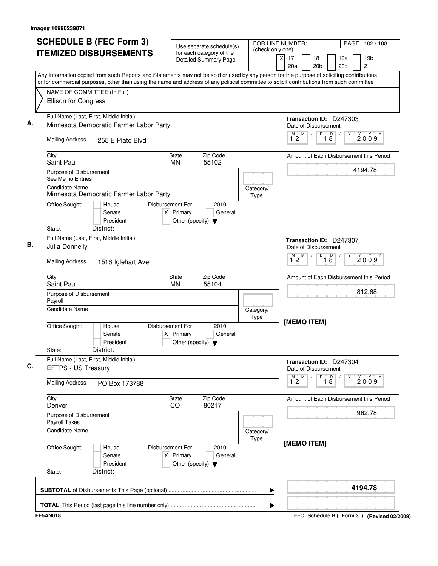| <b>SCHEDULE B (FEC Form 3)</b>                                                                                                                                                                                                                                                         | Use separate schedule(s)                            | (check only one) | FOR LINE NUMBER:                              | PAGE 102/108                                                             |  |
|----------------------------------------------------------------------------------------------------------------------------------------------------------------------------------------------------------------------------------------------------------------------------------------|-----------------------------------------------------|------------------|-----------------------------------------------|--------------------------------------------------------------------------|--|
| <b>ITEMIZED DISBURSEMENTS</b>                                                                                                                                                                                                                                                          | for each category of the<br>Detailed Summary Page   |                  | $\times$<br>17<br>20a                         | 19 <sub>b</sub><br>18<br>19a<br>20 <sub>b</sub><br>20 <sub>c</sub><br>21 |  |
| Any Information copied from such Reports and Statements may not be sold or used by any person for the purpose of soliciting contributions<br>or for commercial purposes, other than using the name and address of any political committee to solicit contributions from such committee |                                                     |                  |                                               |                                                                          |  |
| NAME OF COMMITTEE (In Full)                                                                                                                                                                                                                                                            |                                                     |                  |                                               |                                                                          |  |
| Ellison for Congress                                                                                                                                                                                                                                                                   |                                                     |                  |                                               |                                                                          |  |
|                                                                                                                                                                                                                                                                                        |                                                     |                  |                                               |                                                                          |  |
| Full Name (Last, First, Middle Initial)<br>Minnesota Democratic Farmer Labor Party                                                                                                                                                                                                     |                                                     |                  | Date of Disbursement                          | Transaction ID: D247303                                                  |  |
|                                                                                                                                                                                                                                                                                        |                                                     |                  | M<br>M<br>$\prime$                            | D<br>18<br>2009                                                          |  |
| <b>Mailing Address</b><br>255 E Plato Blvd                                                                                                                                                                                                                                             |                                                     |                  | 12                                            |                                                                          |  |
| City                                                                                                                                                                                                                                                                                   | Zip Code<br><b>State</b>                            |                  |                                               | Amount of Each Disbursement this Period                                  |  |
| Saint Paul                                                                                                                                                                                                                                                                             | 55102<br><b>MN</b>                                  |                  |                                               | 4194.78                                                                  |  |
| Purpose of Disbursement<br>See Memo Entries                                                                                                                                                                                                                                            |                                                     |                  |                                               |                                                                          |  |
| <b>Candidate Name</b>                                                                                                                                                                                                                                                                  |                                                     | Category/        |                                               |                                                                          |  |
| Minnesota Democratic Farmer Labor Party<br>Office Sought:<br>House                                                                                                                                                                                                                     | Disbursement For:<br>2010                           | Type             |                                               |                                                                          |  |
| Senate                                                                                                                                                                                                                                                                                 | $X$ Primary<br>General                              |                  |                                               |                                                                          |  |
| President                                                                                                                                                                                                                                                                              | Other (specify) $\blacktriangledown$                |                  |                                               |                                                                          |  |
| District:<br>State:                                                                                                                                                                                                                                                                    |                                                     |                  |                                               |                                                                          |  |
| Full Name (Last, First, Middle Initial)<br>Julia Donnelly                                                                                                                                                                                                                              |                                                     |                  | Date of Disbursement                          | Transaction ID: D247307                                                  |  |
|                                                                                                                                                                                                                                                                                        |                                                     |                  | M                                             | D<br>D                                                                   |  |
| <b>Mailing Address</b><br>1516 Iglehart Ave                                                                                                                                                                                                                                            |                                                     |                  | $\overline{1}^M$ 2<br>2009<br>$1\overline{8}$ |                                                                          |  |
| City<br>Saint Paul                                                                                                                                                                                                                                                                     | Zip Code<br><b>State</b><br>55104<br><b>MN</b>      |                  |                                               | Amount of Each Disbursement this Period                                  |  |
| Purpose of Disbursement                                                                                                                                                                                                                                                                |                                                     |                  |                                               | 812.68                                                                   |  |
| Payroll                                                                                                                                                                                                                                                                                |                                                     |                  |                                               |                                                                          |  |
| <b>Candidate Name</b>                                                                                                                                                                                                                                                                  |                                                     | Category/        |                                               |                                                                          |  |
| Office Sought:<br>House                                                                                                                                                                                                                                                                | Disbursement For:<br>2010                           | Type             | [MEMO ITEM]                                   |                                                                          |  |
| Senate                                                                                                                                                                                                                                                                                 | $X$ Primary<br>General                              |                  |                                               |                                                                          |  |
| President                                                                                                                                                                                                                                                                              | Other (specify) $\blacktriangledown$                |                  |                                               |                                                                          |  |
| District:<br>State:                                                                                                                                                                                                                                                                    |                                                     |                  |                                               |                                                                          |  |
| Full Name (Last, First, Middle Initial)<br>EFTPS - US Treasury                                                                                                                                                                                                                         |                                                     |                  | Date of Disbursement                          | Transaction ID: D247304                                                  |  |
|                                                                                                                                                                                                                                                                                        |                                                     |                  | М<br>M                                        | D<br>$\overline{18}$<br>2009                                             |  |
| <b>Mailing Address</b><br>PO Box 173788                                                                                                                                                                                                                                                |                                                     | 12               |                                               |                                                                          |  |
| City                                                                                                                                                                                                                                                                                   | Zip Code<br><b>State</b>                            |                  |                                               | Amount of Each Disbursement this Period                                  |  |
| Denver                                                                                                                                                                                                                                                                                 | 80217<br>CO                                         |                  |                                               | 962.78                                                                   |  |
| Purpose of Disbursement<br>Payroll Taxes                                                                                                                                                                                                                                               |                                                     |                  |                                               |                                                                          |  |
| <b>Candidate Name</b>                                                                                                                                                                                                                                                                  |                                                     | Category/        |                                               |                                                                          |  |
|                                                                                                                                                                                                                                                                                        |                                                     | Type             | [MEMO ITEM]                                   |                                                                          |  |
| Office Sought:<br>House<br>Senate                                                                                                                                                                                                                                                      | Disbursement For:<br>2010<br>$X$ Primary<br>General |                  |                                               |                                                                          |  |
| President                                                                                                                                                                                                                                                                              | Other (specify) $\blacktriangledown$                |                  |                                               |                                                                          |  |
| District:<br>State:                                                                                                                                                                                                                                                                    |                                                     |                  |                                               |                                                                          |  |
|                                                                                                                                                                                                                                                                                        |                                                     |                  |                                               | 4194.78                                                                  |  |
|                                                                                                                                                                                                                                                                                        |                                                     | ▶                |                                               |                                                                          |  |
|                                                                                                                                                                                                                                                                                        |                                                     | ▶                |                                               |                                                                          |  |
| <b>FE5AN018</b>                                                                                                                                                                                                                                                                        |                                                     |                  |                                               | FEC Schedule B ( Form 3 ) (Revised 02/2009)                              |  |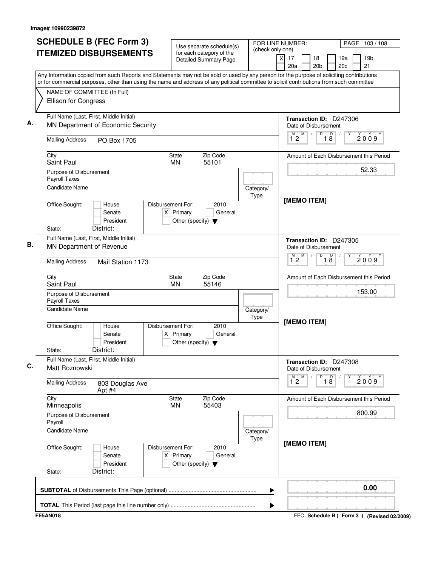| <b>SCHEDULE B (FEC Form 3)</b><br><b>ITEMIZED DISBURSEMENTS</b>                                                                                                                                                                                                                        | Use separate schedule(s)<br>for each category of the<br><b>Detailed Summary Page</b>        | FOR LINE NUMBER:<br>(check only one) | PAGE 103/108<br>$\times$<br>17<br>19a<br>19 <sub>b</sub><br>18 |
|----------------------------------------------------------------------------------------------------------------------------------------------------------------------------------------------------------------------------------------------------------------------------------------|---------------------------------------------------------------------------------------------|--------------------------------------|----------------------------------------------------------------|
| Any Information copied from such Reports and Statements may not be sold or used by any person for the purpose of soliciting contributions<br>or for commercial purposes, other than using the name and address of any political committee to solicit contributions from such committee |                                                                                             |                                      | 20a<br>20 <sub>b</sub><br>20 <sub>c</sub><br>21                |
| NAME OF COMMITTEE (In Full)<br>Ellison for Congress                                                                                                                                                                                                                                    |                                                                                             |                                      |                                                                |
| Full Name (Last, First, Middle Initial)<br>MN Department of Economic Security                                                                                                                                                                                                          |                                                                                             |                                      | Transaction ID: D247306<br>Date of Disbursement                |
| <b>Mailing Address</b><br>PO Box 1705                                                                                                                                                                                                                                                  |                                                                                             |                                      | M<br>D<br>18<br>M<br>2009<br>12                                |
| City<br>Saint Paul                                                                                                                                                                                                                                                                     | Zip Code<br><b>State</b><br>55101<br><b>MN</b>                                              |                                      | Amount of Each Disbursement this Period                        |
| Purpose of Disbursement<br>Payroll Taxes                                                                                                                                                                                                                                               |                                                                                             |                                      | 52.33                                                          |
| <b>Candidate Name</b><br>Office Sought:<br>House                                                                                                                                                                                                                                       | Disbursement For:<br>2010                                                                   | Category/<br>Type                    | [MEMO ITEM]                                                    |
| Senate<br>President<br>District:<br>State:                                                                                                                                                                                                                                             | $X$ Primary<br>General<br>Other (specify) $\blacktriangledown$                              |                                      |                                                                |
| Full Name (Last, First, Middle Initial)<br>MN Department of Revenue                                                                                                                                                                                                                    |                                                                                             |                                      | Transaction ID: D247305<br>Date of Disbursement                |
| <b>Mailing Address</b><br>Mail Station 1173                                                                                                                                                                                                                                            |                                                                                             |                                      | M<br>D<br>$\overline{18}$<br>$\overline{1}^M$ 2<br>2009        |
| City<br>Saint Paul                                                                                                                                                                                                                                                                     | Zip Code<br>State<br><b>MN</b><br>55146                                                     |                                      | Amount of Each Disbursement this Period                        |
| Purpose of Disbursement<br>Payroll Taxes<br><b>Candidate Name</b>                                                                                                                                                                                                                      |                                                                                             | Category/                            | 153.00                                                         |
| Office Sought:<br>House<br>Senate<br>President<br>District:<br>State:                                                                                                                                                                                                                  | Disbursement For:<br>2010<br>$X$ Primary<br>General<br>Other (specify) $\blacktriangledown$ | Type                                 | [MEMO ITEM]                                                    |
| Full Name (Last, First, Middle Initial)<br>Matt Roznowski                                                                                                                                                                                                                              |                                                                                             |                                      | Transaction ID: D247308<br>Date of Disbursement                |
| <b>Mailing Address</b><br>803 Douglas Ave<br>Apt #4                                                                                                                                                                                                                                    |                                                                                             |                                      | M<br>D<br>$\overline{18}$<br>$\overline{1}^M$ 2<br>2009        |
| City<br>Minneapolis                                                                                                                                                                                                                                                                    | State<br>Zip Code<br><b>MN</b><br>55403                                                     |                                      | Amount of Each Disbursement this Period                        |
| Purpose of Disbursement<br>Payroll<br><b>Candidate Name</b>                                                                                                                                                                                                                            |                                                                                             | Category/                            | 800.99                                                         |
| Office Sought:<br>House<br>Senate<br>President<br>District:<br>State:                                                                                                                                                                                                                  | 2010<br>Disbursement For:<br>$X$ Primary<br>General<br>Other (specify) $\blacktriangledown$ | Type                                 | [MEMO ITEM]                                                    |
|                                                                                                                                                                                                                                                                                        |                                                                                             | ▶                                    | 0.00                                                           |
|                                                                                                                                                                                                                                                                                        |                                                                                             | ▶                                    |                                                                |
| <b>FE5AN018</b>                                                                                                                                                                                                                                                                        |                                                                                             |                                      | FEC Schedule B ( Form 3 ) (Revised 02/2009)                    |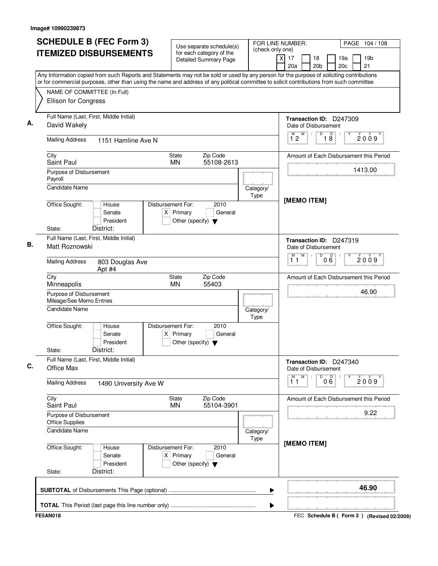| <b>SCHEDULE B (FEC Form 3)</b>                                                                                                            | Use separate schedule(s)                                                                    | FOR LINE NUMBER:  | PAGE 104 / 108                                                                             |
|-------------------------------------------------------------------------------------------------------------------------------------------|---------------------------------------------------------------------------------------------|-------------------|--------------------------------------------------------------------------------------------|
| <b>ITEMIZED DISBURSEMENTS</b>                                                                                                             | for each category of the<br><b>Detailed Summary Page</b>                                    | (check only one)  | X<br>17<br>18<br>19 <sub>b</sub><br>19a<br>20a<br>20 <sub>c</sub><br>21<br>20 <sub>b</sub> |
| Any Information copied from such Reports and Statements may not be sold or used by any person for the purpose of soliciting contributions |                                                                                             |                   |                                                                                            |
| or for commercial purposes, other than using the name and address of any political committee to solicit contributions from such committee |                                                                                             |                   |                                                                                            |
| NAME OF COMMITTEE (In Full)<br>Ellison for Congress                                                                                       |                                                                                             |                   |                                                                                            |
| Full Name (Last, First, Middle Initial)                                                                                                   |                                                                                             |                   | Transaction ID: D247309                                                                    |
| David Wakely                                                                                                                              |                                                                                             |                   | Date of Disbursement                                                                       |
| <b>Mailing Address</b><br>1151 Hamline Ave N                                                                                              |                                                                                             |                   | $\Box$<br>М<br>M<br>D<br>2009<br>$1^{\circ}2$<br>$1\overline{8}$                           |
| City<br>Saint Paul                                                                                                                        | Zip Code<br>State<br><b>MN</b><br>55108-2613                                                |                   | Amount of Each Disbursement this Period                                                    |
| Purpose of Disbursement                                                                                                                   |                                                                                             |                   | 1413.00                                                                                    |
| Payroll                                                                                                                                   |                                                                                             |                   |                                                                                            |
| Candidate Name                                                                                                                            |                                                                                             | Category/<br>Type | [MEMO ITEM]                                                                                |
| Office Sought:<br>House<br>Senate<br>President<br>District:<br>State:                                                                     | Disbursement For:<br>2010<br>$X$ Primary<br>General<br>Other (specify) $\blacktriangledown$ |                   |                                                                                            |
| Full Name (Last, First, Middle Initial)                                                                                                   |                                                                                             |                   | Transaction ID: D247319                                                                    |
| Matt Roznowski                                                                                                                            |                                                                                             |                   | Date of Disbursement                                                                       |
| <b>Mailing Address</b><br>803 Douglas Ave<br>Apt #4                                                                                       |                                                                                             |                   | M<br>D<br>М<br>000<br>2009<br>11                                                           |
| City<br>Minneapolis                                                                                                                       | Zip Code<br>State<br>55403<br><b>MN</b>                                                     |                   | Amount of Each Disbursement this Period                                                    |
| Purpose of Disbursement<br>Mileage/See Memo Entries                                                                                       |                                                                                             |                   | 46.90                                                                                      |
| <b>Candidate Name</b>                                                                                                                     |                                                                                             | Category/<br>Type |                                                                                            |
| Office Sought:<br>House<br>Senate<br>President<br>District:<br>State:                                                                     | Disbursement For:<br>2010<br>$X$ Primary<br>General<br>Other (specify) $\blacktriangledown$ |                   |                                                                                            |
| Full Name (Last, First, Middle Initial)<br>Office Max                                                                                     |                                                                                             |                   | Transaction ID: D247340<br>Date of Disbursement                                            |
| <b>Mailing Address</b><br>1490 University Ave W                                                                                           |                                                                                             |                   | M<br>M<br>D<br>000<br>2009<br>11                                                           |
| City<br>Saint Paul                                                                                                                        | Zip Code<br>State<br>55104-3901<br><b>MN</b>                                                |                   | Amount of Each Disbursement this Period                                                    |
| Purpose of Disbursement<br><b>Office Supplies</b>                                                                                         |                                                                                             |                   | 9.22                                                                                       |
| Candidate Name                                                                                                                            |                                                                                             | Category/<br>Type |                                                                                            |
| Office Sought:<br>House<br>Senate<br>President<br>District:<br>State:                                                                     | Disbursement For:<br>2010<br>$X$ Primary<br>General<br>Other (specify) $\blacktriangledown$ |                   | [MEMO ITEM]                                                                                |
|                                                                                                                                           |                                                                                             | ▶                 | 46.90                                                                                      |
|                                                                                                                                           |                                                                                             | ▶                 |                                                                                            |
| <b>FE5AN018</b>                                                                                                                           |                                                                                             |                   | FEC Schedule B (Form 3) (Revised 02/2009)                                                  |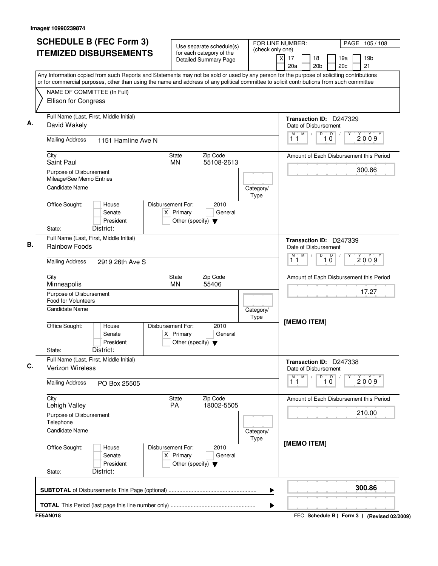| <b>SCHEDULE B (FEC Form 3)</b>                                                                                                                                                                                                                                                         | Use separate schedule(s)                                                                    | FOR LINE NUMBER:  | PAGE 105/108                                                                   |
|----------------------------------------------------------------------------------------------------------------------------------------------------------------------------------------------------------------------------------------------------------------------------------------|---------------------------------------------------------------------------------------------|-------------------|--------------------------------------------------------------------------------|
| <b>ITEMIZED DISBURSEMENTS</b>                                                                                                                                                                                                                                                          | for each category of the<br><b>Detailed Summary Page</b>                                    | (check only one)  | 19 <sub>b</sub><br>x<br>17<br>18<br>19a<br>20c<br>21<br>20a<br>20 <sub>b</sub> |
| Any Information copied from such Reports and Statements may not be sold or used by any person for the purpose of soliciting contributions<br>or for commercial purposes, other than using the name and address of any political committee to solicit contributions from such committee |                                                                                             |                   |                                                                                |
| NAME OF COMMITTEE (In Full)<br>Ellison for Congress                                                                                                                                                                                                                                    |                                                                                             |                   |                                                                                |
| Full Name (Last, First, Middle Initial)<br>David Wakely                                                                                                                                                                                                                                |                                                                                             |                   | Transaction ID: D247329<br>Date of Disbursement                                |
| <b>Mailing Address</b><br>1151 Hamline Ave N                                                                                                                                                                                                                                           |                                                                                             |                   | $M$ /<br>$\mathsf D$<br>M<br>D<br>2009<br>10<br>11                             |
| City<br>Saint Paul                                                                                                                                                                                                                                                                     | Zip Code<br>State<br>55108-2613<br><b>MN</b>                                                |                   | Amount of Each Disbursement this Period                                        |
| Purpose of Disbursement<br>Mileage/See Memo Entries                                                                                                                                                                                                                                    |                                                                                             |                   | 300.86                                                                         |
| <b>Candidate Name</b>                                                                                                                                                                                                                                                                  |                                                                                             | Category/<br>Type |                                                                                |
| Office Sought:<br>House<br>Senate<br>President<br>District:<br>State:                                                                                                                                                                                                                  | Disbursement For:<br>2010<br>$X$ Primary<br>General<br>Other (specify) $\blacktriangledown$ |                   |                                                                                |
| Full Name (Last, First, Middle Initial)                                                                                                                                                                                                                                                |                                                                                             |                   | Transaction ID: D247339                                                        |
| Rainbow Foods                                                                                                                                                                                                                                                                          |                                                                                             |                   | Date of Disbursement<br>M<br>M<br>D<br>$\overline{D}$                          |
| <b>Mailing Address</b><br>2919 26th Ave S                                                                                                                                                                                                                                              |                                                                                             |                   | 2009<br>10<br>11                                                               |
| City<br>Minneapolis                                                                                                                                                                                                                                                                    | Zip Code<br>State<br><b>MN</b><br>55406                                                     |                   | Amount of Each Disbursement this Period                                        |
| Purpose of Disbursement<br><b>Food for Volunteers</b>                                                                                                                                                                                                                                  |                                                                                             |                   | 17.27                                                                          |
| <b>Candidate Name</b>                                                                                                                                                                                                                                                                  |                                                                                             | Category/<br>Type |                                                                                |
| Office Sought:<br>House<br>Senate<br>President<br>District:<br>State:                                                                                                                                                                                                                  | Disbursement For:<br>2010<br>$X$ Primary<br>General<br>Other (specify) $\blacktriangledown$ |                   | [MEMO ITEM]                                                                    |
| Full Name (Last, First, Middle Initial)<br><b>Verizon Wireless</b>                                                                                                                                                                                                                     |                                                                                             |                   | Transaction ID: D247338<br>Date of Disbursement                                |
| <b>Mailing Address</b><br>PO Box 25505                                                                                                                                                                                                                                                 |                                                                                             |                   | M<br>$\overline{1}$ $\overline{0}$<br>M<br>D<br>2009<br>11                     |
| City<br>Lehigh Valley                                                                                                                                                                                                                                                                  | Zip Code<br>State<br>18002-5505<br><b>PA</b>                                                |                   | Amount of Each Disbursement this Period                                        |
| Purpose of Disbursement<br>Telephone                                                                                                                                                                                                                                                   |                                                                                             |                   | 210.00                                                                         |
| <b>Candidate Name</b>                                                                                                                                                                                                                                                                  |                                                                                             | Category/<br>Type |                                                                                |
| Office Sought:<br>House<br>Senate<br>President<br>District:<br>State:                                                                                                                                                                                                                  | Disbursement For:<br>2010<br>$X$ Primary<br>General<br>Other (specify) $\blacktriangledown$ |                   | [MEMO ITEM]                                                                    |
|                                                                                                                                                                                                                                                                                        |                                                                                             | ▶                 | 300.86                                                                         |
|                                                                                                                                                                                                                                                                                        |                                                                                             | ▶                 |                                                                                |
| <b>FE5AN018</b>                                                                                                                                                                                                                                                                        |                                                                                             |                   | FEC Schedule B ( Form 3 ) (Revised 02/2009)                                    |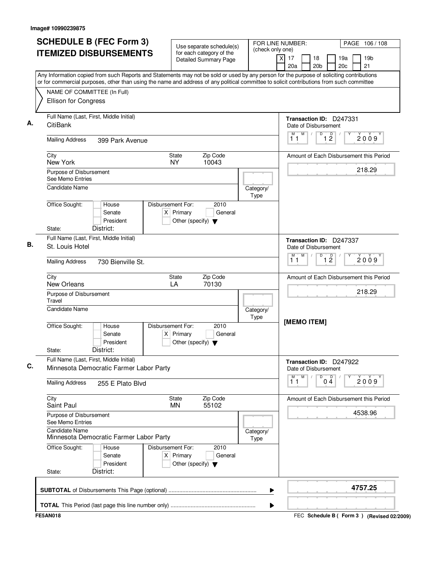| <b>SCHEDULE B (FEC Form 3)</b>                                                                                                                                                                                                                                                         | Use separate schedule(s)                                                                    | FOR LINE NUMBER:<br>(check only one)           | PAGE 106 / 108                                        |
|----------------------------------------------------------------------------------------------------------------------------------------------------------------------------------------------------------------------------------------------------------------------------------------|---------------------------------------------------------------------------------------------|------------------------------------------------|-------------------------------------------------------|
| <b>ITEMIZED DISBURSEMENTS</b>                                                                                                                                                                                                                                                          | for each category of the<br><b>Detailed Summary Page</b>                                    | $\times$<br>17<br>18<br>20a<br>20 <sub>b</sub> | 19a<br>19 <sub>b</sub><br>20c<br>21                   |
| Any Information copied from such Reports and Statements may not be sold or used by any person for the purpose of soliciting contributions<br>or for commercial purposes, other than using the name and address of any political committee to solicit contributions from such committee |                                                                                             |                                                |                                                       |
| NAME OF COMMITTEE (In Full)                                                                                                                                                                                                                                                            |                                                                                             |                                                |                                                       |
| Ellison for Congress                                                                                                                                                                                                                                                                   |                                                                                             |                                                |                                                       |
| Full Name (Last, First, Middle Initial)<br>CitiBank                                                                                                                                                                                                                                    |                                                                                             | Date of Disbursement                           | Transaction ID: D247331                               |
| <b>Mailing Address</b><br>399 Park Avenue                                                                                                                                                                                                                                              |                                                                                             | M<br>M<br>11                                   | D<br>1 <sup>D</sup><br>2009                           |
| City<br>New York                                                                                                                                                                                                                                                                       | State<br>Zip Code<br><b>NY</b><br>10043                                                     |                                                | Amount of Each Disbursement this Period               |
| Purpose of Disbursement<br>See Memo Entries                                                                                                                                                                                                                                            |                                                                                             |                                                | 218.29                                                |
| Candidate Name                                                                                                                                                                                                                                                                         |                                                                                             | Category/<br>Type                              |                                                       |
| Office Sought:<br>House<br>Senate<br>President<br>District:                                                                                                                                                                                                                            | Disbursement For:<br>2010<br>$X$ Primary<br>General<br>Other (specify) $\blacktriangledown$ |                                                |                                                       |
| State:<br>Full Name (Last, First, Middle Initial)                                                                                                                                                                                                                                      |                                                                                             |                                                |                                                       |
| St. Louis Hotel                                                                                                                                                                                                                                                                        |                                                                                             | Date of Disbursement                           | Transaction ID: D247337                               |
| <b>Mailing Address</b><br>730 Bienville St.                                                                                                                                                                                                                                            |                                                                                             | M<br>М<br>11                                   | D<br>$\overline{1}$ $\overline{2}$<br>2009            |
| City<br>New Orleans                                                                                                                                                                                                                                                                    | Zip Code<br>State<br>70130<br>LA                                                            |                                                | Amount of Each Disbursement this Period               |
| Purpose of Disbursement<br>Travel                                                                                                                                                                                                                                                      |                                                                                             |                                                | 218.29                                                |
| Candidate Name                                                                                                                                                                                                                                                                         |                                                                                             | Category/<br>Type<br>[MEMO ITEM]               |                                                       |
| Office Sought:<br>House<br>Senate<br>President<br>District:<br>State:                                                                                                                                                                                                                  | Disbursement For:<br>2010<br>$X$ Primary<br>General<br>Other (specify) $\blacktriangledown$ |                                                |                                                       |
| Full Name (Last, First, Middle Initial)<br>Minnesota Democratic Farmer Labor Party                                                                                                                                                                                                     |                                                                                             | Date of Disbursement                           | Transaction ID: D247922                               |
| <b>Mailing Address</b><br>255 E Plato Blvd                                                                                                                                                                                                                                             |                                                                                             | M<br>$\overline{1}^M$ 1                        | $\overline{\mathsf{D}}$<br>$0\stackrel{D}{4}$<br>2009 |
| City<br>Saint Paul                                                                                                                                                                                                                                                                     | Zip Code<br>State<br><b>MN</b><br>55102                                                     |                                                | Amount of Each Disbursement this Period               |
| Purpose of Disbursement<br>See Memo Entries                                                                                                                                                                                                                                            |                                                                                             |                                                | 4538.96                                               |
| Candidate Name<br>Minnesota Democratic Farmer Labor Party                                                                                                                                                                                                                              |                                                                                             | Category/<br>Type                              |                                                       |
| Office Sought:<br>House<br>Senate<br>President                                                                                                                                                                                                                                         | Disbursement For:<br>2010<br>$X$ Primary<br>General<br>Other (specify) $\blacktriangledown$ |                                                |                                                       |
| District:<br>State:                                                                                                                                                                                                                                                                    |                                                                                             |                                                |                                                       |
|                                                                                                                                                                                                                                                                                        |                                                                                             | ▶                                              | 4757.25                                               |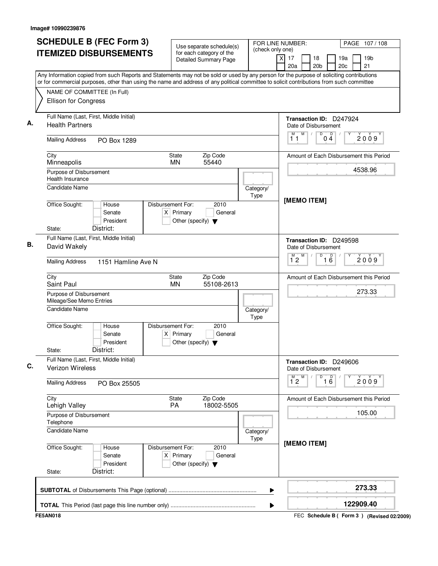| <b>SCHEDULE B (FEC Form 3)</b>                                                                                                                                                                                                                                                         | Use separate schedule(s)                                                                    |                   | FOR LINE NUMBER:<br>PAGE 107/108<br>(check only one) |                         |            |                                                        |
|----------------------------------------------------------------------------------------------------------------------------------------------------------------------------------------------------------------------------------------------------------------------------------------|---------------------------------------------------------------------------------------------|-------------------|------------------------------------------------------|-------------------------|------------|--------------------------------------------------------|
| <b>ITEMIZED DISBURSEMENTS</b>                                                                                                                                                                                                                                                          | for each category of the<br><b>Detailed Summary Page</b>                                    |                   | $\overline{\mathsf{x}}$<br>17<br>20a                 | 18<br>20 <sub>b</sub>   | 19a<br>20c | 19 <sub>b</sub><br>21                                  |
| Any Information copied from such Reports and Statements may not be sold or used by any person for the purpose of soliciting contributions<br>or for commercial purposes, other than using the name and address of any political committee to solicit contributions from such committee |                                                                                             |                   |                                                      |                         |            |                                                        |
| NAME OF COMMITTEE (In Full)                                                                                                                                                                                                                                                            |                                                                                             |                   |                                                      |                         |            |                                                        |
| Ellison for Congress                                                                                                                                                                                                                                                                   |                                                                                             |                   |                                                      |                         |            |                                                        |
| Full Name (Last, First, Middle Initial)<br><b>Health Partners</b>                                                                                                                                                                                                                      |                                                                                             |                   | Transaction ID: D247924                              | Date of Disbursement    |            |                                                        |
| <b>Mailing Address</b><br>PO Box 1289                                                                                                                                                                                                                                                  |                                                                                             |                   | M<br>М<br>11                                         | D<br>$0\stackrel{D}{4}$ |            | 2009                                                   |
| City<br>Minneapolis                                                                                                                                                                                                                                                                    | Zip Code<br><b>State</b><br><b>MN</b><br>55440                                              |                   |                                                      |                         |            | Amount of Each Disbursement this Period                |
| Purpose of Disbursement<br>Health Insurance                                                                                                                                                                                                                                            |                                                                                             |                   |                                                      |                         |            | 4538.96                                                |
| <b>Candidate Name</b>                                                                                                                                                                                                                                                                  |                                                                                             | Category/<br>Type |                                                      |                         |            |                                                        |
| Office Sought:<br>House<br>Senate<br>President<br>District:<br>State:                                                                                                                                                                                                                  | Disbursement For:<br>2010<br>$X$ Primary<br>General<br>Other (specify) $\blacktriangledown$ |                   | [MEMO ITEM]                                          |                         |            |                                                        |
| Full Name (Last, First, Middle Initial)                                                                                                                                                                                                                                                |                                                                                             |                   | Transaction ID: D249598                              |                         |            |                                                        |
| David Wakely                                                                                                                                                                                                                                                                           |                                                                                             |                   |                                                      | Date of Disbursement    |            |                                                        |
| <b>Mailing Address</b><br>1151 Hamline Ave N                                                                                                                                                                                                                                           |                                                                                             |                   | M<br>м<br>12                                         | D<br>$\overline{16}$    |            | 2009                                                   |
| City<br>Saint Paul                                                                                                                                                                                                                                                                     | Zip Code<br>State<br>55108-2613<br><b>MN</b>                                                |                   |                                                      |                         |            | Amount of Each Disbursement this Period                |
| Purpose of Disbursement<br>Mileage/See Memo Entries                                                                                                                                                                                                                                    |                                                                                             |                   |                                                      |                         |            | 273.33                                                 |
| <b>Candidate Name</b>                                                                                                                                                                                                                                                                  |                                                                                             | Category/<br>Type |                                                      |                         |            |                                                        |
| Office Sought:<br>House<br>Senate<br>President<br>District:<br>State:                                                                                                                                                                                                                  | Disbursement For:<br>2010<br>$X$ Primary<br>General<br>Other (specify) $\blacktriangledown$ |                   |                                                      |                         |            |                                                        |
| Full Name (Last, First, Middle Initial)<br><b>Verizon Wireless</b>                                                                                                                                                                                                                     |                                                                                             |                   | Transaction ID: D249606                              | Date of Disbursement    |            |                                                        |
| <b>Mailing Address</b><br>PO Box 25505                                                                                                                                                                                                                                                 |                                                                                             |                   | M<br>$\overline{1}^M$ 2                              | D<br>16                 | Υ          | 2009                                                   |
| City<br>Lehigh Valley                                                                                                                                                                                                                                                                  | State<br>Zip Code<br><b>PA</b><br>18002-5505                                                |                   |                                                      |                         |            | Amount of Each Disbursement this Period                |
| Purpose of Disbursement<br>Telephone                                                                                                                                                                                                                                                   |                                                                                             |                   |                                                      |                         |            | 105.00                                                 |
| <b>Candidate Name</b>                                                                                                                                                                                                                                                                  |                                                                                             | Category/<br>Type |                                                      |                         |            |                                                        |
| Office Sought:<br>House<br>Senate<br>President<br>District:<br>State:                                                                                                                                                                                                                  | Disbursement For:<br>2010<br>$X$ Primary<br>General<br>Other (specify) $\blacktriangledown$ |                   | [MEMO ITEM]                                          |                         |            |                                                        |
|                                                                                                                                                                                                                                                                                        |                                                                                             | ▶                 |                                                      |                         |            | 273.33                                                 |
|                                                                                                                                                                                                                                                                                        |                                                                                             |                   |                                                      |                         |            |                                                        |
| <b>FE5AN018</b>                                                                                                                                                                                                                                                                        |                                                                                             | ▶                 |                                                      |                         |            | 122909.40<br>FEC Schedule B (Form 3) (Revised 02/2009) |